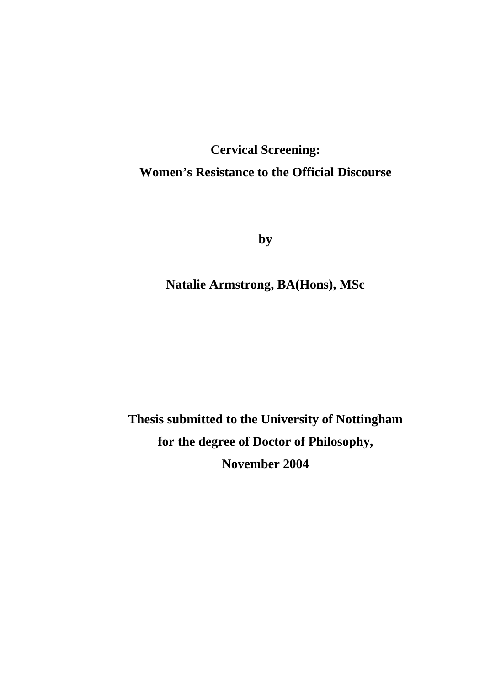# **Cervical Screening: Women's Resistance to the Official Discourse**

**by** 

**Natalie Armstrong, BA(Hons), MSc** 

**Thesis submitted to the University of Nottingham for the degree of Doctor of Philosophy, November 2004**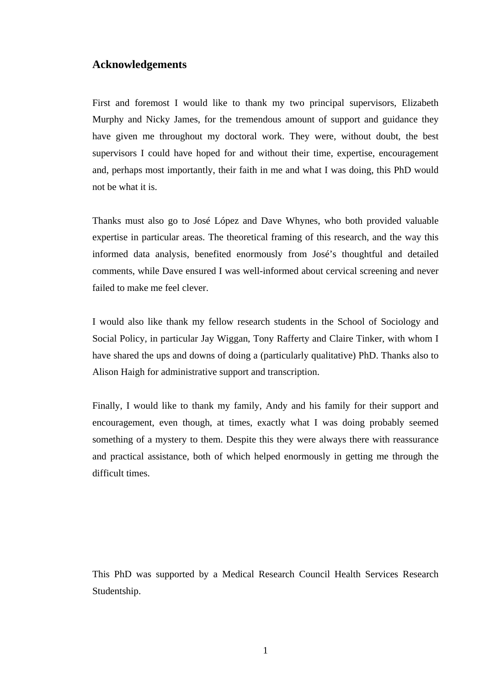## **Acknowledgements**

First and foremost I would like to thank my two principal supervisors, Elizabeth Murphy and Nicky James, for the tremendous amount of support and guidance they have given me throughout my doctoral work. They were, without doubt, the best supervisors I could have hoped for and without their time, expertise, encouragement and, perhaps most importantly, their faith in me and what I was doing, this PhD would not be what it is.

Thanks must also go to José López and Dave Whynes, who both provided valuable expertise in particular areas. The theoretical framing of this research, and the way this informed data analysis, benefited enormously from José's thoughtful and detailed comments, while Dave ensured I was well-informed about cervical screening and never failed to make me feel clever.

I would also like thank my fellow research students in the School of Sociology and Social Policy, in particular Jay Wiggan, Tony Rafferty and Claire Tinker, with whom I have shared the ups and downs of doing a (particularly qualitative) PhD. Thanks also to Alison Haigh for administrative support and transcription.

Finally, I would like to thank my family, Andy and his family for their support and encouragement, even though, at times, exactly what I was doing probably seemed something of a mystery to them. Despite this they were always there with reassurance and practical assistance, both of which helped enormously in getting me through the difficult times.

This PhD was supported by a Medical Research Council Health Services Research Studentship.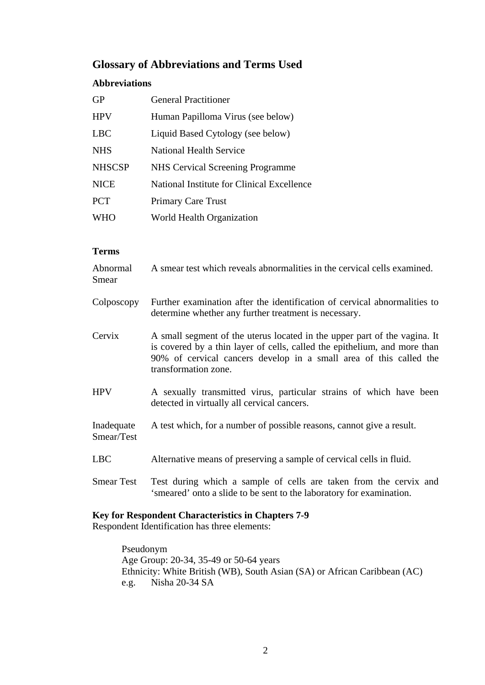# **Glossary of Abbreviations and Terms Used**

### **Abbreviations**

| <b>GP</b>     | <b>General Practitioner</b>                |
|---------------|--------------------------------------------|
| <b>HPV</b>    | Human Papilloma Virus (see below)          |
| <b>LBC</b>    | Liquid Based Cytology (see below)          |
| <b>NHS</b>    | National Health Service                    |
| <b>NHSCSP</b> | <b>NHS</b> Cervical Screening Programme    |
| <b>NICE</b>   | National Institute for Clinical Excellence |
| <b>PCT</b>    | <b>Primary Care Trust</b>                  |
| <b>WHO</b>    | World Health Organization                  |

## **Terms**

| Abnormal<br>Smear        | A smear test which reveals abnormalities in the cervical cells examined.                                                                                                                                                                             |
|--------------------------|------------------------------------------------------------------------------------------------------------------------------------------------------------------------------------------------------------------------------------------------------|
| Colposcopy               | Further examination after the identification of cervical abnormalities to<br>determine whether any further treatment is necessary.                                                                                                                   |
| Cervix                   | A small segment of the uterus located in the upper part of the vagina. It<br>is covered by a thin layer of cells, called the epithelium, and more than<br>90% of cervical cancers develop in a small area of this called the<br>transformation zone. |
| <b>HPV</b>               | A sexually transmitted virus, particular strains of which have been<br>detected in virtually all cervical cancers.                                                                                                                                   |
| Inadequate<br>Smear/Test | A test which, for a number of possible reasons, cannot give a result.                                                                                                                                                                                |
| <b>LBC</b>               | Alternative means of preserving a sample of cervical cells in fluid.                                                                                                                                                                                 |
| <b>Smear Test</b>        | Test during which a sample of cells are taken from the cervix and<br>'s meared' onto a slide to be sent to the laboratory for examination.                                                                                                           |

## **Key for Respondent Characteristics in Chapters 7-9**

Respondent Identification has three elements:

Pseudonym Age Group: 20-34, 35-49 or 50-64 years Ethnicity: White British (WB), South Asian (SA) or African Caribbean (AC) e.g. Nisha 20-34 SA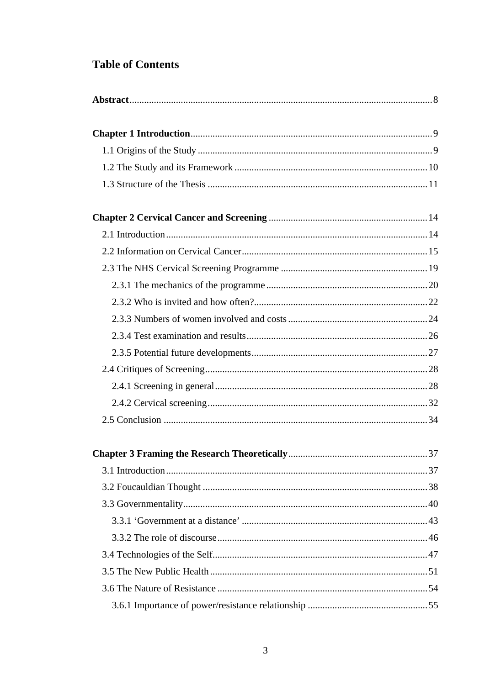# **Table of Contents**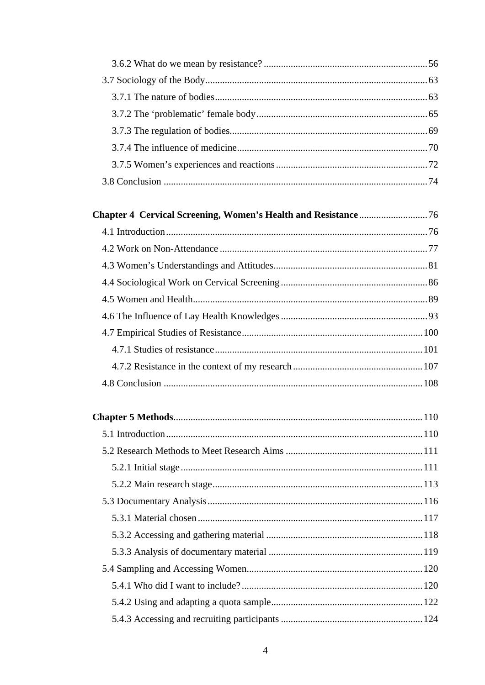# 

#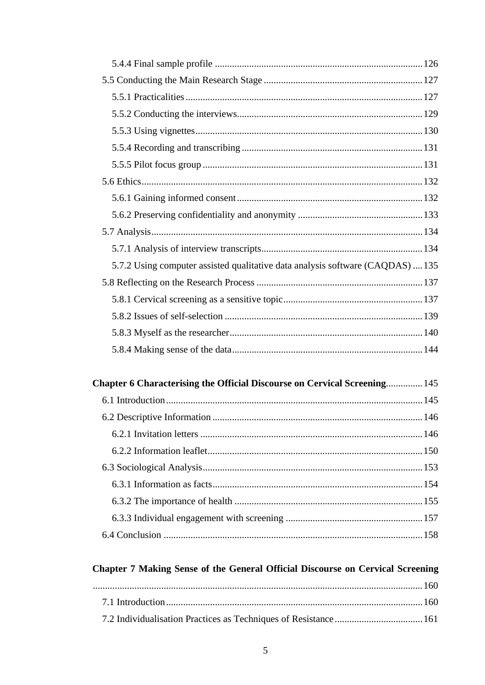| 5.7.2 Using computer assisted qualitative data analysis software (CAQDAS)  135 |  |
|--------------------------------------------------------------------------------|--|
|                                                                                |  |
|                                                                                |  |
|                                                                                |  |
|                                                                                |  |
|                                                                                |  |
| Chapter 6 Characterising the Official Discourse on Cervical Screening 145      |  |
|                                                                                |  |
|                                                                                |  |
|                                                                                |  |
|                                                                                |  |
|                                                                                |  |
|                                                                                |  |
|                                                                                |  |
|                                                                                |  |
|                                                                                |  |
|                                                                                |  |
|                                                                                |  |

# Chapter 7 Making Sense of the General Official Discourse on Cervical Screening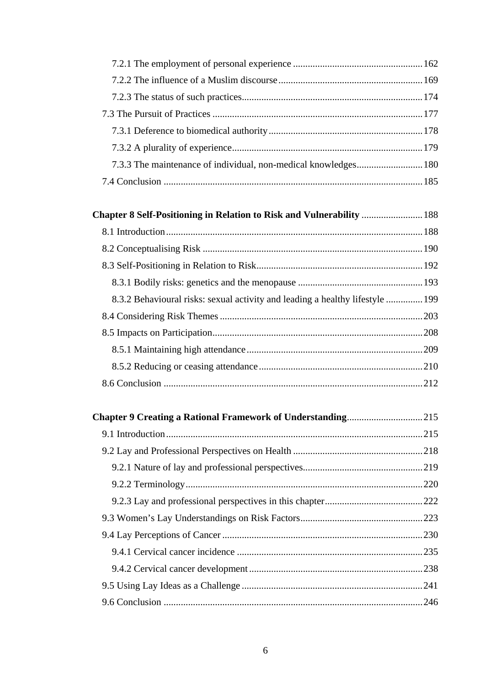| <b>Chapter 8 Self-Positioning in Relation to Risk and Vulnerability  188</b>  |  |
|-------------------------------------------------------------------------------|--|
|                                                                               |  |
|                                                                               |  |
|                                                                               |  |
|                                                                               |  |
| 8.3.2 Behavioural risks: sexual activity and leading a healthy lifestyle  199 |  |
|                                                                               |  |
|                                                                               |  |
|                                                                               |  |
|                                                                               |  |
|                                                                               |  |
|                                                                               |  |

| Chapter 9 Creating a Rational Framework of Understanding215 |  |
|-------------------------------------------------------------|--|
|                                                             |  |
|                                                             |  |
|                                                             |  |
|                                                             |  |
|                                                             |  |
|                                                             |  |
|                                                             |  |
|                                                             |  |
|                                                             |  |
|                                                             |  |
|                                                             |  |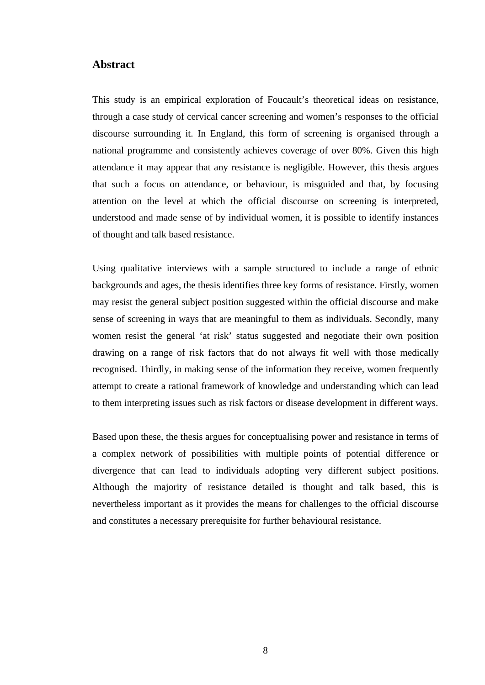## **Abstract**

This study is an empirical exploration of Foucault's theoretical ideas on resistance, through a case study of cervical cancer screening and women's responses to the official discourse surrounding it. In England, this form of screening is organised through a national programme and consistently achieves coverage of over 80%. Given this high attendance it may appear that any resistance is negligible. However, this thesis argues that such a focus on attendance, or behaviour, is misguided and that, by focusing attention on the level at which the official discourse on screening is interpreted, understood and made sense of by individual women, it is possible to identify instances of thought and talk based resistance.

Using qualitative interviews with a sample structured to include a range of ethnic backgrounds and ages, the thesis identifies three key forms of resistance. Firstly, women may resist the general subject position suggested within the official discourse and make sense of screening in ways that are meaningful to them as individuals. Secondly, many women resist the general 'at risk' status suggested and negotiate their own position drawing on a range of risk factors that do not always fit well with those medically recognised. Thirdly, in making sense of the information they receive, women frequently attempt to create a rational framework of knowledge and understanding which can lead to them interpreting issues such as risk factors or disease development in different ways.

Based upon these, the thesis argues for conceptualising power and resistance in terms of a complex network of possibilities with multiple points of potential difference or divergence that can lead to individuals adopting very different subject positions. Although the majority of resistance detailed is thought and talk based, this is nevertheless important as it provides the means for challenges to the official discourse and constitutes a necessary prerequisite for further behavioural resistance.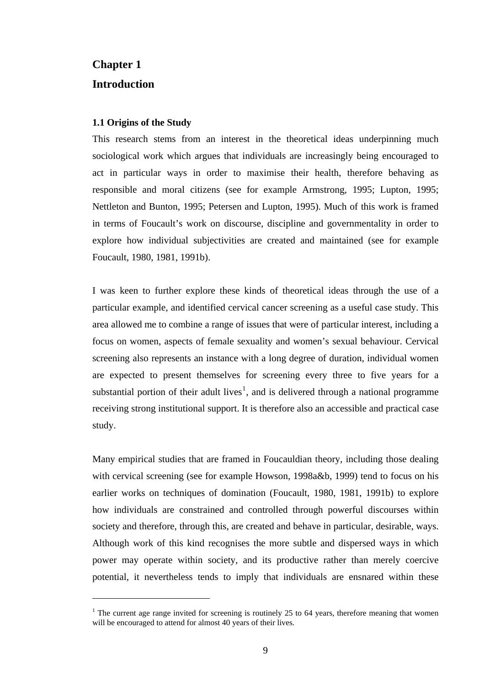# **Chapter 1 Introduction**

 $\overline{a}$ 

## **1.1 Origins of the Study**

This research stems from an interest in the theoretical ideas underpinning much sociological work which argues that individuals are increasingly being encouraged to act in particular ways in order to maximise their health, therefore behaving as responsible and moral citizens (see for example Armstrong, 1995; Lupton, 1995; Nettleton and Bunton, 1995; Petersen and Lupton, 1995). Much of this work is framed in terms of Foucault's work on discourse, discipline and governmentality in order to explore how individual subjectivities are created and maintained (see for example Foucault, 1980, 1981, 1991b).

I was keen to further explore these kinds of theoretical ideas through the use of a particular example, and identified cervical cancer screening as a useful case study. This area allowed me to combine a range of issues that were of particular interest, including a focus on women, aspects of female sexuality and women's sexual behaviour. Cervical screening also represents an instance with a long degree of duration, individual women are expected to present themselves for screening every three to five years for a substantial portion of their adult lives<sup>[1](#page-9-0)</sup>, and is delivered through a national programme receiving strong institutional support. It is therefore also an accessible and practical case study.

Many empirical studies that are framed in Foucauldian theory, including those dealing with cervical screening (see for example Howson, 1998a&b, 1999) tend to focus on his earlier works on techniques of domination (Foucault, 1980, 1981, 1991b) to explore how individuals are constrained and controlled through powerful discourses within society and therefore, through this, are created and behave in particular, desirable, ways. Although work of this kind recognises the more subtle and dispersed ways in which power may operate within society, and its productive rather than merely coercive potential, it nevertheless tends to imply that individuals are ensnared within these

<span id="page-9-0"></span><sup>&</sup>lt;sup>1</sup> The current age range invited for screening is routinely 25 to 64 years, therefore meaning that women will be encouraged to attend for almost 40 years of their lives.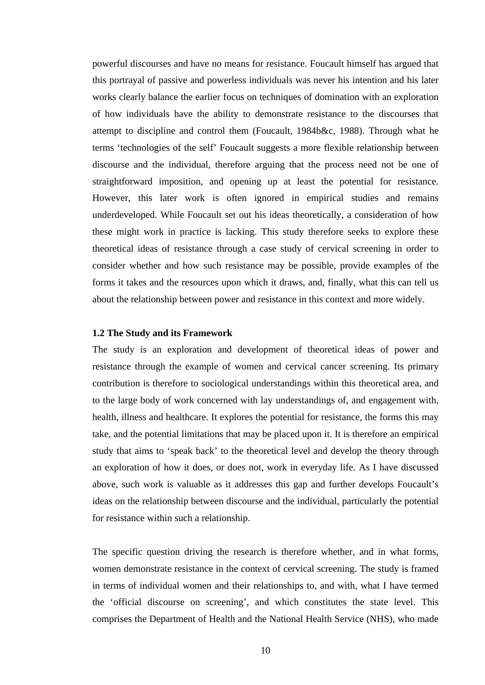powerful discourses and have no means for resistance. Foucault himself has argued that this portrayal of passive and powerless individuals was never his intention and his later works clearly balance the earlier focus on techniques of domination with an exploration of how individuals have the ability to demonstrate resistance to the discourses that attempt to discipline and control them (Foucault, 1984b&c, 1988). Through what he terms 'technologies of the self' Foucault suggests a more flexible relationship between discourse and the individual, therefore arguing that the process need not be one of straightforward imposition, and opening up at least the potential for resistance. However, this later work is often ignored in empirical studies and remains underdeveloped. While Foucault set out his ideas theoretically, a consideration of how these might work in practice is lacking. This study therefore seeks to explore these theoretical ideas of resistance through a case study of cervical screening in order to consider whether and how such resistance may be possible, provide examples of the forms it takes and the resources upon which it draws, and, finally, what this can tell us about the relationship between power and resistance in this context and more widely.

### **1.2 The Study and its Framework**

The study is an exploration and development of theoretical ideas of power and resistance through the example of women and cervical cancer screening. Its primary contribution is therefore to sociological understandings within this theoretical area, and to the large body of work concerned with lay understandings of, and engagement with, health, illness and healthcare. It explores the potential for resistance, the forms this may take, and the potential limitations that may be placed upon it. It is therefore an empirical study that aims to 'speak back' to the theoretical level and develop the theory through an exploration of how it does, or does not, work in everyday life. As I have discussed above, such work is valuable as it addresses this gap and further develops Foucault's ideas on the relationship between discourse and the individual, particularly the potential for resistance within such a relationship.

The specific question driving the research is therefore whether, and in what forms, women demonstrate resistance in the context of cervical screening. The study is framed in terms of individual women and their relationships to, and with, what I have termed the 'official discourse on screening', and which constitutes the state level. This comprises the Department of Health and the National Health Service (NHS), who made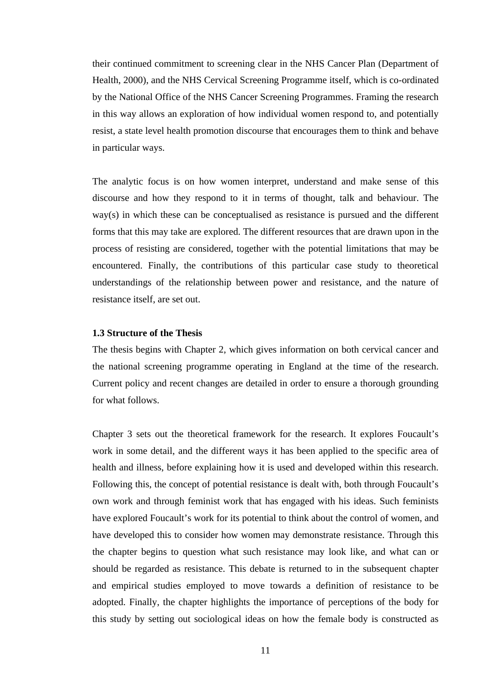their continued commitment to screening clear in the NHS Cancer Plan (Department of Health, 2000), and the NHS Cervical Screening Programme itself, which is co-ordinated by the National Office of the NHS Cancer Screening Programmes. Framing the research in this way allows an exploration of how individual women respond to, and potentially resist, a state level health promotion discourse that encourages them to think and behave in particular ways.

The analytic focus is on how women interpret, understand and make sense of this discourse and how they respond to it in terms of thought, talk and behaviour. The way(s) in which these can be conceptualised as resistance is pursued and the different forms that this may take are explored. The different resources that are drawn upon in the process of resisting are considered, together with the potential limitations that may be encountered. Finally, the contributions of this particular case study to theoretical understandings of the relationship between power and resistance, and the nature of resistance itself, are set out.

### **1.3 Structure of the Thesis**

The thesis begins with Chapter 2, which gives information on both cervical cancer and the national screening programme operating in England at the time of the research. Current policy and recent changes are detailed in order to ensure a thorough grounding for what follows.

Chapter 3 sets out the theoretical framework for the research. It explores Foucault's work in some detail, and the different ways it has been applied to the specific area of health and illness, before explaining how it is used and developed within this research. Following this, the concept of potential resistance is dealt with, both through Foucault's own work and through feminist work that has engaged with his ideas. Such feminists have explored Foucault's work for its potential to think about the control of women, and have developed this to consider how women may demonstrate resistance. Through this the chapter begins to question what such resistance may look like, and what can or should be regarded as resistance. This debate is returned to in the subsequent chapter and empirical studies employed to move towards a definition of resistance to be adopted. Finally, the chapter highlights the importance of perceptions of the body for this study by setting out sociological ideas on how the female body is constructed as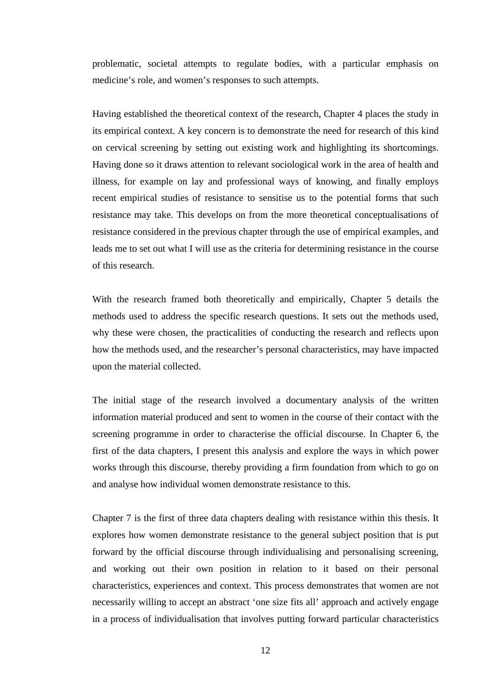problematic, societal attempts to regulate bodies, with a particular emphasis on medicine's role, and women's responses to such attempts.

Having established the theoretical context of the research, Chapter 4 places the study in its empirical context. A key concern is to demonstrate the need for research of this kind on cervical screening by setting out existing work and highlighting its shortcomings. Having done so it draws attention to relevant sociological work in the area of health and illness, for example on lay and professional ways of knowing, and finally employs recent empirical studies of resistance to sensitise us to the potential forms that such resistance may take. This develops on from the more theoretical conceptualisations of resistance considered in the previous chapter through the use of empirical examples, and leads me to set out what I will use as the criteria for determining resistance in the course of this research.

With the research framed both theoretically and empirically, Chapter 5 details the methods used to address the specific research questions. It sets out the methods used, why these were chosen, the practicalities of conducting the research and reflects upon how the methods used, and the researcher's personal characteristics, may have impacted upon the material collected.

The initial stage of the research involved a documentary analysis of the written information material produced and sent to women in the course of their contact with the screening programme in order to characterise the official discourse. In Chapter 6, the first of the data chapters, I present this analysis and explore the ways in which power works through this discourse, thereby providing a firm foundation from which to go on and analyse how individual women demonstrate resistance to this.

Chapter 7 is the first of three data chapters dealing with resistance within this thesis. It explores how women demonstrate resistance to the general subject position that is put forward by the official discourse through individualising and personalising screening, and working out their own position in relation to it based on their personal characteristics, experiences and context. This process demonstrates that women are not necessarily willing to accept an abstract 'one size fits all' approach and actively engage in a process of individualisation that involves putting forward particular characteristics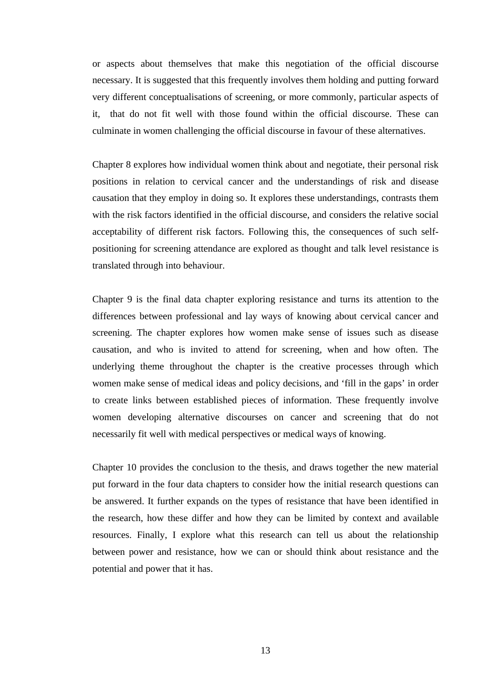or aspects about themselves that make this negotiation of the official discourse necessary. It is suggested that this frequently involves them holding and putting forward very different conceptualisations of screening, or more commonly, particular aspects of it, that do not fit well with those found within the official discourse. These can culminate in women challenging the official discourse in favour of these alternatives.

Chapter 8 explores how individual women think about and negotiate, their personal risk positions in relation to cervical cancer and the understandings of risk and disease causation that they employ in doing so. It explores these understandings, contrasts them with the risk factors identified in the official discourse, and considers the relative social acceptability of different risk factors. Following this, the consequences of such selfpositioning for screening attendance are explored as thought and talk level resistance is translated through into behaviour.

Chapter 9 is the final data chapter exploring resistance and turns its attention to the differences between professional and lay ways of knowing about cervical cancer and screening. The chapter explores how women make sense of issues such as disease causation, and who is invited to attend for screening, when and how often. The underlying theme throughout the chapter is the creative processes through which women make sense of medical ideas and policy decisions, and 'fill in the gaps' in order to create links between established pieces of information. These frequently involve women developing alternative discourses on cancer and screening that do not necessarily fit well with medical perspectives or medical ways of knowing.

Chapter 10 provides the conclusion to the thesis, and draws together the new material put forward in the four data chapters to consider how the initial research questions can be answered. It further expands on the types of resistance that have been identified in the research, how these differ and how they can be limited by context and available resources. Finally, I explore what this research can tell us about the relationship between power and resistance, how we can or should think about resistance and the potential and power that it has.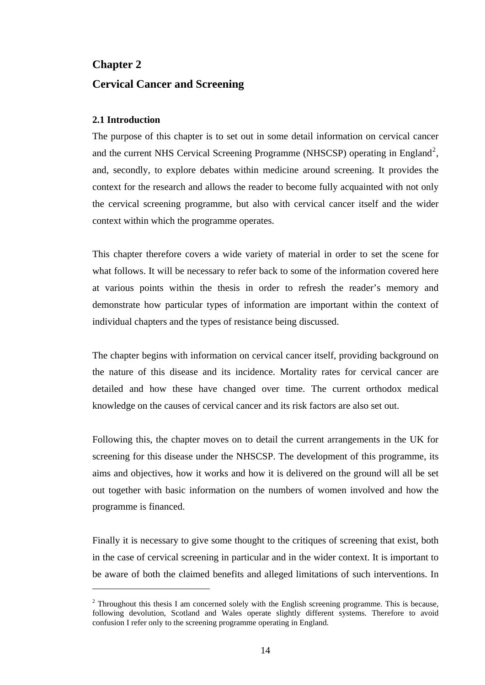# **Chapter 2 Cervical Cancer and Screening**

## **2.1 Introduction**

 $\overline{a}$ 

The purpose of this chapter is to set out in some detail information on cervical cancer and the current NHS Cervical Screening Programme (NHSCSP) operating in England<sup>[2](#page-14-0)</sup>, and, secondly, to explore debates within medicine around screening. It provides the context for the research and allows the reader to become fully acquainted with not only the cervical screening programme, but also with cervical cancer itself and the wider context within which the programme operates.

This chapter therefore covers a wide variety of material in order to set the scene for what follows. It will be necessary to refer back to some of the information covered here at various points within the thesis in order to refresh the reader's memory and demonstrate how particular types of information are important within the context of individual chapters and the types of resistance being discussed.

The chapter begins with information on cervical cancer itself, providing background on the nature of this disease and its incidence. Mortality rates for cervical cancer are detailed and how these have changed over time. The current orthodox medical knowledge on the causes of cervical cancer and its risk factors are also set out.

Following this, the chapter moves on to detail the current arrangements in the UK for screening for this disease under the NHSCSP. The development of this programme, its aims and objectives, how it works and how it is delivered on the ground will all be set out together with basic information on the numbers of women involved and how the programme is financed.

Finally it is necessary to give some thought to the critiques of screening that exist, both in the case of cervical screening in particular and in the wider context. It is important to be aware of both the claimed benefits and alleged limitations of such interventions. In

<span id="page-14-0"></span> $2$  Throughout this thesis I am concerned solely with the English screening programme. This is because, following devolution, Scotland and Wales operate slightly different systems. Therefore to avoid confusion I refer only to the screening programme operating in England.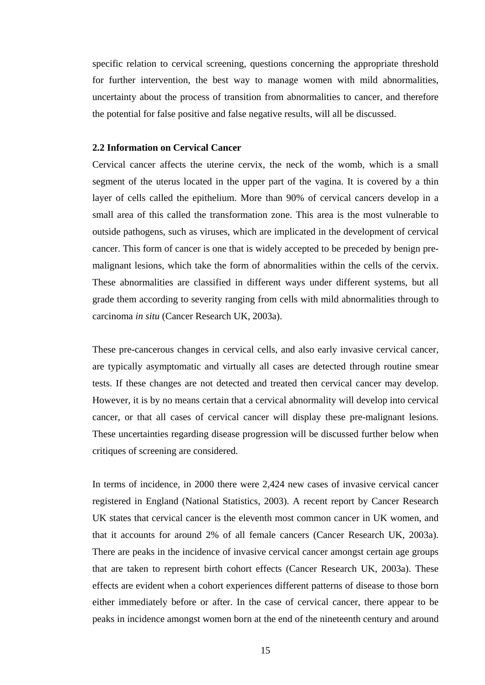specific relation to cervical screening, questions concerning the appropriate threshold for further intervention, the best way to manage women with mild abnormalities, uncertainty about the process of transition from abnormalities to cancer, and therefore the potential for false positive and false negative results, will all be discussed.

### **2.2 Information on Cervical Cancer**

Cervical cancer affects the uterine cervix, the neck of the womb, which is a small segment of the uterus located in the upper part of the vagina. It is covered by a thin layer of cells called the epithelium. More than 90% of cervical cancers develop in a small area of this called the transformation zone. This area is the most vulnerable to outside pathogens, such as viruses, which are implicated in the development of cervical cancer. This form of cancer is one that is widely accepted to be preceded by benign premalignant lesions, which take the form of abnormalities within the cells of the cervix. These abnormalities are classified in different ways under different systems, but all grade them according to severity ranging from cells with mild abnormalities through to carcinoma *in situ* (Cancer Research UK, 2003a).

These pre-cancerous changes in cervical cells, and also early invasive cervical cancer, are typically asymptomatic and virtually all cases are detected through routine smear tests. If these changes are not detected and treated then cervical cancer may develop. However, it is by no means certain that a cervical abnormality will develop into cervical cancer, or that all cases of cervical cancer will display these pre-malignant lesions. These uncertainties regarding disease progression will be discussed further below when critiques of screening are considered.

In terms of incidence, in 2000 there were 2,424 new cases of invasive cervical cancer registered in England (National Statistics, 2003). A recent report by Cancer Research UK states that cervical cancer is the eleventh most common cancer in UK women, and that it accounts for around 2% of all female cancers (Cancer Research UK, 2003a). There are peaks in the incidence of invasive cervical cancer amongst certain age groups that are taken to represent birth cohort effects (Cancer Research UK, 2003a). These effects are evident when a cohort experiences different patterns of disease to those born either immediately before or after. In the case of cervical cancer, there appear to be peaks in incidence amongst women born at the end of the nineteenth century and around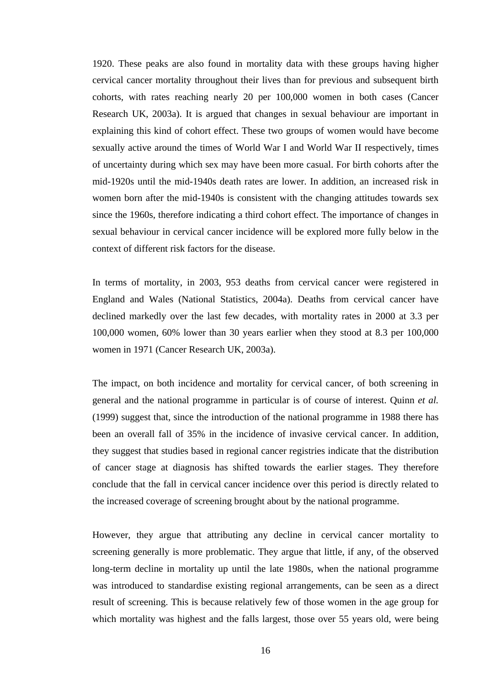1920. These peaks are also found in mortality data with these groups having higher cervical cancer mortality throughout their lives than for previous and subsequent birth cohorts, with rates reaching nearly 20 per 100,000 women in both cases (Cancer Research UK, 2003a). It is argued that changes in sexual behaviour are important in explaining this kind of cohort effect. These two groups of women would have become sexually active around the times of World War I and World War II respectively, times of uncertainty during which sex may have been more casual. For birth cohorts after the mid-1920s until the mid-1940s death rates are lower. In addition, an increased risk in women born after the mid-1940s is consistent with the changing attitudes towards sex since the 1960s, therefore indicating a third cohort effect. The importance of changes in sexual behaviour in cervical cancer incidence will be explored more fully below in the context of different risk factors for the disease.

In terms of mortality, in 2003, 953 deaths from cervical cancer were registered in England and Wales (National Statistics, 2004a). Deaths from cervical cancer have declined markedly over the last few decades, with mortality rates in 2000 at 3.3 per 100,000 women, 60% lower than 30 years earlier when they stood at 8.3 per 100,000 women in 1971 (Cancer Research UK, 2003a).

The impact, on both incidence and mortality for cervical cancer, of both screening in general and the national programme in particular is of course of interest. Quinn *et al.* (1999) suggest that, since the introduction of the national programme in 1988 there has been an overall fall of 35% in the incidence of invasive cervical cancer. In addition, they suggest that studies based in regional cancer registries indicate that the distribution of cancer stage at diagnosis has shifted towards the earlier stages. They therefore conclude that the fall in cervical cancer incidence over this period is directly related to the increased coverage of screening brought about by the national programme.

However, they argue that attributing any decline in cervical cancer mortality to screening generally is more problematic. They argue that little, if any, of the observed long-term decline in mortality up until the late 1980s, when the national programme was introduced to standardise existing regional arrangements, can be seen as a direct result of screening. This is because relatively few of those women in the age group for which mortality was highest and the falls largest, those over 55 years old, were being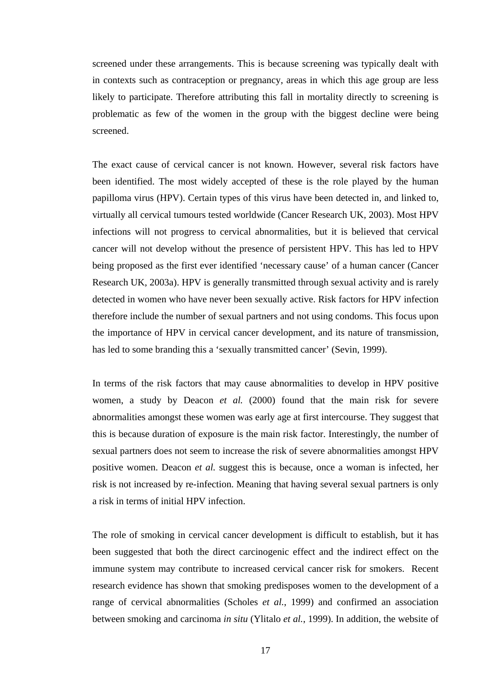screened under these arrangements. This is because screening was typically dealt with in contexts such as contraception or pregnancy, areas in which this age group are less likely to participate. Therefore attributing this fall in mortality directly to screening is problematic as few of the women in the group with the biggest decline were being screened.

The exact cause of cervical cancer is not known. However, several risk factors have been identified. The most widely accepted of these is the role played by the human papilloma virus (HPV). Certain types of this virus have been detected in, and linked to, virtually all cervical tumours tested worldwide (Cancer Research UK, 2003). Most HPV infections will not progress to cervical abnormalities, but it is believed that cervical cancer will not develop without the presence of persistent HPV. This has led to HPV being proposed as the first ever identified 'necessary cause' of a human cancer (Cancer Research UK, 2003a). HPV is generally transmitted through sexual activity and is rarely detected in women who have never been sexually active. Risk factors for HPV infection therefore include the number of sexual partners and not using condoms. This focus upon the importance of HPV in cervical cancer development, and its nature of transmission, has led to some branding this a 'sexually transmitted cancer' (Sevin, 1999).

In terms of the risk factors that may cause abnormalities to develop in HPV positive women, a study by Deacon *et al.* (2000) found that the main risk for severe abnormalities amongst these women was early age at first intercourse. They suggest that this is because duration of exposure is the main risk factor. Interestingly, the number of sexual partners does not seem to increase the risk of severe abnormalities amongst HPV positive women. Deacon *et al.* suggest this is because, once a woman is infected, her risk is not increased by re-infection. Meaning that having several sexual partners is only a risk in terms of initial HPV infection.

The role of smoking in cervical cancer development is difficult to establish, but it has been suggested that both the direct carcinogenic effect and the indirect effect on the immune system may contribute to increased cervical cancer risk for smokers. Recent research evidence has shown that smoking predisposes women to the development of a range of cervical abnormalities (Scholes *et al.*, 1999) and confirmed an association between smoking and carcinoma *in situ* (Ylitalo *et al.*, 1999). In addition, the website of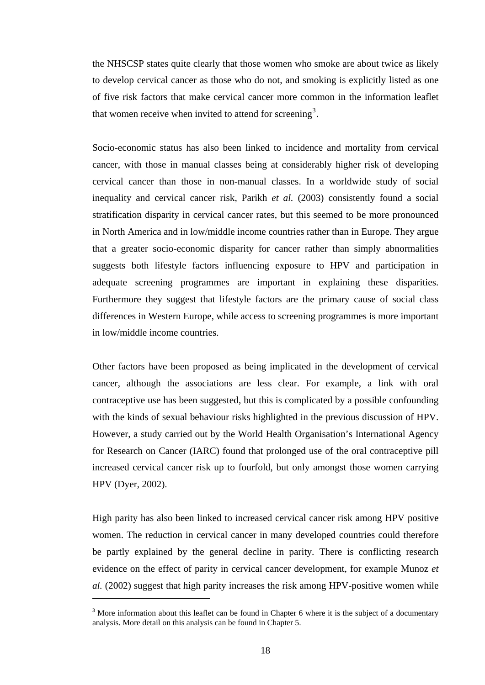the NHSCSP states quite clearly that those women who smoke are about twice as likely to develop cervical cancer as those who do not, and smoking is explicitly listed as one of five risk factors that make cervical cancer more common in the information leaflet that women receive when invited to attend for screening<sup>[3](#page-18-0)</sup>.

Socio-economic status has also been linked to incidence and mortality from cervical cancer, with those in manual classes being at considerably higher risk of developing cervical cancer than those in non-manual classes. In a worldwide study of social inequality and cervical cancer risk, Parikh *et al.* (2003) consistently found a social stratification disparity in cervical cancer rates, but this seemed to be more pronounced in North America and in low/middle income countries rather than in Europe. They argue that a greater socio-economic disparity for cancer rather than simply abnormalities suggests both lifestyle factors influencing exposure to HPV and participation in adequate screening programmes are important in explaining these disparities. Furthermore they suggest that lifestyle factors are the primary cause of social class differences in Western Europe, while access to screening programmes is more important in low/middle income countries.

Other factors have been proposed as being implicated in the development of cervical cancer, although the associations are less clear. For example, a link with oral contraceptive use has been suggested, but this is complicated by a possible confounding with the kinds of sexual behaviour risks highlighted in the previous discussion of HPV. However, a study carried out by the World Health Organisation's International Agency for Research on Cancer (IARC) found that prolonged use of the oral contraceptive pill increased cervical cancer risk up to fourfold, but only amongst those women carrying HPV (Dyer, 2002).

High parity has also been linked to increased cervical cancer risk among HPV positive women. The reduction in cervical cancer in many developed countries could therefore be partly explained by the general decline in parity. There is conflicting research evidence on the effect of parity in cervical cancer development, for example Munoz *et al.* (2002) suggest that high parity increases the risk among HPV-positive women while

 $\overline{a}$ 

<span id="page-18-0"></span> $3$  More information about this leaflet can be found in Chapter 6 where it is the subject of a documentary analysis. More detail on this analysis can be found in Chapter 5.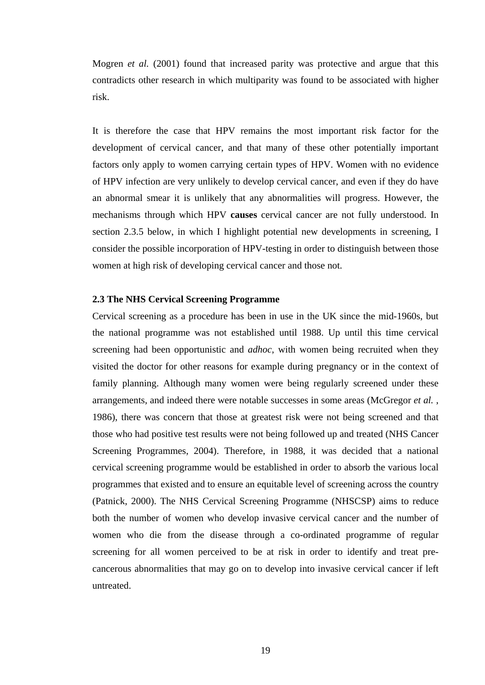Mogren *et al.* (2001) found that increased parity was protective and argue that this contradicts other research in which multiparity was found to be associated with higher risk.

It is therefore the case that HPV remains the most important risk factor for the development of cervical cancer, and that many of these other potentially important factors only apply to women carrying certain types of HPV. Women with no evidence of HPV infection are very unlikely to develop cervical cancer, and even if they do have an abnormal smear it is unlikely that any abnormalities will progress. However, the mechanisms through which HPV **causes** cervical cancer are not fully understood. In section 2.3.5 below, in which I highlight potential new developments in screening, I consider the possible incorporation of HPV-testing in order to distinguish between those women at high risk of developing cervical cancer and those not.

### **2.3 The NHS Cervical Screening Programme**

Cervical screening as a procedure has been in use in the UK since the mid-1960s, but the national programme was not established until 1988. Up until this time cervical screening had been opportunistic and *adhoc*, with women being recruited when they visited the doctor for other reasons for example during pregnancy or in the context of family planning. Although many women were being regularly screened under these arrangements, and indeed there were notable successes in some areas (McGregor *et al.* , 1986), there was concern that those at greatest risk were not being screened and that those who had positive test results were not being followed up and treated (NHS Cancer Screening Programmes, 2004). Therefore, in 1988, it was decided that a national cervical screening programme would be established in order to absorb the various local programmes that existed and to ensure an equitable level of screening across the country (Patnick, 2000). The NHS Cervical Screening Programme (NHSCSP) aims to reduce both the number of women who develop invasive cervical cancer and the number of women who die from the disease through a co-ordinated programme of regular screening for all women perceived to be at risk in order to identify and treat precancerous abnormalities that may go on to develop into invasive cervical cancer if left untreated.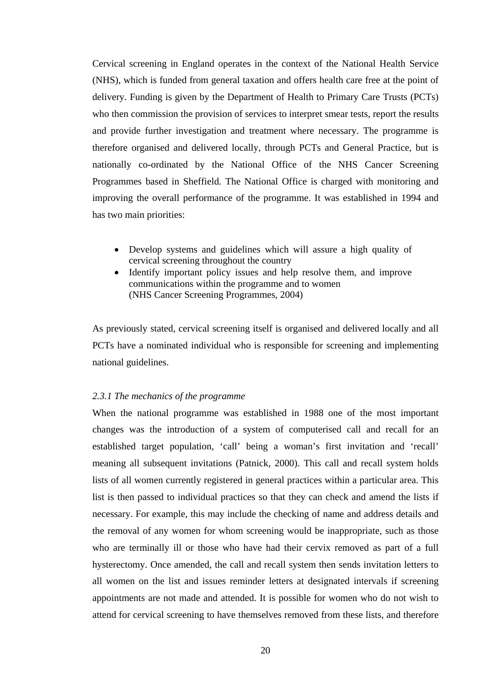Cervical screening in England operates in the context of the National Health Service (NHS), which is funded from general taxation and offers health care free at the point of delivery. Funding is given by the Department of Health to Primary Care Trusts (PCTs) who then commission the provision of services to interpret smear tests, report the results and provide further investigation and treatment where necessary. The programme is therefore organised and delivered locally, through PCTs and General Practice, but is nationally co-ordinated by the National Office of the NHS Cancer Screening Programmes based in Sheffield. The National Office is charged with monitoring and improving the overall performance of the programme. It was established in 1994 and has two main priorities:

- Develop systems and guidelines which will assure a high quality of cervical screening throughout the country
- Identify important policy issues and help resolve them, and improve communications within the programme and to women (NHS Cancer Screening Programmes, 2004)

As previously stated, cervical screening itself is organised and delivered locally and all PCTs have a nominated individual who is responsible for screening and implementing national guidelines.

### *2.3.1 The mechanics of the programme*

When the national programme was established in 1988 one of the most important changes was the introduction of a system of computerised call and recall for an established target population, 'call' being a woman's first invitation and 'recall' meaning all subsequent invitations (Patnick, 2000). This call and recall system holds lists of all women currently registered in general practices within a particular area. This list is then passed to individual practices so that they can check and amend the lists if necessary. For example, this may include the checking of name and address details and the removal of any women for whom screening would be inappropriate, such as those who are terminally ill or those who have had their cervix removed as part of a full hysterectomy. Once amended, the call and recall system then sends invitation letters to all women on the list and issues reminder letters at designated intervals if screening appointments are not made and attended. It is possible for women who do not wish to attend for cervical screening to have themselves removed from these lists, and therefore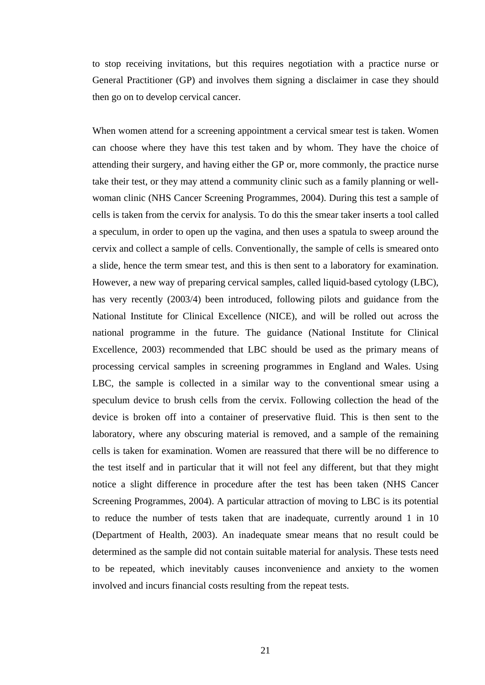to stop receiving invitations, but this requires negotiation with a practice nurse or General Practitioner (GP) and involves them signing a disclaimer in case they should then go on to develop cervical cancer.

When women attend for a screening appointment a cervical smear test is taken. Women can choose where they have this test taken and by whom. They have the choice of attending their surgery, and having either the GP or, more commonly, the practice nurse take their test, or they may attend a community clinic such as a family planning or wellwoman clinic (NHS Cancer Screening Programmes, 2004). During this test a sample of cells is taken from the cervix for analysis. To do this the smear taker inserts a tool called a speculum, in order to open up the vagina, and then uses a spatula to sweep around the cervix and collect a sample of cells. Conventionally, the sample of cells is smeared onto a slide, hence the term smear test, and this is then sent to a laboratory for examination. However, a new way of preparing cervical samples, called liquid-based cytology (LBC), has very recently (2003/4) been introduced, following pilots and guidance from the National Institute for Clinical Excellence (NICE), and will be rolled out across the national programme in the future. The guidance (National Institute for Clinical Excellence, 2003) recommended that LBC should be used as the primary means of processing cervical samples in screening programmes in England and Wales. Using LBC, the sample is collected in a similar way to the conventional smear using a speculum device to brush cells from the cervix. Following collection the head of the device is broken off into a container of preservative fluid. This is then sent to the laboratory, where any obscuring material is removed, and a sample of the remaining cells is taken for examination. Women are reassured that there will be no difference to the test itself and in particular that it will not feel any different, but that they might notice a slight difference in procedure after the test has been taken (NHS Cancer Screening Programmes, 2004). A particular attraction of moving to LBC is its potential to reduce the number of tests taken that are inadequate, currently around 1 in 10 (Department of Health, 2003). An inadequate smear means that no result could be determined as the sample did not contain suitable material for analysis. These tests need to be repeated, which inevitably causes inconvenience and anxiety to the women involved and incurs financial costs resulting from the repeat tests.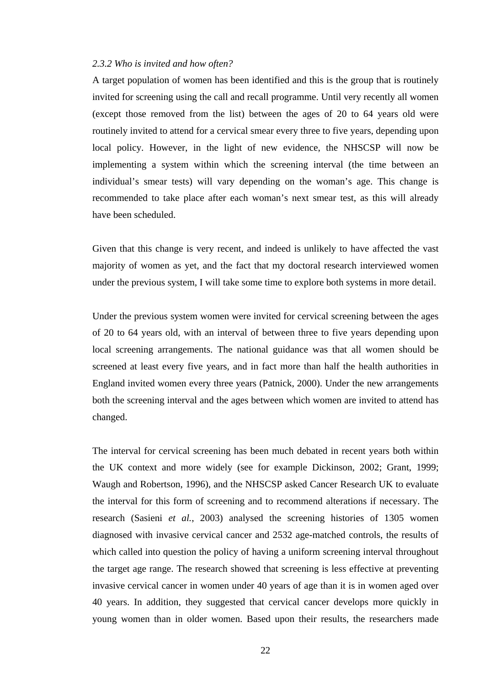### *2.3.2 Who is invited and how often?*

A target population of women has been identified and this is the group that is routinely invited for screening using the call and recall programme. Until very recently all women (except those removed from the list) between the ages of 20 to 64 years old were routinely invited to attend for a cervical smear every three to five years, depending upon local policy. However, in the light of new evidence, the NHSCSP will now be implementing a system within which the screening interval (the time between an individual's smear tests) will vary depending on the woman's age. This change is recommended to take place after each woman's next smear test, as this will already have been scheduled.

Given that this change is very recent, and indeed is unlikely to have affected the vast majority of women as yet, and the fact that my doctoral research interviewed women under the previous system, I will take some time to explore both systems in more detail.

Under the previous system women were invited for cervical screening between the ages of 20 to 64 years old, with an interval of between three to five years depending upon local screening arrangements. The national guidance was that all women should be screened at least every five years, and in fact more than half the health authorities in England invited women every three years (Patnick, 2000). Under the new arrangements both the screening interval and the ages between which women are invited to attend has changed.

The interval for cervical screening has been much debated in recent years both within the UK context and more widely (see for example Dickinson, 2002; Grant, 1999; Waugh and Robertson, 1996), and the NHSCSP asked Cancer Research UK to evaluate the interval for this form of screening and to recommend alterations if necessary. The research (Sasieni *et al.*, 2003) analysed the screening histories of 1305 women diagnosed with invasive cervical cancer and 2532 age-matched controls, the results of which called into question the policy of having a uniform screening interval throughout the target age range. The research showed that screening is less effective at preventing invasive cervical cancer in women under 40 years of age than it is in women aged over 40 years. In addition, they suggested that cervical cancer develops more quickly in young women than in older women. Based upon their results, the researchers made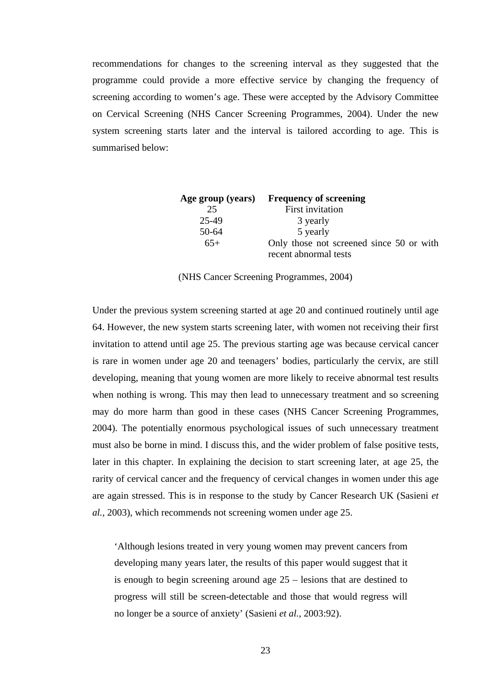recommendations for changes to the screening interval as they suggested that the programme could provide a more effective service by changing the frequency of screening according to women's age. These were accepted by the Advisory Committee on Cervical Screening (NHS Cancer Screening Programmes, 2004). Under the new system screening starts later and the interval is tailored according to age. This is summarised below:

|           | Age group (years) Frequency of screening                          |
|-----------|-------------------------------------------------------------------|
| 25        | First invitation                                                  |
| 25-49     | 3 yearly                                                          |
| $50 - 64$ | 5 yearly                                                          |
| $65+$     | Only those not screened since 50 or with<br>recent abnormal tests |

(NHS Cancer Screening Programmes, 2004)

Under the previous system screening started at age 20 and continued routinely until age 64. However, the new system starts screening later, with women not receiving their first invitation to attend until age 25. The previous starting age was because cervical cancer is rare in women under age 20 and teenagers' bodies, particularly the cervix, are still developing, meaning that young women are more likely to receive abnormal test results when nothing is wrong. This may then lead to unnecessary treatment and so screening may do more harm than good in these cases (NHS Cancer Screening Programmes, 2004). The potentially enormous psychological issues of such unnecessary treatment must also be borne in mind. I discuss this, and the wider problem of false positive tests, later in this chapter. In explaining the decision to start screening later, at age 25, the rarity of cervical cancer and the frequency of cervical changes in women under this age are again stressed. This is in response to the study by Cancer Research UK (Sasieni *et al.*, 2003), which recommends not screening women under age 25.

'Although lesions treated in very young women may prevent cancers from developing many years later, the results of this paper would suggest that it is enough to begin screening around age 25 – lesions that are destined to progress will still be screen-detectable and those that would regress will no longer be a source of anxiety' (Sasieni *et al.*, 2003:92).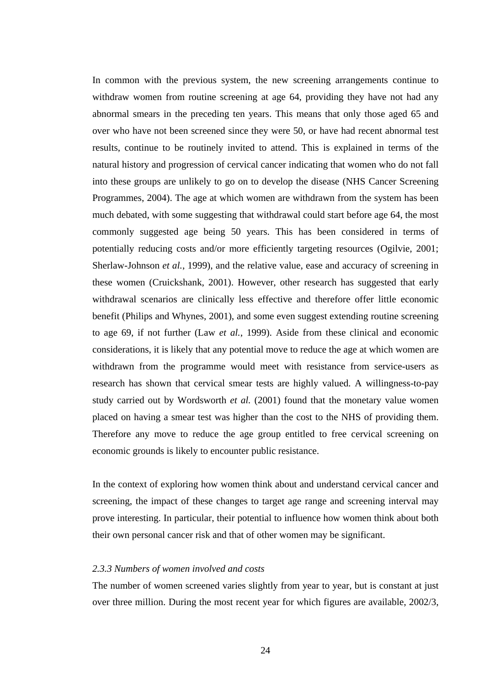In common with the previous system, the new screening arrangements continue to withdraw women from routine screening at age 64, providing they have not had any abnormal smears in the preceding ten years. This means that only those aged 65 and over who have not been screened since they were 50, or have had recent abnormal test results, continue to be routinely invited to attend. This is explained in terms of the natural history and progression of cervical cancer indicating that women who do not fall into these groups are unlikely to go on to develop the disease (NHS Cancer Screening Programmes, 2004). The age at which women are withdrawn from the system has been much debated, with some suggesting that withdrawal could start before age 64, the most commonly suggested age being 50 years. This has been considered in terms of potentially reducing costs and/or more efficiently targeting resources (Ogilvie, 2001; Sherlaw-Johnson *et al.*, 1999), and the relative value, ease and accuracy of screening in these women (Cruickshank, 2001). However, other research has suggested that early withdrawal scenarios are clinically less effective and therefore offer little economic benefit (Philips and Whynes, 2001), and some even suggest extending routine screening to age 69, if not further (Law *et al.*, 1999). Aside from these clinical and economic considerations, it is likely that any potential move to reduce the age at which women are withdrawn from the programme would meet with resistance from service-users as research has shown that cervical smear tests are highly valued. A willingness-to-pay study carried out by Wordsworth *et al.* (2001) found that the monetary value women placed on having a smear test was higher than the cost to the NHS of providing them. Therefore any move to reduce the age group entitled to free cervical screening on economic grounds is likely to encounter public resistance.

In the context of exploring how women think about and understand cervical cancer and screening, the impact of these changes to target age range and screening interval may prove interesting. In particular, their potential to influence how women think about both their own personal cancer risk and that of other women may be significant.

### *2.3.3 Numbers of women involved and costs*

The number of women screened varies slightly from year to year, but is constant at just over three million. During the most recent year for which figures are available, 2002/3,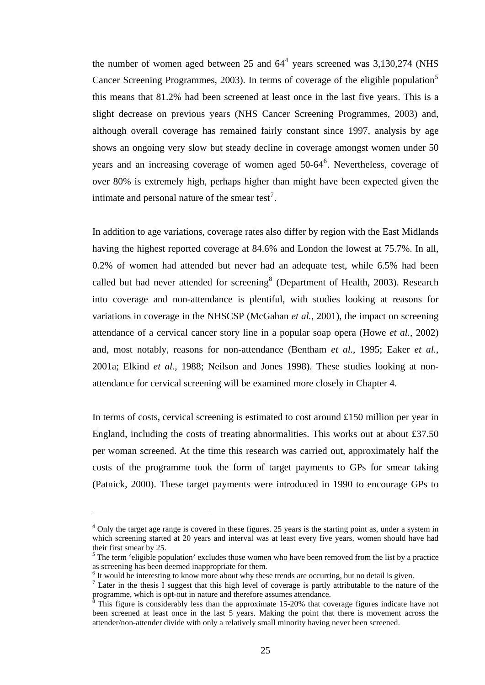the number of women aged between 25 and  $64<sup>4</sup>$  $64<sup>4</sup>$  $64<sup>4</sup>$  years screened was 3,130,274 (NHS Cancer Screening Programmes, 2003). In terms of coverage of the eligible population<sup>[5](#page-25-1)</sup> this means that 81.2% had been screened at least once in the last five years. This is a slight decrease on previous years (NHS Cancer Screening Programmes, 2003) and, although overall coverage has remained fairly constant since 1997, analysis by age shows an ongoing very slow but steady decline in coverage amongst women under 50 years and an increasing coverage of women aged 50-[6](#page-25-2)4<sup>6</sup>. Nevertheless, coverage of over 80% is extremely high, perhaps higher than might have been expected given the intimate and personal nature of the smear test<sup>[7](#page-25-3)</sup>.

In addition to age variations, coverage rates also differ by region with the East Midlands having the highest reported coverage at 84.6% and London the lowest at 75.7%. In all, 0.2% of women had attended but never had an adequate test, while 6.5% had been called but had never attended for screening<sup>[8](#page-25-4)</sup> (Department of Health, 2003). Research into coverage and non-attendance is plentiful, with studies looking at reasons for variations in coverage in the NHSCSP (McGahan *et al.*, 2001), the impact on screening attendance of a cervical cancer story line in a popular soap opera (Howe *et al.*, 2002) and, most notably, reasons for non-attendance (Bentham *et al.*, 1995; Eaker *et al.*, 2001a; Elkind *et al.*, 1988; Neilson and Jones 1998). These studies looking at nonattendance for cervical screening will be examined more closely in Chapter 4.

In terms of costs, cervical screening is estimated to cost around £150 million per year in England, including the costs of treating abnormalities. This works out at about £37.50 per woman screened. At the time this research was carried out, approximately half the costs of the programme took the form of target payments to GPs for smear taking (Patnick, 2000). These target payments were introduced in 1990 to encourage GPs to

 $\overline{a}$ 

<span id="page-25-0"></span><sup>&</sup>lt;sup>4</sup> Only the target age range is covered in these figures. 25 years is the starting point as, under a system in which screening started at 20 years and interval was at least every five years, women should have had their first smear by 25.

<span id="page-25-1"></span> $<sup>5</sup>$  The term 'eligible population' excludes those women who have been removed from the list by a practice</sup> as screening has been deemed inappropriate for them.

 $^6$  It would be interesting to know more about why these trends are occurring, but no detail is given.

<span id="page-25-3"></span><span id="page-25-2"></span> $\frac{7}{1}$  Later in the thesis I suggest that this high level of coverage is partly attributable to the nature of the programme, which is opt-out in nature and therefore assumes attendance.

<span id="page-25-4"></span><sup>8</sup> This figure is considerably less than the approximate 15-20% that coverage figures indicate have not been screened at least once in the last 5 years. Making the point that there is movement across the attender/non-attender divide with only a relatively small minority having never been screened.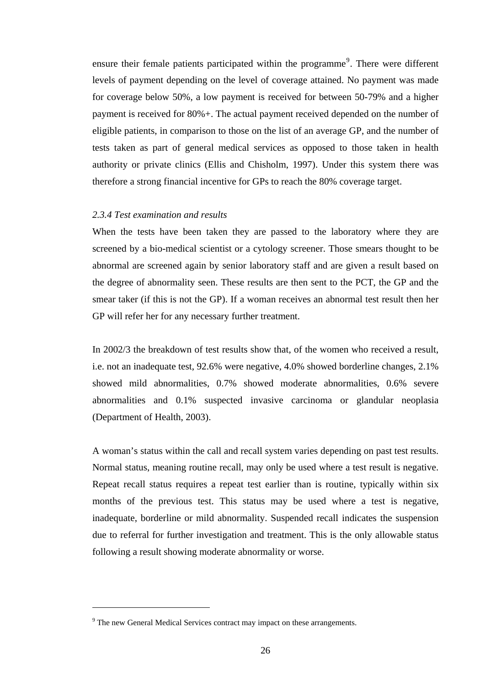ensure their female patients participated within the programme<sup>[9](#page-26-0)</sup>. There were different levels of payment depending on the level of coverage attained. No payment was made for coverage below 50%, a low payment is received for between 50-79% and a higher payment is received for 80%+. The actual payment received depended on the number of eligible patients, in comparison to those on the list of an average GP, and the number of tests taken as part of general medical services as opposed to those taken in health authority or private clinics (Ellis and Chisholm, 1997). Under this system there was therefore a strong financial incentive for GPs to reach the 80% coverage target.

### *2.3.4 Test examination and results*

When the tests have been taken they are passed to the laboratory where they are screened by a bio-medical scientist or a cytology screener. Those smears thought to be abnormal are screened again by senior laboratory staff and are given a result based on the degree of abnormality seen. These results are then sent to the PCT, the GP and the smear taker (if this is not the GP). If a woman receives an abnormal test result then her GP will refer her for any necessary further treatment.

In 2002/3 the breakdown of test results show that, of the women who received a result, i.e. not an inadequate test, 92.6% were negative, 4.0% showed borderline changes, 2.1% showed mild abnormalities, 0.7% showed moderate abnormalities, 0.6% severe abnormalities and 0.1% suspected invasive carcinoma or glandular neoplasia (Department of Health, 2003).

A woman's status within the call and recall system varies depending on past test results. Normal status, meaning routine recall, may only be used where a test result is negative. Repeat recall status requires a repeat test earlier than is routine, typically within six months of the previous test. This status may be used where a test is negative, inadequate, borderline or mild abnormality. Suspended recall indicates the suspension due to referral for further investigation and treatment. This is the only allowable status following a result showing moderate abnormality or worse.

 $\overline{a}$ 

<span id="page-26-0"></span><sup>&</sup>lt;sup>9</sup> The new General Medical Services contract may impact on these arrangements.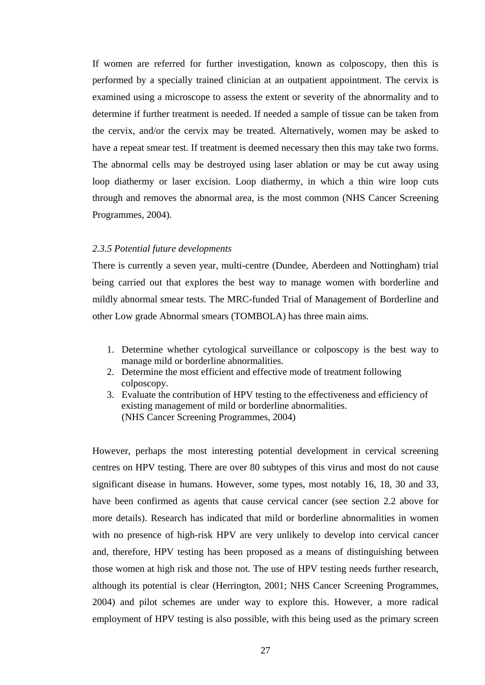If women are referred for further investigation, known as colposcopy, then this is performed by a specially trained clinician at an outpatient appointment. The cervix is examined using a microscope to assess the extent or severity of the abnormality and to determine if further treatment is needed. If needed a sample of tissue can be taken from the cervix, and/or the cervix may be treated. Alternatively, women may be asked to have a repeat smear test. If treatment is deemed necessary then this may take two forms. The abnormal cells may be destroyed using laser ablation or may be cut away using loop diathermy or laser excision. Loop diathermy, in which a thin wire loop cuts through and removes the abnormal area, is the most common (NHS Cancer Screening Programmes, 2004).

### *2.3.5 Potential future developments*

There is currently a seven year, multi-centre (Dundee, Aberdeen and Nottingham) trial being carried out that explores the best way to manage women with borderline and mildly abnormal smear tests. The MRC-funded Trial of Management of Borderline and other Low grade Abnormal smears (TOMBOLA) has three main aims.

- 1. Determine whether cytological surveillance or colposcopy is the best way to manage mild or borderline abnormalities.
- 2. Determine the most efficient and effective mode of treatment following colposcopy.
- 3. Evaluate the contribution of HPV testing to the effectiveness and efficiency of existing management of mild or borderline abnormalities. (NHS Cancer Screening Programmes, 2004)

However, perhaps the most interesting potential development in cervical screening centres on HPV testing. There are over 80 subtypes of this virus and most do not cause significant disease in humans. However, some types, most notably 16, 18, 30 and 33, have been confirmed as agents that cause cervical cancer (see section 2.2 above for more details). Research has indicated that mild or borderline abnormalities in women with no presence of high-risk HPV are very unlikely to develop into cervical cancer and, therefore, HPV testing has been proposed as a means of distinguishing between those women at high risk and those not. The use of HPV testing needs further research, although its potential is clear (Herrington, 2001; NHS Cancer Screening Programmes, 2004) and pilot schemes are under way to explore this. However, a more radical employment of HPV testing is also possible, with this being used as the primary screen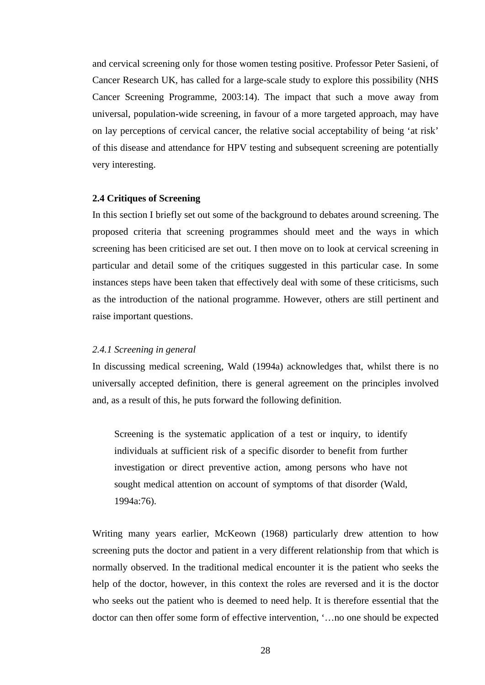and cervical screening only for those women testing positive. Professor Peter Sasieni, of Cancer Research UK, has called for a large-scale study to explore this possibility (NHS Cancer Screening Programme, 2003:14). The impact that such a move away from universal, population-wide screening, in favour of a more targeted approach, may have on lay perceptions of cervical cancer, the relative social acceptability of being 'at risk' of this disease and attendance for HPV testing and subsequent screening are potentially very interesting.

#### **2.4 Critiques of Screening**

In this section I briefly set out some of the background to debates around screening. The proposed criteria that screening programmes should meet and the ways in which screening has been criticised are set out. I then move on to look at cervical screening in particular and detail some of the critiques suggested in this particular case. In some instances steps have been taken that effectively deal with some of these criticisms, such as the introduction of the national programme. However, others are still pertinent and raise important questions.

### *2.4.1 Screening in general*

In discussing medical screening, Wald (1994a) acknowledges that, whilst there is no universally accepted definition, there is general agreement on the principles involved and, as a result of this, he puts forward the following definition.

Screening is the systematic application of a test or inquiry, to identify individuals at sufficient risk of a specific disorder to benefit from further investigation or direct preventive action, among persons who have not sought medical attention on account of symptoms of that disorder (Wald, 1994a:76).

Writing many years earlier, McKeown (1968) particularly drew attention to how screening puts the doctor and patient in a very different relationship from that which is normally observed. In the traditional medical encounter it is the patient who seeks the help of the doctor, however, in this context the roles are reversed and it is the doctor who seeks out the patient who is deemed to need help. It is therefore essential that the doctor can then offer some form of effective intervention, '…no one should be expected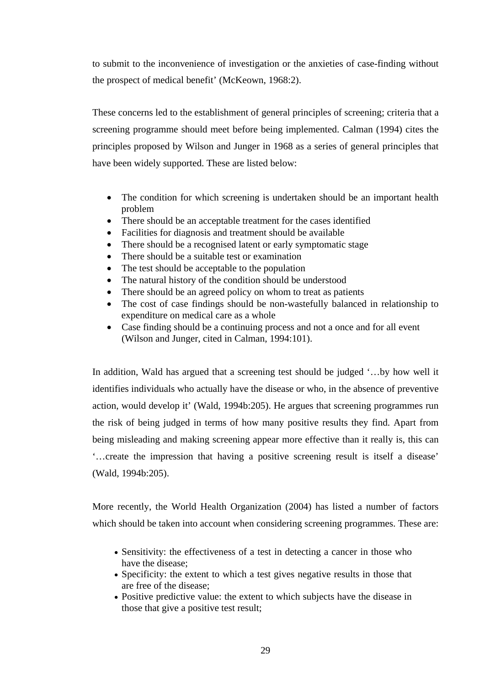to submit to the inconvenience of investigation or the anxieties of case-finding without the prospect of medical benefit' (McKeown, 1968:2).

These concerns led to the establishment of general principles of screening; criteria that a screening programme should meet before being implemented. Calman (1994) cites the principles proposed by Wilson and Junger in 1968 as a series of general principles that have been widely supported. These are listed below:

- The condition for which screening is undertaken should be an important health problem
- There should be an acceptable treatment for the cases identified
- Facilities for diagnosis and treatment should be available
- There should be a recognised latent or early symptomatic stage
- There should be a suitable test or examination
- The test should be acceptable to the population
- The natural history of the condition should be understood
- There should be an agreed policy on whom to treat as patients
- The cost of case findings should be non-wastefully balanced in relationship to expenditure on medical care as a whole
- Case finding should be a continuing process and not a once and for all event (Wilson and Junger, cited in Calman, 1994:101).

In addition, Wald has argued that a screening test should be judged '…by how well it identifies individuals who actually have the disease or who, in the absence of preventive action, would develop it' (Wald, 1994b:205). He argues that screening programmes run the risk of being judged in terms of how many positive results they find. Apart from being misleading and making screening appear more effective than it really is, this can '…create the impression that having a positive screening result is itself a disease' (Wald, 1994b:205).

More recently, the World Health Organization (2004) has listed a number of factors which should be taken into account when considering screening programmes. These are:

- Sensitivity: the effectiveness of a test in detecting a cancer in those who have the disease;
- Specificity: the extent to which a test gives negative results in those that are free of the disease;
- Positive predictive value: the extent to which subjects have the disease in those that give a positive test result;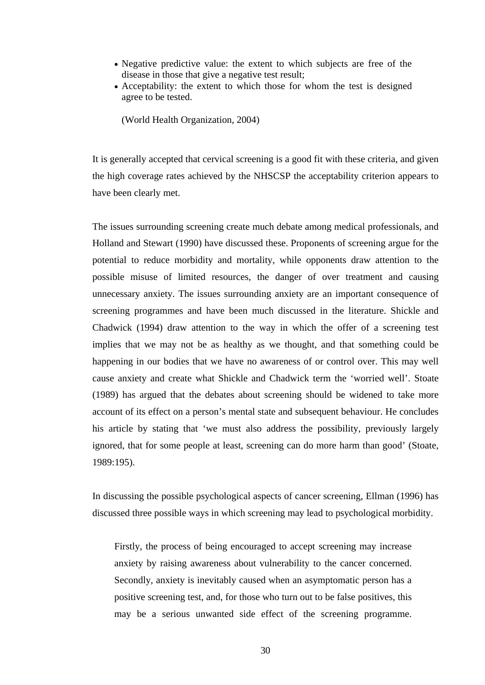- Negative predictive value: the extent to which subjects are free of the disease in those that give a negative test result;
- Acceptability: the extent to which those for whom the test is designed agree to be tested.

(World Health Organization, 2004)

It is generally accepted that cervical screening is a good fit with these criteria, and given the high coverage rates achieved by the NHSCSP the acceptability criterion appears to have been clearly met.

The issues surrounding screening create much debate among medical professionals, and Holland and Stewart (1990) have discussed these. Proponents of screening argue for the potential to reduce morbidity and mortality, while opponents draw attention to the possible misuse of limited resources, the danger of over treatment and causing unnecessary anxiety. The issues surrounding anxiety are an important consequence of screening programmes and have been much discussed in the literature. Shickle and Chadwick (1994) draw attention to the way in which the offer of a screening test implies that we may not be as healthy as we thought, and that something could be happening in our bodies that we have no awareness of or control over. This may well cause anxiety and create what Shickle and Chadwick term the 'worried well'. Stoate (1989) has argued that the debates about screening should be widened to take more account of its effect on a person's mental state and subsequent behaviour. He concludes his article by stating that 'we must also address the possibility, previously largely ignored, that for some people at least, screening can do more harm than good' (Stoate, 1989:195).

In discussing the possible psychological aspects of cancer screening, Ellman (1996) has discussed three possible ways in which screening may lead to psychological morbidity.

Firstly, the process of being encouraged to accept screening may increase anxiety by raising awareness about vulnerability to the cancer concerned. Secondly, anxiety is inevitably caused when an asymptomatic person has a positive screening test, and, for those who turn out to be false positives, this may be a serious unwanted side effect of the screening programme.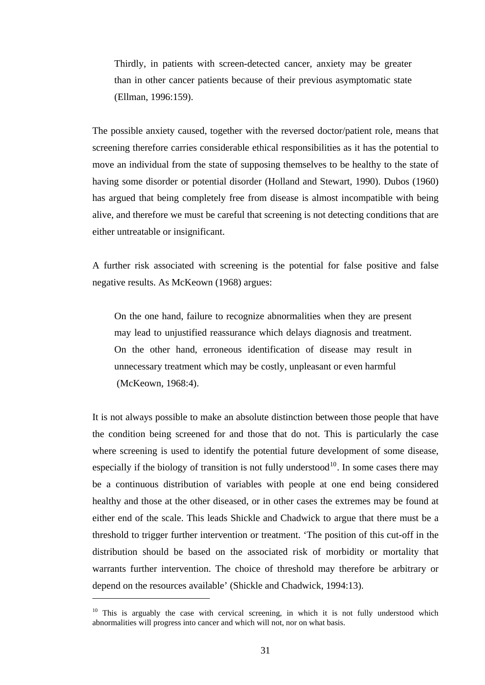Thirdly, in patients with screen-detected cancer, anxiety may be greater than in other cancer patients because of their previous asymptomatic state (Ellman, 1996:159).

The possible anxiety caused, together with the reversed doctor/patient role, means that screening therefore carries considerable ethical responsibilities as it has the potential to move an individual from the state of supposing themselves to be healthy to the state of having some disorder or potential disorder (Holland and Stewart, 1990). Dubos (1960) has argued that being completely free from disease is almost incompatible with being alive, and therefore we must be careful that screening is not detecting conditions that are either untreatable or insignificant.

A further risk associated with screening is the potential for false positive and false negative results. As McKeown (1968) argues:

On the one hand, failure to recognize abnormalities when they are present may lead to unjustified reassurance which delays diagnosis and treatment. On the other hand, erroneous identification of disease may result in unnecessary treatment which may be costly, unpleasant or even harmful (McKeown, 1968:4).

It is not always possible to make an absolute distinction between those people that have the condition being screened for and those that do not. This is particularly the case where screening is used to identify the potential future development of some disease, especially if the biology of transition is not fully understood<sup>[10](#page-31-0)</sup>. In some cases there may be a continuous distribution of variables with people at one end being considered healthy and those at the other diseased, or in other cases the extremes may be found at either end of the scale. This leads Shickle and Chadwick to argue that there must be a threshold to trigger further intervention or treatment. 'The position of this cut-off in the distribution should be based on the associated risk of morbidity or mortality that warrants further intervention. The choice of threshold may therefore be arbitrary or depend on the resources available' (Shickle and Chadwick, 1994:13).

 $\overline{a}$ 

<span id="page-31-0"></span><sup>&</sup>lt;sup>10</sup> This is arguably the case with cervical screening, in which it is not fully understood which abnormalities will progress into cancer and which will not, nor on what basis.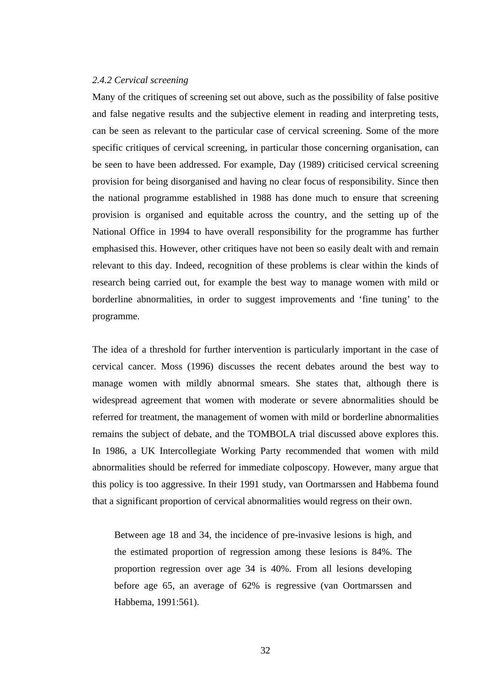### *2.4.2 Cervical screening*

Many of the critiques of screening set out above, such as the possibility of false positive and false negative results and the subjective element in reading and interpreting tests, can be seen as relevant to the particular case of cervical screening. Some of the more specific critiques of cervical screening, in particular those concerning organisation, can be seen to have been addressed. For example, Day (1989) criticised cervical screening provision for being disorganised and having no clear focus of responsibility. Since then the national programme established in 1988 has done much to ensure that screening provision is organised and equitable across the country, and the setting up of the National Office in 1994 to have overall responsibility for the programme has further emphasised this. However, other critiques have not been so easily dealt with and remain relevant to this day. Indeed, recognition of these problems is clear within the kinds of research being carried out, for example the best way to manage women with mild or borderline abnormalities, in order to suggest improvements and 'fine tuning' to the programme.

The idea of a threshold for further intervention is particularly important in the case of cervical cancer. Moss (1996) discusses the recent debates around the best way to manage women with mildly abnormal smears. She states that, although there is widespread agreement that women with moderate or severe abnormalities should be referred for treatment, the management of women with mild or borderline abnormalities remains the subject of debate, and the TOMBOLA trial discussed above explores this. In 1986, a UK Intercollegiate Working Party recommended that women with mild abnormalities should be referred for immediate colposcopy. However, many argue that this policy is too aggressive. In their 1991 study, van Oortmarssen and Habbema found that a significant proportion of cervical abnormalities would regress on their own.

Between age 18 and 34, the incidence of pre-invasive lesions is high, and the estimated proportion of regression among these lesions is 84%. The proportion regression over age 34 is 40%. From all lesions developing before age 65, an average of 62% is regressive (van Oortmarssen and Habbema, 1991:561).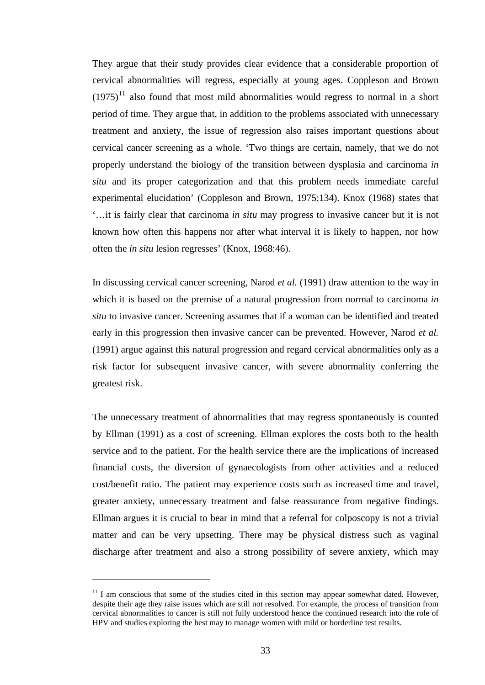They argue that their study provides clear evidence that a considerable proportion of cervical abnormalities will regress, especially at young ages. Coppleson and Brown  $(1975)^{11}$  $(1975)^{11}$  $(1975)^{11}$  also found that most mild abnormalities would regress to normal in a short period of time. They argue that, in addition to the problems associated with unnecessary treatment and anxiety, the issue of regression also raises important questions about cervical cancer screening as a whole. 'Two things are certain, namely, that we do not properly understand the biology of the transition between dysplasia and carcinoma *in situ* and its proper categorization and that this problem needs immediate careful experimental elucidation' (Coppleson and Brown, 1975:134). Knox (1968) states that '…it is fairly clear that carcinoma *in situ* may progress to invasive cancer but it is not known how often this happens nor after what interval it is likely to happen, nor how often the *in situ* lesion regresses' (Knox, 1968:46).

In discussing cervical cancer screening, Narod *et al.* (1991) draw attention to the way in which it is based on the premise of a natural progression from normal to carcinoma *in situ* to invasive cancer. Screening assumes that if a woman can be identified and treated early in this progression then invasive cancer can be prevented. However, Narod *et al.*  (1991) argue against this natural progression and regard cervical abnormalities only as a risk factor for subsequent invasive cancer, with severe abnormality conferring the greatest risk.

The unnecessary treatment of abnormalities that may regress spontaneously is counted by Ellman (1991) as a cost of screening. Ellman explores the costs both to the health service and to the patient. For the health service there are the implications of increased financial costs, the diversion of gynaecologists from other activities and a reduced cost/benefit ratio. The patient may experience costs such as increased time and travel, greater anxiety, unnecessary treatment and false reassurance from negative findings. Ellman argues it is crucial to bear in mind that a referral for colposcopy is not a trivial matter and can be very upsetting. There may be physical distress such as vaginal discharge after treatment and also a strong possibility of severe anxiety, which may

 $\overline{a}$ 

<span id="page-33-0"></span> $11$  I am conscious that some of the studies cited in this section may appear somewhat dated. However, despite their age they raise issues which are still not resolved. For example, the process of transition from cervical abnormalities to cancer is still not fully understood hence the continued research into the role of HPV and studies exploring the best may to manage women with mild or borderline test results.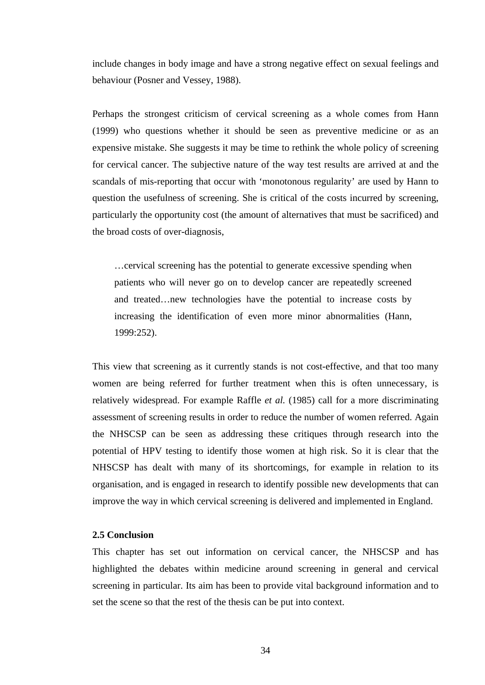include changes in body image and have a strong negative effect on sexual feelings and behaviour (Posner and Vessey, 1988).

Perhaps the strongest criticism of cervical screening as a whole comes from Hann (1999) who questions whether it should be seen as preventive medicine or as an expensive mistake. She suggests it may be time to rethink the whole policy of screening for cervical cancer. The subjective nature of the way test results are arrived at and the scandals of mis-reporting that occur with 'monotonous regularity' are used by Hann to question the usefulness of screening. She is critical of the costs incurred by screening, particularly the opportunity cost (the amount of alternatives that must be sacrificed) and the broad costs of over-diagnosis,

…cervical screening has the potential to generate excessive spending when patients who will never go on to develop cancer are repeatedly screened and treated…new technologies have the potential to increase costs by increasing the identification of even more minor abnormalities (Hann, 1999:252).

This view that screening as it currently stands is not cost-effective, and that too many women are being referred for further treatment when this is often unnecessary, is relatively widespread. For example Raffle *et al.* (1985) call for a more discriminating assessment of screening results in order to reduce the number of women referred. Again the NHSCSP can be seen as addressing these critiques through research into the potential of HPV testing to identify those women at high risk. So it is clear that the NHSCSP has dealt with many of its shortcomings, for example in relation to its organisation, and is engaged in research to identify possible new developments that can improve the way in which cervical screening is delivered and implemented in England.

#### **2.5 Conclusion**

This chapter has set out information on cervical cancer, the NHSCSP and has highlighted the debates within medicine around screening in general and cervical screening in particular. Its aim has been to provide vital background information and to set the scene so that the rest of the thesis can be put into context.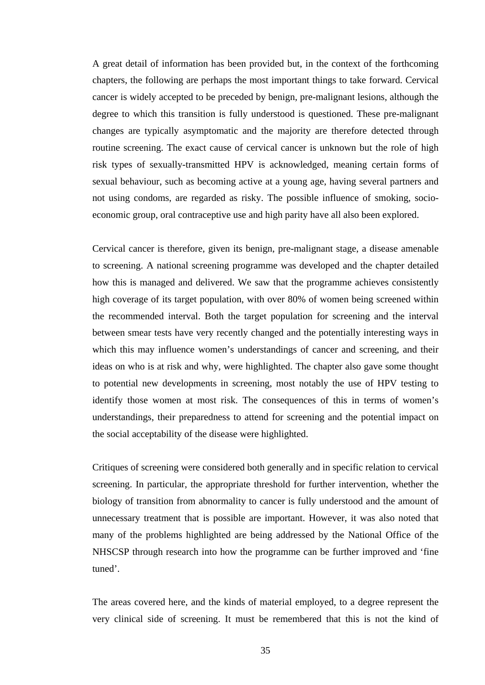A great detail of information has been provided but, in the context of the forthcoming chapters, the following are perhaps the most important things to take forward. Cervical cancer is widely accepted to be preceded by benign, pre-malignant lesions, although the degree to which this transition is fully understood is questioned. These pre-malignant changes are typically asymptomatic and the majority are therefore detected through routine screening. The exact cause of cervical cancer is unknown but the role of high risk types of sexually-transmitted HPV is acknowledged, meaning certain forms of sexual behaviour, such as becoming active at a young age, having several partners and not using condoms, are regarded as risky. The possible influence of smoking, socioeconomic group, oral contraceptive use and high parity have all also been explored.

Cervical cancer is therefore, given its benign, pre-malignant stage, a disease amenable to screening. A national screening programme was developed and the chapter detailed how this is managed and delivered. We saw that the programme achieves consistently high coverage of its target population, with over 80% of women being screened within the recommended interval. Both the target population for screening and the interval between smear tests have very recently changed and the potentially interesting ways in which this may influence women's understandings of cancer and screening, and their ideas on who is at risk and why, were highlighted. The chapter also gave some thought to potential new developments in screening, most notably the use of HPV testing to identify those women at most risk. The consequences of this in terms of women's understandings, their preparedness to attend for screening and the potential impact on the social acceptability of the disease were highlighted.

Critiques of screening were considered both generally and in specific relation to cervical screening. In particular, the appropriate threshold for further intervention, whether the biology of transition from abnormality to cancer is fully understood and the amount of unnecessary treatment that is possible are important. However, it was also noted that many of the problems highlighted are being addressed by the National Office of the NHSCSP through research into how the programme can be further improved and 'fine tuned'.

The areas covered here, and the kinds of material employed, to a degree represent the very clinical side of screening. It must be remembered that this is not the kind of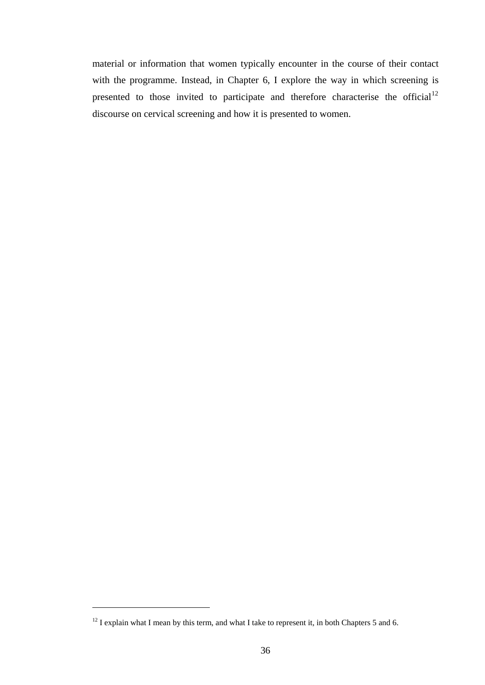material or information that women typically encounter in the course of their contact with the programme. Instead, in Chapter 6, I explore the way in which screening is presented to those invited to participate and therefore characterise the official<sup>[12](#page-36-0)</sup> discourse on cervical screening and how it is presented to women.

 $\overline{a}$ 

<span id="page-36-0"></span><sup>&</sup>lt;sup>12</sup> I explain what I mean by this term, and what I take to represent it, in both Chapters 5 and 6.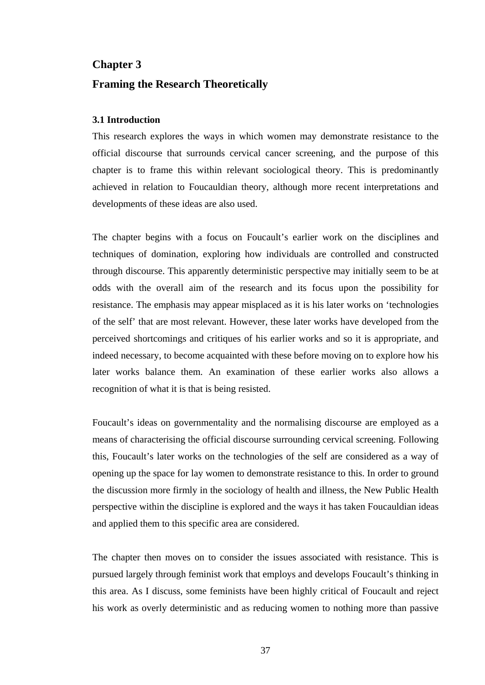# **Chapter 3 Framing the Research Theoretically**

# **3.1 Introduction**

This research explores the ways in which women may demonstrate resistance to the official discourse that surrounds cervical cancer screening, and the purpose of this chapter is to frame this within relevant sociological theory. This is predominantly achieved in relation to Foucauldian theory, although more recent interpretations and developments of these ideas are also used.

The chapter begins with a focus on Foucault's earlier work on the disciplines and techniques of domination, exploring how individuals are controlled and constructed through discourse. This apparently deterministic perspective may initially seem to be at odds with the overall aim of the research and its focus upon the possibility for resistance. The emphasis may appear misplaced as it is his later works on 'technologies of the self' that are most relevant. However, these later works have developed from the perceived shortcomings and critiques of his earlier works and so it is appropriate, and indeed necessary, to become acquainted with these before moving on to explore how his later works balance them. An examination of these earlier works also allows a recognition of what it is that is being resisted.

Foucault's ideas on governmentality and the normalising discourse are employed as a means of characterising the official discourse surrounding cervical screening. Following this, Foucault's later works on the technologies of the self are considered as a way of opening up the space for lay women to demonstrate resistance to this. In order to ground the discussion more firmly in the sociology of health and illness, the New Public Health perspective within the discipline is explored and the ways it has taken Foucauldian ideas and applied them to this specific area are considered.

The chapter then moves on to consider the issues associated with resistance. This is pursued largely through feminist work that employs and develops Foucault's thinking in this area. As I discuss, some feminists have been highly critical of Foucault and reject his work as overly deterministic and as reducing women to nothing more than passive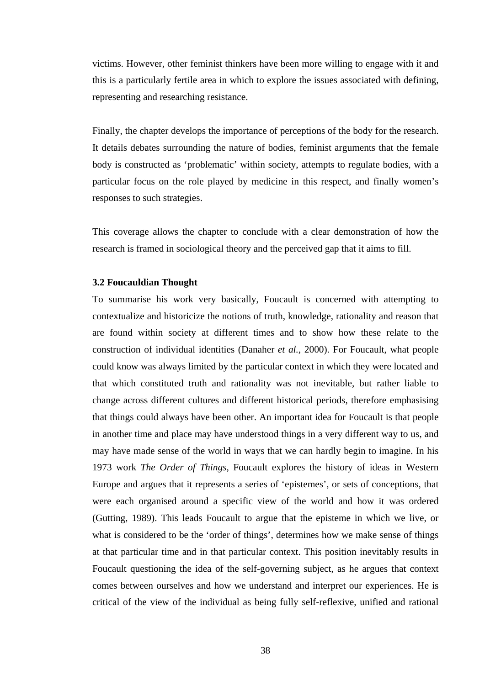victims. However, other feminist thinkers have been more willing to engage with it and this is a particularly fertile area in which to explore the issues associated with defining, representing and researching resistance.

Finally, the chapter develops the importance of perceptions of the body for the research. It details debates surrounding the nature of bodies, feminist arguments that the female body is constructed as 'problematic' within society, attempts to regulate bodies, with a particular focus on the role played by medicine in this respect, and finally women's responses to such strategies.

This coverage allows the chapter to conclude with a clear demonstration of how the research is framed in sociological theory and the perceived gap that it aims to fill.

#### **3.2 Foucauldian Thought**

To summarise his work very basically, Foucault is concerned with attempting to contextualize and historicize the notions of truth, knowledge, rationality and reason that are found within society at different times and to show how these relate to the construction of individual identities (Danaher *et al.*, 2000). For Foucault, what people could know was always limited by the particular context in which they were located and that which constituted truth and rationality was not inevitable, but rather liable to change across different cultures and different historical periods, therefore emphasising that things could always have been other. An important idea for Foucault is that people in another time and place may have understood things in a very different way to us, and may have made sense of the world in ways that we can hardly begin to imagine. In his 1973 work *The Order of Things*, Foucault explores the history of ideas in Western Europe and argues that it represents a series of 'epistemes', or sets of conceptions, that were each organised around a specific view of the world and how it was ordered (Gutting, 1989). This leads Foucault to argue that the episteme in which we live, or what is considered to be the 'order of things', determines how we make sense of things at that particular time and in that particular context. This position inevitably results in Foucault questioning the idea of the self-governing subject, as he argues that context comes between ourselves and how we understand and interpret our experiences. He is critical of the view of the individual as being fully self-reflexive, unified and rational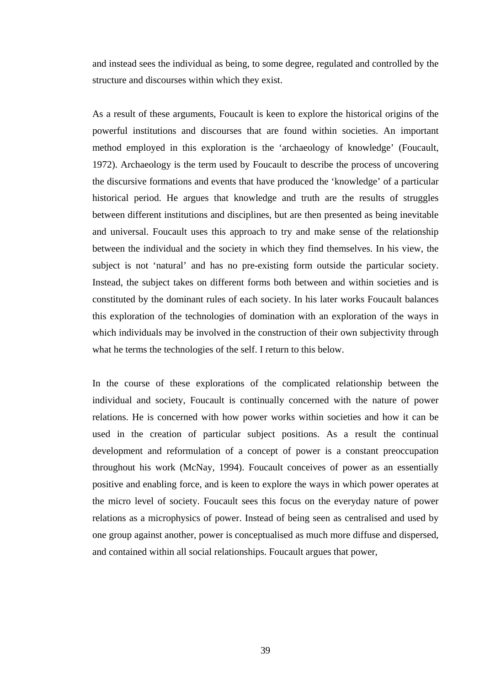and instead sees the individual as being, to some degree, regulated and controlled by the structure and discourses within which they exist.

As a result of these arguments, Foucault is keen to explore the historical origins of the powerful institutions and discourses that are found within societies. An important method employed in this exploration is the 'archaeology of knowledge' (Foucault, 1972). Archaeology is the term used by Foucault to describe the process of uncovering the discursive formations and events that have produced the 'knowledge' of a particular historical period. He argues that knowledge and truth are the results of struggles between different institutions and disciplines, but are then presented as being inevitable and universal. Foucault uses this approach to try and make sense of the relationship between the individual and the society in which they find themselves. In his view, the subject is not 'natural' and has no pre-existing form outside the particular society. Instead, the subject takes on different forms both between and within societies and is constituted by the dominant rules of each society. In his later works Foucault balances this exploration of the technologies of domination with an exploration of the ways in which individuals may be involved in the construction of their own subjectivity through what he terms the technologies of the self. I return to this below.

In the course of these explorations of the complicated relationship between the individual and society, Foucault is continually concerned with the nature of power relations. He is concerned with how power works within societies and how it can be used in the creation of particular subject positions. As a result the continual development and reformulation of a concept of power is a constant preoccupation throughout his work (McNay, 1994). Foucault conceives of power as an essentially positive and enabling force, and is keen to explore the ways in which power operates at the micro level of society. Foucault sees this focus on the everyday nature of power relations as a microphysics of power. Instead of being seen as centralised and used by one group against another, power is conceptualised as much more diffuse and dispersed, and contained within all social relationships. Foucault argues that power,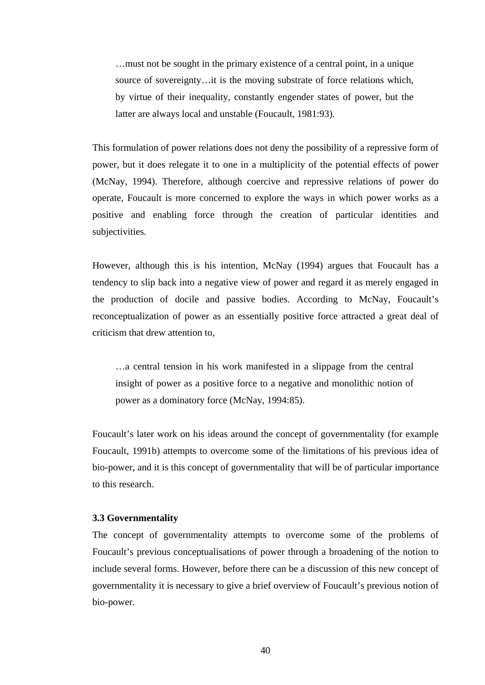…must not be sought in the primary existence of a central point, in a unique source of sovereignty…it is the moving substrate of force relations which, by virtue of their inequality, constantly engender states of power, but the latter are always local and unstable (Foucault, 1981:93).

This formulation of power relations does not deny the possibility of a repressive form of power, but it does relegate it to one in a multiplicity of the potential effects of power (McNay, 1994). Therefore, although coercive and repressive relations of power do operate, Foucault is more concerned to explore the ways in which power works as a positive and enabling force through the creation of particular identities and subjectivities.

However, although this is his intention, McNay (1994) argues that Foucault has a tendency to slip back into a negative view of power and regard it as merely engaged in the production of docile and passive bodies. According to McNay, Foucault's reconceptualization of power as an essentially positive force attracted a great deal of criticism that drew attention to,

…a central tension in his work manifested in a slippage from the central insight of power as a positive force to a negative and monolithic notion of power as a dominatory force (McNay, 1994:85).

Foucault's later work on his ideas around the concept of governmentality (for example Foucault, 1991b) attempts to overcome some of the limitations of his previous idea of bio-power, and it is this concept of governmentality that will be of particular importance to this research.

# **3.3 Governmentality**

The concept of governmentality attempts to overcome some of the problems of Foucault's previous conceptualisations of power through a broadening of the notion to include several forms. However, before there can be a discussion of this new concept of governmentality it is necessary to give a brief overview of Foucault's previous notion of bio-power.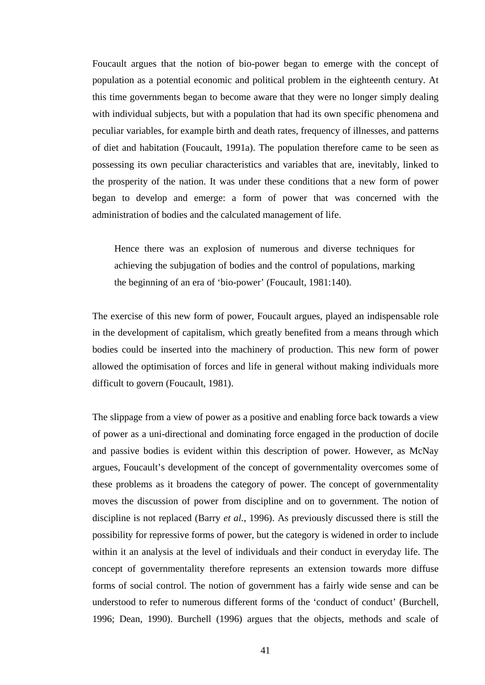Foucault argues that the notion of bio-power began to emerge with the concept of population as a potential economic and political problem in the eighteenth century. At this time governments began to become aware that they were no longer simply dealing with individual subjects, but with a population that had its own specific phenomena and peculiar variables, for example birth and death rates, frequency of illnesses, and patterns of diet and habitation (Foucault, 1991a). The population therefore came to be seen as possessing its own peculiar characteristics and variables that are, inevitably, linked to the prosperity of the nation. It was under these conditions that a new form of power began to develop and emerge: a form of power that was concerned with the administration of bodies and the calculated management of life.

Hence there was an explosion of numerous and diverse techniques for achieving the subjugation of bodies and the control of populations, marking the beginning of an era of 'bio-power' (Foucault, 1981:140).

The exercise of this new form of power, Foucault argues, played an indispensable role in the development of capitalism, which greatly benefited from a means through which bodies could be inserted into the machinery of production. This new form of power allowed the optimisation of forces and life in general without making individuals more difficult to govern (Foucault, 1981).

The slippage from a view of power as a positive and enabling force back towards a view of power as a uni-directional and dominating force engaged in the production of docile and passive bodies is evident within this description of power. However, as McNay argues, Foucault's development of the concept of governmentality overcomes some of these problems as it broadens the category of power. The concept of governmentality moves the discussion of power from discipline and on to government. The notion of discipline is not replaced (Barry *et al.*, 1996). As previously discussed there is still the possibility for repressive forms of power, but the category is widened in order to include within it an analysis at the level of individuals and their conduct in everyday life. The concept of governmentality therefore represents an extension towards more diffuse forms of social control. The notion of government has a fairly wide sense and can be understood to refer to numerous different forms of the 'conduct of conduct' (Burchell, 1996; Dean, 1990). Burchell (1996) argues that the objects, methods and scale of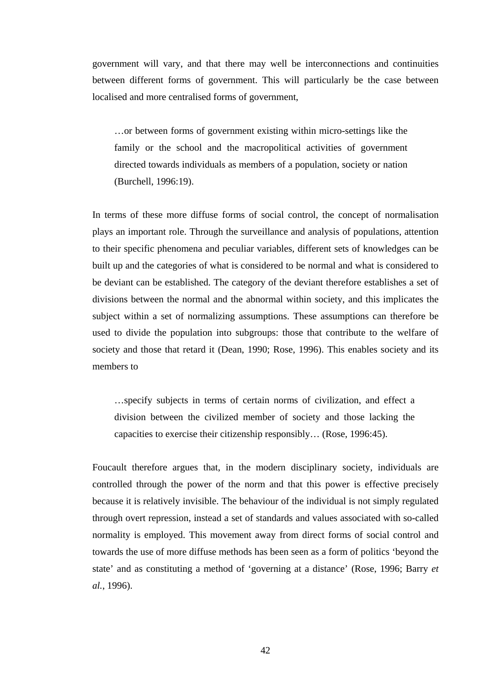government will vary, and that there may well be interconnections and continuities between different forms of government. This will particularly be the case between localised and more centralised forms of government,

…or between forms of government existing within micro-settings like the family or the school and the macropolitical activities of government directed towards individuals as members of a population, society or nation (Burchell, 1996:19).

In terms of these more diffuse forms of social control, the concept of normalisation plays an important role. Through the surveillance and analysis of populations, attention to their specific phenomena and peculiar variables, different sets of knowledges can be built up and the categories of what is considered to be normal and what is considered to be deviant can be established. The category of the deviant therefore establishes a set of divisions between the normal and the abnormal within society, and this implicates the subject within a set of normalizing assumptions. These assumptions can therefore be used to divide the population into subgroups: those that contribute to the welfare of society and those that retard it (Dean, 1990; Rose, 1996). This enables society and its members to

…specify subjects in terms of certain norms of civilization, and effect a division between the civilized member of society and those lacking the capacities to exercise their citizenship responsibly… (Rose, 1996:45).

Foucault therefore argues that, in the modern disciplinary society, individuals are controlled through the power of the norm and that this power is effective precisely because it is relatively invisible. The behaviour of the individual is not simply regulated through overt repression, instead a set of standards and values associated with so-called normality is employed. This movement away from direct forms of social control and towards the use of more diffuse methods has been seen as a form of politics 'beyond the state' and as constituting a method of 'governing at a distance' (Rose, 1996; Barry *et al.*, 1996).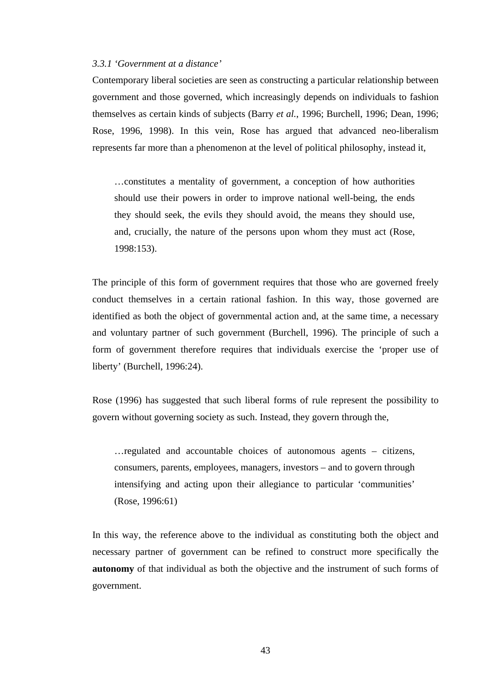#### *3.3.1 'Government at a distance'*

Contemporary liberal societies are seen as constructing a particular relationship between government and those governed, which increasingly depends on individuals to fashion themselves as certain kinds of subjects (Barry *et al.*, 1996; Burchell, 1996; Dean, 1996; Rose, 1996, 1998). In this vein, Rose has argued that advanced neo-liberalism represents far more than a phenomenon at the level of political philosophy, instead it,

…constitutes a mentality of government, a conception of how authorities should use their powers in order to improve national well-being, the ends they should seek, the evils they should avoid, the means they should use, and, crucially, the nature of the persons upon whom they must act (Rose, 1998:153).

The principle of this form of government requires that those who are governed freely conduct themselves in a certain rational fashion. In this way, those governed are identified as both the object of governmental action and, at the same time, a necessary and voluntary partner of such government (Burchell, 1996). The principle of such a form of government therefore requires that individuals exercise the 'proper use of liberty' (Burchell, 1996:24).

Rose (1996) has suggested that such liberal forms of rule represent the possibility to govern without governing society as such. Instead, they govern through the,

…regulated and accountable choices of autonomous agents – citizens, consumers, parents, employees, managers, investors – and to govern through intensifying and acting upon their allegiance to particular 'communities' (Rose, 1996:61)

In this way, the reference above to the individual as constituting both the object and necessary partner of government can be refined to construct more specifically the **autonomy** of that individual as both the objective and the instrument of such forms of government.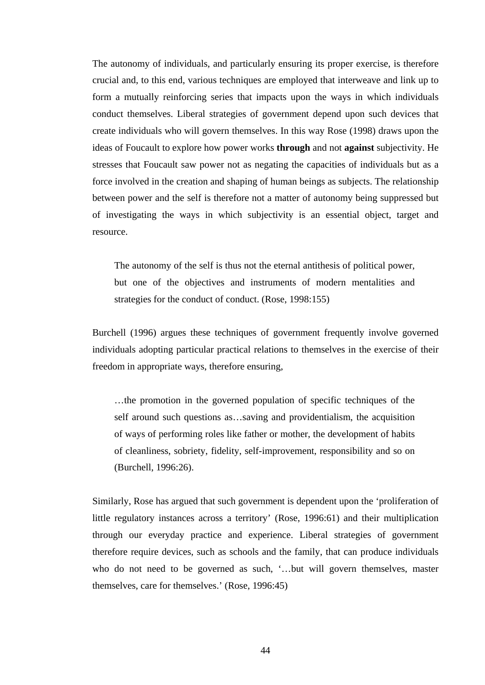The autonomy of individuals, and particularly ensuring its proper exercise, is therefore crucial and, to this end, various techniques are employed that interweave and link up to form a mutually reinforcing series that impacts upon the ways in which individuals conduct themselves. Liberal strategies of government depend upon such devices that create individuals who will govern themselves. In this way Rose (1998) draws upon the ideas of Foucault to explore how power works **through** and not **against** subjectivity. He stresses that Foucault saw power not as negating the capacities of individuals but as a force involved in the creation and shaping of human beings as subjects. The relationship between power and the self is therefore not a matter of autonomy being suppressed but of investigating the ways in which subjectivity is an essential object, target and resource.

The autonomy of the self is thus not the eternal antithesis of political power, but one of the objectives and instruments of modern mentalities and strategies for the conduct of conduct. (Rose, 1998:155)

Burchell (1996) argues these techniques of government frequently involve governed individuals adopting particular practical relations to themselves in the exercise of their freedom in appropriate ways, therefore ensuring,

…the promotion in the governed population of specific techniques of the self around such questions as…saving and providentialism, the acquisition of ways of performing roles like father or mother, the development of habits of cleanliness, sobriety, fidelity, self-improvement, responsibility and so on (Burchell, 1996:26).

Similarly, Rose has argued that such government is dependent upon the 'proliferation of little regulatory instances across a territory' (Rose, 1996:61) and their multiplication through our everyday practice and experience. Liberal strategies of government therefore require devices, such as schools and the family, that can produce individuals who do not need to be governed as such, '…but will govern themselves, master themselves, care for themselves.' (Rose, 1996:45)

44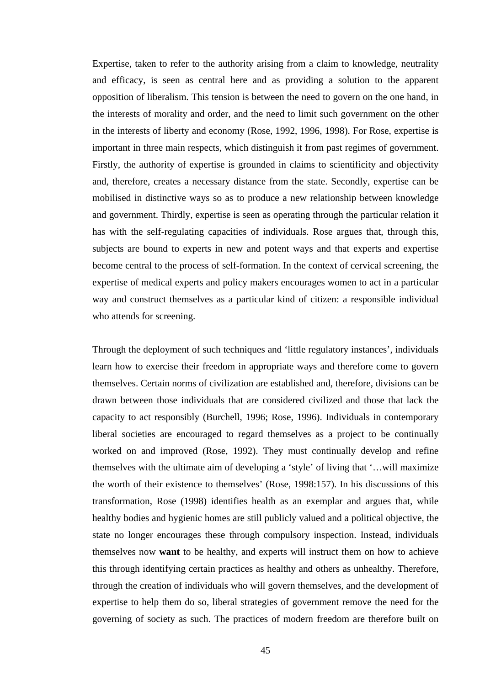Expertise, taken to refer to the authority arising from a claim to knowledge, neutrality and efficacy, is seen as central here and as providing a solution to the apparent opposition of liberalism. This tension is between the need to govern on the one hand, in the interests of morality and order, and the need to limit such government on the other in the interests of liberty and economy (Rose, 1992, 1996, 1998). For Rose, expertise is important in three main respects, which distinguish it from past regimes of government. Firstly, the authority of expertise is grounded in claims to scientificity and objectivity and, therefore, creates a necessary distance from the state. Secondly, expertise can be mobilised in distinctive ways so as to produce a new relationship between knowledge and government. Thirdly, expertise is seen as operating through the particular relation it has with the self-regulating capacities of individuals. Rose argues that, through this, subjects are bound to experts in new and potent ways and that experts and expertise become central to the process of self-formation. In the context of cervical screening, the expertise of medical experts and policy makers encourages women to act in a particular way and construct themselves as a particular kind of citizen: a responsible individual who attends for screening.

Through the deployment of such techniques and 'little regulatory instances', individuals learn how to exercise their freedom in appropriate ways and therefore come to govern themselves. Certain norms of civilization are established and, therefore, divisions can be drawn between those individuals that are considered civilized and those that lack the capacity to act responsibly (Burchell, 1996; Rose, 1996). Individuals in contemporary liberal societies are encouraged to regard themselves as a project to be continually worked on and improved (Rose, 1992). They must continually develop and refine themselves with the ultimate aim of developing a 'style' of living that '…will maximize the worth of their existence to themselves' (Rose, 1998:157). In his discussions of this transformation, Rose (1998) identifies health as an exemplar and argues that, while healthy bodies and hygienic homes are still publicly valued and a political objective, the state no longer encourages these through compulsory inspection. Instead, individuals themselves now **want** to be healthy, and experts will instruct them on how to achieve this through identifying certain practices as healthy and others as unhealthy. Therefore, through the creation of individuals who will govern themselves, and the development of expertise to help them do so, liberal strategies of government remove the need for the governing of society as such. The practices of modern freedom are therefore built on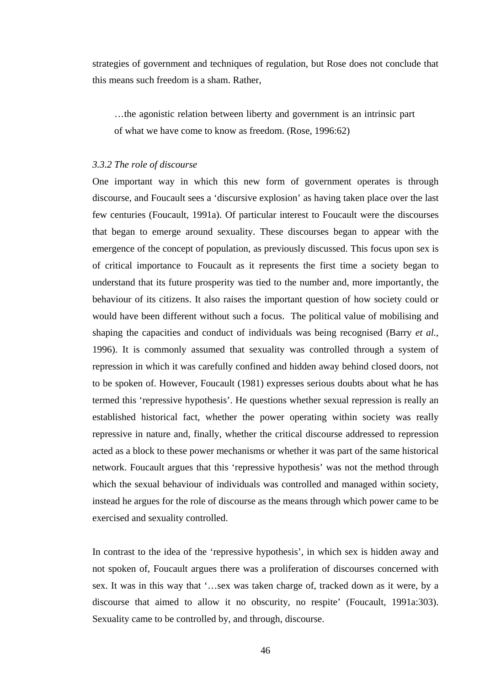strategies of government and techniques of regulation, but Rose does not conclude that this means such freedom is a sham. Rather,

…the agonistic relation between liberty and government is an intrinsic part of what we have come to know as freedom. (Rose, 1996:62)

#### *3.3.2 The role of discourse*

One important way in which this new form of government operates is through discourse, and Foucault sees a 'discursive explosion' as having taken place over the last few centuries (Foucault, 1991a). Of particular interest to Foucault were the discourses that began to emerge around sexuality. These discourses began to appear with the emergence of the concept of population, as previously discussed. This focus upon sex is of critical importance to Foucault as it represents the first time a society began to understand that its future prosperity was tied to the number and, more importantly, the behaviour of its citizens. It also raises the important question of how society could or would have been different without such a focus. The political value of mobilising and shaping the capacities and conduct of individuals was being recognised (Barry *et al.*, 1996). It is commonly assumed that sexuality was controlled through a system of repression in which it was carefully confined and hidden away behind closed doors, not to be spoken of. However, Foucault (1981) expresses serious doubts about what he has termed this 'repressive hypothesis'. He questions whether sexual repression is really an established historical fact, whether the power operating within society was really repressive in nature and, finally, whether the critical discourse addressed to repression acted as a block to these power mechanisms or whether it was part of the same historical network. Foucault argues that this 'repressive hypothesis' was not the method through which the sexual behaviour of individuals was controlled and managed within society, instead he argues for the role of discourse as the means through which power came to be exercised and sexuality controlled.

In contrast to the idea of the 'repressive hypothesis', in which sex is hidden away and not spoken of, Foucault argues there was a proliferation of discourses concerned with sex. It was in this way that '…sex was taken charge of, tracked down as it were, by a discourse that aimed to allow it no obscurity, no respite' (Foucault, 1991a:303). Sexuality came to be controlled by, and through, discourse.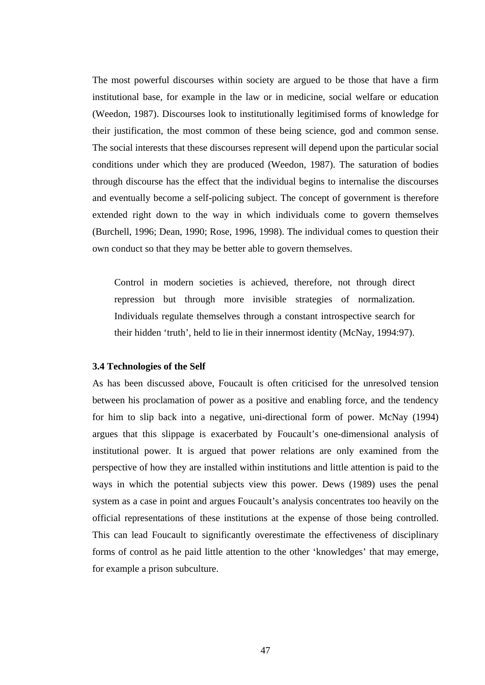The most powerful discourses within society are argued to be those that have a firm institutional base, for example in the law or in medicine, social welfare or education (Weedon, 1987). Discourses look to institutionally legitimised forms of knowledge for their justification, the most common of these being science, god and common sense. The social interests that these discourses represent will depend upon the particular social conditions under which they are produced (Weedon, 1987). The saturation of bodies through discourse has the effect that the individual begins to internalise the discourses and eventually become a self-policing subject. The concept of government is therefore extended right down to the way in which individuals come to govern themselves (Burchell, 1996; Dean, 1990; Rose, 1996, 1998). The individual comes to question their own conduct so that they may be better able to govern themselves.

Control in modern societies is achieved, therefore, not through direct repression but through more invisible strategies of normalization. Individuals regulate themselves through a constant introspective search for their hidden 'truth', held to lie in their innermost identity (McNay, 1994:97).

#### **3.4 Technologies of the Self**

As has been discussed above, Foucault is often criticised for the unresolved tension between his proclamation of power as a positive and enabling force, and the tendency for him to slip back into a negative, uni-directional form of power. McNay (1994) argues that this slippage is exacerbated by Foucault's one-dimensional analysis of institutional power. It is argued that power relations are only examined from the perspective of how they are installed within institutions and little attention is paid to the ways in which the potential subjects view this power. Dews (1989) uses the penal system as a case in point and argues Foucault's analysis concentrates too heavily on the official representations of these institutions at the expense of those being controlled. This can lead Foucault to significantly overestimate the effectiveness of disciplinary forms of control as he paid little attention to the other 'knowledges' that may emerge, for example a prison subculture.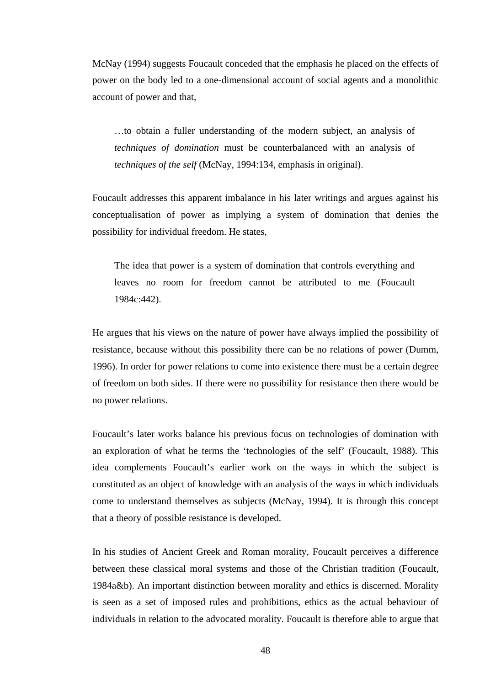McNay (1994) suggests Foucault conceded that the emphasis he placed on the effects of power on the body led to a one-dimensional account of social agents and a monolithic account of power and that,

…to obtain a fuller understanding of the modern subject, an analysis of *techniques of domination* must be counterbalanced with an analysis of *techniques of the self* (McNay, 1994:134, emphasis in original).

Foucault addresses this apparent imbalance in his later writings and argues against his conceptualisation of power as implying a system of domination that denies the possibility for individual freedom. He states,

The idea that power is a system of domination that controls everything and leaves no room for freedom cannot be attributed to me (Foucault 1984c:442).

He argues that his views on the nature of power have always implied the possibility of resistance, because without this possibility there can be no relations of power (Dumm, 1996). In order for power relations to come into existence there must be a certain degree of freedom on both sides. If there were no possibility for resistance then there would be no power relations.

Foucault's later works balance his previous focus on technologies of domination with an exploration of what he terms the 'technologies of the self' (Foucault, 1988). This idea complements Foucault's earlier work on the ways in which the subject is constituted as an object of knowledge with an analysis of the ways in which individuals come to understand themselves as subjects (McNay, 1994). It is through this concept that a theory of possible resistance is developed.

In his studies of Ancient Greek and Roman morality, Foucault perceives a difference between these classical moral systems and those of the Christian tradition (Foucault, 1984a&b). An important distinction between morality and ethics is discerned. Morality is seen as a set of imposed rules and prohibitions, ethics as the actual behaviour of individuals in relation to the advocated morality. Foucault is therefore able to argue that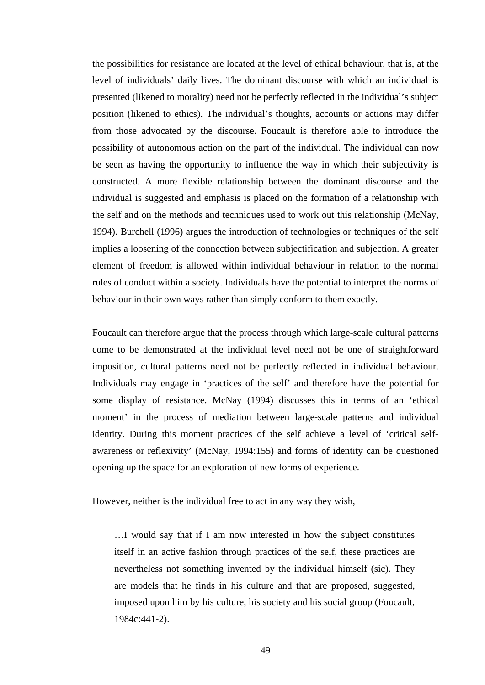the possibilities for resistance are located at the level of ethical behaviour, that is, at the level of individuals' daily lives. The dominant discourse with which an individual is presented (likened to morality) need not be perfectly reflected in the individual's subject position (likened to ethics). The individual's thoughts, accounts or actions may differ from those advocated by the discourse. Foucault is therefore able to introduce the possibility of autonomous action on the part of the individual. The individual can now be seen as having the opportunity to influence the way in which their subjectivity is constructed. A more flexible relationship between the dominant discourse and the individual is suggested and emphasis is placed on the formation of a relationship with the self and on the methods and techniques used to work out this relationship (McNay, 1994). Burchell (1996) argues the introduction of technologies or techniques of the self implies a loosening of the connection between subjectification and subjection. A greater element of freedom is allowed within individual behaviour in relation to the normal rules of conduct within a society. Individuals have the potential to interpret the norms of behaviour in their own ways rather than simply conform to them exactly.

Foucault can therefore argue that the process through which large-scale cultural patterns come to be demonstrated at the individual level need not be one of straightforward imposition, cultural patterns need not be perfectly reflected in individual behaviour. Individuals may engage in 'practices of the self' and therefore have the potential for some display of resistance. McNay (1994) discusses this in terms of an 'ethical moment' in the process of mediation between large-scale patterns and individual identity. During this moment practices of the self achieve a level of 'critical selfawareness or reflexivity' (McNay, 1994:155) and forms of identity can be questioned opening up the space for an exploration of new forms of experience.

However, neither is the individual free to act in any way they wish,

…I would say that if I am now interested in how the subject constitutes itself in an active fashion through practices of the self, these practices are nevertheless not something invented by the individual himself (sic). They are models that he finds in his culture and that are proposed, suggested, imposed upon him by his culture, his society and his social group (Foucault, 1984c:441-2).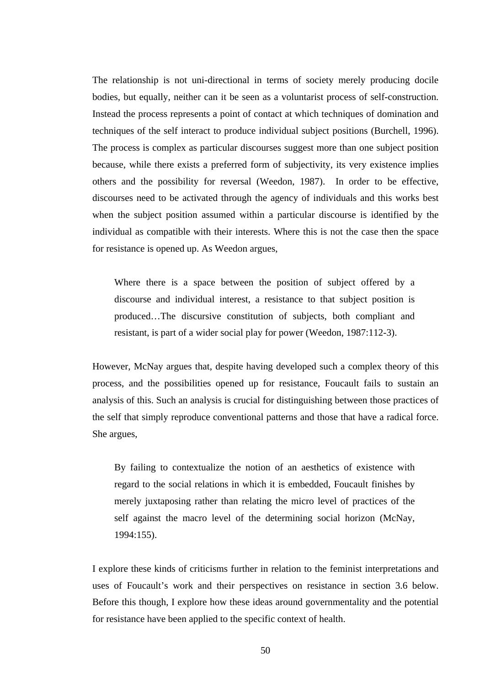The relationship is not uni-directional in terms of society merely producing docile bodies, but equally, neither can it be seen as a voluntarist process of self-construction. Instead the process represents a point of contact at which techniques of domination and techniques of the self interact to produce individual subject positions (Burchell, 1996). The process is complex as particular discourses suggest more than one subject position because, while there exists a preferred form of subjectivity, its very existence implies others and the possibility for reversal (Weedon, 1987). In order to be effective, discourses need to be activated through the agency of individuals and this works best when the subject position assumed within a particular discourse is identified by the individual as compatible with their interests. Where this is not the case then the space for resistance is opened up. As Weedon argues,

Where there is a space between the position of subject offered by a discourse and individual interest, a resistance to that subject position is produced…The discursive constitution of subjects, both compliant and resistant, is part of a wider social play for power (Weedon, 1987:112-3).

However, McNay argues that, despite having developed such a complex theory of this process, and the possibilities opened up for resistance, Foucault fails to sustain an analysis of this. Such an analysis is crucial for distinguishing between those practices of the self that simply reproduce conventional patterns and those that have a radical force. She argues,

By failing to contextualize the notion of an aesthetics of existence with regard to the social relations in which it is embedded, Foucault finishes by merely juxtaposing rather than relating the micro level of practices of the self against the macro level of the determining social horizon (McNay, 1994:155).

I explore these kinds of criticisms further in relation to the feminist interpretations and uses of Foucault's work and their perspectives on resistance in section 3.6 below. Before this though, I explore how these ideas around governmentality and the potential for resistance have been applied to the specific context of health.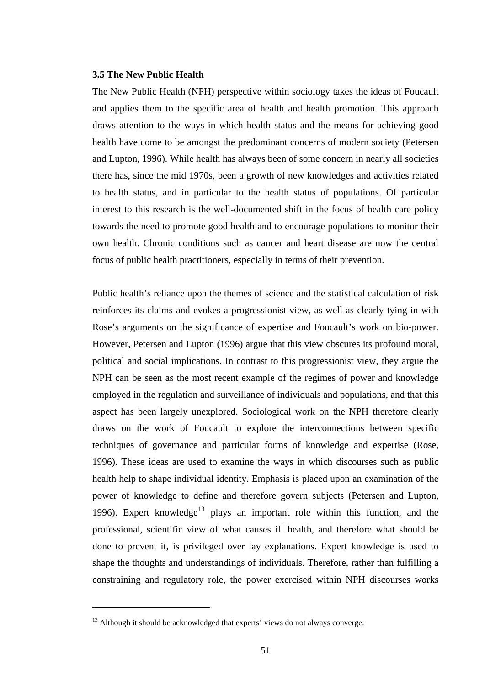## **3.5 The New Public Health**

The New Public Health (NPH) perspective within sociology takes the ideas of Foucault and applies them to the specific area of health and health promotion. This approach draws attention to the ways in which health status and the means for achieving good health have come to be amongst the predominant concerns of modern society (Petersen and Lupton, 1996). While health has always been of some concern in nearly all societies there has, since the mid 1970s, been a growth of new knowledges and activities related to health status, and in particular to the health status of populations. Of particular interest to this research is the well-documented shift in the focus of health care policy towards the need to promote good health and to encourage populations to monitor their own health. Chronic conditions such as cancer and heart disease are now the central focus of public health practitioners, especially in terms of their prevention.

Public health's reliance upon the themes of science and the statistical calculation of risk reinforces its claims and evokes a progressionist view, as well as clearly tying in with Rose's arguments on the significance of expertise and Foucault's work on bio-power. However, Petersen and Lupton (1996) argue that this view obscures its profound moral, political and social implications. In contrast to this progressionist view, they argue the NPH can be seen as the most recent example of the regimes of power and knowledge employed in the regulation and surveillance of individuals and populations, and that this aspect has been largely unexplored. Sociological work on the NPH therefore clearly draws on the work of Foucault to explore the interconnections between specific techniques of governance and particular forms of knowledge and expertise (Rose, 1996). These ideas are used to examine the ways in which discourses such as public health help to shape individual identity. Emphasis is placed upon an examination of the power of knowledge to define and therefore govern subjects (Petersen and Lupton, 1996). Expert knowledge<sup>[13](#page-51-0)</sup> plays an important role within this function, and the professional, scientific view of what causes ill health, and therefore what should be done to prevent it, is privileged over lay explanations. Expert knowledge is used to shape the thoughts and understandings of individuals. Therefore, rather than fulfilling a constraining and regulatory role, the power exercised within NPH discourses works

 $\overline{a}$ 

<span id="page-51-0"></span><sup>&</sup>lt;sup>13</sup> Although it should be acknowledged that experts' views do not always converge.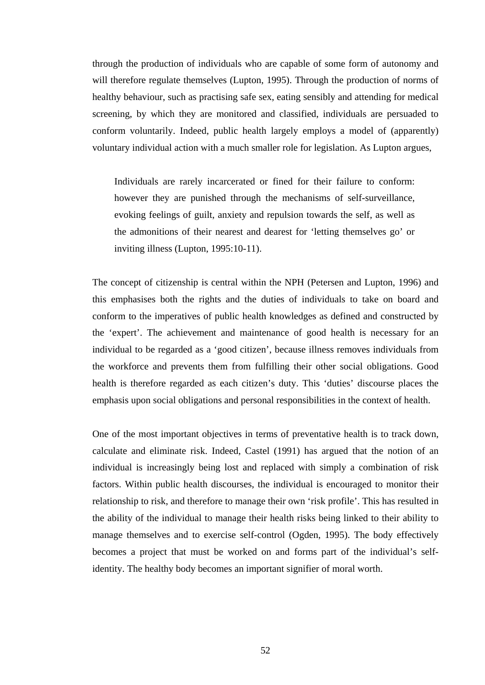through the production of individuals who are capable of some form of autonomy and will therefore regulate themselves (Lupton, 1995). Through the production of norms of healthy behaviour, such as practising safe sex, eating sensibly and attending for medical screening, by which they are monitored and classified, individuals are persuaded to conform voluntarily. Indeed, public health largely employs a model of (apparently) voluntary individual action with a much smaller role for legislation. As Lupton argues,

Individuals are rarely incarcerated or fined for their failure to conform: however they are punished through the mechanisms of self-surveillance, evoking feelings of guilt, anxiety and repulsion towards the self, as well as the admonitions of their nearest and dearest for 'letting themselves go' or inviting illness (Lupton, 1995:10-11).

The concept of citizenship is central within the NPH (Petersen and Lupton, 1996) and this emphasises both the rights and the duties of individuals to take on board and conform to the imperatives of public health knowledges as defined and constructed by the 'expert'. The achievement and maintenance of good health is necessary for an individual to be regarded as a 'good citizen', because illness removes individuals from the workforce and prevents them from fulfilling their other social obligations. Good health is therefore regarded as each citizen's duty. This 'duties' discourse places the emphasis upon social obligations and personal responsibilities in the context of health.

One of the most important objectives in terms of preventative health is to track down, calculate and eliminate risk. Indeed, Castel (1991) has argued that the notion of an individual is increasingly being lost and replaced with simply a combination of risk factors. Within public health discourses, the individual is encouraged to monitor their relationship to risk, and therefore to manage their own 'risk profile'. This has resulted in the ability of the individual to manage their health risks being linked to their ability to manage themselves and to exercise self-control (Ogden, 1995). The body effectively becomes a project that must be worked on and forms part of the individual's selfidentity. The healthy body becomes an important signifier of moral worth.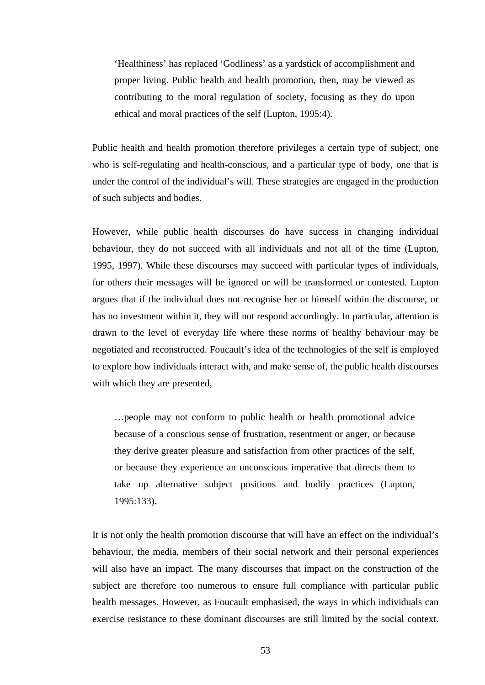'Healthiness' has replaced 'Godliness' as a yardstick of accomplishment and proper living. Public health and health promotion, then, may be viewed as contributing to the moral regulation of society, focusing as they do upon ethical and moral practices of the self (Lupton, 1995:4).

Public health and health promotion therefore privileges a certain type of subject, one who is self-regulating and health-conscious, and a particular type of body, one that is under the control of the individual's will. These strategies are engaged in the production of such subjects and bodies.

However, while public health discourses do have success in changing individual behaviour, they do not succeed with all individuals and not all of the time (Lupton, 1995, 1997). While these discourses may succeed with particular types of individuals, for others their messages will be ignored or will be transformed or contested. Lupton argues that if the individual does not recognise her or himself within the discourse, or has no investment within it, they will not respond accordingly. In particular, attention is drawn to the level of everyday life where these norms of healthy behaviour may be negotiated and reconstructed. Foucault's idea of the technologies of the self is employed to explore how individuals interact with, and make sense of, the public health discourses with which they are presented,

…people may not conform to public health or health promotional advice because of a conscious sense of frustration, resentment or anger, or because they derive greater pleasure and satisfaction from other practices of the self, or because they experience an unconscious imperative that directs them to take up alternative subject positions and bodily practices (Lupton, 1995:133).

It is not only the health promotion discourse that will have an effect on the individual's behaviour, the media, members of their social network and their personal experiences will also have an impact. The many discourses that impact on the construction of the subject are therefore too numerous to ensure full compliance with particular public health messages. However, as Foucault emphasised, the ways in which individuals can exercise resistance to these dominant discourses are still limited by the social context.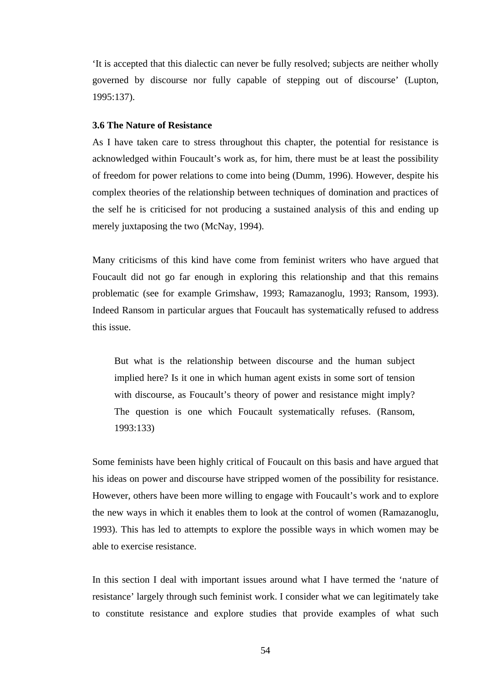'It is accepted that this dialectic can never be fully resolved; subjects are neither wholly governed by discourse nor fully capable of stepping out of discourse' (Lupton, 1995:137).

## **3.6 The Nature of Resistance**

As I have taken care to stress throughout this chapter, the potential for resistance is acknowledged within Foucault's work as, for him, there must be at least the possibility of freedom for power relations to come into being (Dumm, 1996). However, despite his complex theories of the relationship between techniques of domination and practices of the self he is criticised for not producing a sustained analysis of this and ending up merely juxtaposing the two (McNay, 1994).

Many criticisms of this kind have come from feminist writers who have argued that Foucault did not go far enough in exploring this relationship and that this remains problematic (see for example Grimshaw, 1993; Ramazanoglu, 1993; Ransom, 1993). Indeed Ransom in particular argues that Foucault has systematically refused to address this issue.

But what is the relationship between discourse and the human subject implied here? Is it one in which human agent exists in some sort of tension with discourse, as Foucault's theory of power and resistance might imply? The question is one which Foucault systematically refuses. (Ransom, 1993:133)

Some feminists have been highly critical of Foucault on this basis and have argued that his ideas on power and discourse have stripped women of the possibility for resistance. However, others have been more willing to engage with Foucault's work and to explore the new ways in which it enables them to look at the control of women (Ramazanoglu, 1993). This has led to attempts to explore the possible ways in which women may be able to exercise resistance.

In this section I deal with important issues around what I have termed the 'nature of resistance' largely through such feminist work. I consider what we can legitimately take to constitute resistance and explore studies that provide examples of what such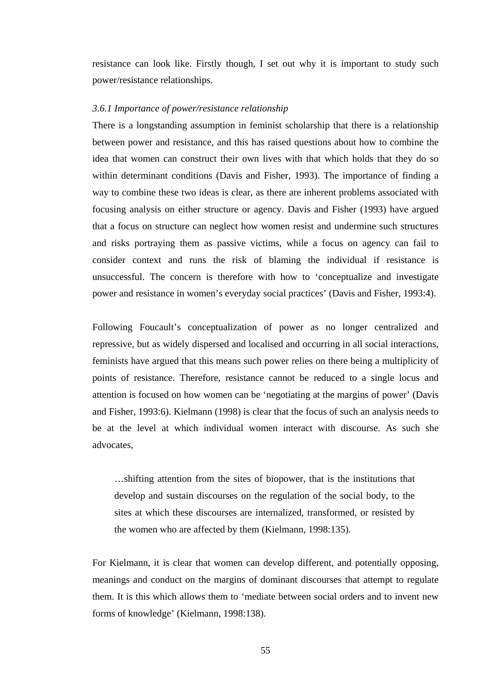resistance can look like. Firstly though, I set out why it is important to study such power/resistance relationships.

#### *3.6.1 Importance of power/resistance relationship*

There is a longstanding assumption in feminist scholarship that there is a relationship between power and resistance, and this has raised questions about how to combine the idea that women can construct their own lives with that which holds that they do so within determinant conditions (Davis and Fisher, 1993). The importance of finding a way to combine these two ideas is clear, as there are inherent problems associated with focusing analysis on either structure or agency. Davis and Fisher (1993) have argued that a focus on structure can neglect how women resist and undermine such structures and risks portraying them as passive victims, while a focus on agency can fail to consider context and runs the risk of blaming the individual if resistance is unsuccessful. The concern is therefore with how to 'conceptualize and investigate power and resistance in women's everyday social practices' (Davis and Fisher, 1993:4).

Following Foucault's conceptualization of power as no longer centralized and repressive, but as widely dispersed and localised and occurring in all social interactions, feminists have argued that this means such power relies on there being a multiplicity of points of resistance. Therefore, resistance cannot be reduced to a single locus and attention is focused on how women can be 'negotiating at the margins of power' (Davis and Fisher, 1993:6). Kielmann (1998) is clear that the focus of such an analysis needs to be at the level at which individual women interact with discourse. As such she advocates,

…shifting attention from the sites of biopower, that is the institutions that develop and sustain discourses on the regulation of the social body, to the sites at which these discourses are internalized, transformed, or resisted by the women who are affected by them (Kielmann, 1998:135).

For Kielmann, it is clear that women can develop different, and potentially opposing, meanings and conduct on the margins of dominant discourses that attempt to regulate them. It is this which allows them to 'mediate between social orders and to invent new forms of knowledge' (Kielmann, 1998:138).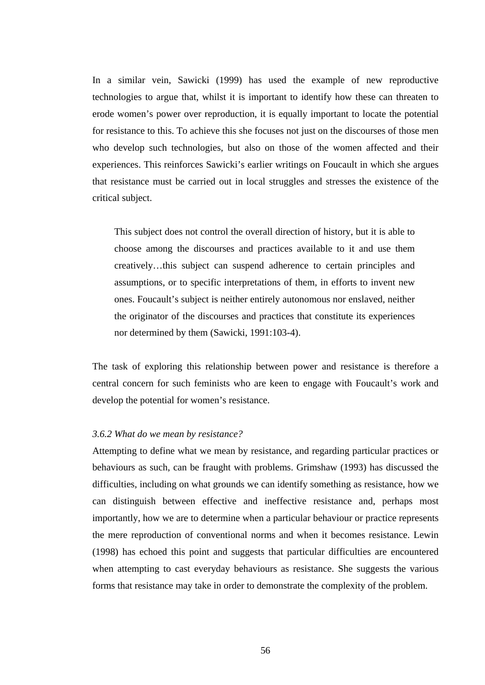In a similar vein, Sawicki (1999) has used the example of new reproductive technologies to argue that, whilst it is important to identify how these can threaten to erode women's power over reproduction, it is equally important to locate the potential for resistance to this. To achieve this she focuses not just on the discourses of those men who develop such technologies, but also on those of the women affected and their experiences. This reinforces Sawicki's earlier writings on Foucault in which she argues that resistance must be carried out in local struggles and stresses the existence of the critical subject.

This subject does not control the overall direction of history, but it is able to choose among the discourses and practices available to it and use them creatively…this subject can suspend adherence to certain principles and assumptions, or to specific interpretations of them, in efforts to invent new ones. Foucault's subject is neither entirely autonomous nor enslaved, neither the originator of the discourses and practices that constitute its experiences nor determined by them (Sawicki, 1991:103-4).

The task of exploring this relationship between power and resistance is therefore a central concern for such feminists who are keen to engage with Foucault's work and develop the potential for women's resistance.

## *3.6.2 What do we mean by resistance?*

Attempting to define what we mean by resistance, and regarding particular practices or behaviours as such, can be fraught with problems. Grimshaw (1993) has discussed the difficulties, including on what grounds we can identify something as resistance, how we can distinguish between effective and ineffective resistance and, perhaps most importantly, how we are to determine when a particular behaviour or practice represents the mere reproduction of conventional norms and when it becomes resistance. Lewin (1998) has echoed this point and suggests that particular difficulties are encountered when attempting to cast everyday behaviours as resistance. She suggests the various forms that resistance may take in order to demonstrate the complexity of the problem.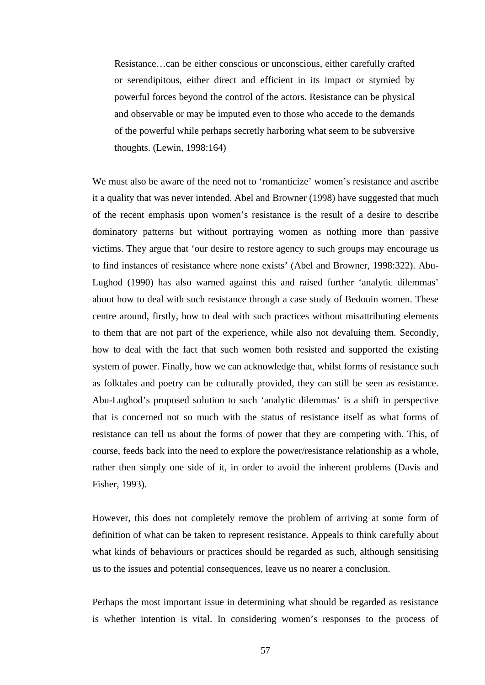Resistance…can be either conscious or unconscious, either carefully crafted or serendipitous, either direct and efficient in its impact or stymied by powerful forces beyond the control of the actors. Resistance can be physical and observable or may be imputed even to those who accede to the demands of the powerful while perhaps secretly harboring what seem to be subversive thoughts. (Lewin, 1998:164)

We must also be aware of the need not to 'romanticize' women's resistance and ascribe it a quality that was never intended. Abel and Browner (1998) have suggested that much of the recent emphasis upon women's resistance is the result of a desire to describe dominatory patterns but without portraying women as nothing more than passive victims. They argue that 'our desire to restore agency to such groups may encourage us to find instances of resistance where none exists' (Abel and Browner, 1998:322). Abu-Lughod (1990) has also warned against this and raised further 'analytic dilemmas' about how to deal with such resistance through a case study of Bedouin women. These centre around, firstly, how to deal with such practices without misattributing elements to them that are not part of the experience, while also not devaluing them. Secondly, how to deal with the fact that such women both resisted and supported the existing system of power. Finally, how we can acknowledge that, whilst forms of resistance such as folktales and poetry can be culturally provided, they can still be seen as resistance. Abu-Lughod's proposed solution to such 'analytic dilemmas' is a shift in perspective that is concerned not so much with the status of resistance itself as what forms of resistance can tell us about the forms of power that they are competing with. This, of course, feeds back into the need to explore the power/resistance relationship as a whole, rather then simply one side of it, in order to avoid the inherent problems (Davis and Fisher, 1993).

However, this does not completely remove the problem of arriving at some form of definition of what can be taken to represent resistance. Appeals to think carefully about what kinds of behaviours or practices should be regarded as such, although sensitising us to the issues and potential consequences, leave us no nearer a conclusion.

Perhaps the most important issue in determining what should be regarded as resistance is whether intention is vital. In considering women's responses to the process of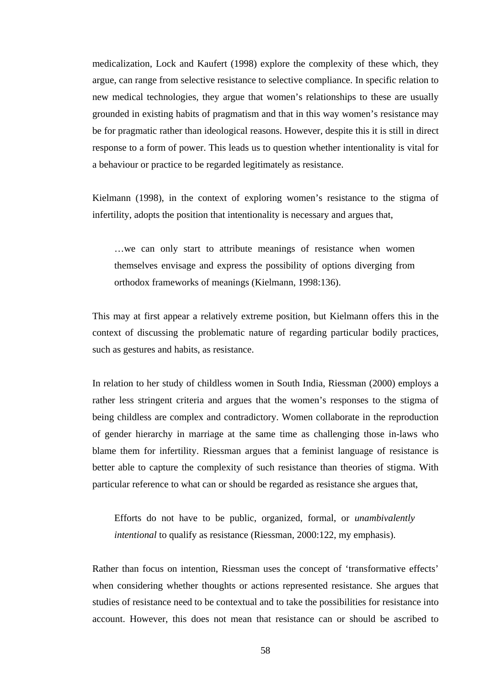medicalization, Lock and Kaufert (1998) explore the complexity of these which, they argue, can range from selective resistance to selective compliance. In specific relation to new medical technologies, they argue that women's relationships to these are usually grounded in existing habits of pragmatism and that in this way women's resistance may be for pragmatic rather than ideological reasons. However, despite this it is still in direct response to a form of power. This leads us to question whether intentionality is vital for a behaviour or practice to be regarded legitimately as resistance.

Kielmann (1998), in the context of exploring women's resistance to the stigma of infertility, adopts the position that intentionality is necessary and argues that,

…we can only start to attribute meanings of resistance when women themselves envisage and express the possibility of options diverging from orthodox frameworks of meanings (Kielmann, 1998:136).

This may at first appear a relatively extreme position, but Kielmann offers this in the context of discussing the problematic nature of regarding particular bodily practices, such as gestures and habits, as resistance.

In relation to her study of childless women in South India, Riessman (2000) employs a rather less stringent criteria and argues that the women's responses to the stigma of being childless are complex and contradictory. Women collaborate in the reproduction of gender hierarchy in marriage at the same time as challenging those in-laws who blame them for infertility. Riessman argues that a feminist language of resistance is better able to capture the complexity of such resistance than theories of stigma. With particular reference to what can or should be regarded as resistance she argues that,

Efforts do not have to be public, organized, formal, or *unambivalently intentional* to qualify as resistance (Riessman, 2000:122, my emphasis).

Rather than focus on intention, Riessman uses the concept of 'transformative effects' when considering whether thoughts or actions represented resistance. She argues that studies of resistance need to be contextual and to take the possibilities for resistance into account. However, this does not mean that resistance can or should be ascribed to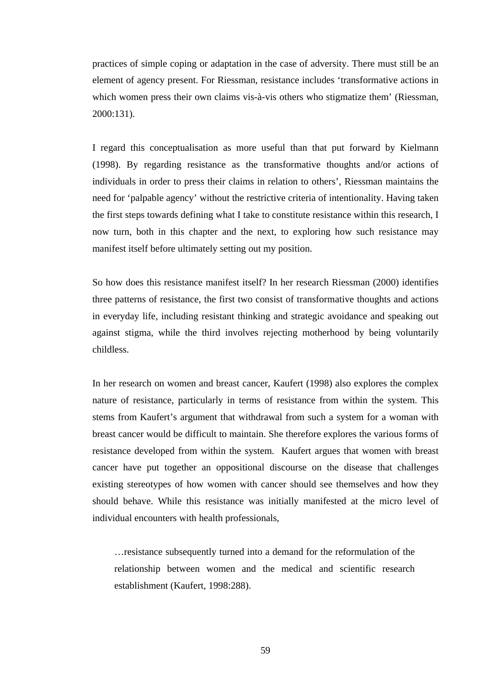practices of simple coping or adaptation in the case of adversity. There must still be an element of agency present. For Riessman, resistance includes 'transformative actions in which women press their own claims vis-à-vis others who stigmatize them' (Riessman, 2000:131).

I regard this conceptualisation as more useful than that put forward by Kielmann (1998). By regarding resistance as the transformative thoughts and/or actions of individuals in order to press their claims in relation to others', Riessman maintains the need for 'palpable agency' without the restrictive criteria of intentionality. Having taken the first steps towards defining what I take to constitute resistance within this research, I now turn, both in this chapter and the next, to exploring how such resistance may manifest itself before ultimately setting out my position.

So how does this resistance manifest itself? In her research Riessman (2000) identifies three patterns of resistance, the first two consist of transformative thoughts and actions in everyday life, including resistant thinking and strategic avoidance and speaking out against stigma, while the third involves rejecting motherhood by being voluntarily childless.

In her research on women and breast cancer, Kaufert (1998) also explores the complex nature of resistance, particularly in terms of resistance from within the system. This stems from Kaufert's argument that withdrawal from such a system for a woman with breast cancer would be difficult to maintain. She therefore explores the various forms of resistance developed from within the system. Kaufert argues that women with breast cancer have put together an oppositional discourse on the disease that challenges existing stereotypes of how women with cancer should see themselves and how they should behave. While this resistance was initially manifested at the micro level of individual encounters with health professionals,

…resistance subsequently turned into a demand for the reformulation of the relationship between women and the medical and scientific research establishment (Kaufert, 1998:288).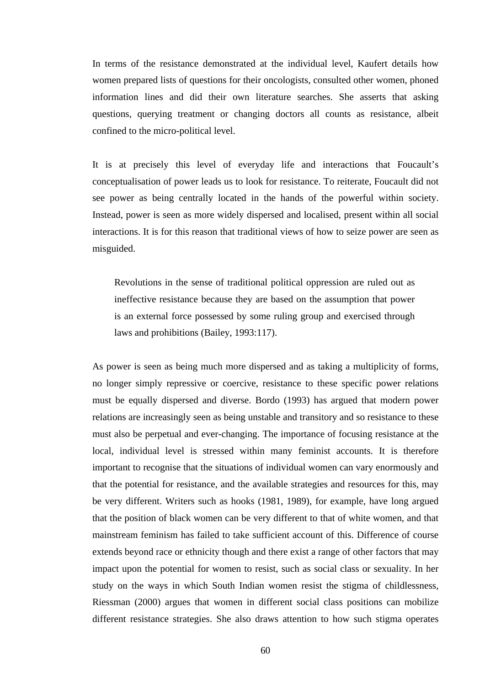In terms of the resistance demonstrated at the individual level, Kaufert details how women prepared lists of questions for their oncologists, consulted other women, phoned information lines and did their own literature searches. She asserts that asking questions, querying treatment or changing doctors all counts as resistance, albeit confined to the micro-political level.

It is at precisely this level of everyday life and interactions that Foucault's conceptualisation of power leads us to look for resistance. To reiterate, Foucault did not see power as being centrally located in the hands of the powerful within society. Instead, power is seen as more widely dispersed and localised, present within all social interactions. It is for this reason that traditional views of how to seize power are seen as misguided.

Revolutions in the sense of traditional political oppression are ruled out as ineffective resistance because they are based on the assumption that power is an external force possessed by some ruling group and exercised through laws and prohibitions (Bailey, 1993:117).

As power is seen as being much more dispersed and as taking a multiplicity of forms, no longer simply repressive or coercive, resistance to these specific power relations must be equally dispersed and diverse. Bordo (1993) has argued that modern power relations are increasingly seen as being unstable and transitory and so resistance to these must also be perpetual and ever-changing. The importance of focusing resistance at the local, individual level is stressed within many feminist accounts. It is therefore important to recognise that the situations of individual women can vary enormously and that the potential for resistance, and the available strategies and resources for this, may be very different. Writers such as hooks (1981, 1989), for example, have long argued that the position of black women can be very different to that of white women, and that mainstream feminism has failed to take sufficient account of this. Difference of course extends beyond race or ethnicity though and there exist a range of other factors that may impact upon the potential for women to resist, such as social class or sexuality. In her study on the ways in which South Indian women resist the stigma of childlessness, Riessman (2000) argues that women in different social class positions can mobilize different resistance strategies. She also draws attention to how such stigma operates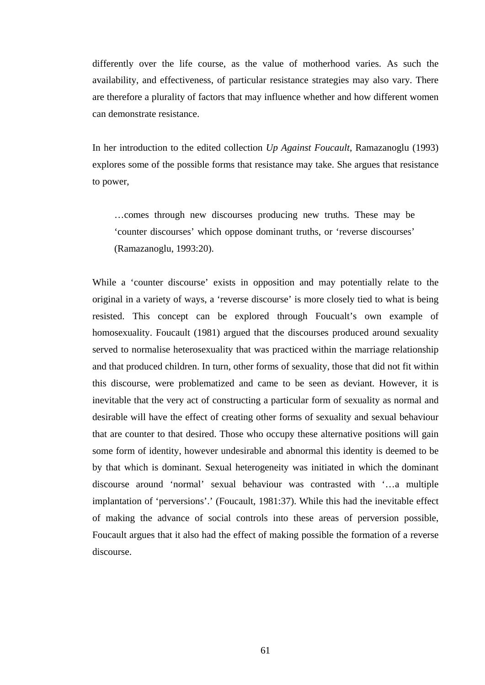differently over the life course, as the value of motherhood varies. As such the availability, and effectiveness, of particular resistance strategies may also vary. There are therefore a plurality of factors that may influence whether and how different women can demonstrate resistance.

In her introduction to the edited collection *Up Against Foucault*, Ramazanoglu (1993) explores some of the possible forms that resistance may take. She argues that resistance to power,

…comes through new discourses producing new truths. These may be 'counter discourses' which oppose dominant truths, or 'reverse discourses' (Ramazanoglu, 1993:20).

While a 'counter discourse' exists in opposition and may potentially relate to the original in a variety of ways, a 'reverse discourse' is more closely tied to what is being resisted. This concept can be explored through Foucualt's own example of homosexuality. Foucault (1981) argued that the discourses produced around sexuality served to normalise heterosexuality that was practiced within the marriage relationship and that produced children. In turn, other forms of sexuality, those that did not fit within this discourse, were problematized and came to be seen as deviant. However, it is inevitable that the very act of constructing a particular form of sexuality as normal and desirable will have the effect of creating other forms of sexuality and sexual behaviour that are counter to that desired. Those who occupy these alternative positions will gain some form of identity, however undesirable and abnormal this identity is deemed to be by that which is dominant. Sexual heterogeneity was initiated in which the dominant discourse around 'normal' sexual behaviour was contrasted with '…a multiple implantation of 'perversions'.' (Foucault, 1981:37). While this had the inevitable effect of making the advance of social controls into these areas of perversion possible, Foucault argues that it also had the effect of making possible the formation of a reverse discourse.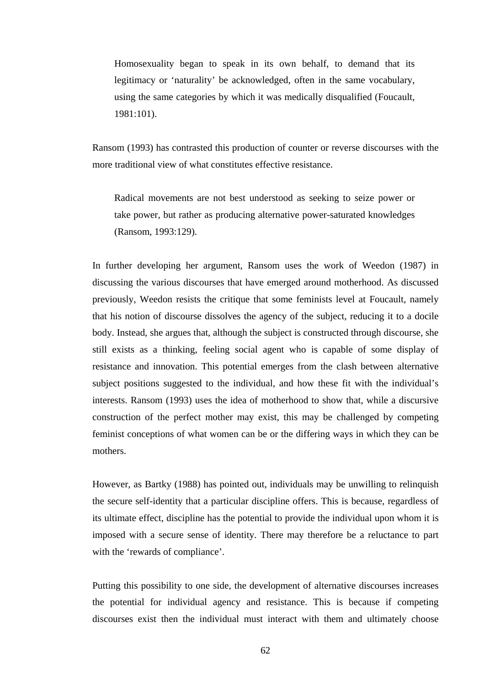Homosexuality began to speak in its own behalf, to demand that its legitimacy or 'naturality' be acknowledged, often in the same vocabulary, using the same categories by which it was medically disqualified (Foucault, 1981:101).

Ransom (1993) has contrasted this production of counter or reverse discourses with the more traditional view of what constitutes effective resistance.

Radical movements are not best understood as seeking to seize power or take power, but rather as producing alternative power-saturated knowledges (Ransom, 1993:129).

In further developing her argument, Ransom uses the work of Weedon (1987) in discussing the various discourses that have emerged around motherhood. As discussed previously, Weedon resists the critique that some feminists level at Foucault, namely that his notion of discourse dissolves the agency of the subject, reducing it to a docile body. Instead, she argues that, although the subject is constructed through discourse, she still exists as a thinking, feeling social agent who is capable of some display of resistance and innovation. This potential emerges from the clash between alternative subject positions suggested to the individual, and how these fit with the individual's interests. Ransom (1993) uses the idea of motherhood to show that, while a discursive construction of the perfect mother may exist, this may be challenged by competing feminist conceptions of what women can be or the differing ways in which they can be mothers.

However, as Bartky (1988) has pointed out, individuals may be unwilling to relinquish the secure self-identity that a particular discipline offers. This is because, regardless of its ultimate effect, discipline has the potential to provide the individual upon whom it is imposed with a secure sense of identity. There may therefore be a reluctance to part with the 'rewards of compliance'.

Putting this possibility to one side, the development of alternative discourses increases the potential for individual agency and resistance. This is because if competing discourses exist then the individual must interact with them and ultimately choose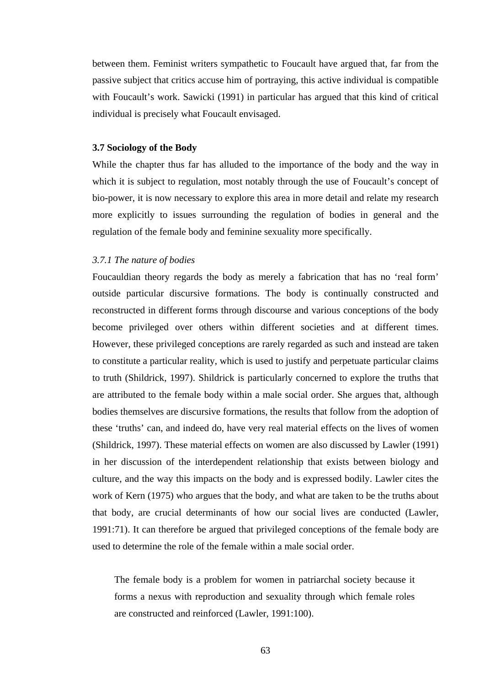between them. Feminist writers sympathetic to Foucault have argued that, far from the passive subject that critics accuse him of portraying, this active individual is compatible with Foucault's work. Sawicki (1991) in particular has argued that this kind of critical individual is precisely what Foucault envisaged.

## **3.7 Sociology of the Body**

While the chapter thus far has alluded to the importance of the body and the way in which it is subject to regulation, most notably through the use of Foucault's concept of bio-power, it is now necessary to explore this area in more detail and relate my research more explicitly to issues surrounding the regulation of bodies in general and the regulation of the female body and feminine sexuality more specifically.

## *3.7.1 The nature of bodies*

Foucauldian theory regards the body as merely a fabrication that has no 'real form' outside particular discursive formations. The body is continually constructed and reconstructed in different forms through discourse and various conceptions of the body become privileged over others within different societies and at different times. However, these privileged conceptions are rarely regarded as such and instead are taken to constitute a particular reality, which is used to justify and perpetuate particular claims to truth (Shildrick, 1997). Shildrick is particularly concerned to explore the truths that are attributed to the female body within a male social order. She argues that, although bodies themselves are discursive formations, the results that follow from the adoption of these 'truths' can, and indeed do, have very real material effects on the lives of women (Shildrick, 1997). These material effects on women are also discussed by Lawler (1991) in her discussion of the interdependent relationship that exists between biology and culture, and the way this impacts on the body and is expressed bodily. Lawler cites the work of Kern (1975) who argues that the body, and what are taken to be the truths about that body, are crucial determinants of how our social lives are conducted (Lawler, 1991:71). It can therefore be argued that privileged conceptions of the female body are used to determine the role of the female within a male social order.

The female body is a problem for women in patriarchal society because it forms a nexus with reproduction and sexuality through which female roles are constructed and reinforced (Lawler, 1991:100).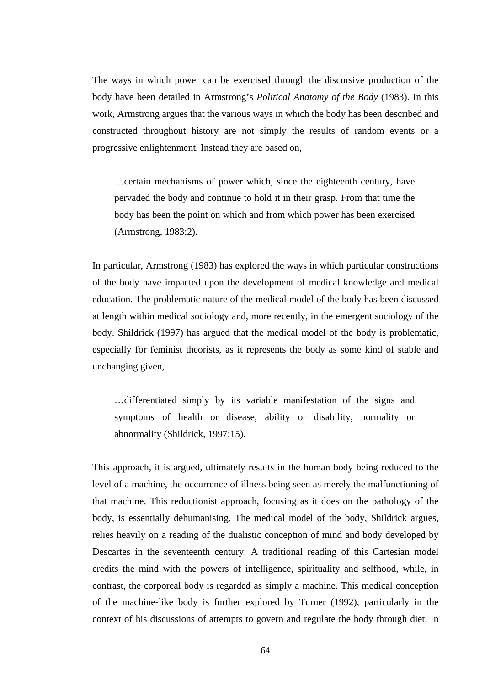The ways in which power can be exercised through the discursive production of the body have been detailed in Armstrong's *Political Anatomy of the Body* (1983). In this work, Armstrong argues that the various ways in which the body has been described and constructed throughout history are not simply the results of random events or a progressive enlightenment. Instead they are based on,

…certain mechanisms of power which, since the eighteenth century, have pervaded the body and continue to hold it in their grasp. From that time the body has been the point on which and from which power has been exercised (Armstrong, 1983:2).

In particular, Armstrong (1983) has explored the ways in which particular constructions of the body have impacted upon the development of medical knowledge and medical education. The problematic nature of the medical model of the body has been discussed at length within medical sociology and, more recently, in the emergent sociology of the body. Shildrick (1997) has argued that the medical model of the body is problematic, especially for feminist theorists, as it represents the body as some kind of stable and unchanging given,

…differentiated simply by its variable manifestation of the signs and symptoms of health or disease, ability or disability, normality or abnormality (Shildrick, 1997:15).

This approach, it is argued, ultimately results in the human body being reduced to the level of a machine, the occurrence of illness being seen as merely the malfunctioning of that machine. This reductionist approach, focusing as it does on the pathology of the body, is essentially dehumanising. The medical model of the body, Shildrick argues, relies heavily on a reading of the dualistic conception of mind and body developed by Descartes in the seventeenth century. A traditional reading of this Cartesian model credits the mind with the powers of intelligence, spirituality and selfhood, while, in contrast, the corporeal body is regarded as simply a machine. This medical conception of the machine-like body is further explored by Turner (1992), particularly in the context of his discussions of attempts to govern and regulate the body through diet. In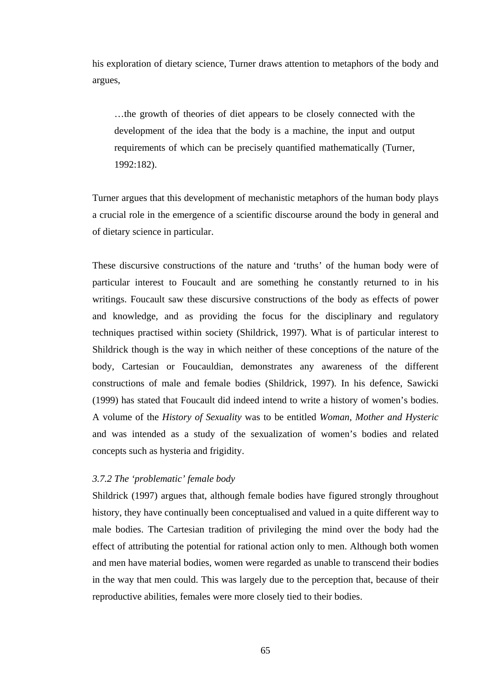his exploration of dietary science, Turner draws attention to metaphors of the body and argues,

…the growth of theories of diet appears to be closely connected with the development of the idea that the body is a machine, the input and output requirements of which can be precisely quantified mathematically (Turner, 1992:182).

Turner argues that this development of mechanistic metaphors of the human body plays a crucial role in the emergence of a scientific discourse around the body in general and of dietary science in particular.

These discursive constructions of the nature and 'truths' of the human body were of particular interest to Foucault and are something he constantly returned to in his writings. Foucault saw these discursive constructions of the body as effects of power and knowledge, and as providing the focus for the disciplinary and regulatory techniques practised within society (Shildrick, 1997). What is of particular interest to Shildrick though is the way in which neither of these conceptions of the nature of the body, Cartesian or Foucauldian, demonstrates any awareness of the different constructions of male and female bodies (Shildrick, 1997). In his defence, Sawicki (1999) has stated that Foucault did indeed intend to write a history of women's bodies. A volume of the *History of Sexuality* was to be entitled *Woman, Mother and Hysteric* and was intended as a study of the sexualization of women's bodies and related concepts such as hysteria and frigidity.

# *3.7.2 The 'problematic' female body*

Shildrick (1997) argues that, although female bodies have figured strongly throughout history, they have continually been conceptualised and valued in a quite different way to male bodies. The Cartesian tradition of privileging the mind over the body had the effect of attributing the potential for rational action only to men. Although both women and men have material bodies, women were regarded as unable to transcend their bodies in the way that men could. This was largely due to the perception that, because of their reproductive abilities, females were more closely tied to their bodies.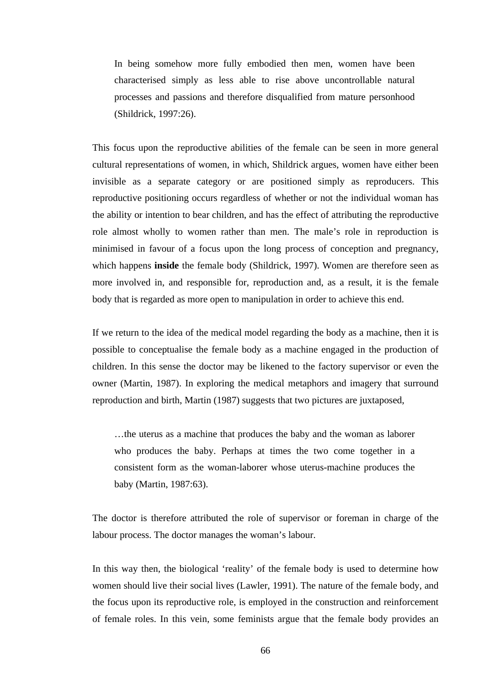In being somehow more fully embodied then men, women have been characterised simply as less able to rise above uncontrollable natural processes and passions and therefore disqualified from mature personhood (Shildrick, 1997:26).

This focus upon the reproductive abilities of the female can be seen in more general cultural representations of women, in which, Shildrick argues, women have either been invisible as a separate category or are positioned simply as reproducers. This reproductive positioning occurs regardless of whether or not the individual woman has the ability or intention to bear children, and has the effect of attributing the reproductive role almost wholly to women rather than men. The male's role in reproduction is minimised in favour of a focus upon the long process of conception and pregnancy, which happens **inside** the female body (Shildrick, 1997). Women are therefore seen as more involved in, and responsible for, reproduction and, as a result, it is the female body that is regarded as more open to manipulation in order to achieve this end.

If we return to the idea of the medical model regarding the body as a machine, then it is possible to conceptualise the female body as a machine engaged in the production of children. In this sense the doctor may be likened to the factory supervisor or even the owner (Martin, 1987). In exploring the medical metaphors and imagery that surround reproduction and birth, Martin (1987) suggests that two pictures are juxtaposed,

…the uterus as a machine that produces the baby and the woman as laborer who produces the baby. Perhaps at times the two come together in a consistent form as the woman-laborer whose uterus-machine produces the baby (Martin, 1987:63).

The doctor is therefore attributed the role of supervisor or foreman in charge of the labour process. The doctor manages the woman's labour.

In this way then, the biological 'reality' of the female body is used to determine how women should live their social lives (Lawler, 1991). The nature of the female body, and the focus upon its reproductive role, is employed in the construction and reinforcement of female roles. In this vein, some feminists argue that the female body provides an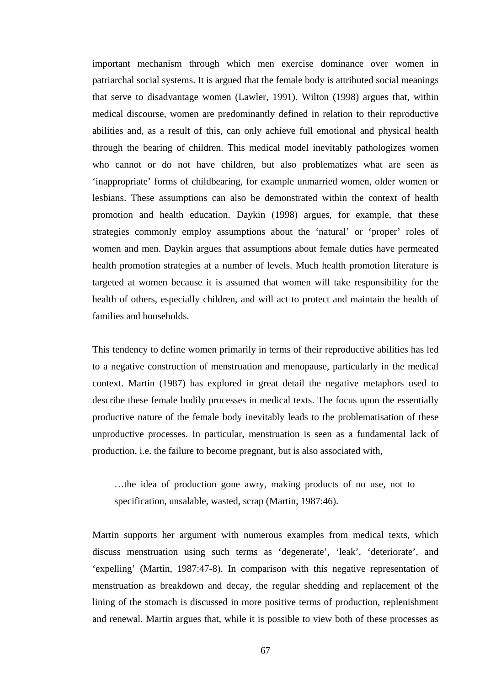important mechanism through which men exercise dominance over women in patriarchal social systems. It is argued that the female body is attributed social meanings that serve to disadvantage women (Lawler, 1991). Wilton (1998) argues that, within medical discourse, women are predominantly defined in relation to their reproductive abilities and, as a result of this, can only achieve full emotional and physical health through the bearing of children. This medical model inevitably pathologizes women who cannot or do not have children, but also problematizes what are seen as 'inappropriate' forms of childbearing, for example unmarried women, older women or lesbians. These assumptions can also be demonstrated within the context of health promotion and health education. Daykin (1998) argues, for example, that these strategies commonly employ assumptions about the 'natural' or 'proper' roles of women and men. Daykin argues that assumptions about female duties have permeated health promotion strategies at a number of levels. Much health promotion literature is targeted at women because it is assumed that women will take responsibility for the health of others, especially children, and will act to protect and maintain the health of families and households.

This tendency to define women primarily in terms of their reproductive abilities has led to a negative construction of menstruation and menopause, particularly in the medical context. Martin (1987) has explored in great detail the negative metaphors used to describe these female bodily processes in medical texts. The focus upon the essentially productive nature of the female body inevitably leads to the problematisation of these unproductive processes. In particular, menstruation is seen as a fundamental lack of production, i.e. the failure to become pregnant, but is also associated with,

…the idea of production gone awry, making products of no use, not to specification, unsalable, wasted, scrap (Martin, 1987:46).

Martin supports her argument with numerous examples from medical texts, which discuss menstruation using such terms as 'degenerate', 'leak', 'deteriorate', and 'expelling' (Martin, 1987:47-8). In comparison with this negative representation of menstruation as breakdown and decay, the regular shedding and replacement of the lining of the stomach is discussed in more positive terms of production, replenishment and renewal. Martin argues that, while it is possible to view both of these processes as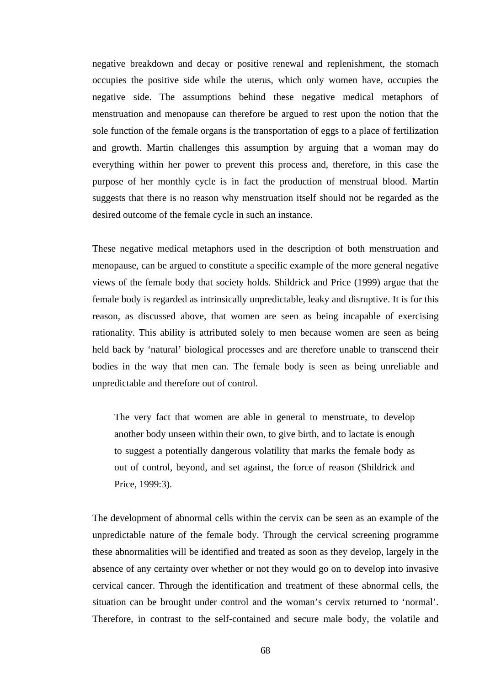negative breakdown and decay or positive renewal and replenishment, the stomach occupies the positive side while the uterus, which only women have, occupies the negative side. The assumptions behind these negative medical metaphors of menstruation and menopause can therefore be argued to rest upon the notion that the sole function of the female organs is the transportation of eggs to a place of fertilization and growth. Martin challenges this assumption by arguing that a woman may do everything within her power to prevent this process and, therefore, in this case the purpose of her monthly cycle is in fact the production of menstrual blood. Martin suggests that there is no reason why menstruation itself should not be regarded as the desired outcome of the female cycle in such an instance.

These negative medical metaphors used in the description of both menstruation and menopause, can be argued to constitute a specific example of the more general negative views of the female body that society holds. Shildrick and Price (1999) argue that the female body is regarded as intrinsically unpredictable, leaky and disruptive. It is for this reason, as discussed above, that women are seen as being incapable of exercising rationality. This ability is attributed solely to men because women are seen as being held back by 'natural' biological processes and are therefore unable to transcend their bodies in the way that men can. The female body is seen as being unreliable and unpredictable and therefore out of control.

The very fact that women are able in general to menstruate, to develop another body unseen within their own, to give birth, and to lactate is enough to suggest a potentially dangerous volatility that marks the female body as out of control, beyond, and set against, the force of reason (Shildrick and Price, 1999:3).

The development of abnormal cells within the cervix can be seen as an example of the unpredictable nature of the female body. Through the cervical screening programme these abnormalities will be identified and treated as soon as they develop, largely in the absence of any certainty over whether or not they would go on to develop into invasive cervical cancer. Through the identification and treatment of these abnormal cells, the situation can be brought under control and the woman's cervix returned to 'normal'. Therefore, in contrast to the self-contained and secure male body, the volatile and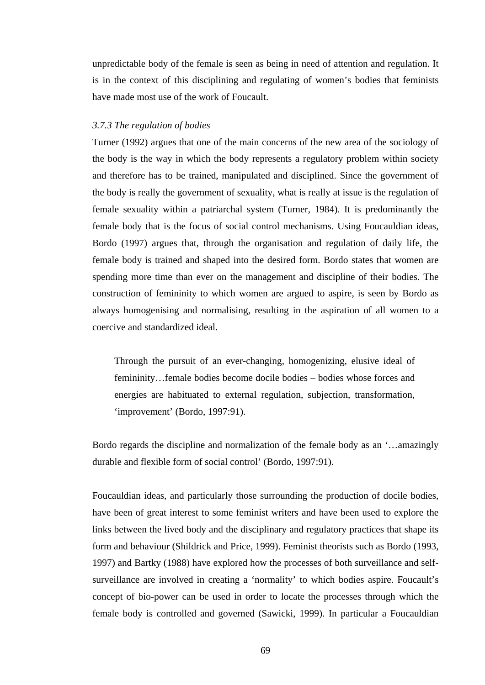unpredictable body of the female is seen as being in need of attention and regulation. It is in the context of this disciplining and regulating of women's bodies that feminists have made most use of the work of Foucault.

#### *3.7.3 The regulation of bodies*

Turner (1992) argues that one of the main concerns of the new area of the sociology of the body is the way in which the body represents a regulatory problem within society and therefore has to be trained, manipulated and disciplined. Since the government of the body is really the government of sexuality, what is really at issue is the regulation of female sexuality within a patriarchal system (Turner, 1984). It is predominantly the female body that is the focus of social control mechanisms. Using Foucauldian ideas, Bordo (1997) argues that, through the organisation and regulation of daily life, the female body is trained and shaped into the desired form. Bordo states that women are spending more time than ever on the management and discipline of their bodies. The construction of femininity to which women are argued to aspire, is seen by Bordo as always homogenising and normalising, resulting in the aspiration of all women to a coercive and standardized ideal.

Through the pursuit of an ever-changing, homogenizing, elusive ideal of femininity…female bodies become docile bodies – bodies whose forces and energies are habituated to external regulation, subjection, transformation, 'improvement' (Bordo, 1997:91).

Bordo regards the discipline and normalization of the female body as an '…amazingly durable and flexible form of social control' (Bordo, 1997:91).

Foucauldian ideas, and particularly those surrounding the production of docile bodies, have been of great interest to some feminist writers and have been used to explore the links between the lived body and the disciplinary and regulatory practices that shape its form and behaviour (Shildrick and Price, 1999). Feminist theorists such as Bordo (1993, 1997) and Bartky (1988) have explored how the processes of both surveillance and selfsurveillance are involved in creating a 'normality' to which bodies aspire. Foucault's concept of bio-power can be used in order to locate the processes through which the female body is controlled and governed (Sawicki, 1999). In particular a Foucauldian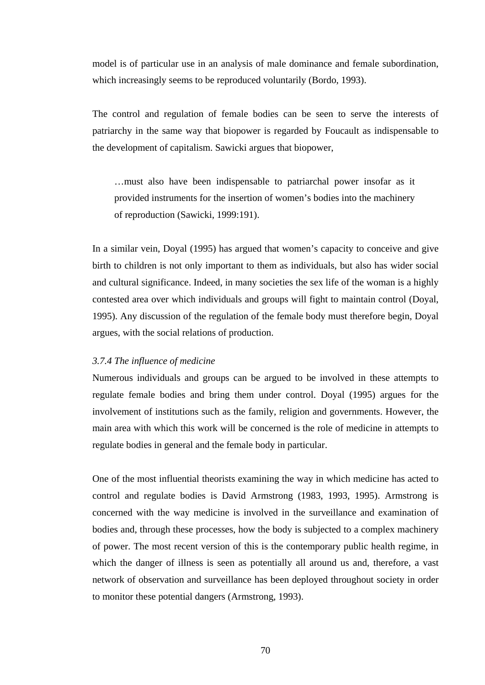model is of particular use in an analysis of male dominance and female subordination, which increasingly seems to be reproduced voluntarily (Bordo, 1993).

The control and regulation of female bodies can be seen to serve the interests of patriarchy in the same way that biopower is regarded by Foucault as indispensable to the development of capitalism. Sawicki argues that biopower,

…must also have been indispensable to patriarchal power insofar as it provided instruments for the insertion of women's bodies into the machinery of reproduction (Sawicki, 1999:191).

In a similar vein, Doyal (1995) has argued that women's capacity to conceive and give birth to children is not only important to them as individuals, but also has wider social and cultural significance. Indeed, in many societies the sex life of the woman is a highly contested area over which individuals and groups will fight to maintain control (Doyal, 1995). Any discussion of the regulation of the female body must therefore begin, Doyal argues, with the social relations of production.

## *3.7.4 The influence of medicine*

Numerous individuals and groups can be argued to be involved in these attempts to regulate female bodies and bring them under control. Doyal (1995) argues for the involvement of institutions such as the family, religion and governments. However, the main area with which this work will be concerned is the role of medicine in attempts to regulate bodies in general and the female body in particular.

One of the most influential theorists examining the way in which medicine has acted to control and regulate bodies is David Armstrong (1983, 1993, 1995). Armstrong is concerned with the way medicine is involved in the surveillance and examination of bodies and, through these processes, how the body is subjected to a complex machinery of power. The most recent version of this is the contemporary public health regime, in which the danger of illness is seen as potentially all around us and, therefore, a vast network of observation and surveillance has been deployed throughout society in order to monitor these potential dangers (Armstrong, 1993).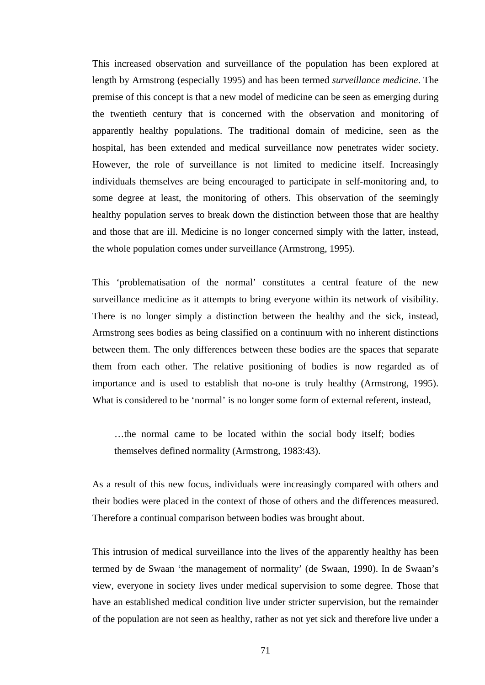This increased observation and surveillance of the population has been explored at length by Armstrong (especially 1995) and has been termed *surveillance medicine*. The premise of this concept is that a new model of medicine can be seen as emerging during the twentieth century that is concerned with the observation and monitoring of apparently healthy populations. The traditional domain of medicine, seen as the hospital, has been extended and medical surveillance now penetrates wider society. However, the role of surveillance is not limited to medicine itself. Increasingly individuals themselves are being encouraged to participate in self-monitoring and, to some degree at least, the monitoring of others. This observation of the seemingly healthy population serves to break down the distinction between those that are healthy and those that are ill. Medicine is no longer concerned simply with the latter, instead, the whole population comes under surveillance (Armstrong, 1995).

This 'problematisation of the normal' constitutes a central feature of the new surveillance medicine as it attempts to bring everyone within its network of visibility. There is no longer simply a distinction between the healthy and the sick, instead, Armstrong sees bodies as being classified on a continuum with no inherent distinctions between them. The only differences between these bodies are the spaces that separate them from each other. The relative positioning of bodies is now regarded as of importance and is used to establish that no-one is truly healthy (Armstrong, 1995). What is considered to be 'normal' is no longer some form of external referent, instead,

…the normal came to be located within the social body itself; bodies themselves defined normality (Armstrong, 1983:43).

As a result of this new focus, individuals were increasingly compared with others and their bodies were placed in the context of those of others and the differences measured. Therefore a continual comparison between bodies was brought about.

This intrusion of medical surveillance into the lives of the apparently healthy has been termed by de Swaan 'the management of normality' (de Swaan, 1990). In de Swaan's view, everyone in society lives under medical supervision to some degree. Those that have an established medical condition live under stricter supervision, but the remainder of the population are not seen as healthy, rather as not yet sick and therefore live under a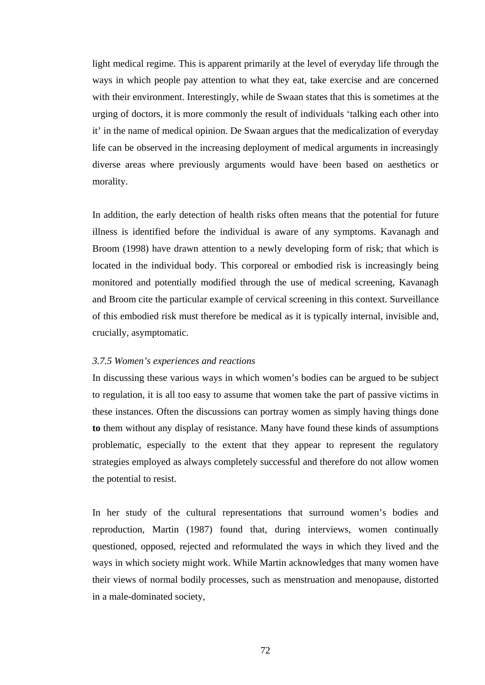light medical regime. This is apparent primarily at the level of everyday life through the ways in which people pay attention to what they eat, take exercise and are concerned with their environment. Interestingly, while de Swaan states that this is sometimes at the urging of doctors, it is more commonly the result of individuals 'talking each other into it' in the name of medical opinion. De Swaan argues that the medicalization of everyday life can be observed in the increasing deployment of medical arguments in increasingly diverse areas where previously arguments would have been based on aesthetics or morality.

In addition, the early detection of health risks often means that the potential for future illness is identified before the individual is aware of any symptoms. Kavanagh and Broom (1998) have drawn attention to a newly developing form of risk; that which is located in the individual body. This corporeal or embodied risk is increasingly being monitored and potentially modified through the use of medical screening, Kavanagh and Broom cite the particular example of cervical screening in this context. Surveillance of this embodied risk must therefore be medical as it is typically internal, invisible and, crucially, asymptomatic.

# *3.7.5 Women's experiences and reactions*

In discussing these various ways in which women's bodies can be argued to be subject to regulation, it is all too easy to assume that women take the part of passive victims in these instances. Often the discussions can portray women as simply having things done **to** them without any display of resistance. Many have found these kinds of assumptions problematic, especially to the extent that they appear to represent the regulatory strategies employed as always completely successful and therefore do not allow women the potential to resist.

In her study of the cultural representations that surround women's bodies and reproduction, Martin (1987) found that, during interviews, women continually questioned, opposed, rejected and reformulated the ways in which they lived and the ways in which society might work. While Martin acknowledges that many women have their views of normal bodily processes, such as menstruation and menopause, distorted in a male-dominated society,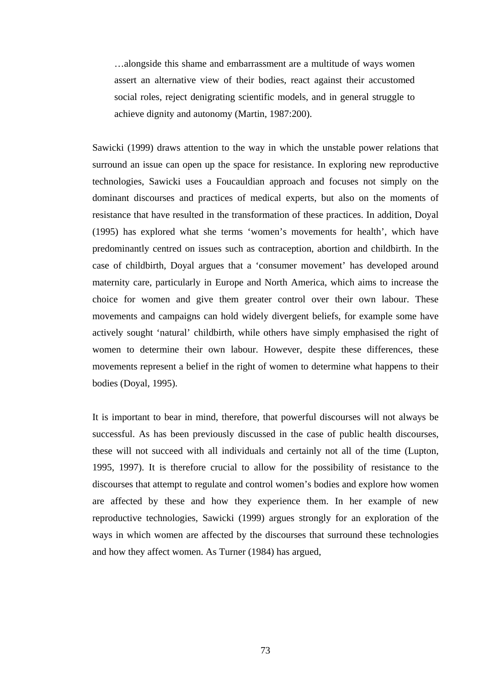…alongside this shame and embarrassment are a multitude of ways women assert an alternative view of their bodies, react against their accustomed social roles, reject denigrating scientific models, and in general struggle to achieve dignity and autonomy (Martin, 1987:200).

Sawicki (1999) draws attention to the way in which the unstable power relations that surround an issue can open up the space for resistance. In exploring new reproductive technologies, Sawicki uses a Foucauldian approach and focuses not simply on the dominant discourses and practices of medical experts, but also on the moments of resistance that have resulted in the transformation of these practices. In addition, Doyal (1995) has explored what she terms 'women's movements for health', which have predominantly centred on issues such as contraception, abortion and childbirth. In the case of childbirth, Doyal argues that a 'consumer movement' has developed around maternity care, particularly in Europe and North America, which aims to increase the choice for women and give them greater control over their own labour. These movements and campaigns can hold widely divergent beliefs, for example some have actively sought 'natural' childbirth, while others have simply emphasised the right of women to determine their own labour. However, despite these differences, these movements represent a belief in the right of women to determine what happens to their bodies (Doyal, 1995).

It is important to bear in mind, therefore, that powerful discourses will not always be successful. As has been previously discussed in the case of public health discourses, these will not succeed with all individuals and certainly not all of the time (Lupton, 1995, 1997). It is therefore crucial to allow for the possibility of resistance to the discourses that attempt to regulate and control women's bodies and explore how women are affected by these and how they experience them. In her example of new reproductive technologies, Sawicki (1999) argues strongly for an exploration of the ways in which women are affected by the discourses that surround these technologies and how they affect women. As Turner (1984) has argued,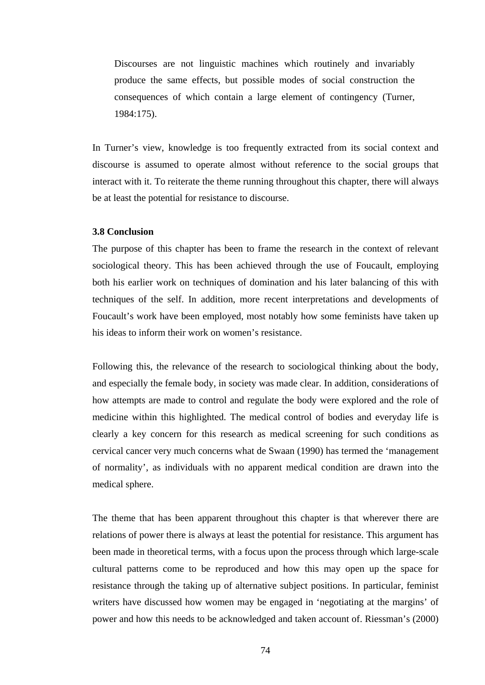Discourses are not linguistic machines which routinely and invariably produce the same effects, but possible modes of social construction the consequences of which contain a large element of contingency (Turner, 1984:175).

In Turner's view, knowledge is too frequently extracted from its social context and discourse is assumed to operate almost without reference to the social groups that interact with it. To reiterate the theme running throughout this chapter, there will always be at least the potential for resistance to discourse.

# **3.8 Conclusion**

The purpose of this chapter has been to frame the research in the context of relevant sociological theory. This has been achieved through the use of Foucault, employing both his earlier work on techniques of domination and his later balancing of this with techniques of the self. In addition, more recent interpretations and developments of Foucault's work have been employed, most notably how some feminists have taken up his ideas to inform their work on women's resistance.

Following this, the relevance of the research to sociological thinking about the body, and especially the female body, in society was made clear. In addition, considerations of how attempts are made to control and regulate the body were explored and the role of medicine within this highlighted. The medical control of bodies and everyday life is clearly a key concern for this research as medical screening for such conditions as cervical cancer very much concerns what de Swaan (1990) has termed the 'management of normality', as individuals with no apparent medical condition are drawn into the medical sphere.

The theme that has been apparent throughout this chapter is that wherever there are relations of power there is always at least the potential for resistance. This argument has been made in theoretical terms, with a focus upon the process through which large-scale cultural patterns come to be reproduced and how this may open up the space for resistance through the taking up of alternative subject positions. In particular, feminist writers have discussed how women may be engaged in 'negotiating at the margins' of power and how this needs to be acknowledged and taken account of. Riessman's (2000)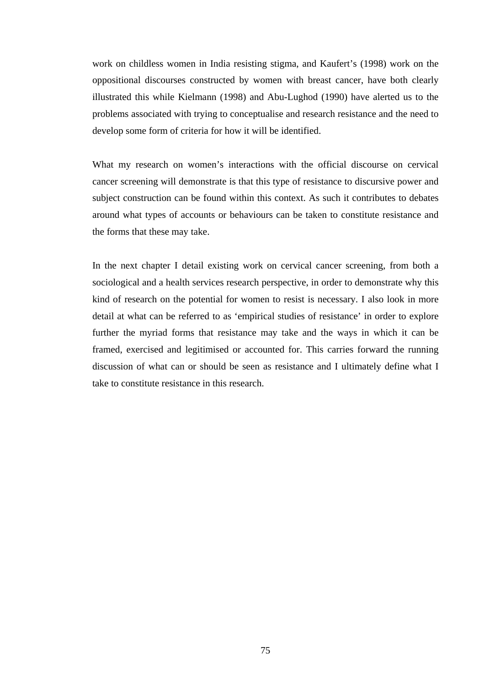work on childless women in India resisting stigma, and Kaufert's (1998) work on the oppositional discourses constructed by women with breast cancer, have both clearly illustrated this while Kielmann (1998) and Abu-Lughod (1990) have alerted us to the problems associated with trying to conceptualise and research resistance and the need to develop some form of criteria for how it will be identified.

What my research on women's interactions with the official discourse on cervical cancer screening will demonstrate is that this type of resistance to discursive power and subject construction can be found within this context. As such it contributes to debates around what types of accounts or behaviours can be taken to constitute resistance and the forms that these may take.

In the next chapter I detail existing work on cervical cancer screening, from both a sociological and a health services research perspective, in order to demonstrate why this kind of research on the potential for women to resist is necessary. I also look in more detail at what can be referred to as 'empirical studies of resistance' in order to explore further the myriad forms that resistance may take and the ways in which it can be framed, exercised and legitimised or accounted for. This carries forward the running discussion of what can or should be seen as resistance and I ultimately define what I take to constitute resistance in this research.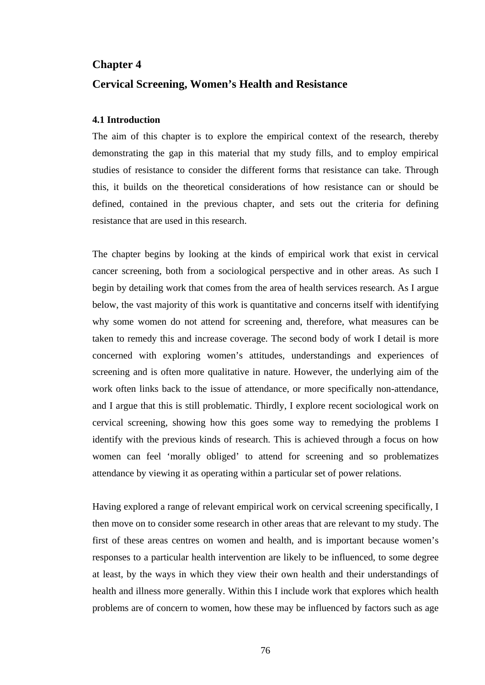# **Chapter 4 Cervical Screening, Women's Health and Resistance**

# **4.1 Introduction**

The aim of this chapter is to explore the empirical context of the research, thereby demonstrating the gap in this material that my study fills, and to employ empirical studies of resistance to consider the different forms that resistance can take. Through this, it builds on the theoretical considerations of how resistance can or should be defined, contained in the previous chapter, and sets out the criteria for defining resistance that are used in this research.

The chapter begins by looking at the kinds of empirical work that exist in cervical cancer screening, both from a sociological perspective and in other areas. As such I begin by detailing work that comes from the area of health services research. As I argue below, the vast majority of this work is quantitative and concerns itself with identifying why some women do not attend for screening and, therefore, what measures can be taken to remedy this and increase coverage. The second body of work I detail is more concerned with exploring women's attitudes, understandings and experiences of screening and is often more qualitative in nature. However, the underlying aim of the work often links back to the issue of attendance, or more specifically non-attendance, and I argue that this is still problematic. Thirdly, I explore recent sociological work on cervical screening, showing how this goes some way to remedying the problems I identify with the previous kinds of research. This is achieved through a focus on how women can feel 'morally obliged' to attend for screening and so problematizes attendance by viewing it as operating within a particular set of power relations.

Having explored a range of relevant empirical work on cervical screening specifically, I then move on to consider some research in other areas that are relevant to my study. The first of these areas centres on women and health, and is important because women's responses to a particular health intervention are likely to be influenced, to some degree at least, by the ways in which they view their own health and their understandings of health and illness more generally. Within this I include work that explores which health problems are of concern to women, how these may be influenced by factors such as age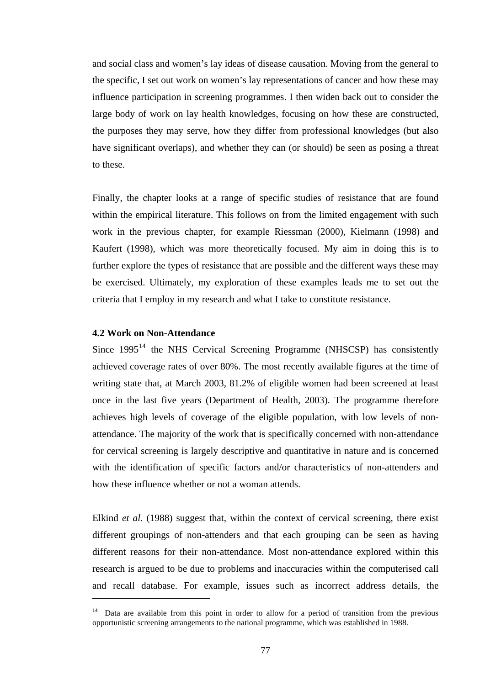and social class and women's lay ideas of disease causation. Moving from the general to the specific, I set out work on women's lay representations of cancer and how these may influence participation in screening programmes. I then widen back out to consider the large body of work on lay health knowledges, focusing on how these are constructed, the purposes they may serve, how they differ from professional knowledges (but also have significant overlaps), and whether they can (or should) be seen as posing a threat to these.

Finally, the chapter looks at a range of specific studies of resistance that are found within the empirical literature. This follows on from the limited engagement with such work in the previous chapter, for example Riessman (2000), Kielmann (1998) and Kaufert (1998), which was more theoretically focused. My aim in doing this is to further explore the types of resistance that are possible and the different ways these may be exercised. Ultimately, my exploration of these examples leads me to set out the criteria that I employ in my research and what I take to constitute resistance.

# **4.2 Work on Non-Attendance**

 $\overline{a}$ 

Since  $1995<sup>14</sup>$  $1995<sup>14</sup>$  $1995<sup>14</sup>$  the NHS Cervical Screening Programme (NHSCSP) has consistently achieved coverage rates of over 80%. The most recently available figures at the time of writing state that, at March 2003, 81.2% of eligible women had been screened at least once in the last five years (Department of Health, 2003). The programme therefore achieves high levels of coverage of the eligible population, with low levels of nonattendance. The majority of the work that is specifically concerned with non-attendance for cervical screening is largely descriptive and quantitative in nature and is concerned with the identification of specific factors and/or characteristics of non-attenders and how these influence whether or not a woman attends.

Elkind *et al.* (1988) suggest that, within the context of cervical screening, there exist different groupings of non-attenders and that each grouping can be seen as having different reasons for their non-attendance. Most non-attendance explored within this research is argued to be due to problems and inaccuracies within the computerised call and recall database. For example, issues such as incorrect address details, the

<span id="page-77-0"></span>Data are available from this point in order to allow for a period of transition from the previous opportunistic screening arrangements to the national programme, which was established in 1988.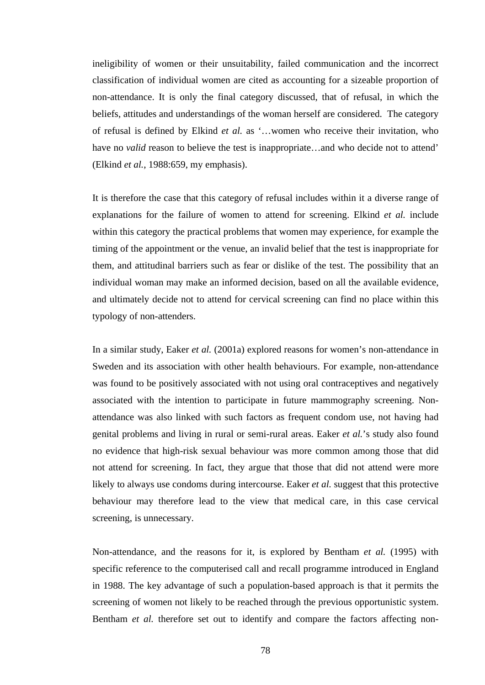ineligibility of women or their unsuitability, failed communication and the incorrect classification of individual women are cited as accounting for a sizeable proportion of non-attendance. It is only the final category discussed, that of refusal, in which the beliefs, attitudes and understandings of the woman herself are considered. The category of refusal is defined by Elkind *et al.* as '…women who receive their invitation, who have no *valid* reason to believe the test is inappropriate...and who decide not to attend' (Elkind *et al.*, 1988:659, my emphasis).

It is therefore the case that this category of refusal includes within it a diverse range of explanations for the failure of women to attend for screening. Elkind *et al.* include within this category the practical problems that women may experience, for example the timing of the appointment or the venue, an invalid belief that the test is inappropriate for them, and attitudinal barriers such as fear or dislike of the test. The possibility that an individual woman may make an informed decision, based on all the available evidence, and ultimately decide not to attend for cervical screening can find no place within this typology of non-attenders.

In a similar study, Eaker *et al.* (2001a) explored reasons for women's non-attendance in Sweden and its association with other health behaviours. For example, non-attendance was found to be positively associated with not using oral contraceptives and negatively associated with the intention to participate in future mammography screening. Nonattendance was also linked with such factors as frequent condom use, not having had genital problems and living in rural or semi-rural areas. Eaker *et al.*'s study also found no evidence that high-risk sexual behaviour was more common among those that did not attend for screening. In fact, they argue that those that did not attend were more likely to always use condoms during intercourse. Eaker *et al.* suggest that this protective behaviour may therefore lead to the view that medical care, in this case cervical screening, is unnecessary.

Non-attendance, and the reasons for it, is explored by Bentham *et al.* (1995) with specific reference to the computerised call and recall programme introduced in England in 1988. The key advantage of such a population-based approach is that it permits the screening of women not likely to be reached through the previous opportunistic system. Bentham *et al.* therefore set out to identify and compare the factors affecting non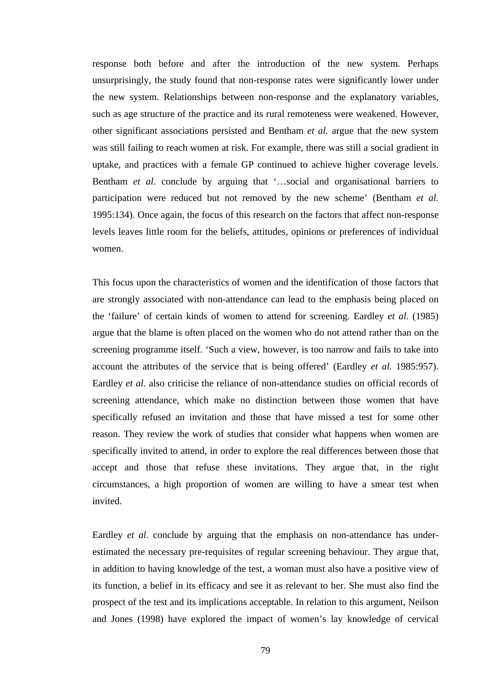response both before and after the introduction of the new system. Perhaps unsurprisingly, the study found that non-response rates were significantly lower under the new system. Relationships between non-response and the explanatory variables, such as age structure of the practice and its rural remoteness were weakened. However, other significant associations persisted and Bentham *et al.* argue that the new system was still failing to reach women at risk. For example, there was still a social gradient in uptake, and practices with a female GP continued to achieve higher coverage levels. Bentham *et al.* conclude by arguing that '...social and organisational barriers to participation were reduced but not removed by the new scheme' (Bentham *et al.* 1995:134). Once again, the focus of this research on the factors that affect non-response levels leaves little room for the beliefs, attitudes, opinions or preferences of individual women.

This focus upon the characteristics of women and the identification of those factors that are strongly associated with non-attendance can lead to the emphasis being placed on the 'failure' of certain kinds of women to attend for screening. Eardley *et al.* (1985) argue that the blame is often placed on the women who do not attend rather than on the screening programme itself. 'Such a view, however, is too narrow and fails to take into account the attributes of the service that is being offered' (Eardley *et al.* 1985:957). Eardley *et al.* also criticise the reliance of non-attendance studies on official records of screening attendance, which make no distinction between those women that have specifically refused an invitation and those that have missed a test for some other reason. They review the work of studies that consider what happens when women are specifically invited to attend, in order to explore the real differences between those that accept and those that refuse these invitations. They argue that, in the right circumstances, a high proportion of women are willing to have a smear test when invited.

Eardley *et al.* conclude by arguing that the emphasis on non-attendance has underestimated the necessary pre-requisites of regular screening behaviour. They argue that, in addition to having knowledge of the test, a woman must also have a positive view of its function, a belief in its efficacy and see it as relevant to her. She must also find the prospect of the test and its implications acceptable. In relation to this argument, Neilson and Jones (1998) have explored the impact of women's lay knowledge of cervical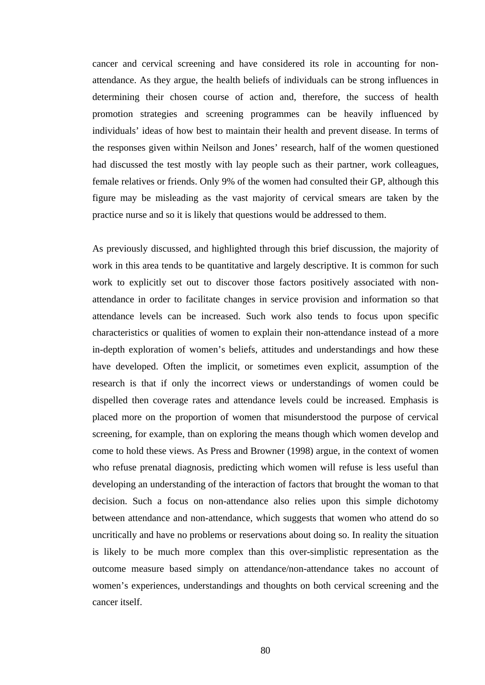cancer and cervical screening and have considered its role in accounting for nonattendance. As they argue, the health beliefs of individuals can be strong influences in determining their chosen course of action and, therefore, the success of health promotion strategies and screening programmes can be heavily influenced by individuals' ideas of how best to maintain their health and prevent disease. In terms of the responses given within Neilson and Jones' research, half of the women questioned had discussed the test mostly with lay people such as their partner, work colleagues, female relatives or friends. Only 9% of the women had consulted their GP, although this figure may be misleading as the vast majority of cervical smears are taken by the practice nurse and so it is likely that questions would be addressed to them.

As previously discussed, and highlighted through this brief discussion, the majority of work in this area tends to be quantitative and largely descriptive. It is common for such work to explicitly set out to discover those factors positively associated with nonattendance in order to facilitate changes in service provision and information so that attendance levels can be increased. Such work also tends to focus upon specific characteristics or qualities of women to explain their non-attendance instead of a more in-depth exploration of women's beliefs, attitudes and understandings and how these have developed. Often the implicit, or sometimes even explicit, assumption of the research is that if only the incorrect views or understandings of women could be dispelled then coverage rates and attendance levels could be increased. Emphasis is placed more on the proportion of women that misunderstood the purpose of cervical screening, for example, than on exploring the means though which women develop and come to hold these views. As Press and Browner (1998) argue, in the context of women who refuse prenatal diagnosis, predicting which women will refuse is less useful than developing an understanding of the interaction of factors that brought the woman to that decision. Such a focus on non-attendance also relies upon this simple dichotomy between attendance and non-attendance, which suggests that women who attend do so uncritically and have no problems or reservations about doing so. In reality the situation is likely to be much more complex than this over-simplistic representation as the outcome measure based simply on attendance/non-attendance takes no account of women's experiences, understandings and thoughts on both cervical screening and the cancer itself.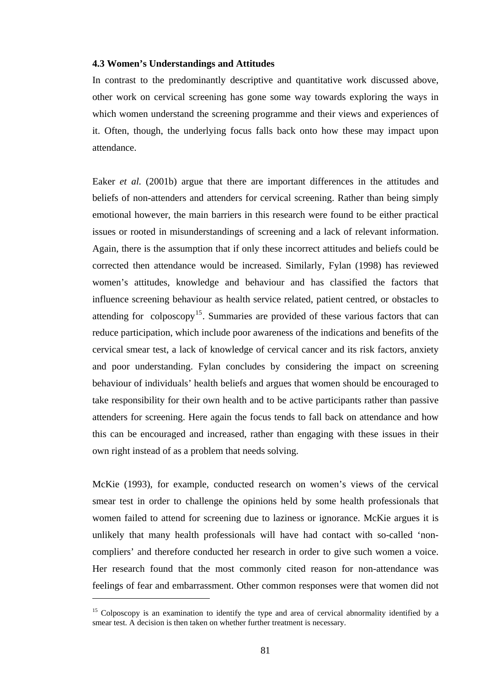# **4.3 Women's Understandings and Attitudes**

In contrast to the predominantly descriptive and quantitative work discussed above, other work on cervical screening has gone some way towards exploring the ways in which women understand the screening programme and their views and experiences of it. Often, though, the underlying focus falls back onto how these may impact upon attendance.

Eaker *et al.* (2001b) argue that there are important differences in the attitudes and beliefs of non-attenders and attenders for cervical screening. Rather than being simply emotional however, the main barriers in this research were found to be either practical issues or rooted in misunderstandings of screening and a lack of relevant information. Again, there is the assumption that if only these incorrect attitudes and beliefs could be corrected then attendance would be increased. Similarly, Fylan (1998) has reviewed women's attitudes, knowledge and behaviour and has classified the factors that influence screening behaviour as health service related, patient centred, or obstacles to attending for colposcopy<sup>[15](#page-81-0)</sup>. Summaries are provided of these various factors that can reduce participation, which include poor awareness of the indications and benefits of the cervical smear test, a lack of knowledge of cervical cancer and its risk factors, anxiety and poor understanding. Fylan concludes by considering the impact on screening behaviour of individuals' health beliefs and argues that women should be encouraged to take responsibility for their own health and to be active participants rather than passive attenders for screening. Here again the focus tends to fall back on attendance and how this can be encouraged and increased, rather than engaging with these issues in their own right instead of as a problem that needs solving.

McKie (1993), for example, conducted research on women's views of the cervical smear test in order to challenge the opinions held by some health professionals that women failed to attend for screening due to laziness or ignorance. McKie argues it is unlikely that many health professionals will have had contact with so-called 'noncompliers' and therefore conducted her research in order to give such women a voice. Her research found that the most commonly cited reason for non-attendance was feelings of fear and embarrassment. Other common responses were that women did not

 $\overline{a}$ 

<span id="page-81-0"></span><sup>&</sup>lt;sup>15</sup> Colposcopy is an examination to identify the type and area of cervical abnormality identified by a smear test. A decision is then taken on whether further treatment is necessary.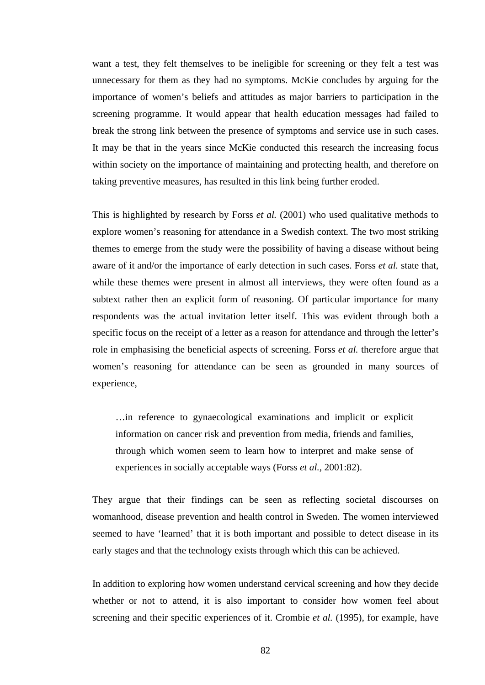want a test, they felt themselves to be ineligible for screening or they felt a test was unnecessary for them as they had no symptoms. McKie concludes by arguing for the importance of women's beliefs and attitudes as major barriers to participation in the screening programme. It would appear that health education messages had failed to break the strong link between the presence of symptoms and service use in such cases. It may be that in the years since McKie conducted this research the increasing focus within society on the importance of maintaining and protecting health, and therefore on taking preventive measures, has resulted in this link being further eroded.

This is highlighted by research by Forss *et al.* (2001) who used qualitative methods to explore women's reasoning for attendance in a Swedish context. The two most striking themes to emerge from the study were the possibility of having a disease without being aware of it and/or the importance of early detection in such cases. Forss *et al.* state that, while these themes were present in almost all interviews, they were often found as a subtext rather then an explicit form of reasoning. Of particular importance for many respondents was the actual invitation letter itself. This was evident through both a specific focus on the receipt of a letter as a reason for attendance and through the letter's role in emphasising the beneficial aspects of screening. Forss *et al.* therefore argue that women's reasoning for attendance can be seen as grounded in many sources of experience,

…in reference to gynaecological examinations and implicit or explicit information on cancer risk and prevention from media, friends and families, through which women seem to learn how to interpret and make sense of experiences in socially acceptable ways (Forss *et al.*, 2001:82).

They argue that their findings can be seen as reflecting societal discourses on womanhood, disease prevention and health control in Sweden. The women interviewed seemed to have 'learned' that it is both important and possible to detect disease in its early stages and that the technology exists through which this can be achieved.

In addition to exploring how women understand cervical screening and how they decide whether or not to attend, it is also important to consider how women feel about screening and their specific experiences of it. Crombie *et al.* (1995), for example, have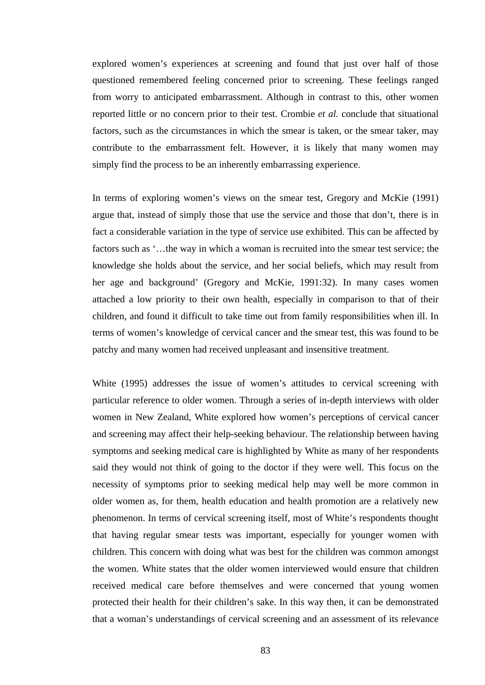explored women's experiences at screening and found that just over half of those questioned remembered feeling concerned prior to screening. These feelings ranged from worry to anticipated embarrassment. Although in contrast to this, other women reported little or no concern prior to their test. Crombie *et al.* conclude that situational factors, such as the circumstances in which the smear is taken, or the smear taker, may contribute to the embarrassment felt. However, it is likely that many women may simply find the process to be an inherently embarrassing experience.

In terms of exploring women's views on the smear test, Gregory and McKie (1991) argue that, instead of simply those that use the service and those that don't, there is in fact a considerable variation in the type of service use exhibited. This can be affected by factors such as '…the way in which a woman is recruited into the smear test service; the knowledge she holds about the service, and her social beliefs, which may result from her age and background' (Gregory and McKie, 1991:32). In many cases women attached a low priority to their own health, especially in comparison to that of their children, and found it difficult to take time out from family responsibilities when ill. In terms of women's knowledge of cervical cancer and the smear test, this was found to be patchy and many women had received unpleasant and insensitive treatment.

White (1995) addresses the issue of women's attitudes to cervical screening with particular reference to older women. Through a series of in-depth interviews with older women in New Zealand, White explored how women's perceptions of cervical cancer and screening may affect their help-seeking behaviour. The relationship between having symptoms and seeking medical care is highlighted by White as many of her respondents said they would not think of going to the doctor if they were well. This focus on the necessity of symptoms prior to seeking medical help may well be more common in older women as, for them, health education and health promotion are a relatively new phenomenon. In terms of cervical screening itself, most of White's respondents thought that having regular smear tests was important, especially for younger women with children. This concern with doing what was best for the children was common amongst the women. White states that the older women interviewed would ensure that children received medical care before themselves and were concerned that young women protected their health for their children's sake. In this way then, it can be demonstrated that a woman's understandings of cervical screening and an assessment of its relevance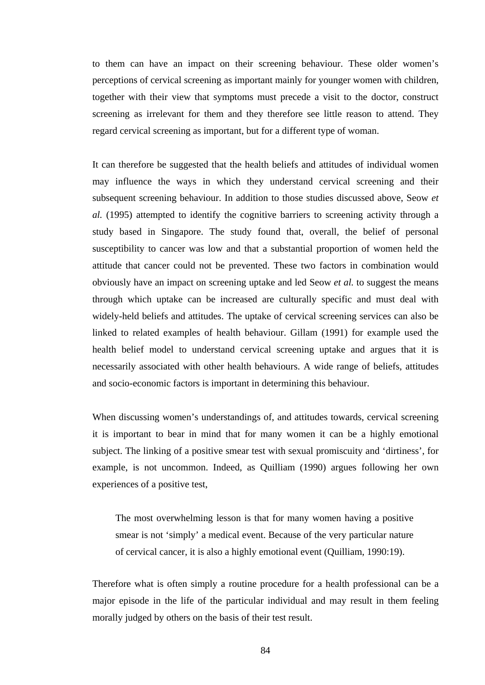to them can have an impact on their screening behaviour. These older women's perceptions of cervical screening as important mainly for younger women with children, together with their view that symptoms must precede a visit to the doctor, construct screening as irrelevant for them and they therefore see little reason to attend. They regard cervical screening as important, but for a different type of woman.

It can therefore be suggested that the health beliefs and attitudes of individual women may influence the ways in which they understand cervical screening and their subsequent screening behaviour. In addition to those studies discussed above, Seow *et al.* (1995) attempted to identify the cognitive barriers to screening activity through a study based in Singapore. The study found that, overall, the belief of personal susceptibility to cancer was low and that a substantial proportion of women held the attitude that cancer could not be prevented. These two factors in combination would obviously have an impact on screening uptake and led Seow *et al.* to suggest the means through which uptake can be increased are culturally specific and must deal with widely-held beliefs and attitudes. The uptake of cervical screening services can also be linked to related examples of health behaviour. Gillam (1991) for example used the health belief model to understand cervical screening uptake and argues that it is necessarily associated with other health behaviours. A wide range of beliefs, attitudes and socio-economic factors is important in determining this behaviour.

When discussing women's understandings of, and attitudes towards, cervical screening it is important to bear in mind that for many women it can be a highly emotional subject. The linking of a positive smear test with sexual promiscuity and 'dirtiness', for example, is not uncommon. Indeed, as Quilliam (1990) argues following her own experiences of a positive test,

The most overwhelming lesson is that for many women having a positive smear is not 'simply' a medical event. Because of the very particular nature of cervical cancer, it is also a highly emotional event (Quilliam, 1990:19).

Therefore what is often simply a routine procedure for a health professional can be a major episode in the life of the particular individual and may result in them feeling morally judged by others on the basis of their test result.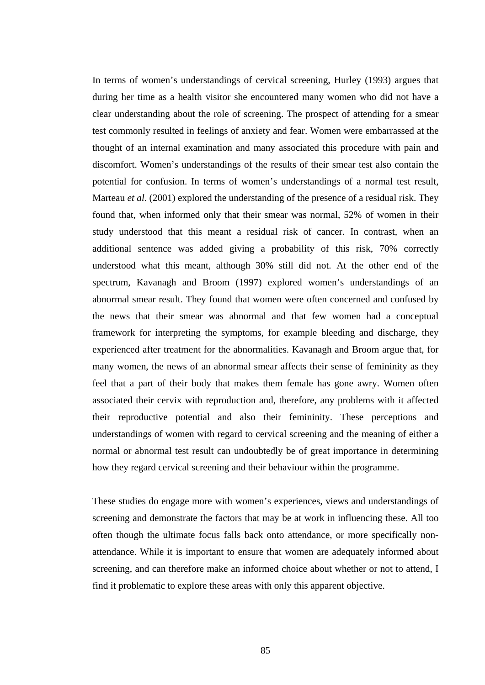In terms of women's understandings of cervical screening, Hurley (1993) argues that during her time as a health visitor she encountered many women who did not have a clear understanding about the role of screening. The prospect of attending for a smear test commonly resulted in feelings of anxiety and fear. Women were embarrassed at the thought of an internal examination and many associated this procedure with pain and discomfort. Women's understandings of the results of their smear test also contain the potential for confusion. In terms of women's understandings of a normal test result, Marteau *et al.* (2001) explored the understanding of the presence of a residual risk. They found that, when informed only that their smear was normal, 52% of women in their study understood that this meant a residual risk of cancer. In contrast, when an additional sentence was added giving a probability of this risk, 70% correctly understood what this meant, although 30% still did not. At the other end of the spectrum, Kavanagh and Broom (1997) explored women's understandings of an abnormal smear result. They found that women were often concerned and confused by the news that their smear was abnormal and that few women had a conceptual framework for interpreting the symptoms, for example bleeding and discharge, they experienced after treatment for the abnormalities. Kavanagh and Broom argue that, for many women, the news of an abnormal smear affects their sense of femininity as they feel that a part of their body that makes them female has gone awry. Women often associated their cervix with reproduction and, therefore, any problems with it affected their reproductive potential and also their femininity. These perceptions and understandings of women with regard to cervical screening and the meaning of either a normal or abnormal test result can undoubtedly be of great importance in determining how they regard cervical screening and their behaviour within the programme.

These studies do engage more with women's experiences, views and understandings of screening and demonstrate the factors that may be at work in influencing these. All too often though the ultimate focus falls back onto attendance, or more specifically nonattendance. While it is important to ensure that women are adequately informed about screening, and can therefore make an informed choice about whether or not to attend, I find it problematic to explore these areas with only this apparent objective.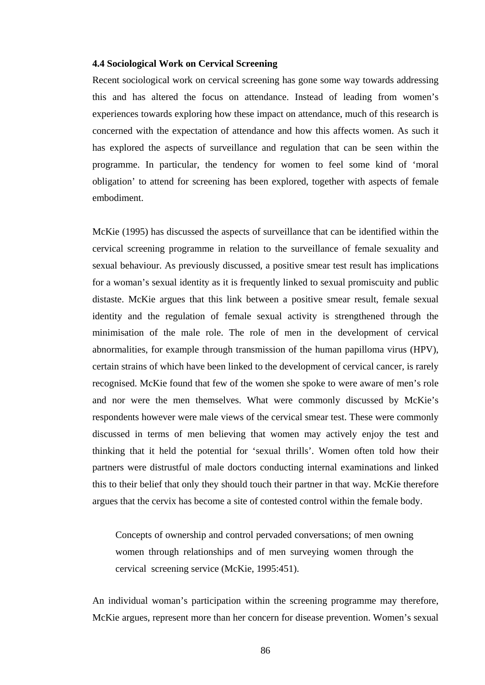#### **4.4 Sociological Work on Cervical Screening**

Recent sociological work on cervical screening has gone some way towards addressing this and has altered the focus on attendance. Instead of leading from women's experiences towards exploring how these impact on attendance, much of this research is concerned with the expectation of attendance and how this affects women. As such it has explored the aspects of surveillance and regulation that can be seen within the programme. In particular, the tendency for women to feel some kind of 'moral obligation' to attend for screening has been explored, together with aspects of female embodiment.

McKie (1995) has discussed the aspects of surveillance that can be identified within the cervical screening programme in relation to the surveillance of female sexuality and sexual behaviour. As previously discussed, a positive smear test result has implications for a woman's sexual identity as it is frequently linked to sexual promiscuity and public distaste. McKie argues that this link between a positive smear result, female sexual identity and the regulation of female sexual activity is strengthened through the minimisation of the male role. The role of men in the development of cervical abnormalities, for example through transmission of the human papilloma virus (HPV), certain strains of which have been linked to the development of cervical cancer, is rarely recognised. McKie found that few of the women she spoke to were aware of men's role and nor were the men themselves. What were commonly discussed by McKie's respondents however were male views of the cervical smear test. These were commonly discussed in terms of men believing that women may actively enjoy the test and thinking that it held the potential for 'sexual thrills'. Women often told how their partners were distrustful of male doctors conducting internal examinations and linked this to their belief that only they should touch their partner in that way. McKie therefore argues that the cervix has become a site of contested control within the female body.

Concepts of ownership and control pervaded conversations; of men owning women through relationships and of men surveying women through the cervical screening service (McKie, 1995:451).

An individual woman's participation within the screening programme may therefore, McKie argues, represent more than her concern for disease prevention. Women's sexual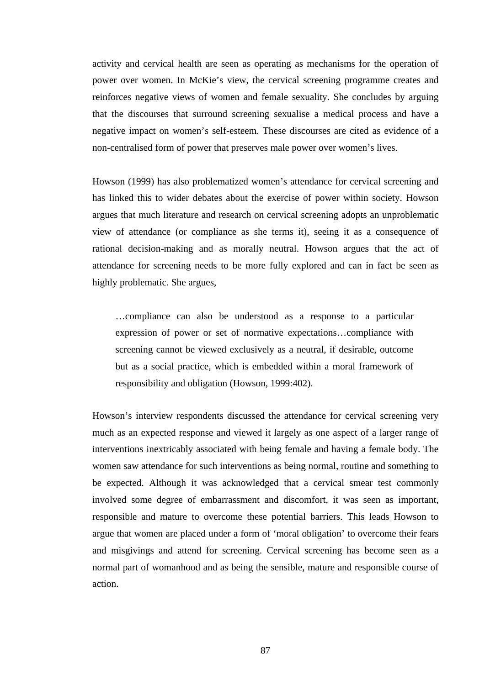activity and cervical health are seen as operating as mechanisms for the operation of power over women. In McKie's view, the cervical screening programme creates and reinforces negative views of women and female sexuality. She concludes by arguing that the discourses that surround screening sexualise a medical process and have a negative impact on women's self-esteem. These discourses are cited as evidence of a non-centralised form of power that preserves male power over women's lives.

Howson (1999) has also problematized women's attendance for cervical screening and has linked this to wider debates about the exercise of power within society. Howson argues that much literature and research on cervical screening adopts an unproblematic view of attendance (or compliance as she terms it), seeing it as a consequence of rational decision-making and as morally neutral. Howson argues that the act of attendance for screening needs to be more fully explored and can in fact be seen as highly problematic. She argues,

…compliance can also be understood as a response to a particular expression of power or set of normative expectations…compliance with screening cannot be viewed exclusively as a neutral, if desirable, outcome but as a social practice, which is embedded within a moral framework of responsibility and obligation (Howson, 1999:402).

Howson's interview respondents discussed the attendance for cervical screening very much as an expected response and viewed it largely as one aspect of a larger range of interventions inextricably associated with being female and having a female body. The women saw attendance for such interventions as being normal, routine and something to be expected. Although it was acknowledged that a cervical smear test commonly involved some degree of embarrassment and discomfort, it was seen as important, responsible and mature to overcome these potential barriers. This leads Howson to argue that women are placed under a form of 'moral obligation' to overcome their fears and misgivings and attend for screening. Cervical screening has become seen as a normal part of womanhood and as being the sensible, mature and responsible course of action.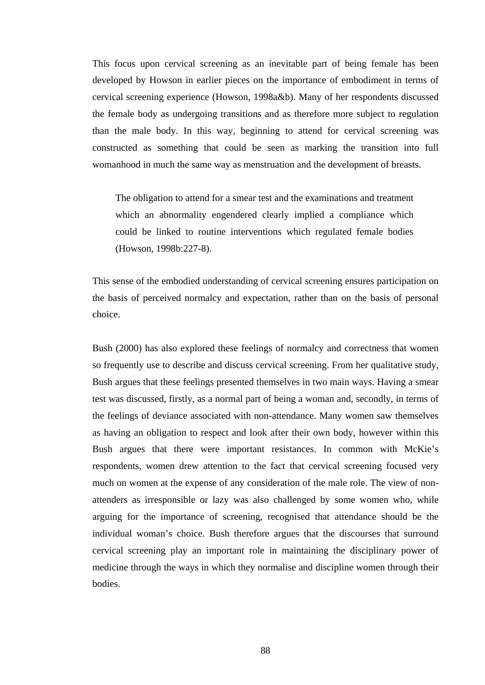This focus upon cervical screening as an inevitable part of being female has been developed by Howson in earlier pieces on the importance of embodiment in terms of cervical screening experience (Howson, 1998a&b). Many of her respondents discussed the female body as undergoing transitions and as therefore more subject to regulation than the male body. In this way, beginning to attend for cervical screening was constructed as something that could be seen as marking the transition into full womanhood in much the same way as menstruation and the development of breasts.

The obligation to attend for a smear test and the examinations and treatment which an abnormality engendered clearly implied a compliance which could be linked to routine interventions which regulated female bodies (Howson, 1998b:227-8).

This sense of the embodied understanding of cervical screening ensures participation on the basis of perceived normalcy and expectation, rather than on the basis of personal choice.

Bush (2000) has also explored these feelings of normalcy and correctness that women so frequently use to describe and discuss cervical screening. From her qualitative study, Bush argues that these feelings presented themselves in two main ways. Having a smear test was discussed, firstly, as a normal part of being a woman and, secondly, in terms of the feelings of deviance associated with non-attendance. Many women saw themselves as having an obligation to respect and look after their own body, however within this Bush argues that there were important resistances. In common with McKie's respondents, women drew attention to the fact that cervical screening focused very much on women at the expense of any consideration of the male role. The view of nonattenders as irresponsible or lazy was also challenged by some women who, while arguing for the importance of screening, recognised that attendance should be the individual woman's choice. Bush therefore argues that the discourses that surround cervical screening play an important role in maintaining the disciplinary power of medicine through the ways in which they normalise and discipline women through their bodies.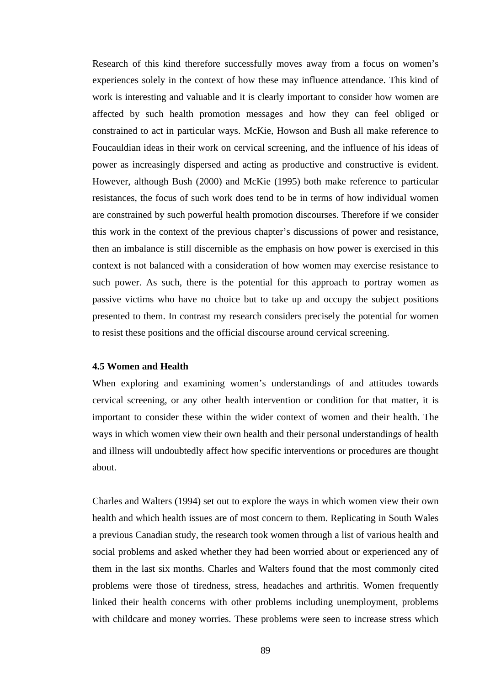Research of this kind therefore successfully moves away from a focus on women's experiences solely in the context of how these may influence attendance. This kind of work is interesting and valuable and it is clearly important to consider how women are affected by such health promotion messages and how they can feel obliged or constrained to act in particular ways. McKie, Howson and Bush all make reference to Foucauldian ideas in their work on cervical screening, and the influence of his ideas of power as increasingly dispersed and acting as productive and constructive is evident. However, although Bush (2000) and McKie (1995) both make reference to particular resistances, the focus of such work does tend to be in terms of how individual women are constrained by such powerful health promotion discourses. Therefore if we consider this work in the context of the previous chapter's discussions of power and resistance, then an imbalance is still discernible as the emphasis on how power is exercised in this context is not balanced with a consideration of how women may exercise resistance to such power. As such, there is the potential for this approach to portray women as passive victims who have no choice but to take up and occupy the subject positions presented to them. In contrast my research considers precisely the potential for women to resist these positions and the official discourse around cervical screening.

## **4.5 Women and Health**

When exploring and examining women's understandings of and attitudes towards cervical screening, or any other health intervention or condition for that matter, it is important to consider these within the wider context of women and their health. The ways in which women view their own health and their personal understandings of health and illness will undoubtedly affect how specific interventions or procedures are thought about.

Charles and Walters (1994) set out to explore the ways in which women view their own health and which health issues are of most concern to them. Replicating in South Wales a previous Canadian study, the research took women through a list of various health and social problems and asked whether they had been worried about or experienced any of them in the last six months. Charles and Walters found that the most commonly cited problems were those of tiredness, stress, headaches and arthritis. Women frequently linked their health concerns with other problems including unemployment, problems with childcare and money worries. These problems were seen to increase stress which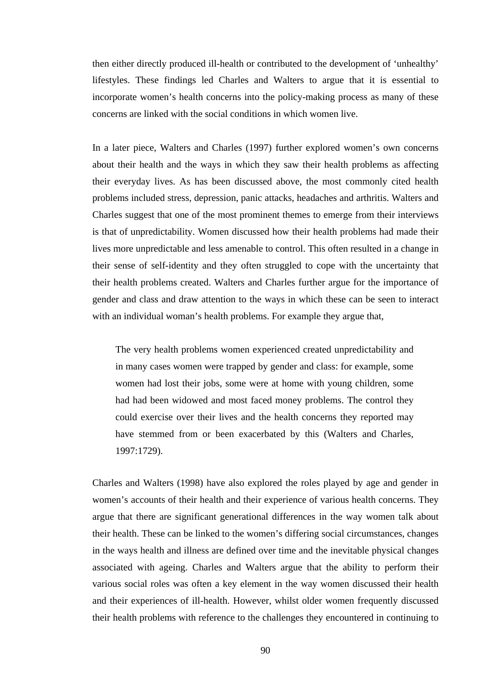then either directly produced ill-health or contributed to the development of 'unhealthy' lifestyles. These findings led Charles and Walters to argue that it is essential to incorporate women's health concerns into the policy-making process as many of these concerns are linked with the social conditions in which women live.

In a later piece, Walters and Charles (1997) further explored women's own concerns about their health and the ways in which they saw their health problems as affecting their everyday lives. As has been discussed above, the most commonly cited health problems included stress, depression, panic attacks, headaches and arthritis. Walters and Charles suggest that one of the most prominent themes to emerge from their interviews is that of unpredictability. Women discussed how their health problems had made their lives more unpredictable and less amenable to control. This often resulted in a change in their sense of self-identity and they often struggled to cope with the uncertainty that their health problems created. Walters and Charles further argue for the importance of gender and class and draw attention to the ways in which these can be seen to interact with an individual woman's health problems. For example they argue that,

The very health problems women experienced created unpredictability and in many cases women were trapped by gender and class: for example, some women had lost their jobs, some were at home with young children, some had had been widowed and most faced money problems. The control they could exercise over their lives and the health concerns they reported may have stemmed from or been exacerbated by this (Walters and Charles, 1997:1729).

Charles and Walters (1998) have also explored the roles played by age and gender in women's accounts of their health and their experience of various health concerns. They argue that there are significant generational differences in the way women talk about their health. These can be linked to the women's differing social circumstances, changes in the ways health and illness are defined over time and the inevitable physical changes associated with ageing. Charles and Walters argue that the ability to perform their various social roles was often a key element in the way women discussed their health and their experiences of ill-health. However, whilst older women frequently discussed their health problems with reference to the challenges they encountered in continuing to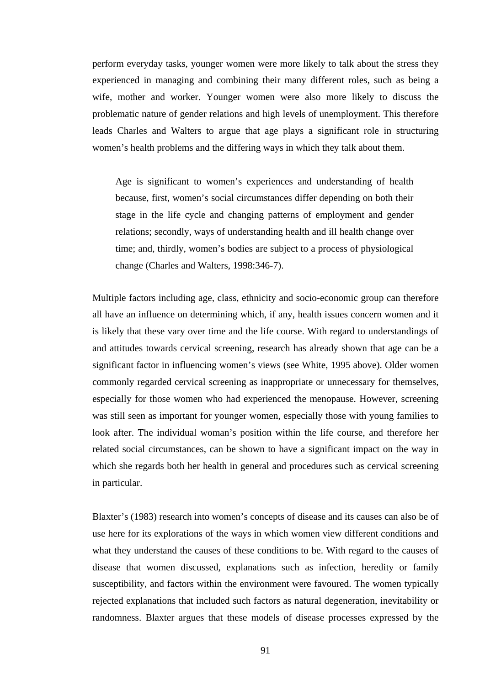perform everyday tasks, younger women were more likely to talk about the stress they experienced in managing and combining their many different roles, such as being a wife, mother and worker. Younger women were also more likely to discuss the problematic nature of gender relations and high levels of unemployment. This therefore leads Charles and Walters to argue that age plays a significant role in structuring women's health problems and the differing ways in which they talk about them.

Age is significant to women's experiences and understanding of health because, first, women's social circumstances differ depending on both their stage in the life cycle and changing patterns of employment and gender relations; secondly, ways of understanding health and ill health change over time; and, thirdly, women's bodies are subject to a process of physiological change (Charles and Walters, 1998:346-7).

Multiple factors including age, class, ethnicity and socio-economic group can therefore all have an influence on determining which, if any, health issues concern women and it is likely that these vary over time and the life course. With regard to understandings of and attitudes towards cervical screening, research has already shown that age can be a significant factor in influencing women's views (see White, 1995 above). Older women commonly regarded cervical screening as inappropriate or unnecessary for themselves, especially for those women who had experienced the menopause. However, screening was still seen as important for younger women, especially those with young families to look after. The individual woman's position within the life course, and therefore her related social circumstances, can be shown to have a significant impact on the way in which she regards both her health in general and procedures such as cervical screening in particular.

Blaxter's (1983) research into women's concepts of disease and its causes can also be of use here for its explorations of the ways in which women view different conditions and what they understand the causes of these conditions to be. With regard to the causes of disease that women discussed, explanations such as infection, heredity or family susceptibility, and factors within the environment were favoured. The women typically rejected explanations that included such factors as natural degeneration, inevitability or randomness. Blaxter argues that these models of disease processes expressed by the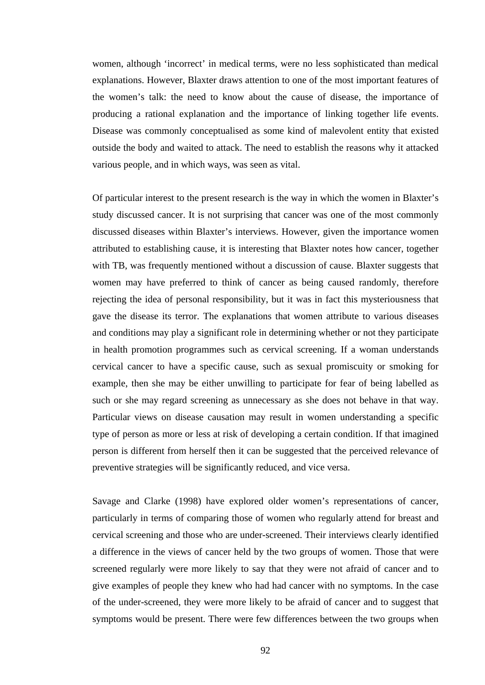women, although 'incorrect' in medical terms, were no less sophisticated than medical explanations. However, Blaxter draws attention to one of the most important features of the women's talk: the need to know about the cause of disease, the importance of producing a rational explanation and the importance of linking together life events. Disease was commonly conceptualised as some kind of malevolent entity that existed outside the body and waited to attack. The need to establish the reasons why it attacked various people, and in which ways, was seen as vital.

Of particular interest to the present research is the way in which the women in Blaxter's study discussed cancer. It is not surprising that cancer was one of the most commonly discussed diseases within Blaxter's interviews. However, given the importance women attributed to establishing cause, it is interesting that Blaxter notes how cancer, together with TB, was frequently mentioned without a discussion of cause. Blaxter suggests that women may have preferred to think of cancer as being caused randomly, therefore rejecting the idea of personal responsibility, but it was in fact this mysteriousness that gave the disease its terror. The explanations that women attribute to various diseases and conditions may play a significant role in determining whether or not they participate in health promotion programmes such as cervical screening. If a woman understands cervical cancer to have a specific cause, such as sexual promiscuity or smoking for example, then she may be either unwilling to participate for fear of being labelled as such or she may regard screening as unnecessary as she does not behave in that way. Particular views on disease causation may result in women understanding a specific type of person as more or less at risk of developing a certain condition. If that imagined person is different from herself then it can be suggested that the perceived relevance of preventive strategies will be significantly reduced, and vice versa.

Savage and Clarke (1998) have explored older women's representations of cancer, particularly in terms of comparing those of women who regularly attend for breast and cervical screening and those who are under-screened. Their interviews clearly identified a difference in the views of cancer held by the two groups of women. Those that were screened regularly were more likely to say that they were not afraid of cancer and to give examples of people they knew who had had cancer with no symptoms. In the case of the under-screened, they were more likely to be afraid of cancer and to suggest that symptoms would be present. There were few differences between the two groups when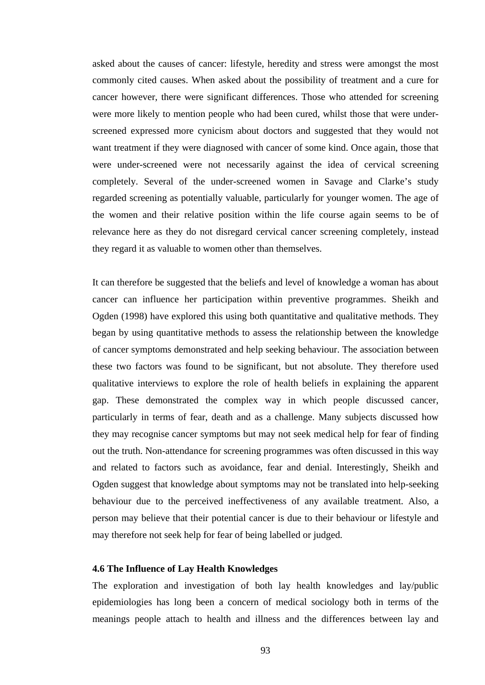asked about the causes of cancer: lifestyle, heredity and stress were amongst the most commonly cited causes. When asked about the possibility of treatment and a cure for cancer however, there were significant differences. Those who attended for screening were more likely to mention people who had been cured, whilst those that were underscreened expressed more cynicism about doctors and suggested that they would not want treatment if they were diagnosed with cancer of some kind. Once again, those that were under-screened were not necessarily against the idea of cervical screening completely. Several of the under-screened women in Savage and Clarke's study regarded screening as potentially valuable, particularly for younger women. The age of the women and their relative position within the life course again seems to be of relevance here as they do not disregard cervical cancer screening completely, instead they regard it as valuable to women other than themselves.

It can therefore be suggested that the beliefs and level of knowledge a woman has about cancer can influence her participation within preventive programmes. Sheikh and Ogden (1998) have explored this using both quantitative and qualitative methods. They began by using quantitative methods to assess the relationship between the knowledge of cancer symptoms demonstrated and help seeking behaviour. The association between these two factors was found to be significant, but not absolute. They therefore used qualitative interviews to explore the role of health beliefs in explaining the apparent gap. These demonstrated the complex way in which people discussed cancer, particularly in terms of fear, death and as a challenge. Many subjects discussed how they may recognise cancer symptoms but may not seek medical help for fear of finding out the truth. Non-attendance for screening programmes was often discussed in this way and related to factors such as avoidance, fear and denial. Interestingly, Sheikh and Ogden suggest that knowledge about symptoms may not be translated into help-seeking behaviour due to the perceived ineffectiveness of any available treatment. Also, a person may believe that their potential cancer is due to their behaviour or lifestyle and may therefore not seek help for fear of being labelled or judged.

# **4.6 The Influence of Lay Health Knowledges**

The exploration and investigation of both lay health knowledges and lay/public epidemiologies has long been a concern of medical sociology both in terms of the meanings people attach to health and illness and the differences between lay and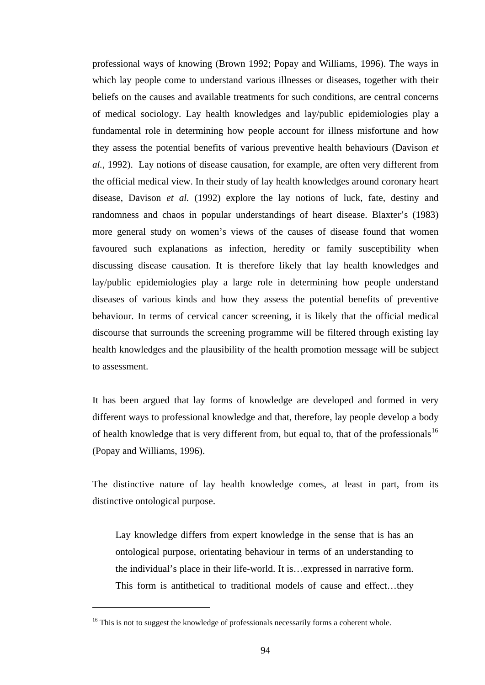professional ways of knowing (Brown 1992; Popay and Williams, 1996). The ways in which lay people come to understand various illnesses or diseases, together with their beliefs on the causes and available treatments for such conditions, are central concerns of medical sociology. Lay health knowledges and lay/public epidemiologies play a fundamental role in determining how people account for illness misfortune and how they assess the potential benefits of various preventive health behaviours (Davison *et al.*, 1992). Lay notions of disease causation, for example, are often very different from the official medical view. In their study of lay health knowledges around coronary heart disease, Davison *et al.* (1992) explore the lay notions of luck, fate, destiny and randomness and chaos in popular understandings of heart disease. Blaxter's (1983) more general study on women's views of the causes of disease found that women favoured such explanations as infection, heredity or family susceptibility when discussing disease causation. It is therefore likely that lay health knowledges and lay/public epidemiologies play a large role in determining how people understand diseases of various kinds and how they assess the potential benefits of preventive behaviour. In terms of cervical cancer screening, it is likely that the official medical discourse that surrounds the screening programme will be filtered through existing lay health knowledges and the plausibility of the health promotion message will be subject to assessment.

It has been argued that lay forms of knowledge are developed and formed in very different ways to professional knowledge and that, therefore, lay people develop a body of health knowledge that is very different from, but equal to, that of the professionals<sup>[16](#page-94-0)</sup> (Popay and Williams, 1996).

The distinctive nature of lay health knowledge comes, at least in part, from its distinctive ontological purpose.

Lay knowledge differs from expert knowledge in the sense that is has an ontological purpose, orientating behaviour in terms of an understanding to the individual's place in their life-world. It is…expressed in narrative form. This form is antithetical to traditional models of cause and effect…they

 $\overline{a}$ 

<span id="page-94-0"></span> $16$ <sup>16</sup> This is not to suggest the knowledge of professionals necessarily forms a coherent whole.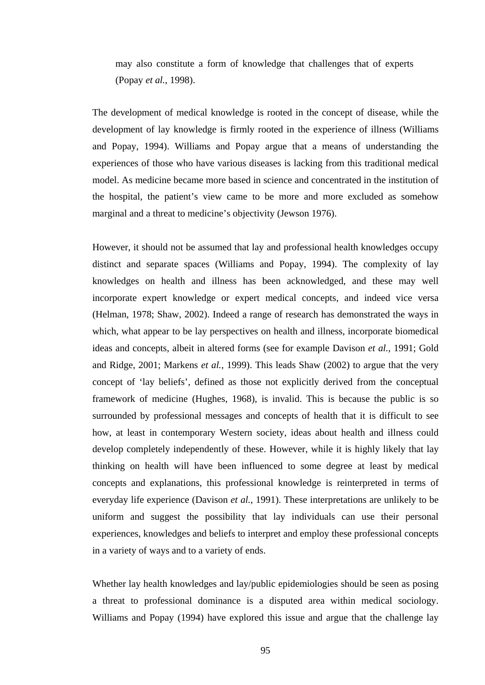may also constitute a form of knowledge that challenges that of experts (Popay *et al.*, 1998).

The development of medical knowledge is rooted in the concept of disease, while the development of lay knowledge is firmly rooted in the experience of illness (Williams and Popay, 1994). Williams and Popay argue that a means of understanding the experiences of those who have various diseases is lacking from this traditional medical model. As medicine became more based in science and concentrated in the institution of the hospital, the patient's view came to be more and more excluded as somehow marginal and a threat to medicine's objectivity (Jewson 1976).

However, it should not be assumed that lay and professional health knowledges occupy distinct and separate spaces (Williams and Popay, 1994). The complexity of lay knowledges on health and illness has been acknowledged, and these may well incorporate expert knowledge or expert medical concepts, and indeed vice versa (Helman, 1978; Shaw, 2002). Indeed a range of research has demonstrated the ways in which, what appear to be lay perspectives on health and illness, incorporate biomedical ideas and concepts, albeit in altered forms (see for example Davison *et al.*, 1991; Gold and Ridge, 2001; Markens *et al.*, 1999). This leads Shaw (2002) to argue that the very concept of 'lay beliefs', defined as those not explicitly derived from the conceptual framework of medicine (Hughes, 1968), is invalid. This is because the public is so surrounded by professional messages and concepts of health that it is difficult to see how, at least in contemporary Western society, ideas about health and illness could develop completely independently of these. However, while it is highly likely that lay thinking on health will have been influenced to some degree at least by medical concepts and explanations, this professional knowledge is reinterpreted in terms of everyday life experience (Davison *et al.*, 1991). These interpretations are unlikely to be uniform and suggest the possibility that lay individuals can use their personal experiences, knowledges and beliefs to interpret and employ these professional concepts in a variety of ways and to a variety of ends.

Whether lay health knowledges and lay/public epidemiologies should be seen as posing a threat to professional dominance is a disputed area within medical sociology. Williams and Popay (1994) have explored this issue and argue that the challenge lay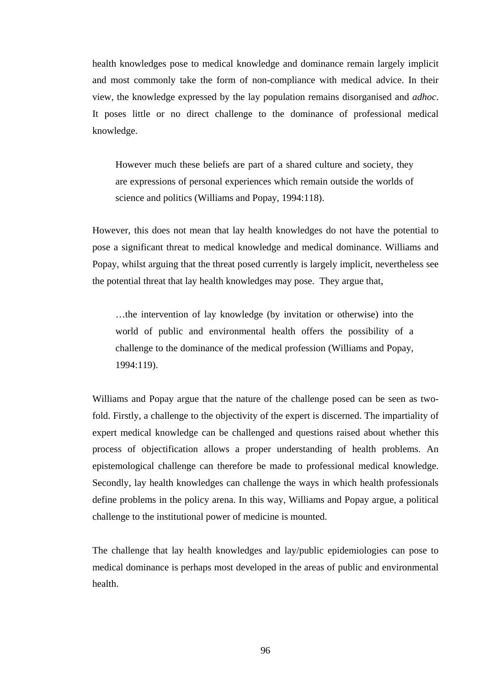health knowledges pose to medical knowledge and dominance remain largely implicit and most commonly take the form of non-compliance with medical advice. In their view, the knowledge expressed by the lay population remains disorganised and *adhoc*. It poses little or no direct challenge to the dominance of professional medical knowledge.

However much these beliefs are part of a shared culture and society, they are expressions of personal experiences which remain outside the worlds of science and politics (Williams and Popay, 1994:118).

However, this does not mean that lay health knowledges do not have the potential to pose a significant threat to medical knowledge and medical dominance. Williams and Popay, whilst arguing that the threat posed currently is largely implicit, nevertheless see the potential threat that lay health knowledges may pose. They argue that,

…the intervention of lay knowledge (by invitation or otherwise) into the world of public and environmental health offers the possibility of a challenge to the dominance of the medical profession (Williams and Popay, 1994:119).

Williams and Popay argue that the nature of the challenge posed can be seen as twofold. Firstly, a challenge to the objectivity of the expert is discerned. The impartiality of expert medical knowledge can be challenged and questions raised about whether this process of objectification allows a proper understanding of health problems. An epistemological challenge can therefore be made to professional medical knowledge. Secondly, lay health knowledges can challenge the ways in which health professionals define problems in the policy arena. In this way, Williams and Popay argue, a political challenge to the institutional power of medicine is mounted.

The challenge that lay health knowledges and lay/public epidemiologies can pose to medical dominance is perhaps most developed in the areas of public and environmental health.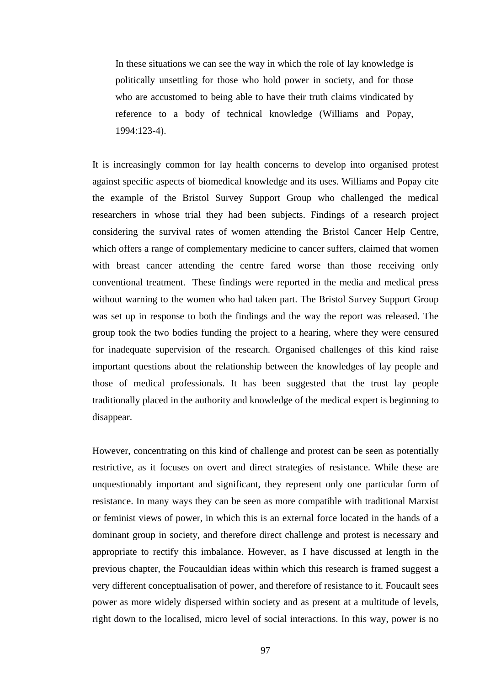In these situations we can see the way in which the role of lay knowledge is politically unsettling for those who hold power in society, and for those who are accustomed to being able to have their truth claims vindicated by reference to a body of technical knowledge (Williams and Popay, 1994:123-4).

It is increasingly common for lay health concerns to develop into organised protest against specific aspects of biomedical knowledge and its uses. Williams and Popay cite the example of the Bristol Survey Support Group who challenged the medical researchers in whose trial they had been subjects. Findings of a research project considering the survival rates of women attending the Bristol Cancer Help Centre, which offers a range of complementary medicine to cancer suffers, claimed that women with breast cancer attending the centre fared worse than those receiving only conventional treatment. These findings were reported in the media and medical press without warning to the women who had taken part. The Bristol Survey Support Group was set up in response to both the findings and the way the report was released. The group took the two bodies funding the project to a hearing, where they were censured for inadequate supervision of the research. Organised challenges of this kind raise important questions about the relationship between the knowledges of lay people and those of medical professionals. It has been suggested that the trust lay people traditionally placed in the authority and knowledge of the medical expert is beginning to disappear.

However, concentrating on this kind of challenge and protest can be seen as potentially restrictive, as it focuses on overt and direct strategies of resistance. While these are unquestionably important and significant, they represent only one particular form of resistance. In many ways they can be seen as more compatible with traditional Marxist or feminist views of power, in which this is an external force located in the hands of a dominant group in society, and therefore direct challenge and protest is necessary and appropriate to rectify this imbalance. However, as I have discussed at length in the previous chapter, the Foucauldian ideas within which this research is framed suggest a very different conceptualisation of power, and therefore of resistance to it. Foucault sees power as more widely dispersed within society and as present at a multitude of levels, right down to the localised, micro level of social interactions. In this way, power is no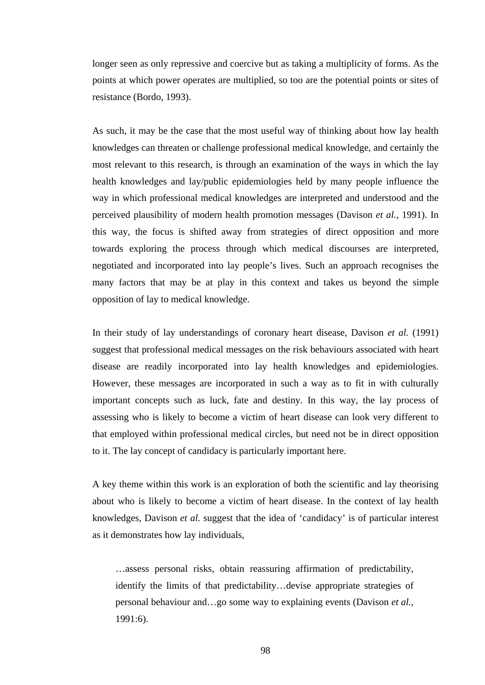longer seen as only repressive and coercive but as taking a multiplicity of forms. As the points at which power operates are multiplied, so too are the potential points or sites of resistance (Bordo, 1993).

As such, it may be the case that the most useful way of thinking about how lay health knowledges can threaten or challenge professional medical knowledge, and certainly the most relevant to this research, is through an examination of the ways in which the lay health knowledges and lay/public epidemiologies held by many people influence the way in which professional medical knowledges are interpreted and understood and the perceived plausibility of modern health promotion messages (Davison *et al.*, 1991). In this way, the focus is shifted away from strategies of direct opposition and more towards exploring the process through which medical discourses are interpreted, negotiated and incorporated into lay people's lives. Such an approach recognises the many factors that may be at play in this context and takes us beyond the simple opposition of lay to medical knowledge.

In their study of lay understandings of coronary heart disease, Davison *et al.* (1991) suggest that professional medical messages on the risk behaviours associated with heart disease are readily incorporated into lay health knowledges and epidemiologies. However, these messages are incorporated in such a way as to fit in with culturally important concepts such as luck, fate and destiny. In this way, the lay process of assessing who is likely to become a victim of heart disease can look very different to that employed within professional medical circles, but need not be in direct opposition to it. The lay concept of candidacy is particularly important here.

A key theme within this work is an exploration of both the scientific and lay theorising about who is likely to become a victim of heart disease. In the context of lay health knowledges, Davison *et al.* suggest that the idea of 'candidacy' is of particular interest as it demonstrates how lay individuals,

…assess personal risks, obtain reassuring affirmation of predictability, identify the limits of that predictability…devise appropriate strategies of personal behaviour and…go some way to explaining events (Davison *et al.*, 1991:6).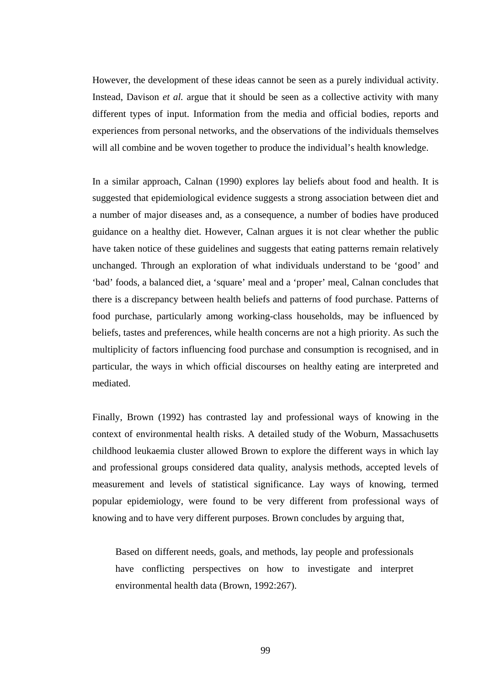However, the development of these ideas cannot be seen as a purely individual activity. Instead, Davison *et al.* argue that it should be seen as a collective activity with many different types of input. Information from the media and official bodies, reports and experiences from personal networks, and the observations of the individuals themselves will all combine and be woven together to produce the individual's health knowledge.

In a similar approach, Calnan (1990) explores lay beliefs about food and health. It is suggested that epidemiological evidence suggests a strong association between diet and a number of major diseases and, as a consequence, a number of bodies have produced guidance on a healthy diet. However, Calnan argues it is not clear whether the public have taken notice of these guidelines and suggests that eating patterns remain relatively unchanged. Through an exploration of what individuals understand to be 'good' and 'bad' foods, a balanced diet, a 'square' meal and a 'proper' meal, Calnan concludes that there is a discrepancy between health beliefs and patterns of food purchase. Patterns of food purchase, particularly among working-class households, may be influenced by beliefs, tastes and preferences, while health concerns are not a high priority. As such the multiplicity of factors influencing food purchase and consumption is recognised, and in particular, the ways in which official discourses on healthy eating are interpreted and mediated.

Finally, Brown (1992) has contrasted lay and professional ways of knowing in the context of environmental health risks. A detailed study of the Woburn, Massachusetts childhood leukaemia cluster allowed Brown to explore the different ways in which lay and professional groups considered data quality, analysis methods, accepted levels of measurement and levels of statistical significance. Lay ways of knowing, termed popular epidemiology, were found to be very different from professional ways of knowing and to have very different purposes. Brown concludes by arguing that,

Based on different needs, goals, and methods, lay people and professionals have conflicting perspectives on how to investigate and interpret environmental health data (Brown, 1992:267).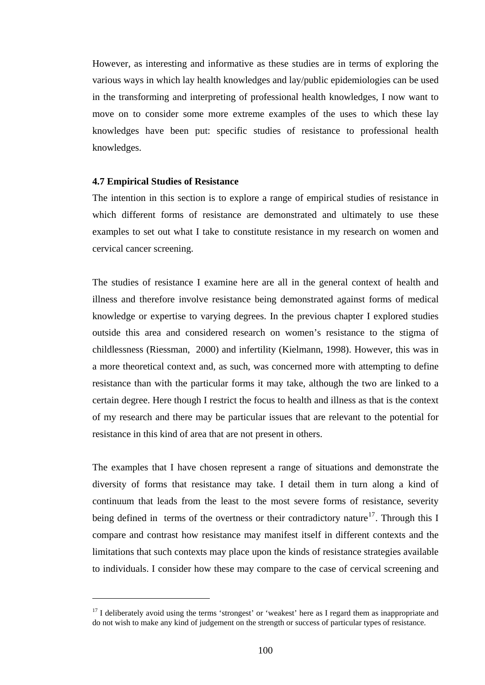However, as interesting and informative as these studies are in terms of exploring the various ways in which lay health knowledges and lay/public epidemiologies can be used in the transforming and interpreting of professional health knowledges, I now want to move on to consider some more extreme examples of the uses to which these lay knowledges have been put: specific studies of resistance to professional health knowledges.

#### **4.7 Empirical Studies of Resistance**

 $\overline{a}$ 

The intention in this section is to explore a range of empirical studies of resistance in which different forms of resistance are demonstrated and ultimately to use these examples to set out what I take to constitute resistance in my research on women and cervical cancer screening.

The studies of resistance I examine here are all in the general context of health and illness and therefore involve resistance being demonstrated against forms of medical knowledge or expertise to varying degrees. In the previous chapter I explored studies outside this area and considered research on women's resistance to the stigma of childlessness (Riessman, 2000) and infertility (Kielmann, 1998). However, this was in a more theoretical context and, as such, was concerned more with attempting to define resistance than with the particular forms it may take, although the two are linked to a certain degree. Here though I restrict the focus to health and illness as that is the context of my research and there may be particular issues that are relevant to the potential for resistance in this kind of area that are not present in others.

The examples that I have chosen represent a range of situations and demonstrate the diversity of forms that resistance may take. I detail them in turn along a kind of continuum that leads from the least to the most severe forms of resistance, severity being defined in terms of the overtness or their contradictory nature<sup>[17](#page-100-0)</sup>. Through this I compare and contrast how resistance may manifest itself in different contexts and the limitations that such contexts may place upon the kinds of resistance strategies available to individuals. I consider how these may compare to the case of cervical screening and

<span id="page-100-0"></span> $17$  I deliberately avoid using the terms 'strongest' or 'weakest' here as I regard them as inappropriate and do not wish to make any kind of judgement on the strength or success of particular types of resistance.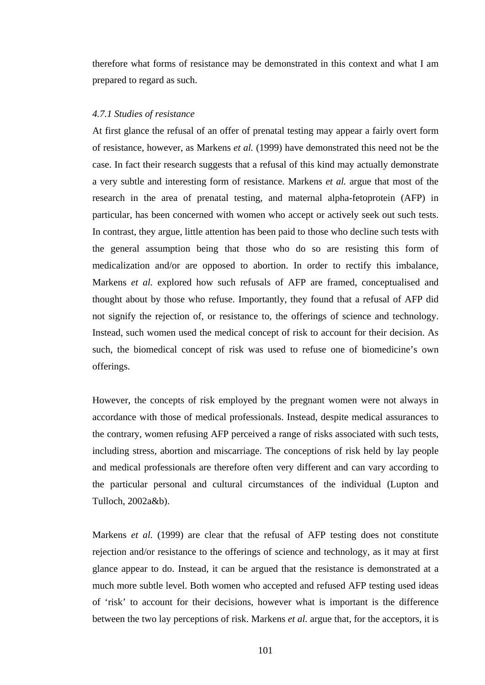therefore what forms of resistance may be demonstrated in this context and what I am prepared to regard as such.

# *4.7.1 Studies of resistance*

At first glance the refusal of an offer of prenatal testing may appear a fairly overt form of resistance, however, as Markens *et al.* (1999) have demonstrated this need not be the case. In fact their research suggests that a refusal of this kind may actually demonstrate a very subtle and interesting form of resistance. Markens *et al.* argue that most of the research in the area of prenatal testing, and maternal alpha-fetoprotein (AFP) in particular, has been concerned with women who accept or actively seek out such tests. In contrast, they argue, little attention has been paid to those who decline such tests with the general assumption being that those who do so are resisting this form of medicalization and/or are opposed to abortion. In order to rectify this imbalance, Markens *et al.* explored how such refusals of AFP are framed, conceptualised and thought about by those who refuse. Importantly, they found that a refusal of AFP did not signify the rejection of, or resistance to, the offerings of science and technology. Instead, such women used the medical concept of risk to account for their decision. As such, the biomedical concept of risk was used to refuse one of biomedicine's own offerings.

However, the concepts of risk employed by the pregnant women were not always in accordance with those of medical professionals. Instead, despite medical assurances to the contrary, women refusing AFP perceived a range of risks associated with such tests, including stress, abortion and miscarriage. The conceptions of risk held by lay people and medical professionals are therefore often very different and can vary according to the particular personal and cultural circumstances of the individual (Lupton and Tulloch, 2002a&b).

Markens *et al.* (1999) are clear that the refusal of AFP testing does not constitute rejection and/or resistance to the offerings of science and technology, as it may at first glance appear to do. Instead, it can be argued that the resistance is demonstrated at a much more subtle level. Both women who accepted and refused AFP testing used ideas of 'risk' to account for their decisions, however what is important is the difference between the two lay perceptions of risk. Markens *et al.* argue that, for the acceptors, it is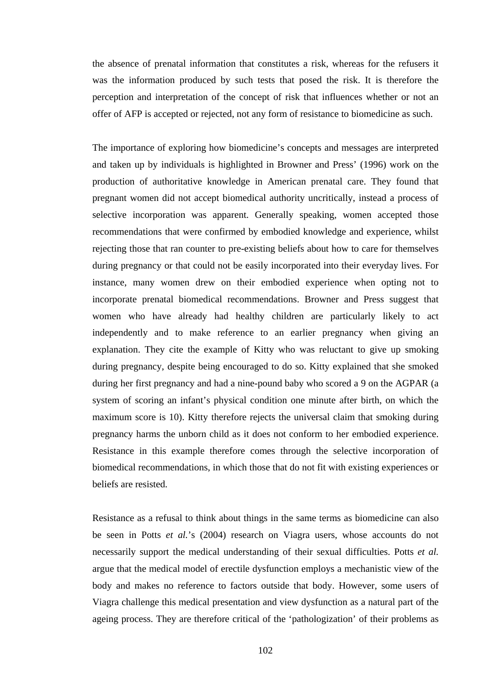the absence of prenatal information that constitutes a risk, whereas for the refusers it was the information produced by such tests that posed the risk. It is therefore the perception and interpretation of the concept of risk that influences whether or not an offer of AFP is accepted or rejected, not any form of resistance to biomedicine as such.

The importance of exploring how biomedicine's concepts and messages are interpreted and taken up by individuals is highlighted in Browner and Press' (1996) work on the production of authoritative knowledge in American prenatal care. They found that pregnant women did not accept biomedical authority uncritically, instead a process of selective incorporation was apparent. Generally speaking, women accepted those recommendations that were confirmed by embodied knowledge and experience, whilst rejecting those that ran counter to pre-existing beliefs about how to care for themselves during pregnancy or that could not be easily incorporated into their everyday lives. For instance, many women drew on their embodied experience when opting not to incorporate prenatal biomedical recommendations. Browner and Press suggest that women who have already had healthy children are particularly likely to act independently and to make reference to an earlier pregnancy when giving an explanation. They cite the example of Kitty who was reluctant to give up smoking during pregnancy, despite being encouraged to do so. Kitty explained that she smoked during her first pregnancy and had a nine-pound baby who scored a 9 on the AGPAR (a system of scoring an infant's physical condition one minute after birth, on which the maximum score is 10). Kitty therefore rejects the universal claim that smoking during pregnancy harms the unborn child as it does not conform to her embodied experience. Resistance in this example therefore comes through the selective incorporation of biomedical recommendations, in which those that do not fit with existing experiences or beliefs are resisted.

Resistance as a refusal to think about things in the same terms as biomedicine can also be seen in Potts *et al.*'s (2004) research on Viagra users, whose accounts do not necessarily support the medical understanding of their sexual difficulties. Potts *et al.* argue that the medical model of erectile dysfunction employs a mechanistic view of the body and makes no reference to factors outside that body. However, some users of Viagra challenge this medical presentation and view dysfunction as a natural part of the ageing process. They are therefore critical of the 'pathologization' of their problems as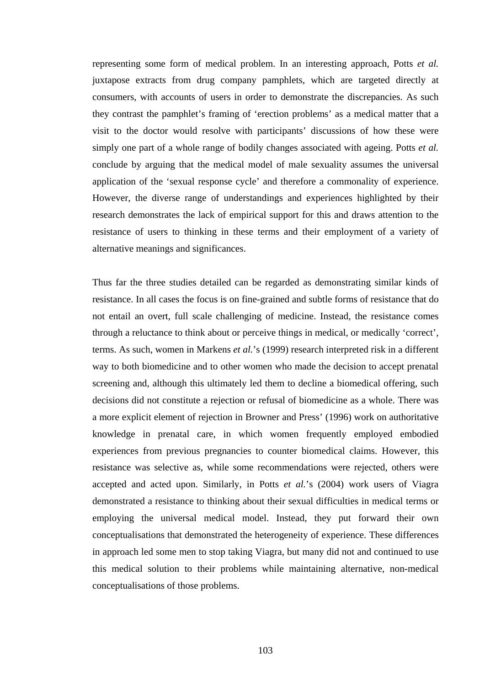representing some form of medical problem. In an interesting approach, Potts *et al.* juxtapose extracts from drug company pamphlets, which are targeted directly at consumers, with accounts of users in order to demonstrate the discrepancies. As such they contrast the pamphlet's framing of 'erection problems' as a medical matter that a visit to the doctor would resolve with participants' discussions of how these were simply one part of a whole range of bodily changes associated with ageing. Potts *et al.* conclude by arguing that the medical model of male sexuality assumes the universal application of the 'sexual response cycle' and therefore a commonality of experience. However, the diverse range of understandings and experiences highlighted by their research demonstrates the lack of empirical support for this and draws attention to the resistance of users to thinking in these terms and their employment of a variety of alternative meanings and significances.

Thus far the three studies detailed can be regarded as demonstrating similar kinds of resistance. In all cases the focus is on fine-grained and subtle forms of resistance that do not entail an overt, full scale challenging of medicine. Instead, the resistance comes through a reluctance to think about or perceive things in medical, or medically 'correct', terms. As such, women in Markens *et al.*'s (1999) research interpreted risk in a different way to both biomedicine and to other women who made the decision to accept prenatal screening and, although this ultimately led them to decline a biomedical offering, such decisions did not constitute a rejection or refusal of biomedicine as a whole. There was a more explicit element of rejection in Browner and Press' (1996) work on authoritative knowledge in prenatal care, in which women frequently employed embodied experiences from previous pregnancies to counter biomedical claims. However, this resistance was selective as, while some recommendations were rejected, others were accepted and acted upon. Similarly, in Potts *et al.*'s (2004) work users of Viagra demonstrated a resistance to thinking about their sexual difficulties in medical terms or employing the universal medical model. Instead, they put forward their own conceptualisations that demonstrated the heterogeneity of experience. These differences in approach led some men to stop taking Viagra, but many did not and continued to use this medical solution to their problems while maintaining alternative, non-medical conceptualisations of those problems.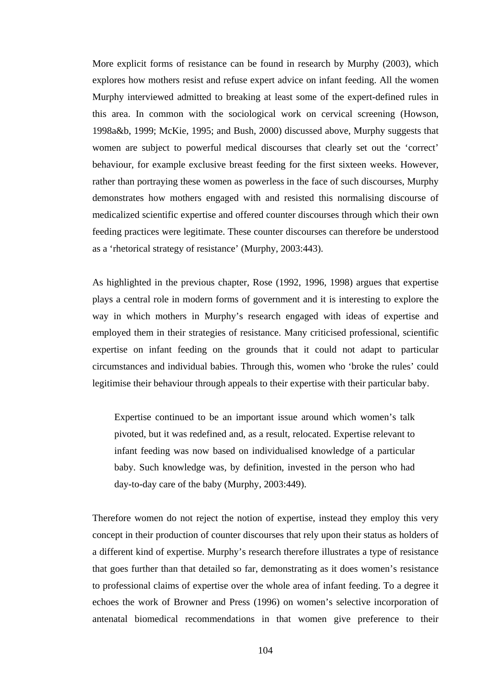More explicit forms of resistance can be found in research by Murphy (2003), which explores how mothers resist and refuse expert advice on infant feeding. All the women Murphy interviewed admitted to breaking at least some of the expert-defined rules in this area. In common with the sociological work on cervical screening (Howson, 1998a&b, 1999; McKie, 1995; and Bush, 2000) discussed above, Murphy suggests that women are subject to powerful medical discourses that clearly set out the 'correct' behaviour, for example exclusive breast feeding for the first sixteen weeks. However, rather than portraying these women as powerless in the face of such discourses, Murphy demonstrates how mothers engaged with and resisted this normalising discourse of medicalized scientific expertise and offered counter discourses through which their own feeding practices were legitimate. These counter discourses can therefore be understood as a 'rhetorical strategy of resistance' (Murphy, 2003:443).

As highlighted in the previous chapter, Rose (1992, 1996, 1998) argues that expertise plays a central role in modern forms of government and it is interesting to explore the way in which mothers in Murphy's research engaged with ideas of expertise and employed them in their strategies of resistance. Many criticised professional, scientific expertise on infant feeding on the grounds that it could not adapt to particular circumstances and individual babies. Through this, women who 'broke the rules' could legitimise their behaviour through appeals to their expertise with their particular baby.

Expertise continued to be an important issue around which women's talk pivoted, but it was redefined and, as a result, relocated. Expertise relevant to infant feeding was now based on individualised knowledge of a particular baby. Such knowledge was, by definition, invested in the person who had day-to-day care of the baby (Murphy, 2003:449).

Therefore women do not reject the notion of expertise, instead they employ this very concept in their production of counter discourses that rely upon their status as holders of a different kind of expertise. Murphy's research therefore illustrates a type of resistance that goes further than that detailed so far, demonstrating as it does women's resistance to professional claims of expertise over the whole area of infant feeding. To a degree it echoes the work of Browner and Press (1996) on women's selective incorporation of antenatal biomedical recommendations in that women give preference to their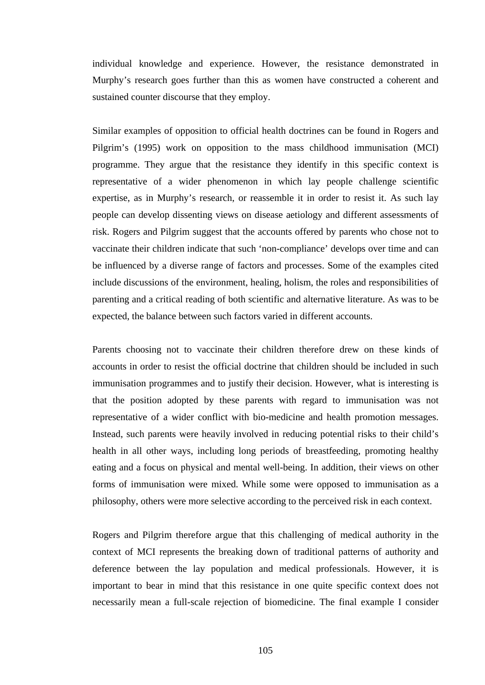individual knowledge and experience. However, the resistance demonstrated in Murphy's research goes further than this as women have constructed a coherent and sustained counter discourse that they employ.

Similar examples of opposition to official health doctrines can be found in Rogers and Pilgrim's (1995) work on opposition to the mass childhood immunisation (MCI) programme. They argue that the resistance they identify in this specific context is representative of a wider phenomenon in which lay people challenge scientific expertise, as in Murphy's research, or reassemble it in order to resist it. As such lay people can develop dissenting views on disease aetiology and different assessments of risk. Rogers and Pilgrim suggest that the accounts offered by parents who chose not to vaccinate their children indicate that such 'non-compliance' develops over time and can be influenced by a diverse range of factors and processes. Some of the examples cited include discussions of the environment, healing, holism, the roles and responsibilities of parenting and a critical reading of both scientific and alternative literature. As was to be expected, the balance between such factors varied in different accounts.

Parents choosing not to vaccinate their children therefore drew on these kinds of accounts in order to resist the official doctrine that children should be included in such immunisation programmes and to justify their decision. However, what is interesting is that the position adopted by these parents with regard to immunisation was not representative of a wider conflict with bio-medicine and health promotion messages. Instead, such parents were heavily involved in reducing potential risks to their child's health in all other ways, including long periods of breastfeeding, promoting healthy eating and a focus on physical and mental well-being. In addition, their views on other forms of immunisation were mixed. While some were opposed to immunisation as a philosophy, others were more selective according to the perceived risk in each context.

Rogers and Pilgrim therefore argue that this challenging of medical authority in the context of MCI represents the breaking down of traditional patterns of authority and deference between the lay population and medical professionals. However, it is important to bear in mind that this resistance in one quite specific context does not necessarily mean a full-scale rejection of biomedicine. The final example I consider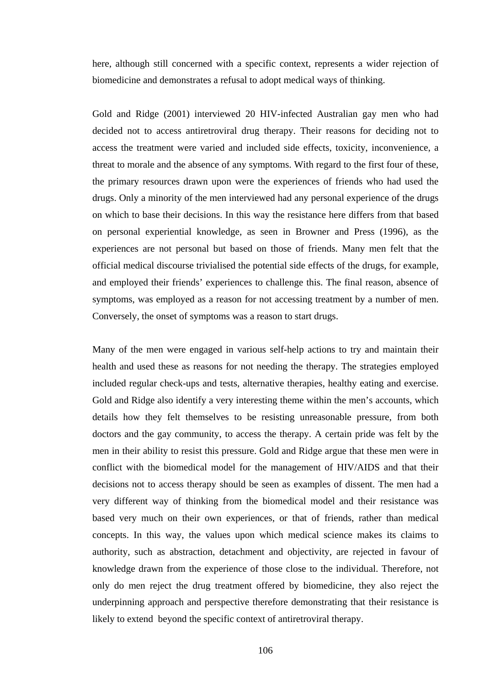here, although still concerned with a specific context, represents a wider rejection of biomedicine and demonstrates a refusal to adopt medical ways of thinking.

Gold and Ridge (2001) interviewed 20 HIV-infected Australian gay men who had decided not to access antiretroviral drug therapy. Their reasons for deciding not to access the treatment were varied and included side effects, toxicity, inconvenience, a threat to morale and the absence of any symptoms. With regard to the first four of these, the primary resources drawn upon were the experiences of friends who had used the drugs. Only a minority of the men interviewed had any personal experience of the drugs on which to base their decisions. In this way the resistance here differs from that based on personal experiential knowledge, as seen in Browner and Press (1996), as the experiences are not personal but based on those of friends. Many men felt that the official medical discourse trivialised the potential side effects of the drugs, for example, and employed their friends' experiences to challenge this. The final reason, absence of symptoms, was employed as a reason for not accessing treatment by a number of men. Conversely, the onset of symptoms was a reason to start drugs.

Many of the men were engaged in various self-help actions to try and maintain their health and used these as reasons for not needing the therapy. The strategies employed included regular check-ups and tests, alternative therapies, healthy eating and exercise. Gold and Ridge also identify a very interesting theme within the men's accounts, which details how they felt themselves to be resisting unreasonable pressure, from both doctors and the gay community, to access the therapy. A certain pride was felt by the men in their ability to resist this pressure. Gold and Ridge argue that these men were in conflict with the biomedical model for the management of HIV/AIDS and that their decisions not to access therapy should be seen as examples of dissent. The men had a very different way of thinking from the biomedical model and their resistance was based very much on their own experiences, or that of friends, rather than medical concepts. In this way, the values upon which medical science makes its claims to authority, such as abstraction, detachment and objectivity, are rejected in favour of knowledge drawn from the experience of those close to the individual. Therefore, not only do men reject the drug treatment offered by biomedicine, they also reject the underpinning approach and perspective therefore demonstrating that their resistance is likely to extend beyond the specific context of antiretroviral therapy.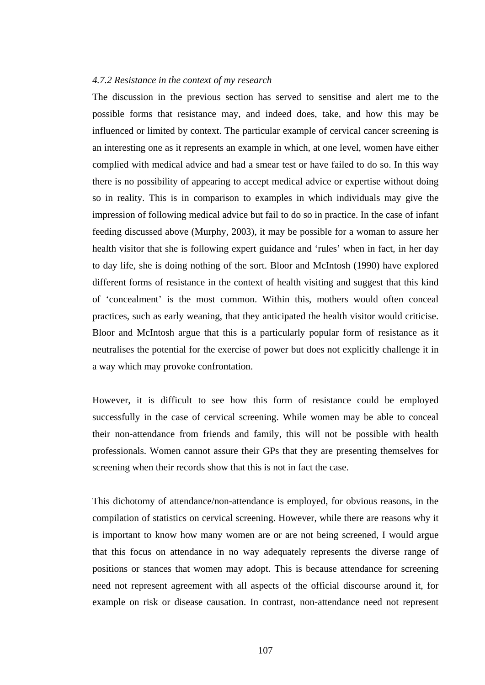# *4.7.2 Resistance in the context of my research*

The discussion in the previous section has served to sensitise and alert me to the possible forms that resistance may, and indeed does, take, and how this may be influenced or limited by context. The particular example of cervical cancer screening is an interesting one as it represents an example in which, at one level, women have either complied with medical advice and had a smear test or have failed to do so. In this way there is no possibility of appearing to accept medical advice or expertise without doing so in reality. This is in comparison to examples in which individuals may give the impression of following medical advice but fail to do so in practice. In the case of infant feeding discussed above (Murphy, 2003), it may be possible for a woman to assure her health visitor that she is following expert guidance and 'rules' when in fact, in her day to day life, she is doing nothing of the sort. Bloor and McIntosh (1990) have explored different forms of resistance in the context of health visiting and suggest that this kind of 'concealment' is the most common. Within this, mothers would often conceal practices, such as early weaning, that they anticipated the health visitor would criticise. Bloor and McIntosh argue that this is a particularly popular form of resistance as it neutralises the potential for the exercise of power but does not explicitly challenge it in a way which may provoke confrontation.

However, it is difficult to see how this form of resistance could be employed successfully in the case of cervical screening. While women may be able to conceal their non-attendance from friends and family, this will not be possible with health professionals. Women cannot assure their GPs that they are presenting themselves for screening when their records show that this is not in fact the case.

This dichotomy of attendance/non-attendance is employed, for obvious reasons, in the compilation of statistics on cervical screening. However, while there are reasons why it is important to know how many women are or are not being screened, I would argue that this focus on attendance in no way adequately represents the diverse range of positions or stances that women may adopt. This is because attendance for screening need not represent agreement with all aspects of the official discourse around it, for example on risk or disease causation. In contrast, non-attendance need not represent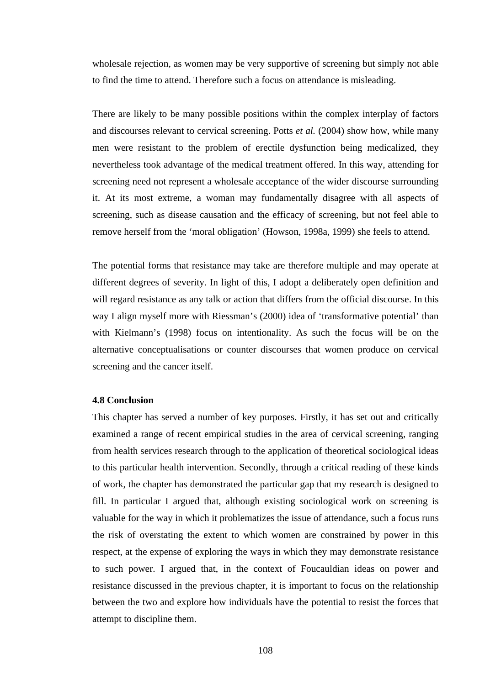wholesale rejection, as women may be very supportive of screening but simply not able to find the time to attend. Therefore such a focus on attendance is misleading.

There are likely to be many possible positions within the complex interplay of factors and discourses relevant to cervical screening. Potts *et al.* (2004) show how, while many men were resistant to the problem of erectile dysfunction being medicalized, they nevertheless took advantage of the medical treatment offered. In this way, attending for screening need not represent a wholesale acceptance of the wider discourse surrounding it. At its most extreme, a woman may fundamentally disagree with all aspects of screening, such as disease causation and the efficacy of screening, but not feel able to remove herself from the 'moral obligation' (Howson, 1998a, 1999) she feels to attend.

The potential forms that resistance may take are therefore multiple and may operate at different degrees of severity. In light of this, I adopt a deliberately open definition and will regard resistance as any talk or action that differs from the official discourse. In this way I align myself more with Riessman's (2000) idea of 'transformative potential' than with Kielmann's (1998) focus on intentionality. As such the focus will be on the alternative conceptualisations or counter discourses that women produce on cervical screening and the cancer itself.

## **4.8 Conclusion**

This chapter has served a number of key purposes. Firstly, it has set out and critically examined a range of recent empirical studies in the area of cervical screening, ranging from health services research through to the application of theoretical sociological ideas to this particular health intervention. Secondly, through a critical reading of these kinds of work, the chapter has demonstrated the particular gap that my research is designed to fill. In particular I argued that, although existing sociological work on screening is valuable for the way in which it problematizes the issue of attendance, such a focus runs the risk of overstating the extent to which women are constrained by power in this respect, at the expense of exploring the ways in which they may demonstrate resistance to such power. I argued that, in the context of Foucauldian ideas on power and resistance discussed in the previous chapter, it is important to focus on the relationship between the two and explore how individuals have the potential to resist the forces that attempt to discipline them.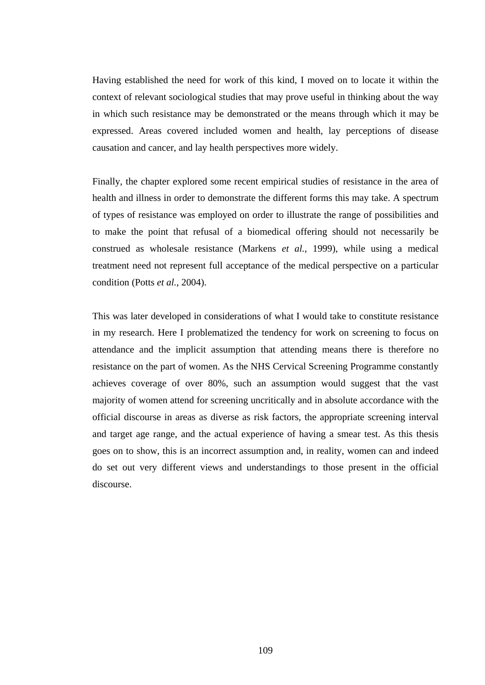Having established the need for work of this kind, I moved on to locate it within the context of relevant sociological studies that may prove useful in thinking about the way in which such resistance may be demonstrated or the means through which it may be expressed. Areas covered included women and health, lay perceptions of disease causation and cancer, and lay health perspectives more widely.

Finally, the chapter explored some recent empirical studies of resistance in the area of health and illness in order to demonstrate the different forms this may take. A spectrum of types of resistance was employed on order to illustrate the range of possibilities and to make the point that refusal of a biomedical offering should not necessarily be construed as wholesale resistance (Markens *et al.*, 1999), while using a medical treatment need not represent full acceptance of the medical perspective on a particular condition (Potts *et al.*, 2004).

This was later developed in considerations of what I would take to constitute resistance in my research. Here I problematized the tendency for work on screening to focus on attendance and the implicit assumption that attending means there is therefore no resistance on the part of women. As the NHS Cervical Screening Programme constantly achieves coverage of over 80%, such an assumption would suggest that the vast majority of women attend for screening uncritically and in absolute accordance with the official discourse in areas as diverse as risk factors, the appropriate screening interval and target age range, and the actual experience of having a smear test. As this thesis goes on to show, this is an incorrect assumption and, in reality, women can and indeed do set out very different views and understandings to those present in the official discourse.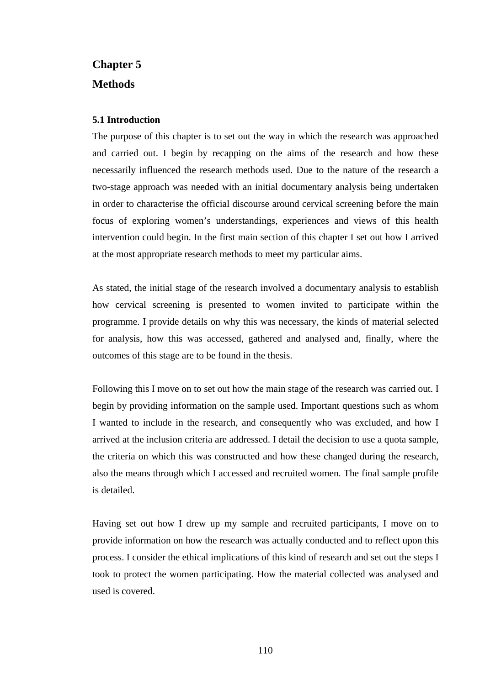# **Chapter 5 Methods**

# **5.1 Introduction**

The purpose of this chapter is to set out the way in which the research was approached and carried out. I begin by recapping on the aims of the research and how these necessarily influenced the research methods used. Due to the nature of the research a two-stage approach was needed with an initial documentary analysis being undertaken in order to characterise the official discourse around cervical screening before the main focus of exploring women's understandings, experiences and views of this health intervention could begin. In the first main section of this chapter I set out how I arrived at the most appropriate research methods to meet my particular aims.

As stated, the initial stage of the research involved a documentary analysis to establish how cervical screening is presented to women invited to participate within the programme. I provide details on why this was necessary, the kinds of material selected for analysis, how this was accessed, gathered and analysed and, finally, where the outcomes of this stage are to be found in the thesis.

Following this I move on to set out how the main stage of the research was carried out. I begin by providing information on the sample used. Important questions such as whom I wanted to include in the research, and consequently who was excluded, and how I arrived at the inclusion criteria are addressed. I detail the decision to use a quota sample, the criteria on which this was constructed and how these changed during the research, also the means through which I accessed and recruited women. The final sample profile is detailed.

Having set out how I drew up my sample and recruited participants, I move on to provide information on how the research was actually conducted and to reflect upon this process. I consider the ethical implications of this kind of research and set out the steps I took to protect the women participating. How the material collected was analysed and used is covered.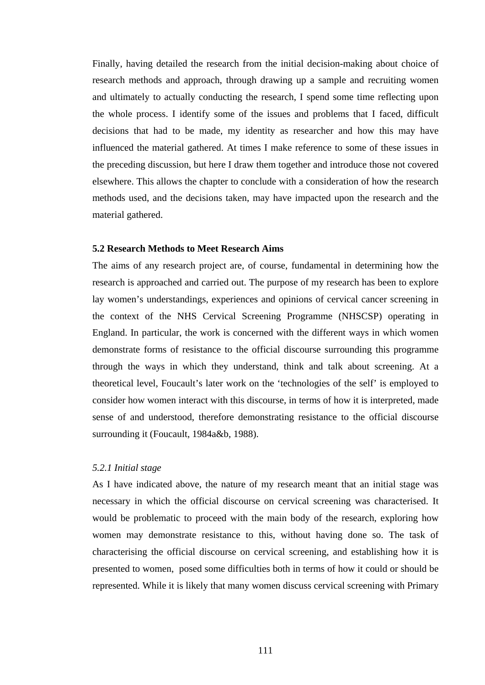Finally, having detailed the research from the initial decision-making about choice of research methods and approach, through drawing up a sample and recruiting women and ultimately to actually conducting the research, I spend some time reflecting upon the whole process. I identify some of the issues and problems that I faced, difficult decisions that had to be made, my identity as researcher and how this may have influenced the material gathered. At times I make reference to some of these issues in the preceding discussion, but here I draw them together and introduce those not covered elsewhere. This allows the chapter to conclude with a consideration of how the research methods used, and the decisions taken, may have impacted upon the research and the material gathered.

#### **5.2 Research Methods to Meet Research Aims**

The aims of any research project are, of course, fundamental in determining how the research is approached and carried out. The purpose of my research has been to explore lay women's understandings, experiences and opinions of cervical cancer screening in the context of the NHS Cervical Screening Programme (NHSCSP) operating in England. In particular, the work is concerned with the different ways in which women demonstrate forms of resistance to the official discourse surrounding this programme through the ways in which they understand, think and talk about screening. At a theoretical level, Foucault's later work on the 'technologies of the self' is employed to consider how women interact with this discourse, in terms of how it is interpreted, made sense of and understood, therefore demonstrating resistance to the official discourse surrounding it (Foucault, 1984a&b, 1988).

# *5.2.1 Initial stage*

As I have indicated above, the nature of my research meant that an initial stage was necessary in which the official discourse on cervical screening was characterised. It would be problematic to proceed with the main body of the research, exploring how women may demonstrate resistance to this, without having done so. The task of characterising the official discourse on cervical screening, and establishing how it is presented to women, posed some difficulties both in terms of how it could or should be represented. While it is likely that many women discuss cervical screening with Primary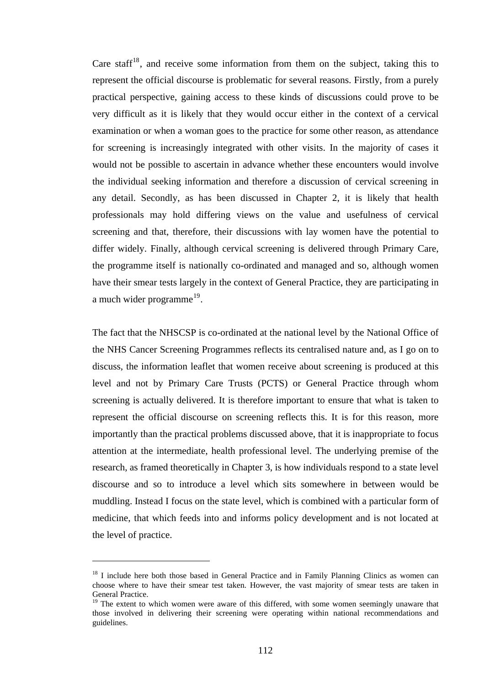Care staff<sup>[18](#page-112-0)</sup>, and receive some information from them on the subject, taking this to represent the official discourse is problematic for several reasons. Firstly, from a purely practical perspective, gaining access to these kinds of discussions could prove to be very difficult as it is likely that they would occur either in the context of a cervical examination or when a woman goes to the practice for some other reason, as attendance for screening is increasingly integrated with other visits. In the majority of cases it would not be possible to ascertain in advance whether these encounters would involve the individual seeking information and therefore a discussion of cervical screening in any detail. Secondly, as has been discussed in Chapter 2, it is likely that health professionals may hold differing views on the value and usefulness of cervical screening and that, therefore, their discussions with lay women have the potential to differ widely. Finally, although cervical screening is delivered through Primary Care, the programme itself is nationally co-ordinated and managed and so, although women have their smear tests largely in the context of General Practice, they are participating in a much wider programme<sup>[19](#page-112-1)</sup>.

The fact that the NHSCSP is co-ordinated at the national level by the National Office of the NHS Cancer Screening Programmes reflects its centralised nature and, as I go on to discuss, the information leaflet that women receive about screening is produced at this level and not by Primary Care Trusts (PCTS) or General Practice through whom screening is actually delivered. It is therefore important to ensure that what is taken to represent the official discourse on screening reflects this. It is for this reason, more importantly than the practical problems discussed above, that it is inappropriate to focus attention at the intermediate, health professional level. The underlying premise of the research, as framed theoretically in Chapter 3, is how individuals respond to a state level discourse and so to introduce a level which sits somewhere in between would be muddling. Instead I focus on the state level, which is combined with a particular form of medicine, that which feeds into and informs policy development and is not located at the level of practice.

 $\overline{a}$ 

<span id="page-112-0"></span><sup>&</sup>lt;sup>18</sup> I include here both those based in General Practice and in Family Planning Clinics as women can choose where to have their smear test taken. However, the vast majority of smear tests are taken in General Practice.

<span id="page-112-1"></span><sup>&</sup>lt;sup>19</sup> The extent to which women were aware of this differed, with some women seemingly unaware that those involved in delivering their screening were operating within national recommendations and guidelines.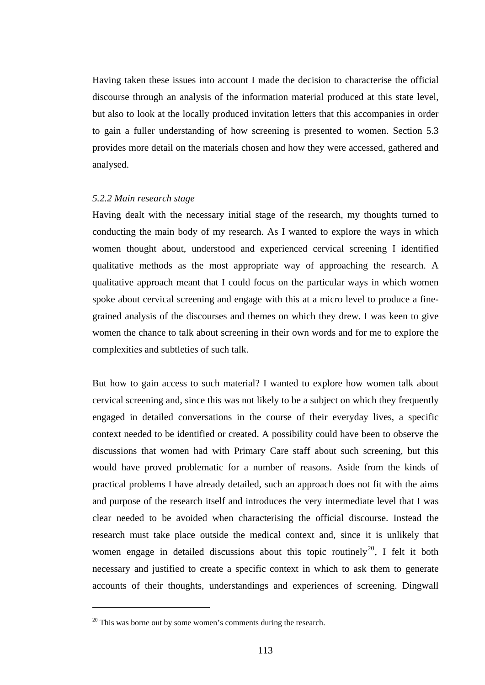Having taken these issues into account I made the decision to characterise the official discourse through an analysis of the information material produced at this state level, but also to look at the locally produced invitation letters that this accompanies in order to gain a fuller understanding of how screening is presented to women. Section 5.3 provides more detail on the materials chosen and how they were accessed, gathered and analysed.

#### *5.2.2 Main research stage*

Having dealt with the necessary initial stage of the research, my thoughts turned to conducting the main body of my research. As I wanted to explore the ways in which women thought about, understood and experienced cervical screening I identified qualitative methods as the most appropriate way of approaching the research. A qualitative approach meant that I could focus on the particular ways in which women spoke about cervical screening and engage with this at a micro level to produce a finegrained analysis of the discourses and themes on which they drew. I was keen to give women the chance to talk about screening in their own words and for me to explore the complexities and subtleties of such talk.

But how to gain access to such material? I wanted to explore how women talk about cervical screening and, since this was not likely to be a subject on which they frequently engaged in detailed conversations in the course of their everyday lives, a specific context needed to be identified or created. A possibility could have been to observe the discussions that women had with Primary Care staff about such screening, but this would have proved problematic for a number of reasons. Aside from the kinds of practical problems I have already detailed, such an approach does not fit with the aims and purpose of the research itself and introduces the very intermediate level that I was clear needed to be avoided when characterising the official discourse. Instead the research must take place outside the medical context and, since it is unlikely that women engage in detailed discussions about this topic routinely<sup>[20](#page-113-0)</sup>. I felt it both necessary and justified to create a specific context in which to ask them to generate accounts of their thoughts, understandings and experiences of screening. Dingwall

 $\overline{a}$ 

<span id="page-113-0"></span> $20$  This was borne out by some women's comments during the research.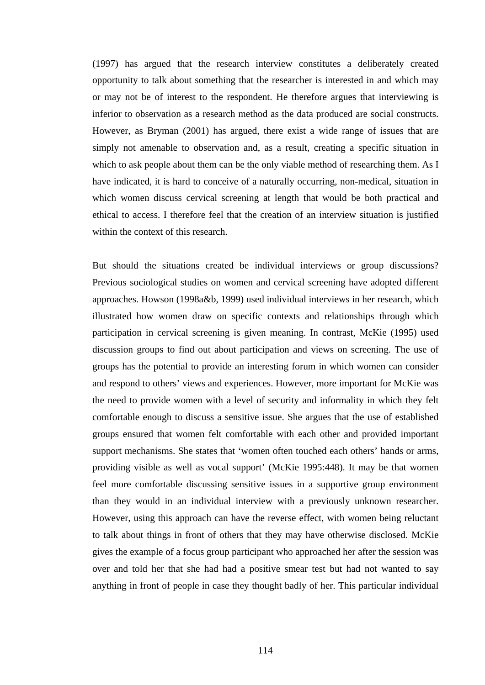(1997) has argued that the research interview constitutes a deliberately created opportunity to talk about something that the researcher is interested in and which may or may not be of interest to the respondent. He therefore argues that interviewing is inferior to observation as a research method as the data produced are social constructs. However, as Bryman (2001) has argued, there exist a wide range of issues that are simply not amenable to observation and, as a result, creating a specific situation in which to ask people about them can be the only viable method of researching them. As I have indicated, it is hard to conceive of a naturally occurring, non-medical, situation in which women discuss cervical screening at length that would be both practical and ethical to access. I therefore feel that the creation of an interview situation is justified within the context of this research.

But should the situations created be individual interviews or group discussions? Previous sociological studies on women and cervical screening have adopted different approaches. Howson (1998a&b, 1999) used individual interviews in her research, which illustrated how women draw on specific contexts and relationships through which participation in cervical screening is given meaning. In contrast, McKie (1995) used discussion groups to find out about participation and views on screening. The use of groups has the potential to provide an interesting forum in which women can consider and respond to others' views and experiences. However, more important for McKie was the need to provide women with a level of security and informality in which they felt comfortable enough to discuss a sensitive issue. She argues that the use of established groups ensured that women felt comfortable with each other and provided important support mechanisms. She states that 'women often touched each others' hands or arms, providing visible as well as vocal support' (McKie 1995:448). It may be that women feel more comfortable discussing sensitive issues in a supportive group environment than they would in an individual interview with a previously unknown researcher. However, using this approach can have the reverse effect, with women being reluctant to talk about things in front of others that they may have otherwise disclosed. McKie gives the example of a focus group participant who approached her after the session was over and told her that she had had a positive smear test but had not wanted to say anything in front of people in case they thought badly of her. This particular individual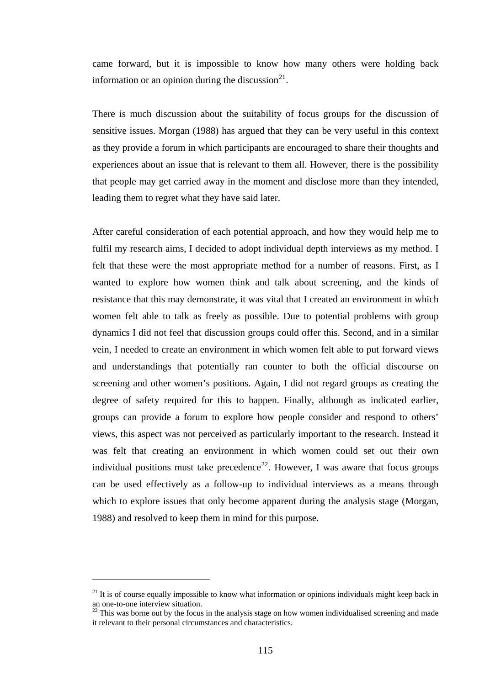came forward, but it is impossible to know how many others were holding back information or an opinion during the discussion $^{21}$  $^{21}$  $^{21}$ .

There is much discussion about the suitability of focus groups for the discussion of sensitive issues. Morgan (1988) has argued that they can be very useful in this context as they provide a forum in which participants are encouraged to share their thoughts and experiences about an issue that is relevant to them all. However, there is the possibility that people may get carried away in the moment and disclose more than they intended, leading them to regret what they have said later.

After careful consideration of each potential approach, and how they would help me to fulfil my research aims, I decided to adopt individual depth interviews as my method. I felt that these were the most appropriate method for a number of reasons. First, as I wanted to explore how women think and talk about screening, and the kinds of resistance that this may demonstrate, it was vital that I created an environment in which women felt able to talk as freely as possible. Due to potential problems with group dynamics I did not feel that discussion groups could offer this. Second, and in a similar vein, I needed to create an environment in which women felt able to put forward views and understandings that potentially ran counter to both the official discourse on screening and other women's positions. Again, I did not regard groups as creating the degree of safety required for this to happen. Finally, although as indicated earlier, groups can provide a forum to explore how people consider and respond to others' views, this aspect was not perceived as particularly important to the research. Instead it was felt that creating an environment in which women could set out their own individual positions must take precedence<sup>[22](#page-115-1)</sup>. However, I was aware that focus groups can be used effectively as a follow-up to individual interviews as a means through which to explore issues that only become apparent during the analysis stage (Morgan, 1988) and resolved to keep them in mind for this purpose.

 $\overline{a}$ 

<span id="page-115-0"></span><sup>&</sup>lt;sup>21</sup> It is of course equally impossible to know what information or opinions individuals might keep back in an one-to-one interview situation.

<span id="page-115-1"></span> $22$  This was borne out by the focus in the analysis stage on how women individualised screening and made it relevant to their personal circumstances and characteristics.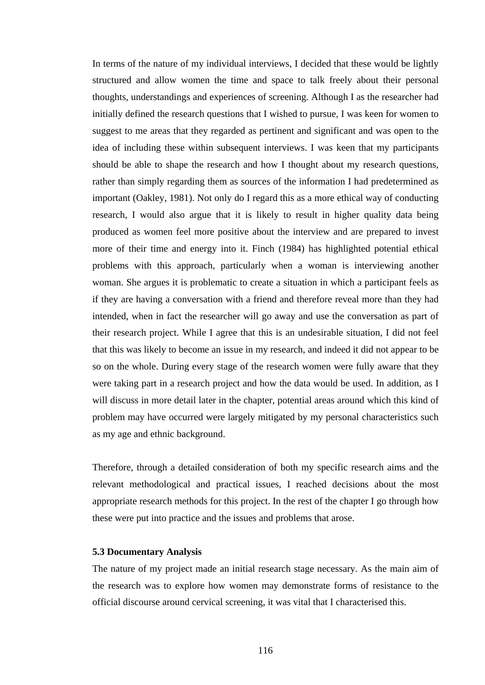In terms of the nature of my individual interviews, I decided that these would be lightly structured and allow women the time and space to talk freely about their personal thoughts, understandings and experiences of screening. Although I as the researcher had initially defined the research questions that I wished to pursue, I was keen for women to suggest to me areas that they regarded as pertinent and significant and was open to the idea of including these within subsequent interviews. I was keen that my participants should be able to shape the research and how I thought about my research questions, rather than simply regarding them as sources of the information I had predetermined as important (Oakley, 1981). Not only do I regard this as a more ethical way of conducting research, I would also argue that it is likely to result in higher quality data being produced as women feel more positive about the interview and are prepared to invest more of their time and energy into it. Finch (1984) has highlighted potential ethical problems with this approach, particularly when a woman is interviewing another woman. She argues it is problematic to create a situation in which a participant feels as if they are having a conversation with a friend and therefore reveal more than they had intended, when in fact the researcher will go away and use the conversation as part of their research project. While I agree that this is an undesirable situation, I did not feel that this was likely to become an issue in my research, and indeed it did not appear to be so on the whole. During every stage of the research women were fully aware that they were taking part in a research project and how the data would be used. In addition, as I will discuss in more detail later in the chapter, potential areas around which this kind of problem may have occurred were largely mitigated by my personal characteristics such as my age and ethnic background.

Therefore, through a detailed consideration of both my specific research aims and the relevant methodological and practical issues, I reached decisions about the most appropriate research methods for this project. In the rest of the chapter I go through how these were put into practice and the issues and problems that arose.

## **5.3 Documentary Analysis**

The nature of my project made an initial research stage necessary. As the main aim of the research was to explore how women may demonstrate forms of resistance to the official discourse around cervical screening, it was vital that I characterised this.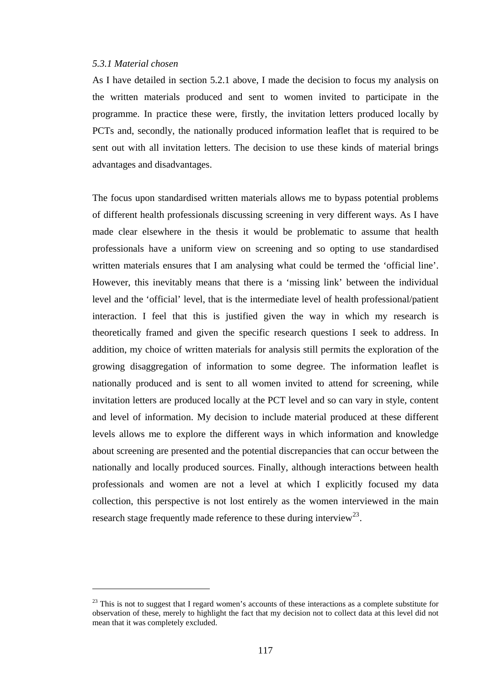## *5.3.1 Material chosen*

 $\overline{a}$ 

As I have detailed in section 5.2.1 above, I made the decision to focus my analysis on the written materials produced and sent to women invited to participate in the programme. In practice these were, firstly, the invitation letters produced locally by PCTs and, secondly, the nationally produced information leaflet that is required to be sent out with all invitation letters. The decision to use these kinds of material brings advantages and disadvantages.

The focus upon standardised written materials allows me to bypass potential problems of different health professionals discussing screening in very different ways. As I have made clear elsewhere in the thesis it would be problematic to assume that health professionals have a uniform view on screening and so opting to use standardised written materials ensures that I am analysing what could be termed the 'official line'. However, this inevitably means that there is a 'missing link' between the individual level and the 'official' level, that is the intermediate level of health professional/patient interaction. I feel that this is justified given the way in which my research is theoretically framed and given the specific research questions I seek to address. In addition, my choice of written materials for analysis still permits the exploration of the growing disaggregation of information to some degree. The information leaflet is nationally produced and is sent to all women invited to attend for screening, while invitation letters are produced locally at the PCT level and so can vary in style, content and level of information. My decision to include material produced at these different levels allows me to explore the different ways in which information and knowledge about screening are presented and the potential discrepancies that can occur between the nationally and locally produced sources. Finally, although interactions between health professionals and women are not a level at which I explicitly focused my data collection, this perspective is not lost entirely as the women interviewed in the main research stage frequently made reference to these during interview<sup>[23](#page-117-0)</sup>.

<span id="page-117-0"></span> $23$  This is not to suggest that I regard women's accounts of these interactions as a complete substitute for observation of these, merely to highlight the fact that my decision not to collect data at this level did not mean that it was completely excluded.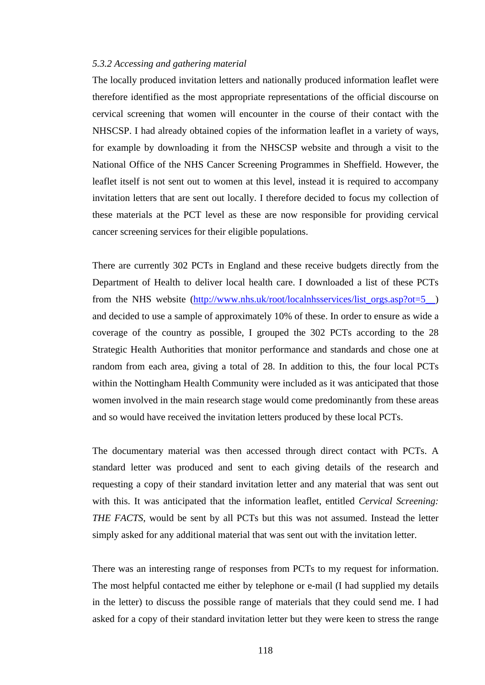#### *5.3.2 Accessing and gathering material*

The locally produced invitation letters and nationally produced information leaflet were therefore identified as the most appropriate representations of the official discourse on cervical screening that women will encounter in the course of their contact with the NHSCSP. I had already obtained copies of the information leaflet in a variety of ways, for example by downloading it from the NHSCSP website and through a visit to the National Office of the NHS Cancer Screening Programmes in Sheffield. However, the leaflet itself is not sent out to women at this level, instead it is required to accompany invitation letters that are sent out locally. I therefore decided to focus my collection of these materials at the PCT level as these are now responsible for providing cervical cancer screening services for their eligible populations.

There are currently 302 PCTs in England and these receive budgets directly from the Department of Health to deliver local health care. I downloaded a list of these PCTs from the NHS website  $(\frac{http://www.nhs.uk/root/localnhsservices/list \text{orgs.asp?ot=5}}{$ and decided to use a sample of approximately 10% of these. In order to ensure as wide a coverage of the country as possible, I grouped the 302 PCTs according to the 28 Strategic Health Authorities that monitor performance and standards and chose one at random from each area, giving a total of 28. In addition to this, the four local PCTs within the Nottingham Health Community were included as it was anticipated that those women involved in the main research stage would come predominantly from these areas and so would have received the invitation letters produced by these local PCTs.

The documentary material was then accessed through direct contact with PCTs. A standard letter was produced and sent to each giving details of the research and requesting a copy of their standard invitation letter and any material that was sent out with this. It was anticipated that the information leaflet, entitled *Cervical Screening: THE FACTS*, would be sent by all PCTs but this was not assumed. Instead the letter simply asked for any additional material that was sent out with the invitation letter.

There was an interesting range of responses from PCTs to my request for information. The most helpful contacted me either by telephone or e-mail (I had supplied my details in the letter) to discuss the possible range of materials that they could send me. I had asked for a copy of their standard invitation letter but they were keen to stress the range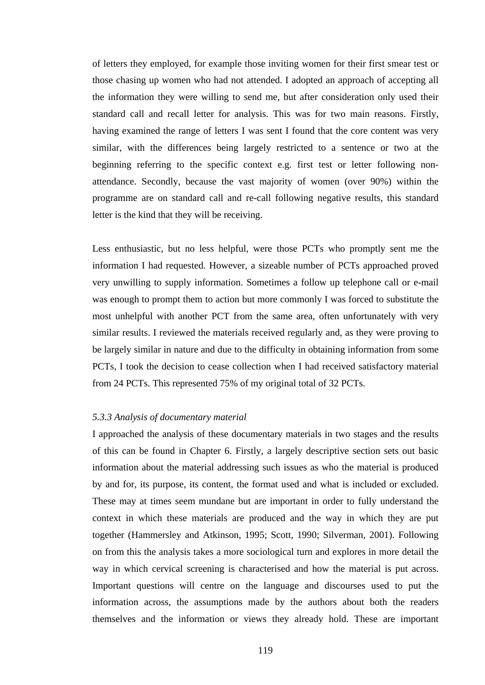of letters they employed, for example those inviting women for their first smear test or those chasing up women who had not attended. I adopted an approach of accepting all the information they were willing to send me, but after consideration only used their standard call and recall letter for analysis. This was for two main reasons. Firstly, having examined the range of letters I was sent I found that the core content was very similar, with the differences being largely restricted to a sentence or two at the beginning referring to the specific context e.g. first test or letter following nonattendance. Secondly, because the vast majority of women (over 90%) within the programme are on standard call and re-call following negative results, this standard letter is the kind that they will be receiving.

Less enthusiastic, but no less helpful, were those PCTs who promptly sent me the information I had requested. However, a sizeable number of PCTs approached proved very unwilling to supply information. Sometimes a follow up telephone call or e-mail was enough to prompt them to action but more commonly I was forced to substitute the most unhelpful with another PCT from the same area, often unfortunately with very similar results. I reviewed the materials received regularly and, as they were proving to be largely similar in nature and due to the difficulty in obtaining information from some PCTs, I took the decision to cease collection when I had received satisfactory material from 24 PCTs. This represented 75% of my original total of 32 PCTs.

## *5.3.3 Analysis of documentary material*

I approached the analysis of these documentary materials in two stages and the results of this can be found in Chapter 6. Firstly, a largely descriptive section sets out basic information about the material addressing such issues as who the material is produced by and for, its purpose, its content, the format used and what is included or excluded. These may at times seem mundane but are important in order to fully understand the context in which these materials are produced and the way in which they are put together (Hammersley and Atkinson, 1995; Scott, 1990; Silverman, 2001). Following on from this the analysis takes a more sociological turn and explores in more detail the way in which cervical screening is characterised and how the material is put across. Important questions will centre on the language and discourses used to put the information across, the assumptions made by the authors about both the readers themselves and the information or views they already hold. These are important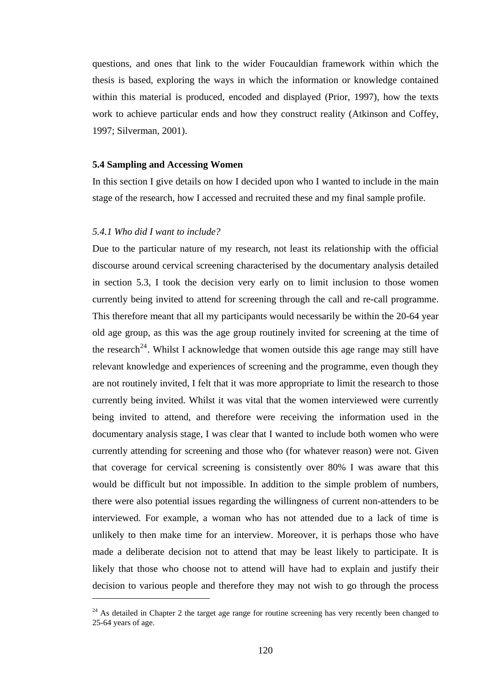questions, and ones that link to the wider Foucauldian framework within which the thesis is based, exploring the ways in which the information or knowledge contained within this material is produced, encoded and displayed (Prior, 1997), how the texts work to achieve particular ends and how they construct reality (Atkinson and Coffey, 1997; Silverman, 2001).

#### **5.4 Sampling and Accessing Women**

In this section I give details on how I decided upon who I wanted to include in the main stage of the research, how I accessed and recruited these and my final sample profile.

## *5.4.1 Who did I want to include?*

 $\overline{a}$ 

Due to the particular nature of my research, not least its relationship with the official discourse around cervical screening characterised by the documentary analysis detailed in section 5.3, I took the decision very early on to limit inclusion to those women currently being invited to attend for screening through the call and re-call programme. This therefore meant that all my participants would necessarily be within the 20-64 year old age group, as this was the age group routinely invited for screening at the time of the research<sup>[24](#page-120-0)</sup>. Whilst I acknowledge that women outside this age range may still have relevant knowledge and experiences of screening and the programme, even though they are not routinely invited, I felt that it was more appropriate to limit the research to those currently being invited. Whilst it was vital that the women interviewed were currently being invited to attend, and therefore were receiving the information used in the documentary analysis stage, I was clear that I wanted to include both women who were currently attending for screening and those who (for whatever reason) were not. Given that coverage for cervical screening is consistently over 80% I was aware that this would be difficult but not impossible. In addition to the simple problem of numbers, there were also potential issues regarding the willingness of current non-attenders to be interviewed. For example, a woman who has not attended due to a lack of time is unlikely to then make time for an interview. Moreover, it is perhaps those who have made a deliberate decision not to attend that may be least likely to participate. It is likely that those who choose not to attend will have had to explain and justify their decision to various people and therefore they may not wish to go through the process

<span id="page-120-0"></span> $^{24}$  As detailed in Chapter 2 the target age range for routine screening has very recently been changed to 25-64 years of age.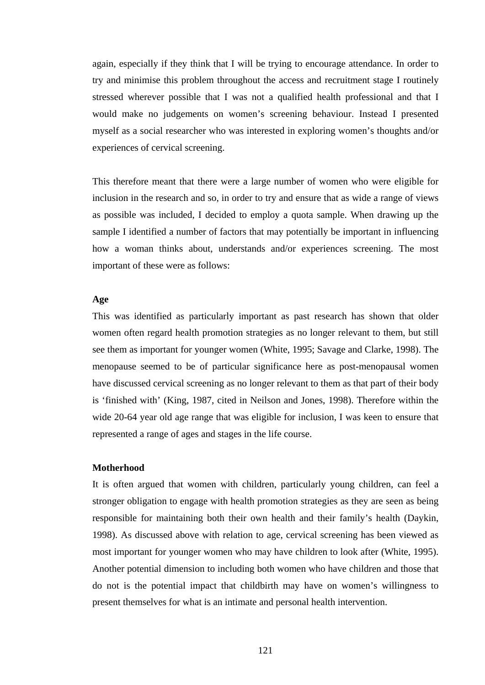again, especially if they think that I will be trying to encourage attendance. In order to try and minimise this problem throughout the access and recruitment stage I routinely stressed wherever possible that I was not a qualified health professional and that I would make no judgements on women's screening behaviour. Instead I presented myself as a social researcher who was interested in exploring women's thoughts and/or experiences of cervical screening.

This therefore meant that there were a large number of women who were eligible for inclusion in the research and so, in order to try and ensure that as wide a range of views as possible was included, I decided to employ a quota sample. When drawing up the sample I identified a number of factors that may potentially be important in influencing how a woman thinks about, understands and/or experiences screening. The most important of these were as follows:

# **Age**

This was identified as particularly important as past research has shown that older women often regard health promotion strategies as no longer relevant to them, but still see them as important for younger women (White, 1995; Savage and Clarke, 1998). The menopause seemed to be of particular significance here as post-menopausal women have discussed cervical screening as no longer relevant to them as that part of their body is 'finished with' (King, 1987, cited in Neilson and Jones, 1998). Therefore within the wide 20-64 year old age range that was eligible for inclusion, I was keen to ensure that represented a range of ages and stages in the life course.

## **Motherhood**

It is often argued that women with children, particularly young children, can feel a stronger obligation to engage with health promotion strategies as they are seen as being responsible for maintaining both their own health and their family's health (Daykin, 1998). As discussed above with relation to age, cervical screening has been viewed as most important for younger women who may have children to look after (White, 1995). Another potential dimension to including both women who have children and those that do not is the potential impact that childbirth may have on women's willingness to present themselves for what is an intimate and personal health intervention.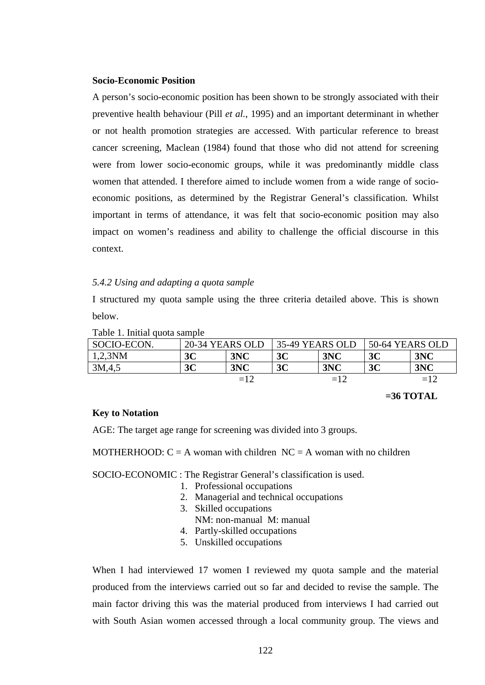## **Socio-Economic Position**

A person's socio-economic position has been shown to be strongly associated with their preventive health behaviour (Pill *et al.*, 1995) and an important determinant in whether or not health promotion strategies are accessed. With particular reference to breast cancer screening, Maclean (1984) found that those who did not attend for screening were from lower socio-economic groups, while it was predominantly middle class women that attended. I therefore aimed to include women from a wide range of socioeconomic positions, as determined by the Registrar General's classification. Whilst important in terms of attendance, it was felt that socio-economic position may also impact on women's readiness and ability to challenge the official discourse in this context.

# *5.4.2 Using and adapting a quota sample*

I structured my quota sample using the three criteria detailed above. This is shown below.

| SOCIO-ECON. |    | 20-34 YEARS OLD |       | 35-49 YEARS OLD |       | 50-64 YEARS OLD |       |
|-------------|----|-----------------|-------|-----------------|-------|-----------------|-------|
| 1,2,3NM     | 3C |                 | 3NC   | 3C              | 3NC   | 3 <sub>C</sub>  | 3NC   |
| 3M,4,5      | 3C |                 | 3NC   | 3C              | 3NC   | 3 <sub>C</sub>  | 3NC   |
|             |    |                 | $=12$ |                 | $=12$ |                 | $=12$ |

#### Table 1. Initial quota sample

#### **=36 TOTAL**

# **Key to Notation**

AGE: The target age range for screening was divided into 3 groups.

MOTHERHOOD:  $C = A$  woman with children  $NC = A$  woman with no children

SOCIO-ECONOMIC : The Registrar General's classification is used.

- 1. Professional occupations
- 2. Managerial and technical occupations
- 3. Skilled occupations
	- NM: non-manual M: manual
- 4. Partly-skilled occupations
- 5. Unskilled occupations

When I had interviewed 17 women I reviewed my quota sample and the material produced from the interviews carried out so far and decided to revise the sample. The main factor driving this was the material produced from interviews I had carried out with South Asian women accessed through a local community group. The views and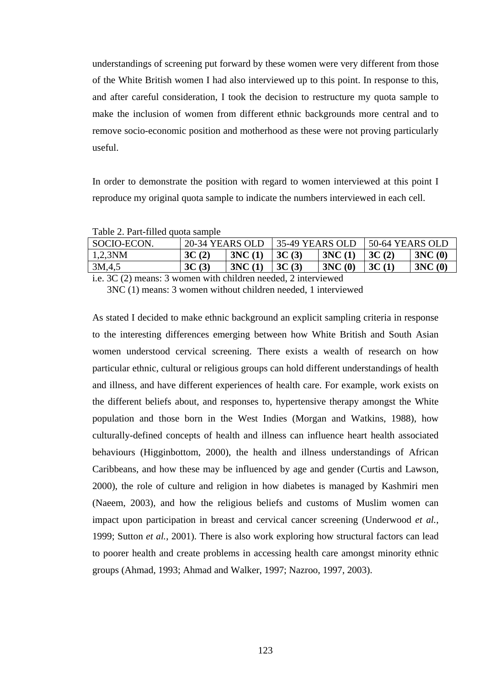understandings of screening put forward by these women were very different from those of the White British women I had also interviewed up to this point. In response to this, and after careful consideration, I took the decision to restructure my quota sample to make the inclusion of women from different ethnic backgrounds more central and to remove socio-economic position and motherhood as these were not proving particularly useful.

In order to demonstrate the position with regard to women interviewed at this point I reproduce my original quota sample to indicate the numbers interviewed in each cell.

Table 2. Part-filled quota sample

| SOCIO-ECON. | 20-34 YEARS OLD |        | 35-49 YEARS OLD |        | 50-64 YEARS OLD |        |
|-------------|-----------------|--------|-----------------|--------|-----------------|--------|
| 1,2,3NM     | 3C(2)           | 3NC(1) | 3C(3)           | 3NC(1) | 3C(2)           | 3NC(0) |
| 3M, 4, 5    | 3C(3)           | 3NC(1) | 3C(3)           | 3NC(0) | 3C(1)           | 3NC(0) |

i.e. 3C (2) means: 3 women with children needed, 2 interviewed

3NC (1) means: 3 women without children needed, 1 interviewed

As stated I decided to make ethnic background an explicit sampling criteria in response to the interesting differences emerging between how White British and South Asian women understood cervical screening. There exists a wealth of research on how particular ethnic, cultural or religious groups can hold different understandings of health and illness, and have different experiences of health care. For example, work exists on the different beliefs about, and responses to, hypertensive therapy amongst the White population and those born in the West Indies (Morgan and Watkins, 1988), how culturally-defined concepts of health and illness can influence heart health associated behaviours (Higginbottom, 2000), the health and illness understandings of African Caribbeans, and how these may be influenced by age and gender (Curtis and Lawson, 2000), the role of culture and religion in how diabetes is managed by Kashmiri men (Naeem, 2003), and how the religious beliefs and customs of Muslim women can impact upon participation in breast and cervical cancer screening (Underwood *et al.*, 1999; Sutton *et al.*, 2001). There is also work exploring how structural factors can lead to poorer health and create problems in accessing health care amongst minority ethnic groups (Ahmad, 1993; Ahmad and Walker, 1997; Nazroo, 1997, 2003).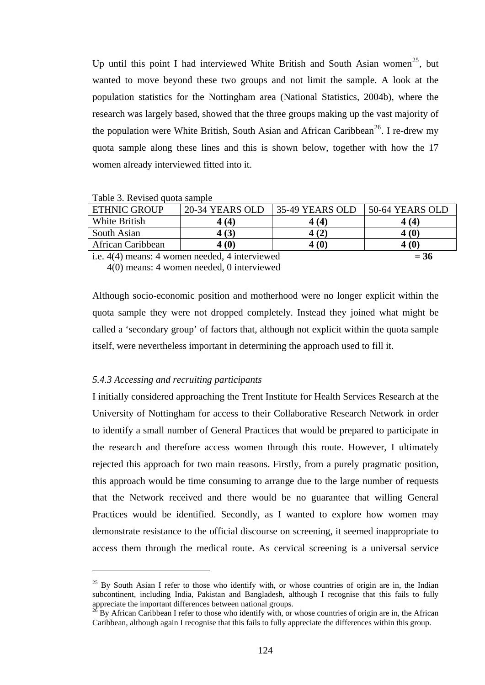Up until this point I had interviewed White British and South Asian women<sup>[25](#page-124-0)</sup>, but wanted to move beyond these two groups and not limit the sample. A look at the population statistics for the Nottingham area (National Statistics, 2004b), where the research was largely based, showed that the three groups making up the vast majority of the population were White British, South Asian and African Caribbean<sup>[26](#page-124-1)</sup>. I re-drew my quota sample along these lines and this is shown below, together with how the 17 women already interviewed fitted into it.

ETHNIC GROUP  $\vert$  20-34 YEARS OLD  $\vert$  35-49 YEARS OLD  $\vert$  50-64 YEARS OLD White British **4 (4) 4 (4) 4 (4) 4 (4) 4 (4)** South Asian **4 (3) 4 (2) 4 (6) 4 (6)** African Caribbean **4 (0) 4 (0) 4 (0) 4 (0) 4 (0)** i.e.  $4(4)$  means: 4 women needed, 4 interviewed  $= 36$ 

Table 3. Revised quota sample

4(0) means: 4 women needed, 0 interviewed

Although socio-economic position and motherhood were no longer explicit within the quota sample they were not dropped completely. Instead they joined what might be called a 'secondary group' of factors that, although not explicit within the quota sample itself, were nevertheless important in determining the approach used to fill it.

# *5.4.3 Accessing and recruiting participants*

 $\overline{a}$ 

I initially considered approaching the Trent Institute for Health Services Research at the University of Nottingham for access to their Collaborative Research Network in order to identify a small number of General Practices that would be prepared to participate in the research and therefore access women through this route. However, I ultimately rejected this approach for two main reasons. Firstly, from a purely pragmatic position, this approach would be time consuming to arrange due to the large number of requests that the Network received and there would be no guarantee that willing General Practices would be identified. Secondly, as I wanted to explore how women may demonstrate resistance to the official discourse on screening, it seemed inappropriate to access them through the medical route. As cervical screening is a universal service

<span id="page-124-0"></span> $^{25}$  By South Asian I refer to those who identify with, or whose countries of origin are in, the Indian subcontinent, including India, Pakistan and Bangladesh, although I recognise that this fails to fully appreciate the important differences between national groups.

<span id="page-124-1"></span>By African Caribbean I refer to those who identify with, or whose countries of origin are in, the African Caribbean, although again I recognise that this fails to fully appreciate the differences within this group.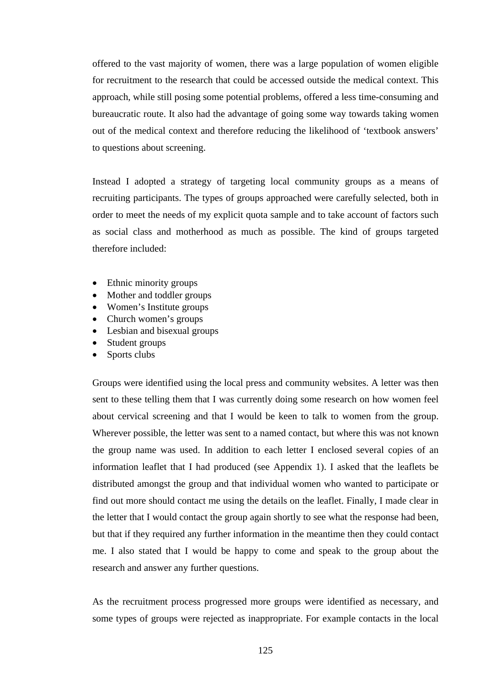offered to the vast majority of women, there was a large population of women eligible for recruitment to the research that could be accessed outside the medical context. This approach, while still posing some potential problems, offered a less time-consuming and bureaucratic route. It also had the advantage of going some way towards taking women out of the medical context and therefore reducing the likelihood of 'textbook answers' to questions about screening.

Instead I adopted a strategy of targeting local community groups as a means of recruiting participants. The types of groups approached were carefully selected, both in order to meet the needs of my explicit quota sample and to take account of factors such as social class and motherhood as much as possible. The kind of groups targeted therefore included:

- Ethnic minority groups
- Mother and toddler groups
- Women's Institute groups
- Church women's groups
- Lesbian and bisexual groups
- Student groups
- Sports clubs

Groups were identified using the local press and community websites. A letter was then sent to these telling them that I was currently doing some research on how women feel about cervical screening and that I would be keen to talk to women from the group. Wherever possible, the letter was sent to a named contact, but where this was not known the group name was used. In addition to each letter I enclosed several copies of an information leaflet that I had produced (see Appendix 1). I asked that the leaflets be distributed amongst the group and that individual women who wanted to participate or find out more should contact me using the details on the leaflet. Finally, I made clear in the letter that I would contact the group again shortly to see what the response had been, but that if they required any further information in the meantime then they could contact me. I also stated that I would be happy to come and speak to the group about the research and answer any further questions.

As the recruitment process progressed more groups were identified as necessary, and some types of groups were rejected as inappropriate. For example contacts in the local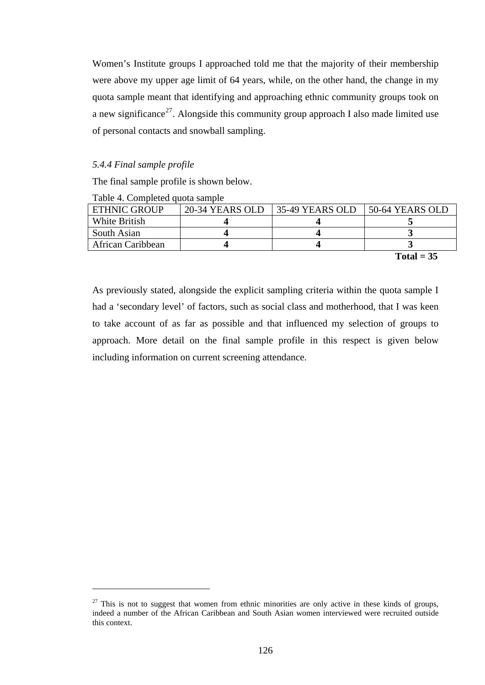Women's Institute groups I approached told me that the majority of their membership were above my upper age limit of 64 years, while, on the other hand, the change in my quota sample meant that identifying and approaching ethnic community groups took on a new significance<sup>[27](#page-126-0)</sup>. Alongside this community group approach I also made limited use of personal contacts and snowball sampling.

# *5.4.4 Final sample profile*

 $\overline{a}$ 

The final sample profile is shown below.

| ETHNIC GROUP      | 20-34 YEARS OLD | 35-49 YEARS OLD | 50-64 YEARS OLD |
|-------------------|-----------------|-----------------|-----------------|
| White British     |                 |                 |                 |
| South Asian       |                 |                 |                 |
| African Caribbean |                 |                 |                 |
|                   |                 |                 | Total = $35$    |

Table 4. Completed quota sample

As previously stated, alongside the explicit sampling criteria within the quota sample I had a 'secondary level' of factors, such as social class and motherhood, that I was keen to take account of as far as possible and that influenced my selection of groups to approach. More detail on the final sample profile in this respect is given below including information on current screening attendance.

<span id="page-126-0"></span> $27$  This is not to suggest that women from ethnic minorities are only active in these kinds of groups, indeed a number of the African Caribbean and South Asian women interviewed were recruited outside this context.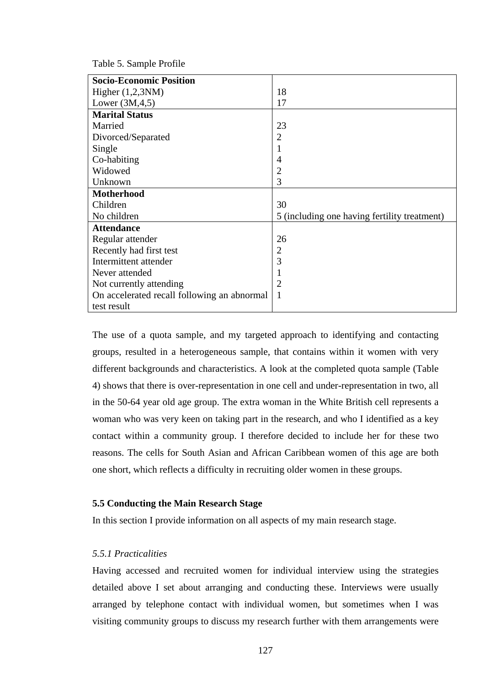Table 5. Sample Profile

| <b>Socio-Economic Position</b>              |                                              |
|---------------------------------------------|----------------------------------------------|
| Higher $(1,2,3NM)$                          | 18                                           |
| Lower $(3M, 4, 5)$                          | 17                                           |
| <b>Marital Status</b>                       |                                              |
| Married                                     | 23                                           |
| Divorced/Separated                          | $\overline{2}$                               |
| Single                                      | 1                                            |
| Co-habiting                                 | 4                                            |
| Widowed                                     | $\overline{c}$                               |
| Unknown                                     | 3                                            |
| <b>Motherhood</b>                           |                                              |
| Children                                    | 30                                           |
| No children                                 | 5 (including one having fertility treatment) |
| <b>Attendance</b>                           |                                              |
| Regular attender                            | 26                                           |
| Recently had first test                     | $\overline{2}$                               |
| Intermittent attender                       | 3                                            |
| Never attended                              | 1                                            |
| Not currently attending                     | $\overline{2}$                               |
| On accelerated recall following an abnormal | 1                                            |
| test result                                 |                                              |

The use of a quota sample, and my targeted approach to identifying and contacting groups, resulted in a heterogeneous sample, that contains within it women with very different backgrounds and characteristics. A look at the completed quota sample (Table 4) shows that there is over-representation in one cell and under-representation in two, all in the 50-64 year old age group. The extra woman in the White British cell represents a woman who was very keen on taking part in the research, and who I identified as a key contact within a community group. I therefore decided to include her for these two reasons. The cells for South Asian and African Caribbean women of this age are both one short, which reflects a difficulty in recruiting older women in these groups.

## **5.5 Conducting the Main Research Stage**

In this section I provide information on all aspects of my main research stage.

## *5.5.1 Practicalities*

Having accessed and recruited women for individual interview using the strategies detailed above I set about arranging and conducting these. Interviews were usually arranged by telephone contact with individual women, but sometimes when I was visiting community groups to discuss my research further with them arrangements were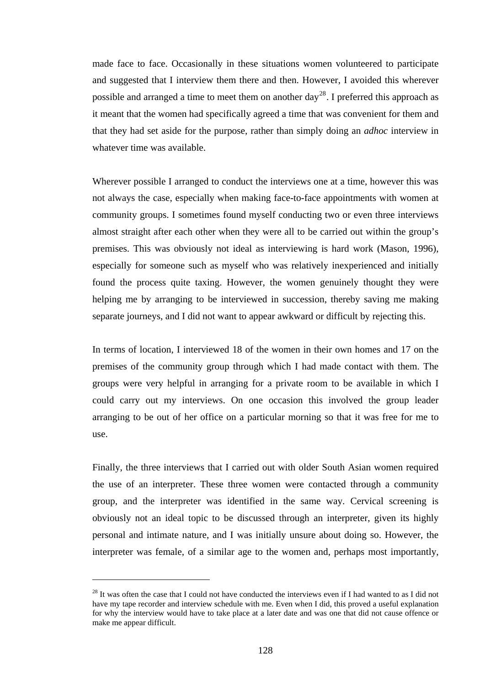made face to face. Occasionally in these situations women volunteered to participate and suggested that I interview them there and then. However, I avoided this wherever possible and arranged a time to meet them on another  $day^{28}$  $day^{28}$  $day^{28}$ . I preferred this approach as it meant that the women had specifically agreed a time that was convenient for them and that they had set aside for the purpose, rather than simply doing an *adhoc* interview in whatever time was available.

Wherever possible I arranged to conduct the interviews one at a time, however this was not always the case, especially when making face-to-face appointments with women at community groups. I sometimes found myself conducting two or even three interviews almost straight after each other when they were all to be carried out within the group's premises. This was obviously not ideal as interviewing is hard work (Mason, 1996), especially for someone such as myself who was relatively inexperienced and initially found the process quite taxing. However, the women genuinely thought they were helping me by arranging to be interviewed in succession, thereby saving me making separate journeys, and I did not want to appear awkward or difficult by rejecting this.

In terms of location, I interviewed 18 of the women in their own homes and 17 on the premises of the community group through which I had made contact with them. The groups were very helpful in arranging for a private room to be available in which I could carry out my interviews. On one occasion this involved the group leader arranging to be out of her office on a particular morning so that it was free for me to use.

Finally, the three interviews that I carried out with older South Asian women required the use of an interpreter. These three women were contacted through a community group, and the interpreter was identified in the same way. Cervical screening is obviously not an ideal topic to be discussed through an interpreter, given its highly personal and intimate nature, and I was initially unsure about doing so. However, the interpreter was female, of a similar age to the women and, perhaps most importantly,

 $\overline{a}$ 

<span id="page-128-0"></span> $^{28}$  It was often the case that I could not have conducted the interviews even if I had wanted to as I did not have my tape recorder and interview schedule with me. Even when I did, this proved a useful explanation for why the interview would have to take place at a later date and was one that did not cause offence or make me appear difficult.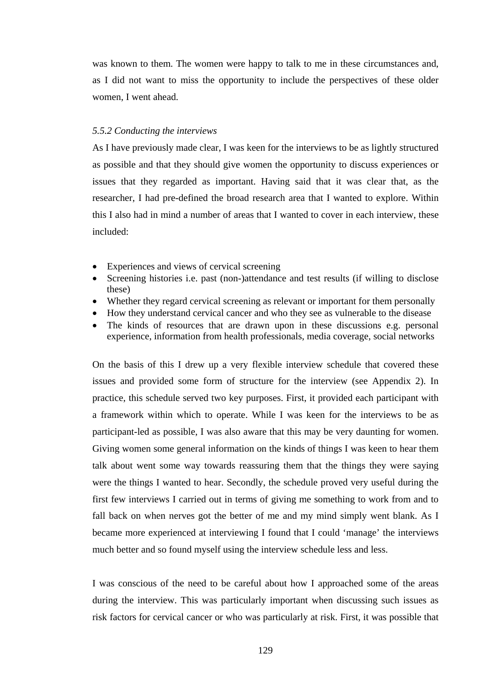was known to them. The women were happy to talk to me in these circumstances and, as I did not want to miss the opportunity to include the perspectives of these older women, I went ahead.

## *5.5.2 Conducting the interviews*

As I have previously made clear, I was keen for the interviews to be as lightly structured as possible and that they should give women the opportunity to discuss experiences or issues that they regarded as important. Having said that it was clear that, as the researcher, I had pre-defined the broad research area that I wanted to explore. Within this I also had in mind a number of areas that I wanted to cover in each interview, these included:

- Experiences and views of cervical screening
- Screening histories i.e. past (non-)attendance and test results (if willing to disclose these)
- Whether they regard cervical screening as relevant or important for them personally
- How they understand cervical cancer and who they see as vulnerable to the disease
- The kinds of resources that are drawn upon in these discussions e.g. personal experience, information from health professionals, media coverage, social networks

On the basis of this I drew up a very flexible interview schedule that covered these issues and provided some form of structure for the interview (see Appendix 2). In practice, this schedule served two key purposes. First, it provided each participant with a framework within which to operate. While I was keen for the interviews to be as participant-led as possible, I was also aware that this may be very daunting for women. Giving women some general information on the kinds of things I was keen to hear them talk about went some way towards reassuring them that the things they were saying were the things I wanted to hear. Secondly, the schedule proved very useful during the first few interviews I carried out in terms of giving me something to work from and to fall back on when nerves got the better of me and my mind simply went blank. As I became more experienced at interviewing I found that I could 'manage' the interviews much better and so found myself using the interview schedule less and less.

I was conscious of the need to be careful about how I approached some of the areas during the interview. This was particularly important when discussing such issues as risk factors for cervical cancer or who was particularly at risk. First, it was possible that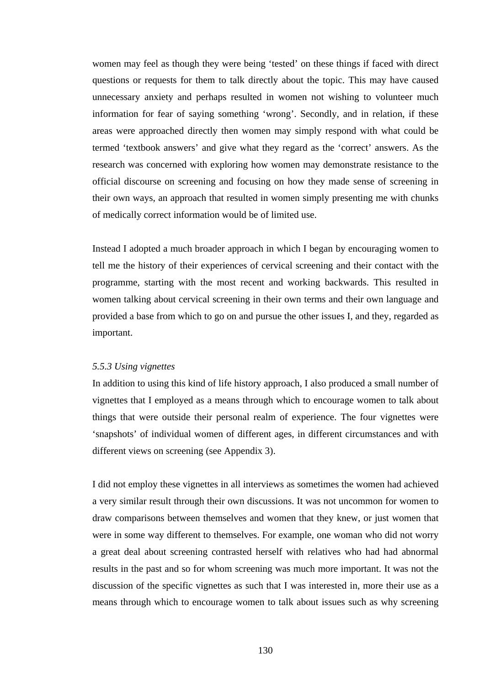women may feel as though they were being 'tested' on these things if faced with direct questions or requests for them to talk directly about the topic. This may have caused unnecessary anxiety and perhaps resulted in women not wishing to volunteer much information for fear of saying something 'wrong'. Secondly, and in relation, if these areas were approached directly then women may simply respond with what could be termed 'textbook answers' and give what they regard as the 'correct' answers. As the research was concerned with exploring how women may demonstrate resistance to the official discourse on screening and focusing on how they made sense of screening in their own ways, an approach that resulted in women simply presenting me with chunks of medically correct information would be of limited use.

Instead I adopted a much broader approach in which I began by encouraging women to tell me the history of their experiences of cervical screening and their contact with the programme, starting with the most recent and working backwards. This resulted in women talking about cervical screening in their own terms and their own language and provided a base from which to go on and pursue the other issues I, and they, regarded as important.

## *5.5.3 Using vignettes*

In addition to using this kind of life history approach, I also produced a small number of vignettes that I employed as a means through which to encourage women to talk about things that were outside their personal realm of experience. The four vignettes were 'snapshots' of individual women of different ages, in different circumstances and with different views on screening (see Appendix 3).

I did not employ these vignettes in all interviews as sometimes the women had achieved a very similar result through their own discussions. It was not uncommon for women to draw comparisons between themselves and women that they knew, or just women that were in some way different to themselves. For example, one woman who did not worry a great deal about screening contrasted herself with relatives who had had abnormal results in the past and so for whom screening was much more important. It was not the discussion of the specific vignettes as such that I was interested in, more their use as a means through which to encourage women to talk about issues such as why screening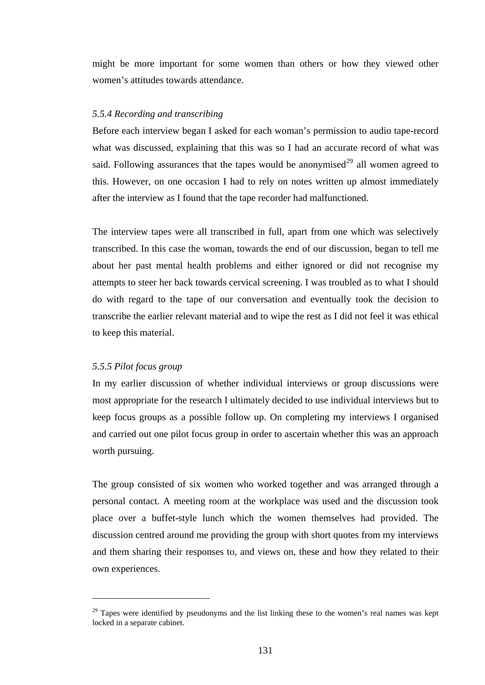might be more important for some women than others or how they viewed other women's attitudes towards attendance.

## *5.5.4 Recording and transcribing*

Before each interview began I asked for each woman's permission to audio tape-record what was discussed, explaining that this was so I had an accurate record of what was said. Following assurances that the tapes would be anonymised<sup>[29](#page-131-0)</sup> all women agreed to this. However, on one occasion I had to rely on notes written up almost immediately after the interview as I found that the tape recorder had malfunctioned.

The interview tapes were all transcribed in full, apart from one which was selectively transcribed. In this case the woman, towards the end of our discussion, began to tell me about her past mental health problems and either ignored or did not recognise my attempts to steer her back towards cervical screening. I was troubled as to what I should do with regard to the tape of our conversation and eventually took the decision to transcribe the earlier relevant material and to wipe the rest as I did not feel it was ethical to keep this material.

#### *5.5.5 Pilot focus group*

 $\overline{a}$ 

In my earlier discussion of whether individual interviews or group discussions were most appropriate for the research I ultimately decided to use individual interviews but to keep focus groups as a possible follow up. On completing my interviews I organised and carried out one pilot focus group in order to ascertain whether this was an approach worth pursuing.

The group consisted of six women who worked together and was arranged through a personal contact. A meeting room at the workplace was used and the discussion took place over a buffet-style lunch which the women themselves had provided. The discussion centred around me providing the group with short quotes from my interviews and them sharing their responses to, and views on, these and how they related to their own experiences.

<span id="page-131-0"></span> $29$  Tapes were identified by pseudonyms and the list linking these to the women's real names was kept locked in a separate cabinet.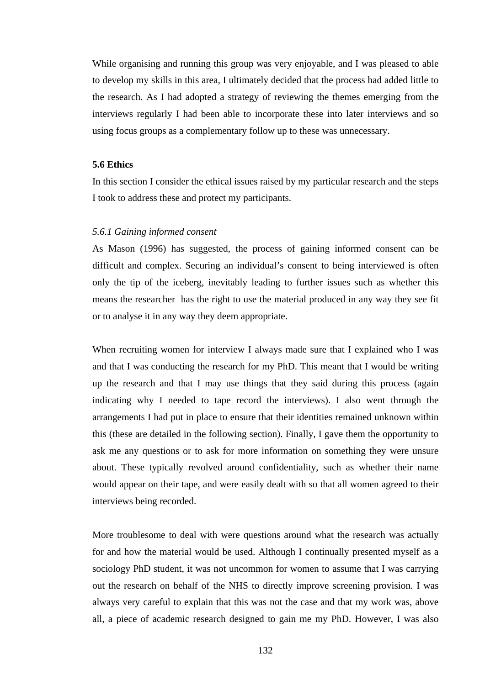While organising and running this group was very enjoyable, and I was pleased to able to develop my skills in this area, I ultimately decided that the process had added little to the research. As I had adopted a strategy of reviewing the themes emerging from the interviews regularly I had been able to incorporate these into later interviews and so using focus groups as a complementary follow up to these was unnecessary.

## **5.6 Ethics**

In this section I consider the ethical issues raised by my particular research and the steps I took to address these and protect my participants.

## *5.6.1 Gaining informed consent*

As Mason (1996) has suggested, the process of gaining informed consent can be difficult and complex. Securing an individual's consent to being interviewed is often only the tip of the iceberg, inevitably leading to further issues such as whether this means the researcher has the right to use the material produced in any way they see fit or to analyse it in any way they deem appropriate.

When recruiting women for interview I always made sure that I explained who I was and that I was conducting the research for my PhD. This meant that I would be writing up the research and that I may use things that they said during this process (again indicating why I needed to tape record the interviews). I also went through the arrangements I had put in place to ensure that their identities remained unknown within this (these are detailed in the following section). Finally, I gave them the opportunity to ask me any questions or to ask for more information on something they were unsure about. These typically revolved around confidentiality, such as whether their name would appear on their tape, and were easily dealt with so that all women agreed to their interviews being recorded.

More troublesome to deal with were questions around what the research was actually for and how the material would be used. Although I continually presented myself as a sociology PhD student, it was not uncommon for women to assume that I was carrying out the research on behalf of the NHS to directly improve screening provision. I was always very careful to explain that this was not the case and that my work was, above all, a piece of academic research designed to gain me my PhD. However, I was also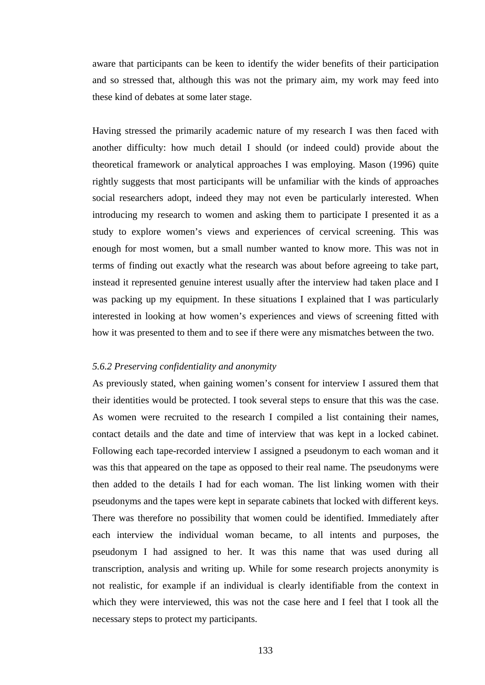aware that participants can be keen to identify the wider benefits of their participation and so stressed that, although this was not the primary aim, my work may feed into these kind of debates at some later stage.

Having stressed the primarily academic nature of my research I was then faced with another difficulty: how much detail I should (or indeed could) provide about the theoretical framework or analytical approaches I was employing. Mason (1996) quite rightly suggests that most participants will be unfamiliar with the kinds of approaches social researchers adopt, indeed they may not even be particularly interested. When introducing my research to women and asking them to participate I presented it as a study to explore women's views and experiences of cervical screening. This was enough for most women, but a small number wanted to know more. This was not in terms of finding out exactly what the research was about before agreeing to take part, instead it represented genuine interest usually after the interview had taken place and I was packing up my equipment. In these situations I explained that I was particularly interested in looking at how women's experiences and views of screening fitted with how it was presented to them and to see if there were any mismatches between the two.

## *5.6.2 Preserving confidentiality and anonymity*

As previously stated, when gaining women's consent for interview I assured them that their identities would be protected. I took several steps to ensure that this was the case. As women were recruited to the research I compiled a list containing their names, contact details and the date and time of interview that was kept in a locked cabinet. Following each tape-recorded interview I assigned a pseudonym to each woman and it was this that appeared on the tape as opposed to their real name. The pseudonyms were then added to the details I had for each woman. The list linking women with their pseudonyms and the tapes were kept in separate cabinets that locked with different keys. There was therefore no possibility that women could be identified. Immediately after each interview the individual woman became, to all intents and purposes, the pseudonym I had assigned to her. It was this name that was used during all transcription, analysis and writing up. While for some research projects anonymity is not realistic, for example if an individual is clearly identifiable from the context in which they were interviewed, this was not the case here and I feel that I took all the necessary steps to protect my participants.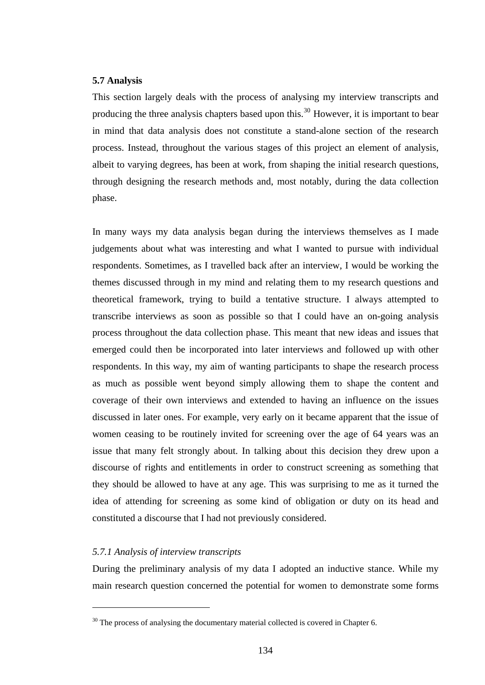## **5.7 Analysis**

This section largely deals with the process of analysing my interview transcripts and producing the three analysis chapters based upon this.<sup>[30](#page-134-0)</sup> However, it is important to bear in mind that data analysis does not constitute a stand-alone section of the research process. Instead, throughout the various stages of this project an element of analysis, albeit to varying degrees, has been at work, from shaping the initial research questions, through designing the research methods and, most notably, during the data collection phase.

In many ways my data analysis began during the interviews themselves as I made judgements about what was interesting and what I wanted to pursue with individual respondents. Sometimes, as I travelled back after an interview, I would be working the themes discussed through in my mind and relating them to my research questions and theoretical framework, trying to build a tentative structure. I always attempted to transcribe interviews as soon as possible so that I could have an on-going analysis process throughout the data collection phase. This meant that new ideas and issues that emerged could then be incorporated into later interviews and followed up with other respondents. In this way, my aim of wanting participants to shape the research process as much as possible went beyond simply allowing them to shape the content and coverage of their own interviews and extended to having an influence on the issues discussed in later ones. For example, very early on it became apparent that the issue of women ceasing to be routinely invited for screening over the age of 64 years was an issue that many felt strongly about. In talking about this decision they drew upon a discourse of rights and entitlements in order to construct screening as something that they should be allowed to have at any age. This was surprising to me as it turned the idea of attending for screening as some kind of obligation or duty on its head and constituted a discourse that I had not previously considered.

# *5.7.1 Analysis of interview transcripts*

 $\overline{a}$ 

During the preliminary analysis of my data I adopted an inductive stance. While my main research question concerned the potential for women to demonstrate some forms

<span id="page-134-0"></span> $30$  The process of analysing the documentary material collected is covered in Chapter 6.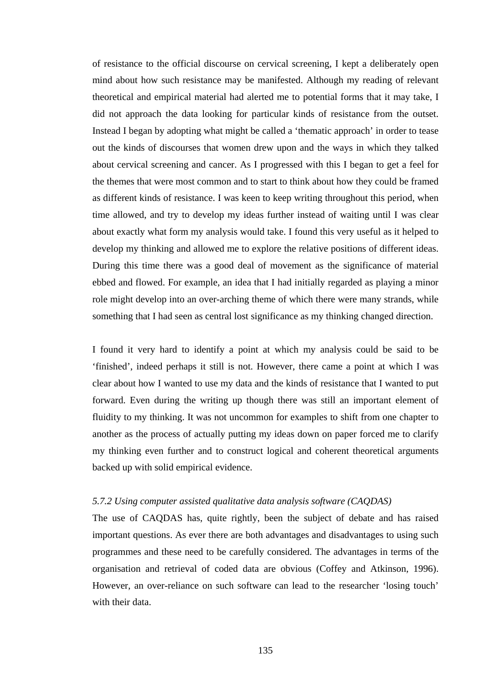of resistance to the official discourse on cervical screening, I kept a deliberately open mind about how such resistance may be manifested. Although my reading of relevant theoretical and empirical material had alerted me to potential forms that it may take, I did not approach the data looking for particular kinds of resistance from the outset. Instead I began by adopting what might be called a 'thematic approach' in order to tease out the kinds of discourses that women drew upon and the ways in which they talked about cervical screening and cancer. As I progressed with this I began to get a feel for the themes that were most common and to start to think about how they could be framed as different kinds of resistance. I was keen to keep writing throughout this period, when time allowed, and try to develop my ideas further instead of waiting until I was clear about exactly what form my analysis would take. I found this very useful as it helped to develop my thinking and allowed me to explore the relative positions of different ideas. During this time there was a good deal of movement as the significance of material ebbed and flowed. For example, an idea that I had initially regarded as playing a minor role might develop into an over-arching theme of which there were many strands, while something that I had seen as central lost significance as my thinking changed direction.

I found it very hard to identify a point at which my analysis could be said to be 'finished', indeed perhaps it still is not. However, there came a point at which I was clear about how I wanted to use my data and the kinds of resistance that I wanted to put forward. Even during the writing up though there was still an important element of fluidity to my thinking. It was not uncommon for examples to shift from one chapter to another as the process of actually putting my ideas down on paper forced me to clarify my thinking even further and to construct logical and coherent theoretical arguments backed up with solid empirical evidence.

## *5.7.2 Using computer assisted qualitative data analysis software (CAQDAS)*

The use of CAQDAS has, quite rightly, been the subject of debate and has raised important questions. As ever there are both advantages and disadvantages to using such programmes and these need to be carefully considered. The advantages in terms of the organisation and retrieval of coded data are obvious (Coffey and Atkinson, 1996). However, an over-reliance on such software can lead to the researcher 'losing touch' with their data.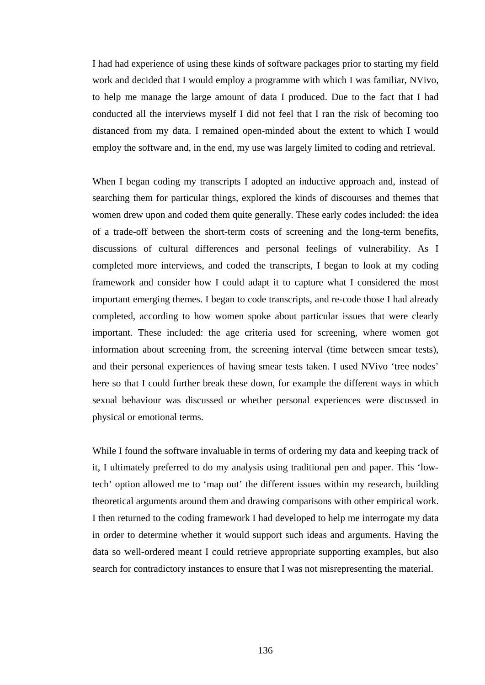I had had experience of using these kinds of software packages prior to starting my field work and decided that I would employ a programme with which I was familiar, NVivo, to help me manage the large amount of data I produced. Due to the fact that I had conducted all the interviews myself I did not feel that I ran the risk of becoming too distanced from my data. I remained open-minded about the extent to which I would employ the software and, in the end, my use was largely limited to coding and retrieval.

When I began coding my transcripts I adopted an inductive approach and, instead of searching them for particular things, explored the kinds of discourses and themes that women drew upon and coded them quite generally. These early codes included: the idea of a trade-off between the short-term costs of screening and the long-term benefits, discussions of cultural differences and personal feelings of vulnerability. As I completed more interviews, and coded the transcripts, I began to look at my coding framework and consider how I could adapt it to capture what I considered the most important emerging themes. I began to code transcripts, and re-code those I had already completed, according to how women spoke about particular issues that were clearly important. These included: the age criteria used for screening, where women got information about screening from, the screening interval (time between smear tests), and their personal experiences of having smear tests taken. I used NVivo 'tree nodes' here so that I could further break these down, for example the different ways in which sexual behaviour was discussed or whether personal experiences were discussed in physical or emotional terms.

While I found the software invaluable in terms of ordering my data and keeping track of it, I ultimately preferred to do my analysis using traditional pen and paper. This 'lowtech' option allowed me to 'map out' the different issues within my research, building theoretical arguments around them and drawing comparisons with other empirical work. I then returned to the coding framework I had developed to help me interrogate my data in order to determine whether it would support such ideas and arguments. Having the data so well-ordered meant I could retrieve appropriate supporting examples, but also search for contradictory instances to ensure that I was not misrepresenting the material.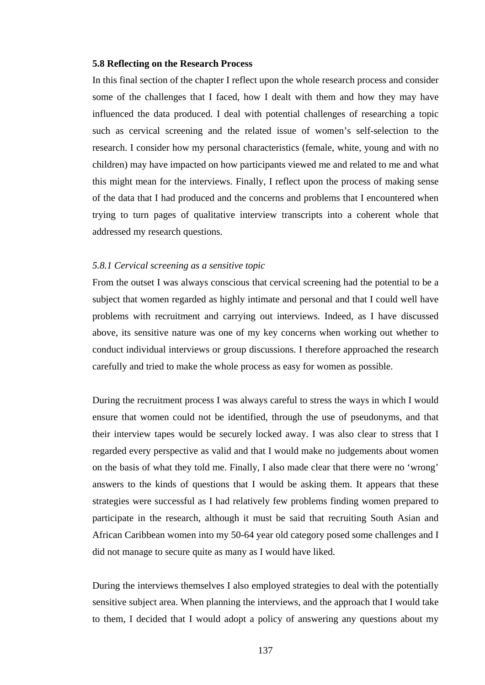#### **5.8 Reflecting on the Research Process**

In this final section of the chapter I reflect upon the whole research process and consider some of the challenges that I faced, how I dealt with them and how they may have influenced the data produced. I deal with potential challenges of researching a topic such as cervical screening and the related issue of women's self-selection to the research. I consider how my personal characteristics (female, white, young and with no children) may have impacted on how participants viewed me and related to me and what this might mean for the interviews. Finally, I reflect upon the process of making sense of the data that I had produced and the concerns and problems that I encountered when trying to turn pages of qualitative interview transcripts into a coherent whole that addressed my research questions.

## *5.8.1 Cervical screening as a sensitive topic*

From the outset I was always conscious that cervical screening had the potential to be a subject that women regarded as highly intimate and personal and that I could well have problems with recruitment and carrying out interviews. Indeed, as I have discussed above, its sensitive nature was one of my key concerns when working out whether to conduct individual interviews or group discussions. I therefore approached the research carefully and tried to make the whole process as easy for women as possible.

During the recruitment process I was always careful to stress the ways in which I would ensure that women could not be identified, through the use of pseudonyms, and that their interview tapes would be securely locked away. I was also clear to stress that I regarded every perspective as valid and that I would make no judgements about women on the basis of what they told me. Finally, I also made clear that there were no 'wrong' answers to the kinds of questions that I would be asking them. It appears that these strategies were successful as I had relatively few problems finding women prepared to participate in the research, although it must be said that recruiting South Asian and African Caribbean women into my 50-64 year old category posed some challenges and I did not manage to secure quite as many as I would have liked.

During the interviews themselves I also employed strategies to deal with the potentially sensitive subject area. When planning the interviews, and the approach that I would take to them, I decided that I would adopt a policy of answering any questions about my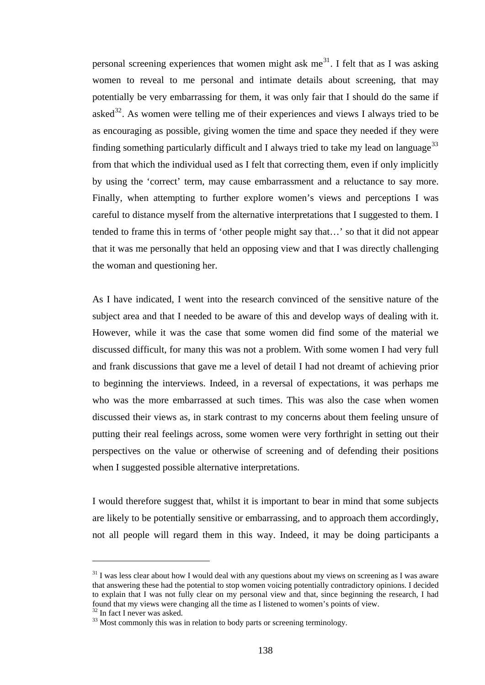personal screening experiences that women might ask me<sup>[31](#page-138-0)</sup>. I felt that as I was asking women to reveal to me personal and intimate details about screening, that may potentially be very embarrassing for them, it was only fair that I should do the same if asked<sup>[32](#page-138-1)</sup>. As women were telling me of their experiences and views I always tried to be as encouraging as possible, giving women the time and space they needed if they were finding something particularly difficult and I always tried to take my lead on language<sup>[33](#page-138-2)</sup> from that which the individual used as I felt that correcting them, even if only implicitly by using the 'correct' term, may cause embarrassment and a reluctance to say more. Finally, when attempting to further explore women's views and perceptions I was careful to distance myself from the alternative interpretations that I suggested to them. I tended to frame this in terms of 'other people might say that…' so that it did not appear that it was me personally that held an opposing view and that I was directly challenging the woman and questioning her.

As I have indicated, I went into the research convinced of the sensitive nature of the subject area and that I needed to be aware of this and develop ways of dealing with it. However, while it was the case that some women did find some of the material we discussed difficult, for many this was not a problem. With some women I had very full and frank discussions that gave me a level of detail I had not dreamt of achieving prior to beginning the interviews. Indeed, in a reversal of expectations, it was perhaps me who was the more embarrassed at such times. This was also the case when women discussed their views as, in stark contrast to my concerns about them feeling unsure of putting their real feelings across, some women were very forthright in setting out their perspectives on the value or otherwise of screening and of defending their positions when I suggested possible alternative interpretations.

I would therefore suggest that, whilst it is important to bear in mind that some subjects are likely to be potentially sensitive or embarrassing, and to approach them accordingly, not all people will regard them in this way. Indeed, it may be doing participants a

 $\overline{a}$ 

<span id="page-138-0"></span> $31$  I was less clear about how I would deal with any questions about my views on screening as I was aware that answering these had the potential to stop women voicing potentially contradictory opinions. I decided to explain that I was not fully clear on my personal view and that, since beginning the research, I had found that my views were changing all the time as I listened to women's points of view.

<span id="page-138-1"></span><sup>32</sup> In fact I never was asked.

<span id="page-138-2"></span><sup>&</sup>lt;sup>33</sup> Most commonly this was in relation to body parts or screening terminology.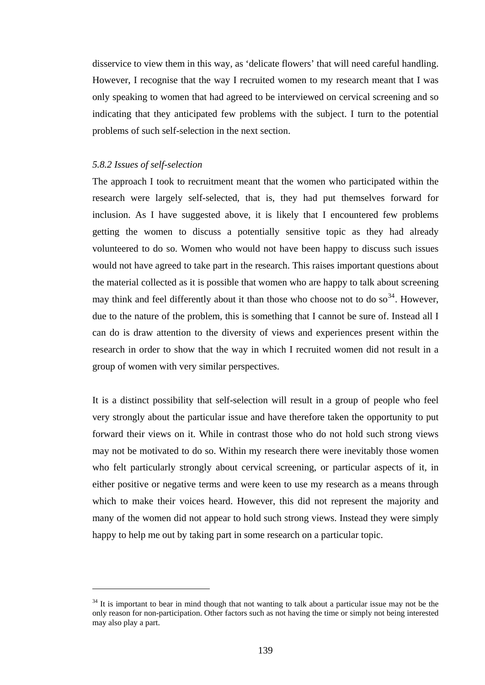disservice to view them in this way, as 'delicate flowers' that will need careful handling. However, I recognise that the way I recruited women to my research meant that I was only speaking to women that had agreed to be interviewed on cervical screening and so indicating that they anticipated few problems with the subject. I turn to the potential problems of such self-selection in the next section.

## *5.8.2 Issues of self-selection*

 $\overline{a}$ 

The approach I took to recruitment meant that the women who participated within the research were largely self-selected, that is, they had put themselves forward for inclusion. As I have suggested above, it is likely that I encountered few problems getting the women to discuss a potentially sensitive topic as they had already volunteered to do so. Women who would not have been happy to discuss such issues would not have agreed to take part in the research. This raises important questions about the material collected as it is possible that women who are happy to talk about screening may think and feel differently about it than those who choose not to do so<sup>[34](#page-139-0)</sup>. However, due to the nature of the problem, this is something that I cannot be sure of. Instead all I can do is draw attention to the diversity of views and experiences present within the research in order to show that the way in which I recruited women did not result in a group of women with very similar perspectives.

It is a distinct possibility that self-selection will result in a group of people who feel very strongly about the particular issue and have therefore taken the opportunity to put forward their views on it. While in contrast those who do not hold such strong views may not be motivated to do so. Within my research there were inevitably those women who felt particularly strongly about cervical screening, or particular aspects of it, in either positive or negative terms and were keen to use my research as a means through which to make their voices heard. However, this did not represent the majority and many of the women did not appear to hold such strong views. Instead they were simply happy to help me out by taking part in some research on a particular topic.

<span id="page-139-0"></span><sup>&</sup>lt;sup>34</sup> It is important to bear in mind though that not wanting to talk about a particular issue may not be the only reason for non-participation. Other factors such as not having the time or simply not being interested may also play a part.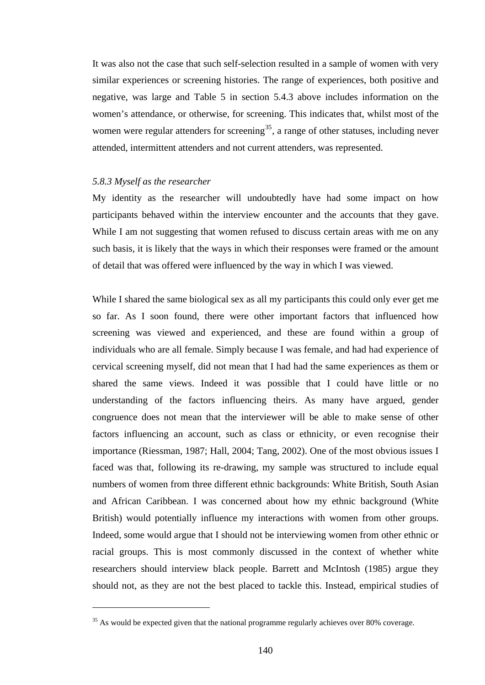It was also not the case that such self-selection resulted in a sample of women with very similar experiences or screening histories. The range of experiences, both positive and negative, was large and Table 5 in section 5.4.3 above includes information on the women's attendance, or otherwise, for screening. This indicates that, whilst most of the women were regular attenders for screening<sup>[35](#page-140-0)</sup>, a range of other statuses, including never attended, intermittent attenders and not current attenders, was represented.

## *5.8.3 Myself as the researcher*

 $\overline{a}$ 

My identity as the researcher will undoubtedly have had some impact on how participants behaved within the interview encounter and the accounts that they gave. While I am not suggesting that women refused to discuss certain areas with me on any such basis, it is likely that the ways in which their responses were framed or the amount of detail that was offered were influenced by the way in which I was viewed.

While I shared the same biological sex as all my participants this could only ever get me so far. As I soon found, there were other important factors that influenced how screening was viewed and experienced, and these are found within a group of individuals who are all female. Simply because I was female, and had had experience of cervical screening myself, did not mean that I had had the same experiences as them or shared the same views. Indeed it was possible that I could have little or no understanding of the factors influencing theirs. As many have argued, gender congruence does not mean that the interviewer will be able to make sense of other factors influencing an account, such as class or ethnicity, or even recognise their importance (Riessman, 1987; Hall, 2004; Tang, 2002). One of the most obvious issues I faced was that, following its re-drawing, my sample was structured to include equal numbers of women from three different ethnic backgrounds: White British, South Asian and African Caribbean. I was concerned about how my ethnic background (White British) would potentially influence my interactions with women from other groups. Indeed, some would argue that I should not be interviewing women from other ethnic or racial groups. This is most commonly discussed in the context of whether white researchers should interview black people. Barrett and McIntosh (1985) argue they should not, as they are not the best placed to tackle this. Instead, empirical studies of

<span id="page-140-0"></span><sup>&</sup>lt;sup>35</sup> As would be expected given that the national programme regularly achieves over 80% coverage.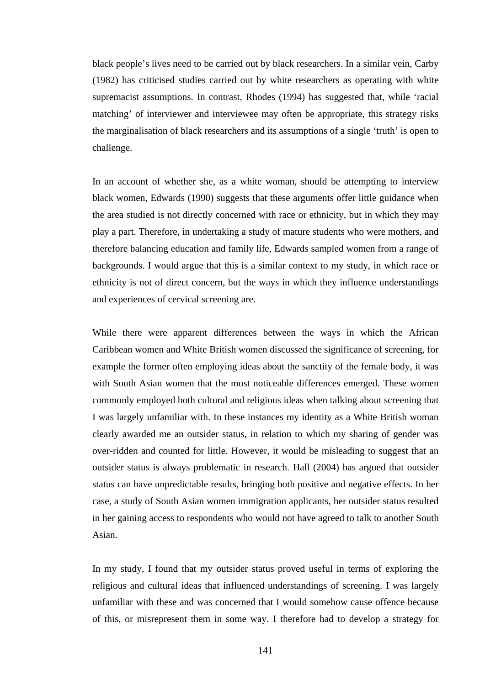black people's lives need to be carried out by black researchers. In a similar vein, Carby (1982) has criticised studies carried out by white researchers as operating with white supremacist assumptions. In contrast, Rhodes (1994) has suggested that, while 'racial matching' of interviewer and interviewee may often be appropriate, this strategy risks the marginalisation of black researchers and its assumptions of a single 'truth' is open to challenge.

In an account of whether she, as a white woman, should be attempting to interview black women, Edwards (1990) suggests that these arguments offer little guidance when the area studied is not directly concerned with race or ethnicity, but in which they may play a part. Therefore, in undertaking a study of mature students who were mothers, and therefore balancing education and family life, Edwards sampled women from a range of backgrounds. I would argue that this is a similar context to my study, in which race or ethnicity is not of direct concern, but the ways in which they influence understandings and experiences of cervical screening are.

While there were apparent differences between the ways in which the African Caribbean women and White British women discussed the significance of screening, for example the former often employing ideas about the sanctity of the female body, it was with South Asian women that the most noticeable differences emerged. These women commonly employed both cultural and religious ideas when talking about screening that I was largely unfamiliar with. In these instances my identity as a White British woman clearly awarded me an outsider status, in relation to which my sharing of gender was over-ridden and counted for little. However, it would be misleading to suggest that an outsider status is always problematic in research. Hall (2004) has argued that outsider status can have unpredictable results, bringing both positive and negative effects. In her case, a study of South Asian women immigration applicants, her outsider status resulted in her gaining access to respondents who would not have agreed to talk to another South Asian.

In my study, I found that my outsider status proved useful in terms of exploring the religious and cultural ideas that influenced understandings of screening. I was largely unfamiliar with these and was concerned that I would somehow cause offence because of this, or misrepresent them in some way. I therefore had to develop a strategy for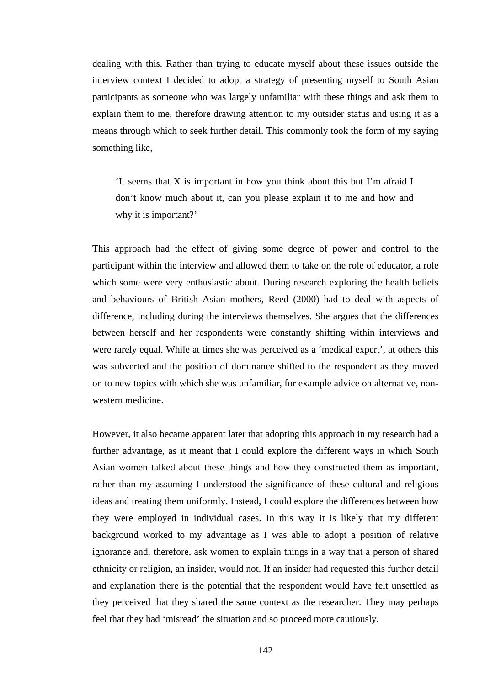dealing with this. Rather than trying to educate myself about these issues outside the interview context I decided to adopt a strategy of presenting myself to South Asian participants as someone who was largely unfamiliar with these things and ask them to explain them to me, therefore drawing attention to my outsider status and using it as a means through which to seek further detail. This commonly took the form of my saying something like,

'It seems that X is important in how you think about this but I'm afraid I don't know much about it, can you please explain it to me and how and why it is important?'

This approach had the effect of giving some degree of power and control to the participant within the interview and allowed them to take on the role of educator, a role which some were very enthusiastic about. During research exploring the health beliefs and behaviours of British Asian mothers, Reed (2000) had to deal with aspects of difference, including during the interviews themselves. She argues that the differences between herself and her respondents were constantly shifting within interviews and were rarely equal. While at times she was perceived as a 'medical expert', at others this was subverted and the position of dominance shifted to the respondent as they moved on to new topics with which she was unfamiliar, for example advice on alternative, nonwestern medicine.

However, it also became apparent later that adopting this approach in my research had a further advantage, as it meant that I could explore the different ways in which South Asian women talked about these things and how they constructed them as important, rather than my assuming I understood the significance of these cultural and religious ideas and treating them uniformly. Instead, I could explore the differences between how they were employed in individual cases. In this way it is likely that my different background worked to my advantage as I was able to adopt a position of relative ignorance and, therefore, ask women to explain things in a way that a person of shared ethnicity or religion, an insider, would not. If an insider had requested this further detail and explanation there is the potential that the respondent would have felt unsettled as they perceived that they shared the same context as the researcher. They may perhaps feel that they had 'misread' the situation and so proceed more cautiously.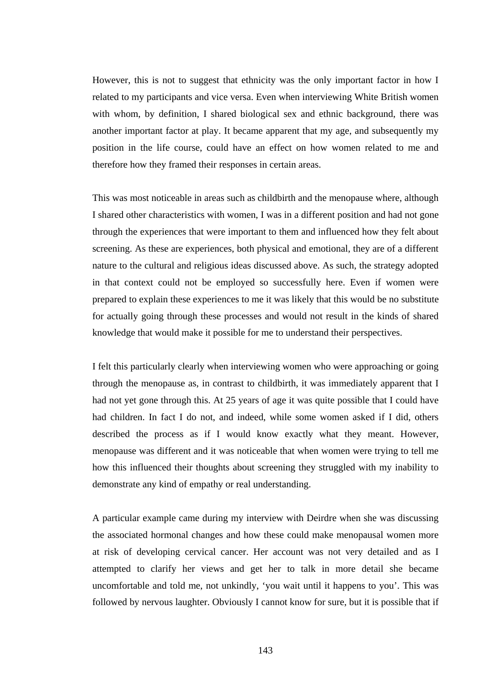However, this is not to suggest that ethnicity was the only important factor in how I related to my participants and vice versa. Even when interviewing White British women with whom, by definition, I shared biological sex and ethnic background, there was another important factor at play. It became apparent that my age, and subsequently my position in the life course, could have an effect on how women related to me and therefore how they framed their responses in certain areas.

This was most noticeable in areas such as childbirth and the menopause where, although I shared other characteristics with women, I was in a different position and had not gone through the experiences that were important to them and influenced how they felt about screening. As these are experiences, both physical and emotional, they are of a different nature to the cultural and religious ideas discussed above. As such, the strategy adopted in that context could not be employed so successfully here. Even if women were prepared to explain these experiences to me it was likely that this would be no substitute for actually going through these processes and would not result in the kinds of shared knowledge that would make it possible for me to understand their perspectives.

I felt this particularly clearly when interviewing women who were approaching or going through the menopause as, in contrast to childbirth, it was immediately apparent that I had not yet gone through this. At 25 years of age it was quite possible that I could have had children. In fact I do not, and indeed, while some women asked if I did, others described the process as if I would know exactly what they meant. However, menopause was different and it was noticeable that when women were trying to tell me how this influenced their thoughts about screening they struggled with my inability to demonstrate any kind of empathy or real understanding.

A particular example came during my interview with Deirdre when she was discussing the associated hormonal changes and how these could make menopausal women more at risk of developing cervical cancer. Her account was not very detailed and as I attempted to clarify her views and get her to talk in more detail she became uncomfortable and told me, not unkindly, 'you wait until it happens to you'. This was followed by nervous laughter. Obviously I cannot know for sure, but it is possible that if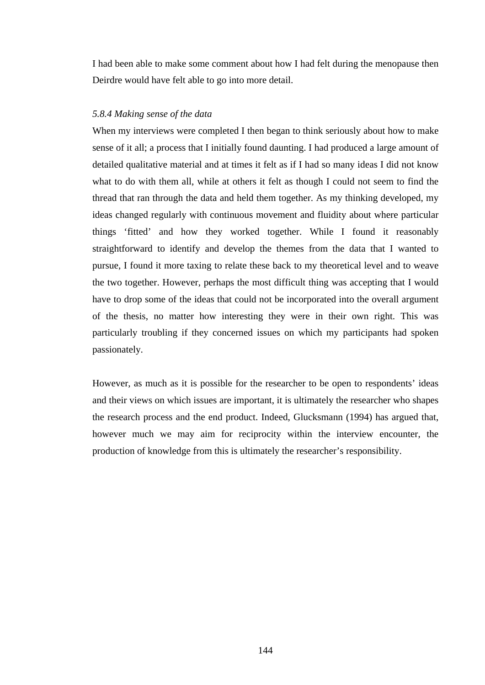I had been able to make some comment about how I had felt during the menopause then Deirdre would have felt able to go into more detail.

# *5.8.4 Making sense of the data*

When my interviews were completed I then began to think seriously about how to make sense of it all; a process that I initially found daunting. I had produced a large amount of detailed qualitative material and at times it felt as if I had so many ideas I did not know what to do with them all, while at others it felt as though I could not seem to find the thread that ran through the data and held them together. As my thinking developed, my ideas changed regularly with continuous movement and fluidity about where particular things 'fitted' and how they worked together. While I found it reasonably straightforward to identify and develop the themes from the data that I wanted to pursue, I found it more taxing to relate these back to my theoretical level and to weave the two together. However, perhaps the most difficult thing was accepting that I would have to drop some of the ideas that could not be incorporated into the overall argument of the thesis, no matter how interesting they were in their own right. This was particularly troubling if they concerned issues on which my participants had spoken passionately.

However, as much as it is possible for the researcher to be open to respondents' ideas and their views on which issues are important, it is ultimately the researcher who shapes the research process and the end product. Indeed, Glucksmann (1994) has argued that, however much we may aim for reciprocity within the interview encounter, the production of knowledge from this is ultimately the researcher's responsibility.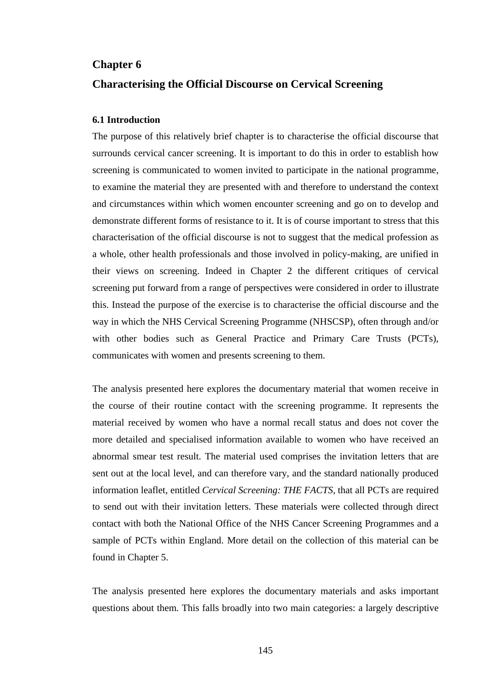# **Chapter 6**

# **Characterising the Official Discourse on Cervical Screening**

### **6.1 Introduction**

The purpose of this relatively brief chapter is to characterise the official discourse that surrounds cervical cancer screening. It is important to do this in order to establish how screening is communicated to women invited to participate in the national programme, to examine the material they are presented with and therefore to understand the context and circumstances within which women encounter screening and go on to develop and demonstrate different forms of resistance to it. It is of course important to stress that this characterisation of the official discourse is not to suggest that the medical profession as a whole, other health professionals and those involved in policy-making, are unified in their views on screening. Indeed in Chapter 2 the different critiques of cervical screening put forward from a range of perspectives were considered in order to illustrate this. Instead the purpose of the exercise is to characterise the official discourse and the way in which the NHS Cervical Screening Programme (NHSCSP), often through and/or with other bodies such as General Practice and Primary Care Trusts (PCTs), communicates with women and presents screening to them.

The analysis presented here explores the documentary material that women receive in the course of their routine contact with the screening programme. It represents the material received by women who have a normal recall status and does not cover the more detailed and specialised information available to women who have received an abnormal smear test result. The material used comprises the invitation letters that are sent out at the local level, and can therefore vary, and the standard nationally produced information leaflet, entitled *Cervical Screening: THE FACTS,* that all PCTs are required to send out with their invitation letters. These materials were collected through direct contact with both the National Office of the NHS Cancer Screening Programmes and a sample of PCTs within England. More detail on the collection of this material can be found in Chapter 5.

The analysis presented here explores the documentary materials and asks important questions about them. This falls broadly into two main categories: a largely descriptive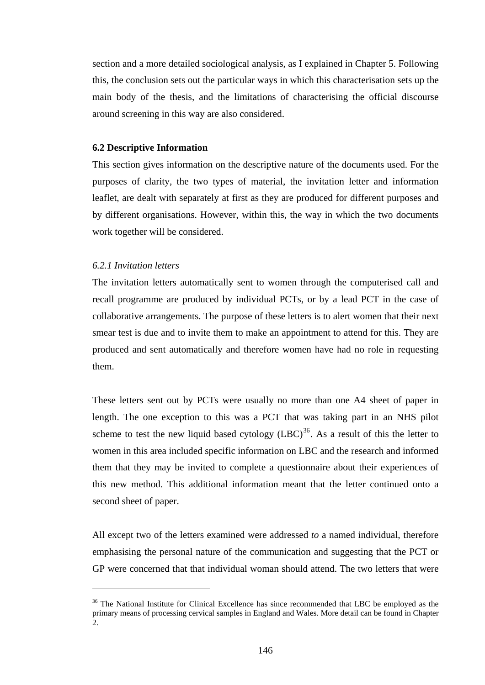section and a more detailed sociological analysis, as I explained in Chapter 5. Following this, the conclusion sets out the particular ways in which this characterisation sets up the main body of the thesis, and the limitations of characterising the official discourse around screening in this way are also considered.

### **6.2 Descriptive Information**

This section gives information on the descriptive nature of the documents used. For the purposes of clarity, the two types of material, the invitation letter and information leaflet, are dealt with separately at first as they are produced for different purposes and by different organisations. However, within this, the way in which the two documents work together will be considered.

# *6.2.1 Invitation letters*

 $\overline{a}$ 

The invitation letters automatically sent to women through the computerised call and recall programme are produced by individual PCTs, or by a lead PCT in the case of collaborative arrangements. The purpose of these letters is to alert women that their next smear test is due and to invite them to make an appointment to attend for this. They are produced and sent automatically and therefore women have had no role in requesting them.

These letters sent out by PCTs were usually no more than one A4 sheet of paper in length. The one exception to this was a PCT that was taking part in an NHS pilot scheme to test the new liquid based cytology  $(LBC)^{36}$  $(LBC)^{36}$  $(LBC)^{36}$ . As a result of this the letter to women in this area included specific information on LBC and the research and informed them that they may be invited to complete a questionnaire about their experiences of this new method. This additional information meant that the letter continued onto a second sheet of paper.

All except two of the letters examined were addressed *to* a named individual, therefore emphasising the personal nature of the communication and suggesting that the PCT or GP were concerned that that individual woman should attend. The two letters that were

<span id="page-146-0"></span><sup>&</sup>lt;sup>36</sup> The National Institute for Clinical Excellence has since recommended that LBC be employed as the primary means of processing cervical samples in England and Wales. More detail can be found in Chapter  $\mathfrak{D}$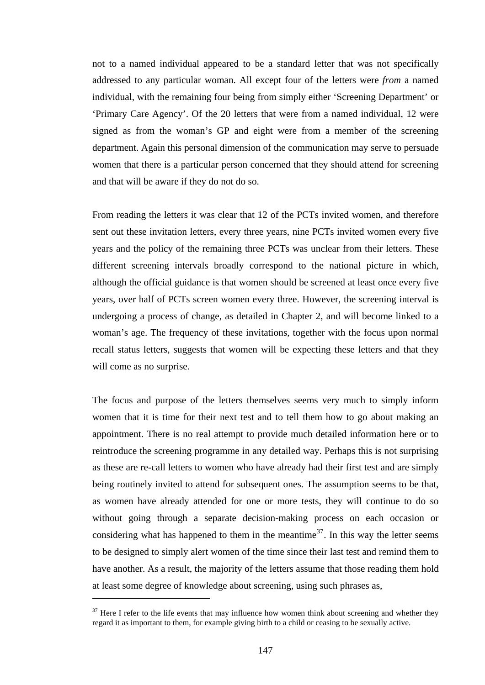not to a named individual appeared to be a standard letter that was not specifically addressed to any particular woman. All except four of the letters were *from* a named individual, with the remaining four being from simply either 'Screening Department' or 'Primary Care Agency'. Of the 20 letters that were from a named individual, 12 were signed as from the woman's GP and eight were from a member of the screening department. Again this personal dimension of the communication may serve to persuade women that there is a particular person concerned that they should attend for screening and that will be aware if they do not do so.

From reading the letters it was clear that 12 of the PCTs invited women, and therefore sent out these invitation letters, every three years, nine PCTs invited women every five years and the policy of the remaining three PCTs was unclear from their letters. These different screening intervals broadly correspond to the national picture in which, although the official guidance is that women should be screened at least once every five years, over half of PCTs screen women every three. However, the screening interval is undergoing a process of change, as detailed in Chapter 2, and will become linked to a woman's age. The frequency of these invitations, together with the focus upon normal recall status letters, suggests that women will be expecting these letters and that they will come as no surprise.

The focus and purpose of the letters themselves seems very much to simply inform women that it is time for their next test and to tell them how to go about making an appointment. There is no real attempt to provide much detailed information here or to reintroduce the screening programme in any detailed way. Perhaps this is not surprising as these are re-call letters to women who have already had their first test and are simply being routinely invited to attend for subsequent ones. The assumption seems to be that, as women have already attended for one or more tests, they will continue to do so without going through a separate decision-making process on each occasion or considering what has happened to them in the meantime<sup>[37](#page-147-0)</sup>. In this way the letter seems to be designed to simply alert women of the time since their last test and remind them to have another. As a result, the majority of the letters assume that those reading them hold at least some degree of knowledge about screening, using such phrases as,

<span id="page-147-0"></span> $37$  Here I refer to the life events that may influence how women think about screening and whether they regard it as important to them, for example giving birth to a child or ceasing to be sexually active.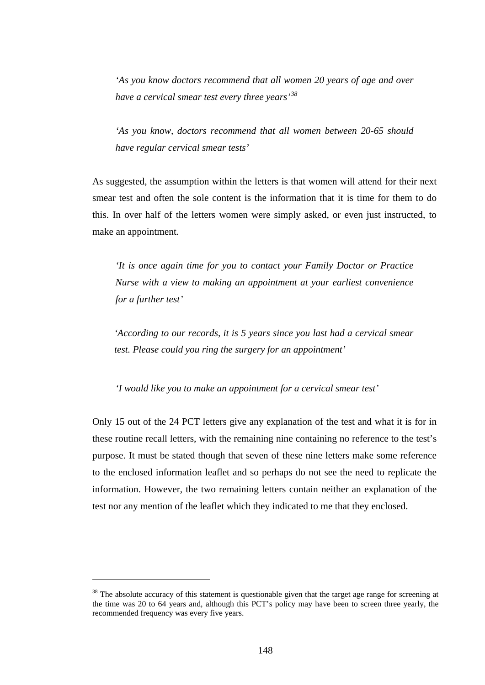*'As you know doctors recommend that all women 20 years of age and over have a cervical smear test every three years'[38](#page-148-0)*

*'As you know, doctors recommend that all women between 20-65 should have regular cervical smear tests'* 

As suggested, the assumption within the letters is that women will attend for their next smear test and often the sole content is the information that it is time for them to do this. In over half of the letters women were simply asked, or even just instructed, to make an appointment.

*'It is once again time for you to contact your Family Doctor or Practice Nurse with a view to making an appointment at your earliest convenience for a further test'* 

*'According to our records, it is 5 years since you last had a cervical smear test. Please could you ring the surgery for an appointment'* 

*'I would like you to make an appointment for a cervical smear test'* 

Only 15 out of the 24 PCT letters give any explanation of the test and what it is for in these routine recall letters, with the remaining nine containing no reference to the test's purpose. It must be stated though that seven of these nine letters make some reference to the enclosed information leaflet and so perhaps do not see the need to replicate the information. However, the two remaining letters contain neither an explanation of the test nor any mention of the leaflet which they indicated to me that they enclosed.

<span id="page-148-0"></span><sup>&</sup>lt;sup>38</sup> The absolute accuracy of this statement is questionable given that the target age range for screening at the time was 20 to 64 years and, although this PCT's policy may have been to screen three yearly, the recommended frequency was every five years.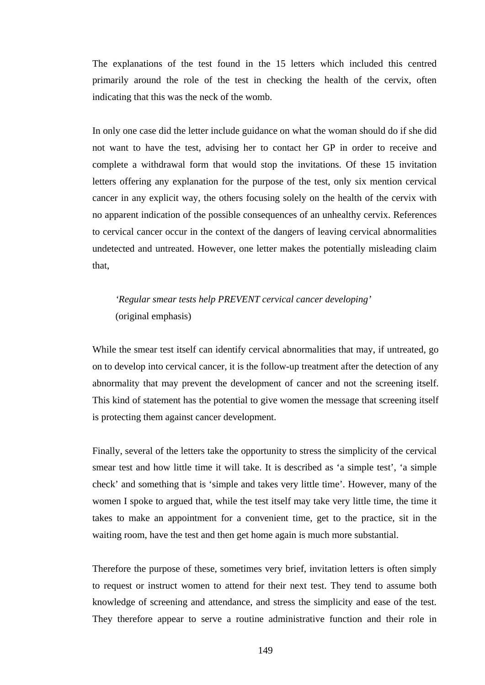The explanations of the test found in the 15 letters which included this centred primarily around the role of the test in checking the health of the cervix, often indicating that this was the neck of the womb.

In only one case did the letter include guidance on what the woman should do if she did not want to have the test, advising her to contact her GP in order to receive and complete a withdrawal form that would stop the invitations. Of these 15 invitation letters offering any explanation for the purpose of the test, only six mention cervical cancer in any explicit way, the others focusing solely on the health of the cervix with no apparent indication of the possible consequences of an unhealthy cervix. References to cervical cancer occur in the context of the dangers of leaving cervical abnormalities undetected and untreated. However, one letter makes the potentially misleading claim that,

*'Regular smear tests help PREVENT cervical cancer developing'*  (original emphasis)

While the smear test itself can identify cervical abnormalities that may, if untreated, go on to develop into cervical cancer, it is the follow-up treatment after the detection of any abnormality that may prevent the development of cancer and not the screening itself. This kind of statement has the potential to give women the message that screening itself is protecting them against cancer development.

Finally, several of the letters take the opportunity to stress the simplicity of the cervical smear test and how little time it will take. It is described as 'a simple test', 'a simple check' and something that is 'simple and takes very little time'. However, many of the women I spoke to argued that, while the test itself may take very little time, the time it takes to make an appointment for a convenient time, get to the practice, sit in the waiting room, have the test and then get home again is much more substantial.

Therefore the purpose of these, sometimes very brief, invitation letters is often simply to request or instruct women to attend for their next test. They tend to assume both knowledge of screening and attendance, and stress the simplicity and ease of the test. They therefore appear to serve a routine administrative function and their role in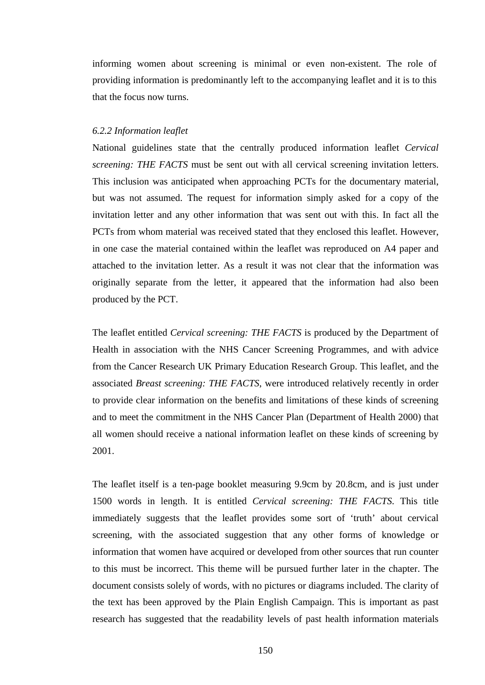informing women about screening is minimal or even non-existent. The role of providing information is predominantly left to the accompanying leaflet and it is to this that the focus now turns.

### *6.2.2 Information leaflet*

National guidelines state that the centrally produced information leaflet *Cervical screening: THE FACTS* must be sent out with all cervical screening invitation letters. This inclusion was anticipated when approaching PCTs for the documentary material, but was not assumed. The request for information simply asked for a copy of the invitation letter and any other information that was sent out with this. In fact all the PCTs from whom material was received stated that they enclosed this leaflet. However, in one case the material contained within the leaflet was reproduced on A4 paper and attached to the invitation letter. As a result it was not clear that the information was originally separate from the letter, it appeared that the information had also been produced by the PCT.

The leaflet entitled *Cervical screening: THE FACTS* is produced by the Department of Health in association with the NHS Cancer Screening Programmes, and with advice from the Cancer Research UK Primary Education Research Group. This leaflet, and the associated *Breast screening: THE FACTS*, were introduced relatively recently in order to provide clear information on the benefits and limitations of these kinds of screening and to meet the commitment in the NHS Cancer Plan (Department of Health 2000) that all women should receive a national information leaflet on these kinds of screening by 2001.

The leaflet itself is a ten-page booklet measuring 9.9cm by 20.8cm, and is just under 1500 words in length. It is entitled *Cervical screening: THE FACTS*. This title immediately suggests that the leaflet provides some sort of 'truth' about cervical screening, with the associated suggestion that any other forms of knowledge or information that women have acquired or developed from other sources that run counter to this must be incorrect. This theme will be pursued further later in the chapter. The document consists solely of words, with no pictures or diagrams included. The clarity of the text has been approved by the Plain English Campaign. This is important as past research has suggested that the readability levels of past health information materials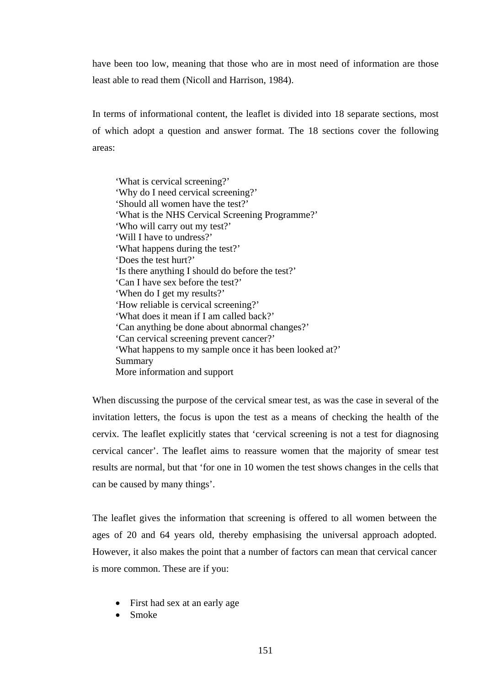have been too low, meaning that those who are in most need of information are those least able to read them (Nicoll and Harrison, 1984).

In terms of informational content, the leaflet is divided into 18 separate sections, most of which adopt a question and answer format. The 18 sections cover the following areas:

'What is cervical screening?' 'Why do I need cervical screening?' 'Should all women have the test?' 'What is the NHS Cervical Screening Programme?' 'Who will carry out my test?' 'Will I have to undress?' 'What happens during the test?' 'Does the test hurt?' 'Is there anything I should do before the test?' 'Can I have sex before the test?' 'When do I get my results?' 'How reliable is cervical screening?' 'What does it mean if I am called back?' 'Can anything be done about abnormal changes?' 'Can cervical screening prevent cancer?' 'What happens to my sample once it has been looked at?' Summary More information and support

When discussing the purpose of the cervical smear test, as was the case in several of the invitation letters, the focus is upon the test as a means of checking the health of the cervix. The leaflet explicitly states that 'cervical screening is not a test for diagnosing cervical cancer'. The leaflet aims to reassure women that the majority of smear test results are normal, but that 'for one in 10 women the test shows changes in the cells that can be caused by many things'.

The leaflet gives the information that screening is offered to all women between the ages of 20 and 64 years old, thereby emphasising the universal approach adopted. However, it also makes the point that a number of factors can mean that cervical cancer is more common. These are if you:

- First had sex at an early age
- Smoke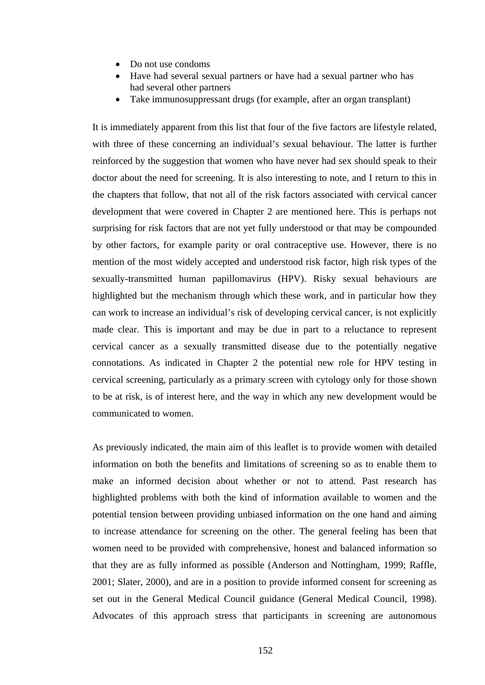- Do not use condoms
- Have had several sexual partners or have had a sexual partner who has had several other partners
- Take immunosuppressant drugs (for example, after an organ transplant)

It is immediately apparent from this list that four of the five factors are lifestyle related, with three of these concerning an individual's sexual behaviour. The latter is further reinforced by the suggestion that women who have never had sex should speak to their doctor about the need for screening. It is also interesting to note, and I return to this in the chapters that follow, that not all of the risk factors associated with cervical cancer development that were covered in Chapter 2 are mentioned here. This is perhaps not surprising for risk factors that are not yet fully understood or that may be compounded by other factors, for example parity or oral contraceptive use. However, there is no mention of the most widely accepted and understood risk factor, high risk types of the sexually-transmitted human papillomavirus (HPV). Risky sexual behaviours are highlighted but the mechanism through which these work, and in particular how they can work to increase an individual's risk of developing cervical cancer, is not explicitly made clear. This is important and may be due in part to a reluctance to represent cervical cancer as a sexually transmitted disease due to the potentially negative connotations. As indicated in Chapter 2 the potential new role for HPV testing in cervical screening, particularly as a primary screen with cytology only for those shown to be at risk, is of interest here, and the way in which any new development would be communicated to women.

As previously indicated, the main aim of this leaflet is to provide women with detailed information on both the benefits and limitations of screening so as to enable them to make an informed decision about whether or not to attend. Past research has highlighted problems with both the kind of information available to women and the potential tension between providing unbiased information on the one hand and aiming to increase attendance for screening on the other. The general feeling has been that women need to be provided with comprehensive, honest and balanced information so that they are as fully informed as possible (Anderson and Nottingham, 1999; Raffle, 2001; Slater, 2000), and are in a position to provide informed consent for screening as set out in the General Medical Council guidance (General Medical Council, 1998). Advocates of this approach stress that participants in screening are autonomous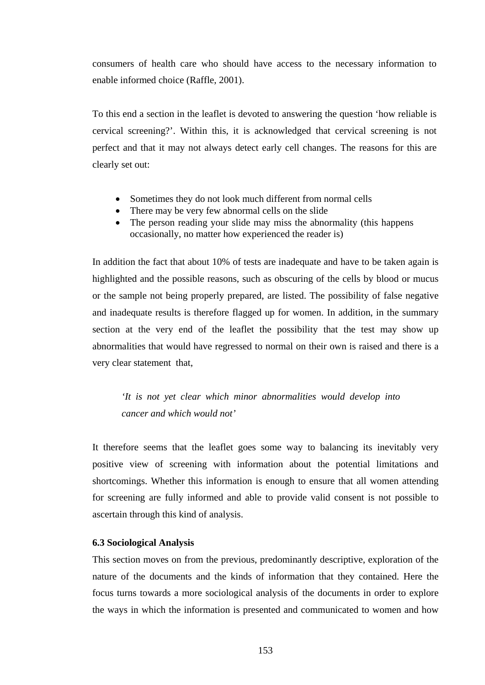consumers of health care who should have access to the necessary information to enable informed choice (Raffle, 2001).

To this end a section in the leaflet is devoted to answering the question 'how reliable is cervical screening?'. Within this, it is acknowledged that cervical screening is not perfect and that it may not always detect early cell changes. The reasons for this are clearly set out:

- Sometimes they do not look much different from normal cells
- There may be very few abnormal cells on the slide
- The person reading your slide may miss the abnormality (this happens occasionally, no matter how experienced the reader is)

In addition the fact that about 10% of tests are inadequate and have to be taken again is highlighted and the possible reasons, such as obscuring of the cells by blood or mucus or the sample not being properly prepared, are listed. The possibility of false negative and inadequate results is therefore flagged up for women. In addition, in the summary section at the very end of the leaflet the possibility that the test may show up abnormalities that would have regressed to normal on their own is raised and there is a very clear statement that,

*'It is not yet clear which minor abnormalities would develop into cancer and which would not'* 

It therefore seems that the leaflet goes some way to balancing its inevitably very positive view of screening with information about the potential limitations and shortcomings. Whether this information is enough to ensure that all women attending for screening are fully informed and able to provide valid consent is not possible to ascertain through this kind of analysis.

### **6.3 Sociological Analysis**

This section moves on from the previous, predominantly descriptive, exploration of the nature of the documents and the kinds of information that they contained. Here the focus turns towards a more sociological analysis of the documents in order to explore the ways in which the information is presented and communicated to women and how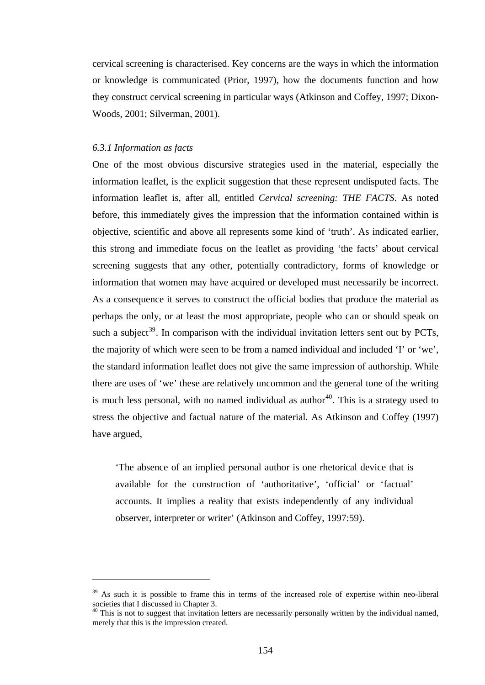cervical screening is characterised. Key concerns are the ways in which the information or knowledge is communicated (Prior, 1997), how the documents function and how they construct cervical screening in particular ways (Atkinson and Coffey, 1997; Dixon-Woods, 2001; Silverman, 2001).

# *6.3.1 Information as facts*

 $\overline{a}$ 

One of the most obvious discursive strategies used in the material, especially the information leaflet, is the explicit suggestion that these represent undisputed facts. The information leaflet is, after all, entitled *Cervical screening: THE FACTS*. As noted before, this immediately gives the impression that the information contained within is objective, scientific and above all represents some kind of 'truth'. As indicated earlier, this strong and immediate focus on the leaflet as providing 'the facts' about cervical screening suggests that any other, potentially contradictory, forms of knowledge or information that women may have acquired or developed must necessarily be incorrect. As a consequence it serves to construct the official bodies that produce the material as perhaps the only, or at least the most appropriate, people who can or should speak on such a subject<sup>[39](#page-154-0)</sup>. In comparison with the individual invitation letters sent out by PCTs, the majority of which were seen to be from a named individual and included 'I' or 'we', the standard information leaflet does not give the same impression of authorship. While there are uses of 'we' these are relatively uncommon and the general tone of the writing is much less personal, with no named individual as author<sup>[40](#page-154-1)</sup>. This is a strategy used to stress the objective and factual nature of the material. As Atkinson and Coffey (1997) have argued,

'The absence of an implied personal author is one rhetorical device that is available for the construction of 'authoritative', 'official' or 'factual' accounts. It implies a reality that exists independently of any individual observer, interpreter or writer' (Atkinson and Coffey, 1997:59).

<span id="page-154-0"></span><sup>&</sup>lt;sup>39</sup> As such it is possible to frame this in terms of the increased role of expertise within neo-liberal societies that I discussed in Chapter 3.

<span id="page-154-1"></span><sup>&</sup>lt;sup>40</sup> This is not to suggest that invitation letters are necessarily personally written by the individual named, merely that this is the impression created.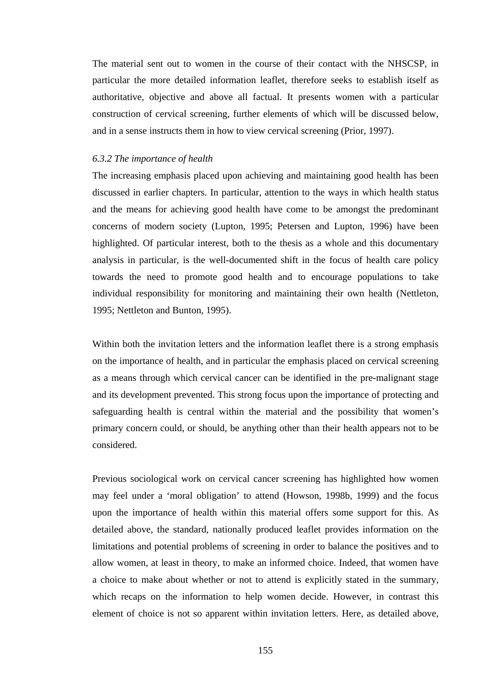The material sent out to women in the course of their contact with the NHSCSP, in particular the more detailed information leaflet, therefore seeks to establish itself as authoritative, objective and above all factual. It presents women with a particular construction of cervical screening, further elements of which will be discussed below, and in a sense instructs them in how to view cervical screening (Prior, 1997).

#### *6.3.2 The importance of health*

The increasing emphasis placed upon achieving and maintaining good health has been discussed in earlier chapters. In particular, attention to the ways in which health status and the means for achieving good health have come to be amongst the predominant concerns of modern society (Lupton, 1995; Petersen and Lupton, 1996) have been highlighted. Of particular interest, both to the thesis as a whole and this documentary analysis in particular, is the well-documented shift in the focus of health care policy towards the need to promote good health and to encourage populations to take individual responsibility for monitoring and maintaining their own health (Nettleton, 1995; Nettleton and Bunton, 1995).

Within both the invitation letters and the information leaflet there is a strong emphasis on the importance of health, and in particular the emphasis placed on cervical screening as a means through which cervical cancer can be identified in the pre-malignant stage and its development prevented. This strong focus upon the importance of protecting and safeguarding health is central within the material and the possibility that women's primary concern could, or should, be anything other than their health appears not to be considered.

Previous sociological work on cervical cancer screening has highlighted how women may feel under a 'moral obligation' to attend (Howson, 1998b, 1999) and the focus upon the importance of health within this material offers some support for this. As detailed above, the standard, nationally produced leaflet provides information on the limitations and potential problems of screening in order to balance the positives and to allow women, at least in theory, to make an informed choice. Indeed, that women have a choice to make about whether or not to attend is explicitly stated in the summary, which recaps on the information to help women decide. However, in contrast this element of choice is not so apparent within invitation letters. Here, as detailed above,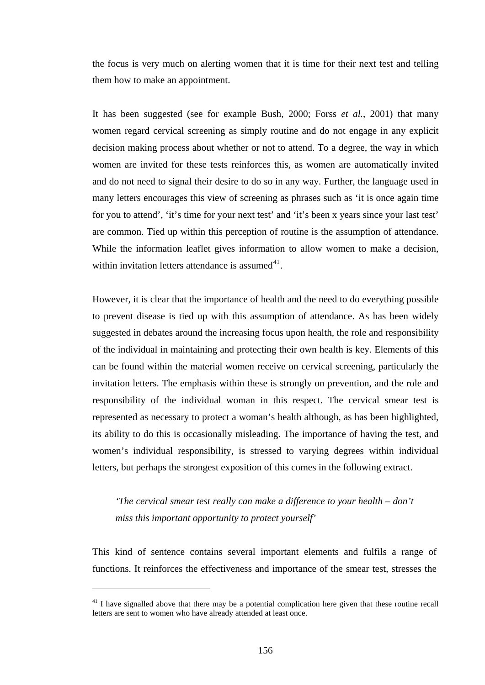the focus is very much on alerting women that it is time for their next test and telling them how to make an appointment.

It has been suggested (see for example Bush, 2000; Forss *et al.*, 2001) that many women regard cervical screening as simply routine and do not engage in any explicit decision making process about whether or not to attend. To a degree, the way in which women are invited for these tests reinforces this, as women are automatically invited and do not need to signal their desire to do so in any way. Further, the language used in many letters encourages this view of screening as phrases such as 'it is once again time for you to attend', 'it's time for your next test' and 'it's been x years since your last test' are common. Tied up within this perception of routine is the assumption of attendance. While the information leaflet gives information to allow women to make a decision, within invitation letters attendance is assumed  $4^4$ .

However, it is clear that the importance of health and the need to do everything possible to prevent disease is tied up with this assumption of attendance. As has been widely suggested in debates around the increasing focus upon health, the role and responsibility of the individual in maintaining and protecting their own health is key. Elements of this can be found within the material women receive on cervical screening, particularly the invitation letters. The emphasis within these is strongly on prevention, and the role and responsibility of the individual woman in this respect. The cervical smear test is represented as necessary to protect a woman's health although, as has been highlighted, its ability to do this is occasionally misleading. The importance of having the test, and women's individual responsibility, is stressed to varying degrees within individual letters, but perhaps the strongest exposition of this comes in the following extract.

*'The cervical smear test really can make a difference to your health – don't miss this important opportunity to protect yourself'* 

This kind of sentence contains several important elements and fulfils a range of functions. It reinforces the effectiveness and importance of the smear test, stresses the

<span id="page-156-0"></span> $41$  I have signalled above that there may be a potential complication here given that these routine recall letters are sent to women who have already attended at least once.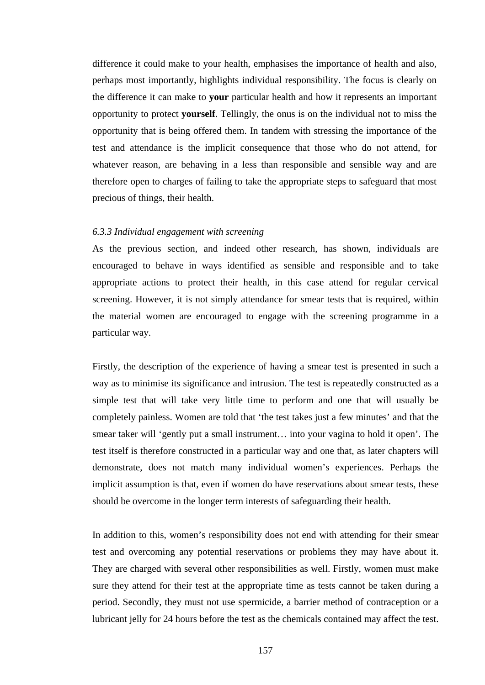difference it could make to your health, emphasises the importance of health and also, perhaps most importantly, highlights individual responsibility. The focus is clearly on the difference it can make to **your** particular health and how it represents an important opportunity to protect **yourself**. Tellingly, the onus is on the individual not to miss the opportunity that is being offered them. In tandem with stressing the importance of the test and attendance is the implicit consequence that those who do not attend, for whatever reason, are behaving in a less than responsible and sensible way and are therefore open to charges of failing to take the appropriate steps to safeguard that most precious of things, their health.

#### *6.3.3 Individual engagement with screening*

As the previous section, and indeed other research, has shown, individuals are encouraged to behave in ways identified as sensible and responsible and to take appropriate actions to protect their health, in this case attend for regular cervical screening. However, it is not simply attendance for smear tests that is required, within the material women are encouraged to engage with the screening programme in a particular way.

Firstly, the description of the experience of having a smear test is presented in such a way as to minimise its significance and intrusion. The test is repeatedly constructed as a simple test that will take very little time to perform and one that will usually be completely painless. Women are told that 'the test takes just a few minutes' and that the smear taker will 'gently put a small instrument… into your vagina to hold it open'. The test itself is therefore constructed in a particular way and one that, as later chapters will demonstrate, does not match many individual women's experiences. Perhaps the implicit assumption is that, even if women do have reservations about smear tests, these should be overcome in the longer term interests of safeguarding their health.

In addition to this, women's responsibility does not end with attending for their smear test and overcoming any potential reservations or problems they may have about it. They are charged with several other responsibilities as well. Firstly, women must make sure they attend for their test at the appropriate time as tests cannot be taken during a period. Secondly, they must not use spermicide, a barrier method of contraception or a lubricant jelly for 24 hours before the test as the chemicals contained may affect the test.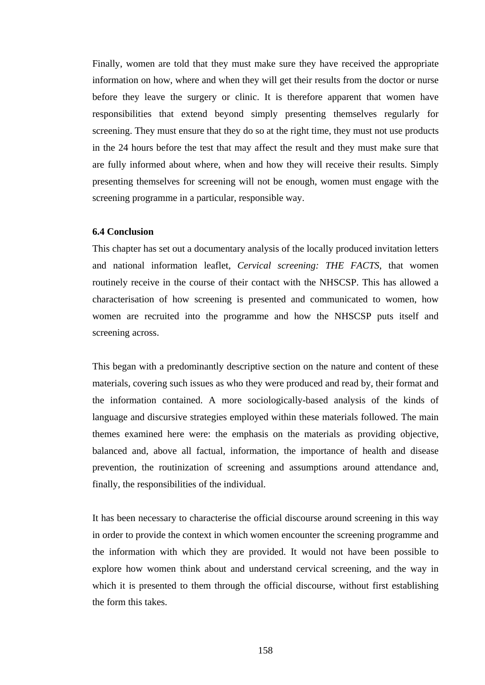Finally, women are told that they must make sure they have received the appropriate information on how, where and when they will get their results from the doctor or nurse before they leave the surgery or clinic. It is therefore apparent that women have responsibilities that extend beyond simply presenting themselves regularly for screening. They must ensure that they do so at the right time, they must not use products in the 24 hours before the test that may affect the result and they must make sure that are fully informed about where, when and how they will receive their results. Simply presenting themselves for screening will not be enough, women must engage with the screening programme in a particular, responsible way.

# **6.4 Conclusion**

This chapter has set out a documentary analysis of the locally produced invitation letters and national information leaflet, *Cervical screening: THE FACTS*, that women routinely receive in the course of their contact with the NHSCSP. This has allowed a characterisation of how screening is presented and communicated to women, how women are recruited into the programme and how the NHSCSP puts itself and screening across.

This began with a predominantly descriptive section on the nature and content of these materials, covering such issues as who they were produced and read by, their format and the information contained. A more sociologically-based analysis of the kinds of language and discursive strategies employed within these materials followed. The main themes examined here were: the emphasis on the materials as providing objective, balanced and, above all factual, information, the importance of health and disease prevention, the routinization of screening and assumptions around attendance and, finally, the responsibilities of the individual.

It has been necessary to characterise the official discourse around screening in this way in order to provide the context in which women encounter the screening programme and the information with which they are provided. It would not have been possible to explore how women think about and understand cervical screening, and the way in which it is presented to them through the official discourse, without first establishing the form this takes.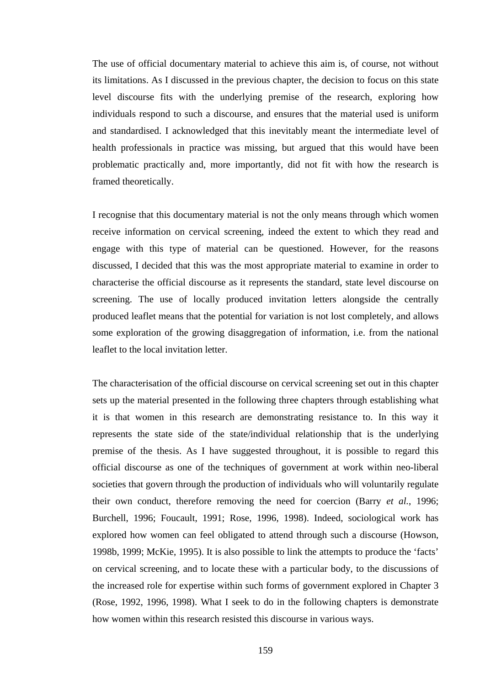The use of official documentary material to achieve this aim is, of course, not without its limitations. As I discussed in the previous chapter, the decision to focus on this state level discourse fits with the underlying premise of the research, exploring how individuals respond to such a discourse, and ensures that the material used is uniform and standardised. I acknowledged that this inevitably meant the intermediate level of health professionals in practice was missing, but argued that this would have been problematic practically and, more importantly, did not fit with how the research is framed theoretically.

I recognise that this documentary material is not the only means through which women receive information on cervical screening, indeed the extent to which they read and engage with this type of material can be questioned. However, for the reasons discussed, I decided that this was the most appropriate material to examine in order to characterise the official discourse as it represents the standard, state level discourse on screening. The use of locally produced invitation letters alongside the centrally produced leaflet means that the potential for variation is not lost completely, and allows some exploration of the growing disaggregation of information, i.e. from the national leaflet to the local invitation letter.

The characterisation of the official discourse on cervical screening set out in this chapter sets up the material presented in the following three chapters through establishing what it is that women in this research are demonstrating resistance to. In this way it represents the state side of the state/individual relationship that is the underlying premise of the thesis. As I have suggested throughout, it is possible to regard this official discourse as one of the techniques of government at work within neo-liberal societies that govern through the production of individuals who will voluntarily regulate their own conduct, therefore removing the need for coercion (Barry *et al.*, 1996; Burchell, 1996; Foucault, 1991; Rose, 1996, 1998). Indeed, sociological work has explored how women can feel obligated to attend through such a discourse (Howson, 1998b, 1999; McKie, 1995). It is also possible to link the attempts to produce the 'facts' on cervical screening, and to locate these with a particular body, to the discussions of the increased role for expertise within such forms of government explored in Chapter 3 (Rose, 1992, 1996, 1998). What I seek to do in the following chapters is demonstrate how women within this research resisted this discourse in various ways.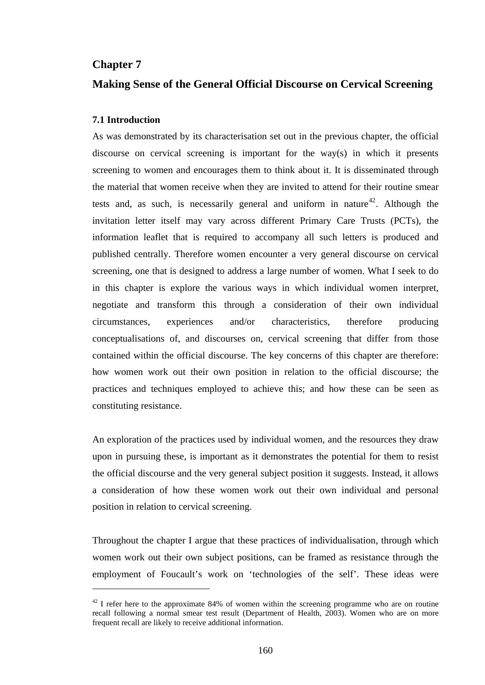# **Chapter 7**

# **Making Sense of the General Official Discourse on Cervical Screening**

### **7.1 Introduction**

 $\overline{a}$ 

As was demonstrated by its characterisation set out in the previous chapter, the official discourse on cervical screening is important for the way(s) in which it presents screening to women and encourages them to think about it. It is disseminated through the material that women receive when they are invited to attend for their routine smear tests and, as such, is necessarily general and uniform in nature<sup>[42](#page-160-0)</sup>. Although the invitation letter itself may vary across different Primary Care Trusts (PCTs), the information leaflet that is required to accompany all such letters is produced and published centrally. Therefore women encounter a very general discourse on cervical screening, one that is designed to address a large number of women. What I seek to do in this chapter is explore the various ways in which individual women interpret, negotiate and transform this through a consideration of their own individual circumstances, experiences and/or characteristics, therefore producing conceptualisations of, and discourses on, cervical screening that differ from those contained within the official discourse. The key concerns of this chapter are therefore: how women work out their own position in relation to the official discourse; the practices and techniques employed to achieve this; and how these can be seen as constituting resistance.

An exploration of the practices used by individual women, and the resources they draw upon in pursuing these, is important as it demonstrates the potential for them to resist the official discourse and the very general subject position it suggests. Instead, it allows a consideration of how these women work out their own individual and personal position in relation to cervical screening.

Throughout the chapter I argue that these practices of individualisation, through which women work out their own subject positions, can be framed as resistance through the employment of Foucault's work on 'technologies of the self'. These ideas were

<span id="page-160-0"></span> $42$  I refer here to the approximate 84% of women within the screening programme who are on routine recall following a normal smear test result (Department of Health, 2003). Women who are on more frequent recall are likely to receive additional information.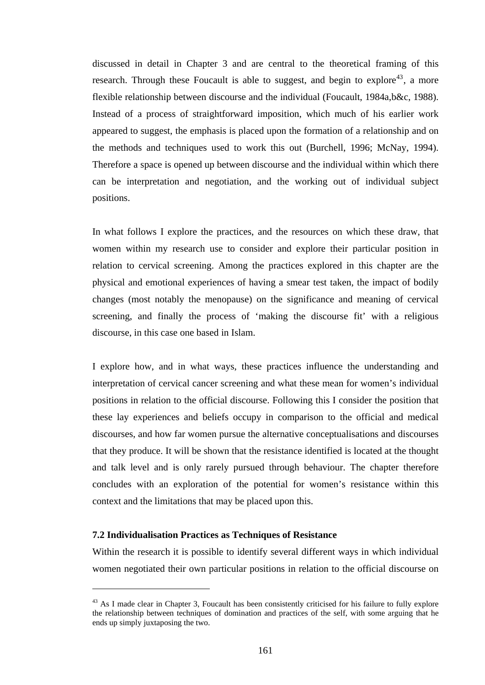discussed in detail in Chapter 3 and are central to the theoretical framing of this research. Through these Foucault is able to suggest, and begin to explore<sup>[43](#page-161-0)</sup>, a more flexible relationship between discourse and the individual (Foucault, 1984a,b&c, 1988). Instead of a process of straightforward imposition, which much of his earlier work appeared to suggest, the emphasis is placed upon the formation of a relationship and on the methods and techniques used to work this out (Burchell, 1996; McNay, 1994). Therefore a space is opened up between discourse and the individual within which there can be interpretation and negotiation, and the working out of individual subject positions.

In what follows I explore the practices, and the resources on which these draw, that women within my research use to consider and explore their particular position in relation to cervical screening. Among the practices explored in this chapter are the physical and emotional experiences of having a smear test taken, the impact of bodily changes (most notably the menopause) on the significance and meaning of cervical screening, and finally the process of 'making the discourse fit' with a religious discourse, in this case one based in Islam.

I explore how, and in what ways, these practices influence the understanding and interpretation of cervical cancer screening and what these mean for women's individual positions in relation to the official discourse. Following this I consider the position that these lay experiences and beliefs occupy in comparison to the official and medical discourses, and how far women pursue the alternative conceptualisations and discourses that they produce. It will be shown that the resistance identified is located at the thought and talk level and is only rarely pursued through behaviour. The chapter therefore concludes with an exploration of the potential for women's resistance within this context and the limitations that may be placed upon this.

#### **7.2 Individualisation Practices as Techniques of Resistance**

 $\overline{a}$ 

Within the research it is possible to identify several different ways in which individual women negotiated their own particular positions in relation to the official discourse on

<span id="page-161-0"></span><sup>&</sup>lt;sup>43</sup> As I made clear in Chapter 3, Foucault has been consistently criticised for his failure to fully explore the relationship between techniques of domination and practices of the self, with some arguing that he ends up simply juxtaposing the two.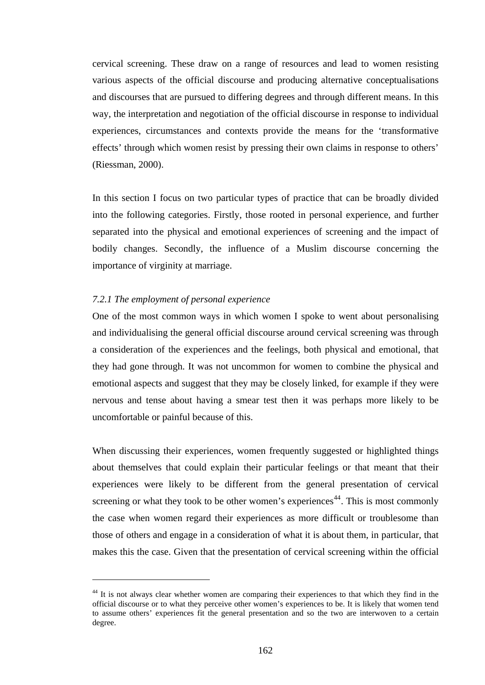cervical screening. These draw on a range of resources and lead to women resisting various aspects of the official discourse and producing alternative conceptualisations and discourses that are pursued to differing degrees and through different means. In this way, the interpretation and negotiation of the official discourse in response to individual experiences, circumstances and contexts provide the means for the 'transformative effects' through which women resist by pressing their own claims in response to others' (Riessman, 2000).

In this section I focus on two particular types of practice that can be broadly divided into the following categories. Firstly, those rooted in personal experience, and further separated into the physical and emotional experiences of screening and the impact of bodily changes. Secondly, the influence of a Muslim discourse concerning the importance of virginity at marriage.

# *7.2.1 The employment of personal experience*

 $\overline{a}$ 

One of the most common ways in which women I spoke to went about personalising and individualising the general official discourse around cervical screening was through a consideration of the experiences and the feelings, both physical and emotional, that they had gone through. It was not uncommon for women to combine the physical and emotional aspects and suggest that they may be closely linked, for example if they were nervous and tense about having a smear test then it was perhaps more likely to be uncomfortable or painful because of this.

When discussing their experiences, women frequently suggested or highlighted things about themselves that could explain their particular feelings or that meant that their experiences were likely to be different from the general presentation of cervical screening or what they took to be other women's experiences<sup> $44$ </sup>. This is most commonly the case when women regard their experiences as more difficult or troublesome than those of others and engage in a consideration of what it is about them, in particular, that makes this the case. Given that the presentation of cervical screening within the official

<span id="page-162-0"></span><sup>&</sup>lt;sup>44</sup> It is not always clear whether women are comparing their experiences to that which they find in the official discourse or to what they perceive other women's experiences to be. It is likely that women tend to assume others' experiences fit the general presentation and so the two are interwoven to a certain degree.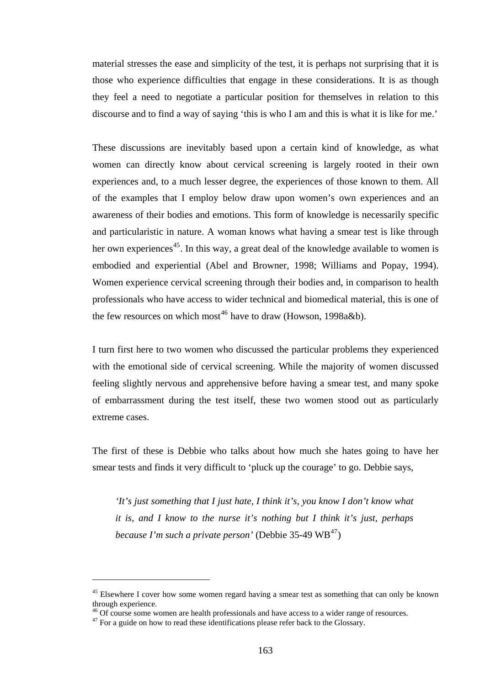material stresses the ease and simplicity of the test, it is perhaps not surprising that it is those who experience difficulties that engage in these considerations. It is as though they feel a need to negotiate a particular position for themselves in relation to this discourse and to find a way of saying 'this is who I am and this is what it is like for me.'

These discussions are inevitably based upon a certain kind of knowledge, as what women can directly know about cervical screening is largely rooted in their own experiences and, to a much lesser degree, the experiences of those known to them. All of the examples that I employ below draw upon women's own experiences and an awareness of their bodies and emotions. This form of knowledge is necessarily specific and particularistic in nature. A woman knows what having a smear test is like through her own experiences<sup>[45](#page-163-0)</sup>. In this way, a great deal of the knowledge available to women is embodied and experiential (Abel and Browner, 1998; Williams and Popay, 1994). Women experience cervical screening through their bodies and, in comparison to health professionals who have access to wider technical and biomedical material, this is one of the few resources on which most<sup>[46](#page-163-1)</sup> have to draw (Howson, 1998a&b).

I turn first here to two women who discussed the particular problems they experienced with the emotional side of cervical screening. While the majority of women discussed feeling slightly nervous and apprehensive before having a smear test, and many spoke of embarrassment during the test itself, these two women stood out as particularly extreme cases.

The first of these is Debbie who talks about how much she hates going to have her smear tests and finds it very difficult to 'pluck up the courage' to go. Debbie says,

*'It's just something that I just hate, I think it's, you know I don't know what it is, and I know to the nurse it's nothing but I think it's just, perhaps because I'm such a private person'* (Debbie 35-49 WB[47](#page-163-2))

<span id="page-163-0"></span><sup>&</sup>lt;sup>45</sup> Elsewhere I cover how some women regard having a smear test as something that can only be known through experience.

 $^{46}$  Of course some women are health professionals and have access to a wider range of resources.  $^{47}$  For a guide on how to read these identifications please refer back to the Glossary.

<span id="page-163-2"></span><span id="page-163-1"></span>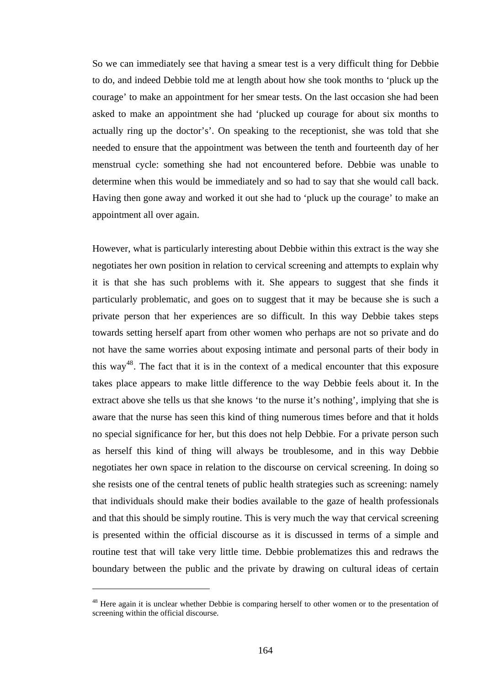So we can immediately see that having a smear test is a very difficult thing for Debbie to do, and indeed Debbie told me at length about how she took months to 'pluck up the courage' to make an appointment for her smear tests. On the last occasion she had been asked to make an appointment she had 'plucked up courage for about six months to actually ring up the doctor's'. On speaking to the receptionist, she was told that she needed to ensure that the appointment was between the tenth and fourteenth day of her menstrual cycle: something she had not encountered before. Debbie was unable to determine when this would be immediately and so had to say that she would call back. Having then gone away and worked it out she had to 'pluck up the courage' to make an appointment all over again.

However, what is particularly interesting about Debbie within this extract is the way she negotiates her own position in relation to cervical screening and attempts to explain why it is that she has such problems with it. She appears to suggest that she finds it particularly problematic, and goes on to suggest that it may be because she is such a private person that her experiences are so difficult. In this way Debbie takes steps towards setting herself apart from other women who perhaps are not so private and do not have the same worries about exposing intimate and personal parts of their body in this way<sup>[48](#page-164-0)</sup>. The fact that it is in the context of a medical encounter that this exposure takes place appears to make little difference to the way Debbie feels about it. In the extract above she tells us that she knows 'to the nurse it's nothing', implying that she is aware that the nurse has seen this kind of thing numerous times before and that it holds no special significance for her, but this does not help Debbie. For a private person such as herself this kind of thing will always be troublesome, and in this way Debbie negotiates her own space in relation to the discourse on cervical screening. In doing so she resists one of the central tenets of public health strategies such as screening: namely that individuals should make their bodies available to the gaze of health professionals and that this should be simply routine. This is very much the way that cervical screening is presented within the official discourse as it is discussed in terms of a simple and routine test that will take very little time. Debbie problematizes this and redraws the boundary between the public and the private by drawing on cultural ideas of certain

<span id="page-164-0"></span><sup>&</sup>lt;sup>48</sup> Here again it is unclear whether Debbie is comparing herself to other women or to the presentation of screening within the official discourse.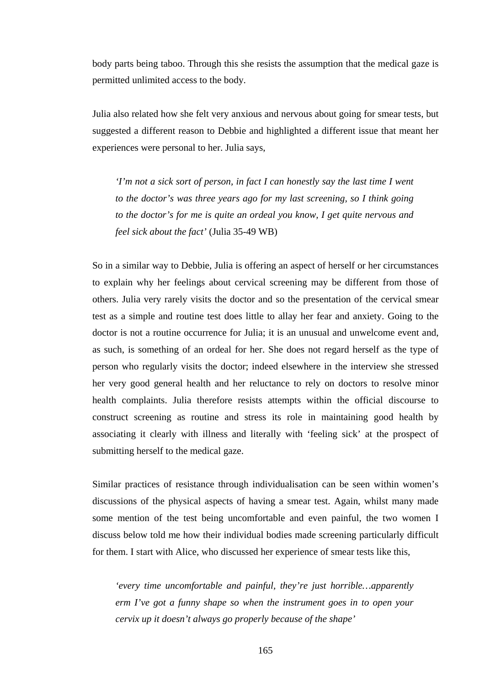body parts being taboo. Through this she resists the assumption that the medical gaze is permitted unlimited access to the body.

Julia also related how she felt very anxious and nervous about going for smear tests, but suggested a different reason to Debbie and highlighted a different issue that meant her experiences were personal to her. Julia says,

*'I'm not a sick sort of person, in fact I can honestly say the last time I went to the doctor's was three years ago for my last screening, so I think going to the doctor's for me is quite an ordeal you know, I get quite nervous and feel sick about the fact'* (Julia 35-49 WB)

So in a similar way to Debbie, Julia is offering an aspect of herself or her circumstances to explain why her feelings about cervical screening may be different from those of others. Julia very rarely visits the doctor and so the presentation of the cervical smear test as a simple and routine test does little to allay her fear and anxiety. Going to the doctor is not a routine occurrence for Julia; it is an unusual and unwelcome event and, as such, is something of an ordeal for her. She does not regard herself as the type of person who regularly visits the doctor; indeed elsewhere in the interview she stressed her very good general health and her reluctance to rely on doctors to resolve minor health complaints. Julia therefore resists attempts within the official discourse to construct screening as routine and stress its role in maintaining good health by associating it clearly with illness and literally with 'feeling sick' at the prospect of submitting herself to the medical gaze.

Similar practices of resistance through individualisation can be seen within women's discussions of the physical aspects of having a smear test. Again, whilst many made some mention of the test being uncomfortable and even painful, the two women I discuss below told me how their individual bodies made screening particularly difficult for them. I start with Alice, who discussed her experience of smear tests like this,

*'every time uncomfortable and painful, they're just horrible…apparently erm I've got a funny shape so when the instrument goes in to open your cervix up it doesn't always go properly because of the shape'*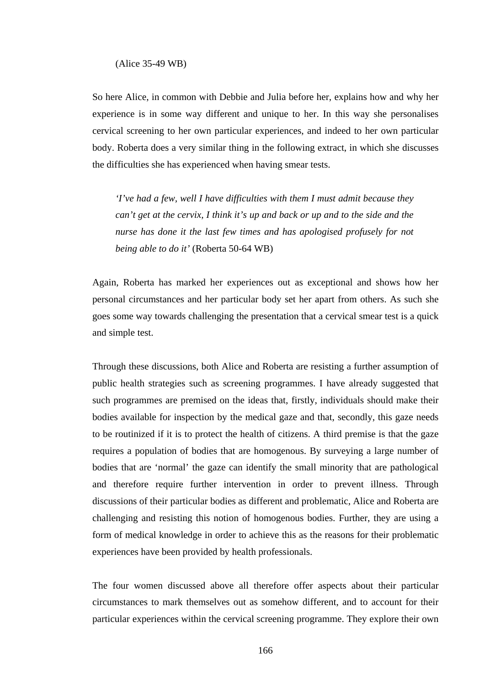#### (Alice 35-49 WB)

So here Alice, in common with Debbie and Julia before her, explains how and why her experience is in some way different and unique to her. In this way she personalises cervical screening to her own particular experiences, and indeed to her own particular body. Roberta does a very similar thing in the following extract, in which she discusses the difficulties she has experienced when having smear tests.

*'I've had a few, well I have difficulties with them I must admit because they can't get at the cervix, I think it's up and back or up and to the side and the nurse has done it the last few times and has apologised profusely for not being able to do it'* (Roberta 50-64 WB)

Again, Roberta has marked her experiences out as exceptional and shows how her personal circumstances and her particular body set her apart from others. As such she goes some way towards challenging the presentation that a cervical smear test is a quick and simple test.

Through these discussions, both Alice and Roberta are resisting a further assumption of public health strategies such as screening programmes. I have already suggested that such programmes are premised on the ideas that, firstly, individuals should make their bodies available for inspection by the medical gaze and that, secondly, this gaze needs to be routinized if it is to protect the health of citizens. A third premise is that the gaze requires a population of bodies that are homogenous. By surveying a large number of bodies that are 'normal' the gaze can identify the small minority that are pathological and therefore require further intervention in order to prevent illness. Through discussions of their particular bodies as different and problematic, Alice and Roberta are challenging and resisting this notion of homogenous bodies. Further, they are using a form of medical knowledge in order to achieve this as the reasons for their problematic experiences have been provided by health professionals.

The four women discussed above all therefore offer aspects about their particular circumstances to mark themselves out as somehow different, and to account for their particular experiences within the cervical screening programme. They explore their own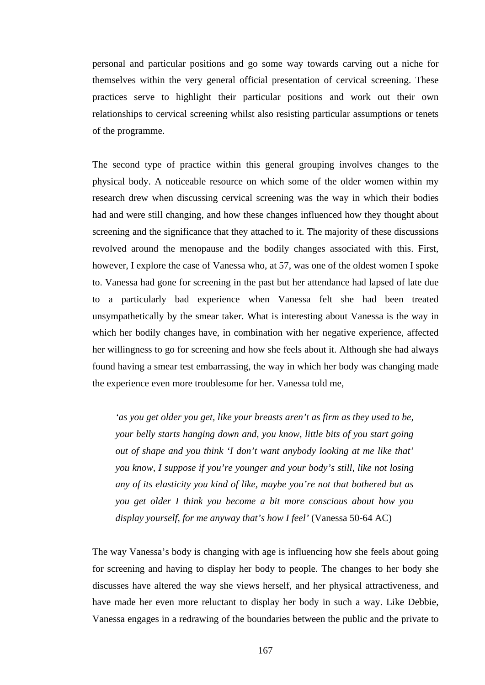personal and particular positions and go some way towards carving out a niche for themselves within the very general official presentation of cervical screening. These practices serve to highlight their particular positions and work out their own relationships to cervical screening whilst also resisting particular assumptions or tenets of the programme.

The second type of practice within this general grouping involves changes to the physical body. A noticeable resource on which some of the older women within my research drew when discussing cervical screening was the way in which their bodies had and were still changing, and how these changes influenced how they thought about screening and the significance that they attached to it. The majority of these discussions revolved around the menopause and the bodily changes associated with this. First, however, I explore the case of Vanessa who, at 57, was one of the oldest women I spoke to. Vanessa had gone for screening in the past but her attendance had lapsed of late due to a particularly bad experience when Vanessa felt she had been treated unsympathetically by the smear taker. What is interesting about Vanessa is the way in which her bodily changes have, in combination with her negative experience, affected her willingness to go for screening and how she feels about it. Although she had always found having a smear test embarrassing, the way in which her body was changing made the experience even more troublesome for her. Vanessa told me,

*'as you get older you get, like your breasts aren't as firm as they used to be, your belly starts hanging down and, you know, little bits of you start going out of shape and you think 'I don't want anybody looking at me like that' you know, I suppose if you're younger and your body's still, like not losing any of its elasticity you kind of like, maybe you're not that bothered but as you get older I think you become a bit more conscious about how you display yourself, for me anyway that's how I feel'* (Vanessa 50-64 AC)

The way Vanessa's body is changing with age is influencing how she feels about going for screening and having to display her body to people. The changes to her body she discusses have altered the way she views herself, and her physical attractiveness, and have made her even more reluctant to display her body in such a way. Like Debbie, Vanessa engages in a redrawing of the boundaries between the public and the private to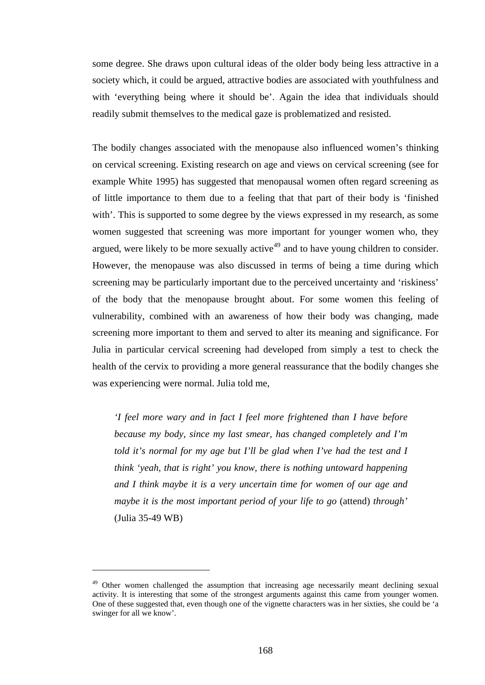some degree. She draws upon cultural ideas of the older body being less attractive in a society which, it could be argued, attractive bodies are associated with youthfulness and with 'everything being where it should be'. Again the idea that individuals should readily submit themselves to the medical gaze is problematized and resisted.

The bodily changes associated with the menopause also influenced women's thinking on cervical screening. Existing research on age and views on cervical screening (see for example White 1995) has suggested that menopausal women often regard screening as of little importance to them due to a feeling that that part of their body is 'finished with'. This is supported to some degree by the views expressed in my research, as some women suggested that screening was more important for younger women who, they argued, were likely to be more sexually active<sup>[49](#page-168-0)</sup> and to have young children to consider. However, the menopause was also discussed in terms of being a time during which screening may be particularly important due to the perceived uncertainty and 'riskiness' of the body that the menopause brought about. For some women this feeling of vulnerability, combined with an awareness of how their body was changing, made screening more important to them and served to alter its meaning and significance. For Julia in particular cervical screening had developed from simply a test to check the health of the cervix to providing a more general reassurance that the bodily changes she was experiencing were normal. Julia told me,

*'I feel more wary and in fact I feel more frightened than I have before because my body, since my last smear, has changed completely and I'm told it's normal for my age but I'll be glad when I've had the test and I think 'yeah, that is right' you know, there is nothing untoward happening and I think maybe it is a very uncertain time for women of our age and maybe it is the most important period of your life to go* (attend) *through'*  (Julia 35-49 WB)

<span id="page-168-0"></span><sup>&</sup>lt;sup>49</sup> Other women challenged the assumption that increasing age necessarily meant declining sexual activity. It is interesting that some of the strongest arguments against this came from younger women. One of these suggested that, even though one of the vignette characters was in her sixties, she could be 'a swinger for all we know'.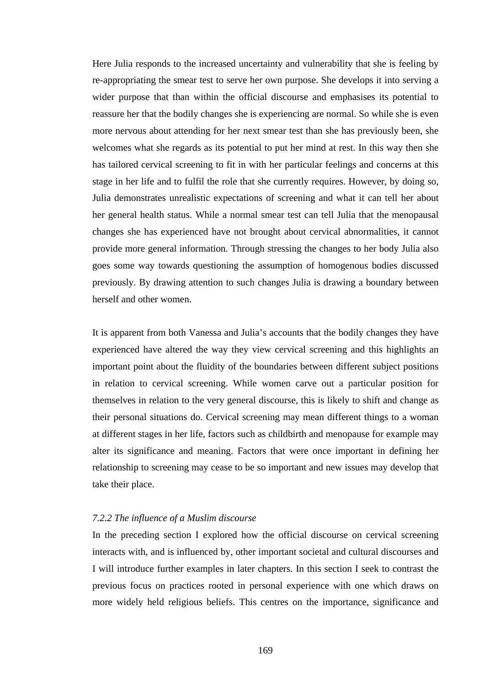Here Julia responds to the increased uncertainty and vulnerability that she is feeling by re-appropriating the smear test to serve her own purpose. She develops it into serving a wider purpose that than within the official discourse and emphasises its potential to reassure her that the bodily changes she is experiencing are normal. So while she is even more nervous about attending for her next smear test than she has previously been, she welcomes what she regards as its potential to put her mind at rest. In this way then she has tailored cervical screening to fit in with her particular feelings and concerns at this stage in her life and to fulfil the role that she currently requires. However, by doing so, Julia demonstrates unrealistic expectations of screening and what it can tell her about her general health status. While a normal smear test can tell Julia that the menopausal changes she has experienced have not brought about cervical abnormalities, it cannot provide more general information. Through stressing the changes to her body Julia also goes some way towards questioning the assumption of homogenous bodies discussed previously. By drawing attention to such changes Julia is drawing a boundary between herself and other women.

It is apparent from both Vanessa and Julia's accounts that the bodily changes they have experienced have altered the way they view cervical screening and this highlights an important point about the fluidity of the boundaries between different subject positions in relation to cervical screening. While women carve out a particular position for themselves in relation to the very general discourse, this is likely to shift and change as their personal situations do. Cervical screening may mean different things to a woman at different stages in her life, factors such as childbirth and menopause for example may alter its significance and meaning. Factors that were once important in defining her relationship to screening may cease to be so important and new issues may develop that take their place.

### *7.2.2 The influence of a Muslim discourse*

In the preceding section I explored how the official discourse on cervical screening interacts with, and is influenced by, other important societal and cultural discourses and I will introduce further examples in later chapters. In this section I seek to contrast the previous focus on practices rooted in personal experience with one which draws on more widely held religious beliefs. This centres on the importance, significance and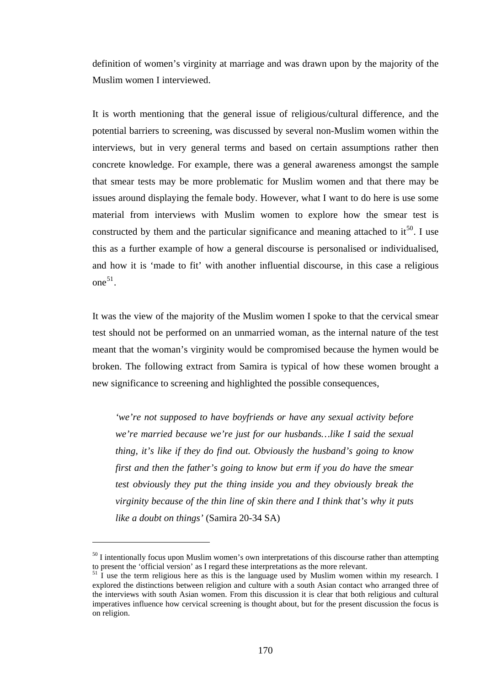definition of women's virginity at marriage and was drawn upon by the majority of the Muslim women I interviewed.

It is worth mentioning that the general issue of religious/cultural difference, and the potential barriers to screening, was discussed by several non-Muslim women within the interviews, but in very general terms and based on certain assumptions rather then concrete knowledge. For example, there was a general awareness amongst the sample that smear tests may be more problematic for Muslim women and that there may be issues around displaying the female body. However, what I want to do here is use some material from interviews with Muslim women to explore how the smear test is constructed by them and the particular significance and meaning attached to it<sup>[50](#page-170-0)</sup>. I use this as a further example of how a general discourse is personalised or individualised, and how it is 'made to fit' with another influential discourse, in this case a religious one $51$ .

It was the view of the majority of the Muslim women I spoke to that the cervical smear test should not be performed on an unmarried woman, as the internal nature of the test meant that the woman's virginity would be compromised because the hymen would be broken. The following extract from Samira is typical of how these women brought a new significance to screening and highlighted the possible consequences,

*'we're not supposed to have boyfriends or have any sexual activity before we're married because we're just for our husbands…like I said the sexual thing, it's like if they do find out. Obviously the husband's going to know first and then the father's going to know but erm if you do have the smear test obviously they put the thing inside you and they obviously break the virginity because of the thin line of skin there and I think that's why it puts like a doubt on things'* (Samira 20-34 SA)

<span id="page-170-0"></span> $50$  I intentionally focus upon Muslim women's own interpretations of this discourse rather than attempting to present the 'official version' as I regard these interpretations as the more relevant.

<span id="page-170-1"></span> $<sup>51</sup>$  I use the term religious here as this is the language used by Muslim women within my research. I</sup> explored the distinctions between religion and culture with a south Asian contact who arranged three of the interviews with south Asian women. From this discussion it is clear that both religious and cultural imperatives influence how cervical screening is thought about, but for the present discussion the focus is on religion.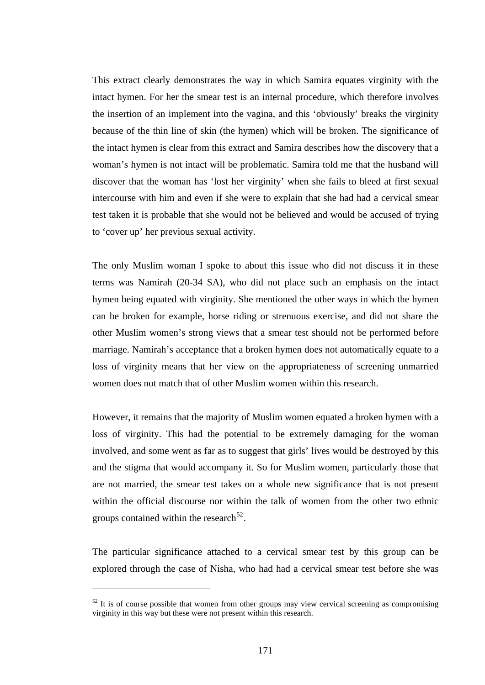This extract clearly demonstrates the way in which Samira equates virginity with the intact hymen. For her the smear test is an internal procedure, which therefore involves the insertion of an implement into the vagina, and this 'obviously' breaks the virginity because of the thin line of skin (the hymen) which will be broken. The significance of the intact hymen is clear from this extract and Samira describes how the discovery that a woman's hymen is not intact will be problematic. Samira told me that the husband will discover that the woman has 'lost her virginity' when she fails to bleed at first sexual intercourse with him and even if she were to explain that she had had a cervical smear test taken it is probable that she would not be believed and would be accused of trying to 'cover up' her previous sexual activity.

The only Muslim woman I spoke to about this issue who did not discuss it in these terms was Namirah (20-34 SA), who did not place such an emphasis on the intact hymen being equated with virginity. She mentioned the other ways in which the hymen can be broken for example, horse riding or strenuous exercise, and did not share the other Muslim women's strong views that a smear test should not be performed before marriage. Namirah's acceptance that a broken hymen does not automatically equate to a loss of virginity means that her view on the appropriateness of screening unmarried women does not match that of other Muslim women within this research.

However, it remains that the majority of Muslim women equated a broken hymen with a loss of virginity. This had the potential to be extremely damaging for the woman involved, and some went as far as to suggest that girls' lives would be destroyed by this and the stigma that would accompany it. So for Muslim women, particularly those that are not married, the smear test takes on a whole new significance that is not present within the official discourse nor within the talk of women from the other two ethnic groups contained within the research<sup>[52](#page-171-0)</sup>.

The particular significance attached to a cervical smear test by this group can be explored through the case of Nisha, who had had a cervical smear test before she was

<span id="page-171-0"></span> $52$  It is of course possible that women from other groups may view cervical screening as compromising virginity in this way but these were not present within this research.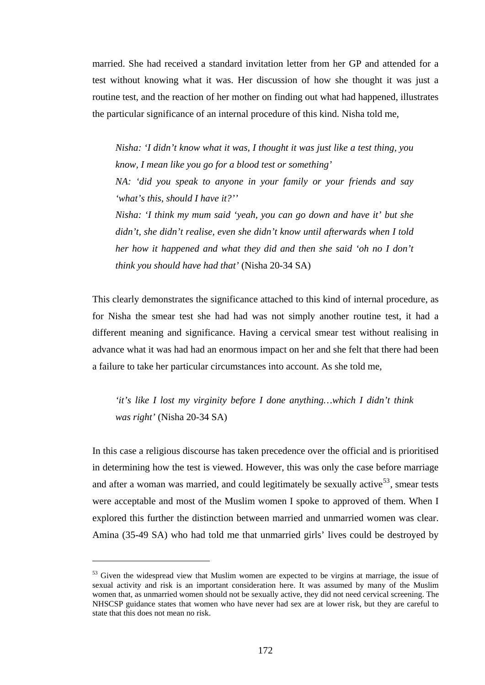married. She had received a standard invitation letter from her GP and attended for a test without knowing what it was. Her discussion of how she thought it was just a routine test, and the reaction of her mother on finding out what had happened, illustrates the particular significance of an internal procedure of this kind. Nisha told me,

*Nisha: 'I didn't know what it was, I thought it was just like a test thing, you know, I mean like you go for a blood test or something' NA: 'did you speak to anyone in your family or your friends and say 'what's this, should I have it?'' Nisha: 'I think my mum said 'yeah, you can go down and have it' but she didn't, she didn't realise, even she didn't know until afterwards when I told her how it happened and what they did and then she said 'oh no I don't think you should have had that'* (Nisha 20-34 SA)

This clearly demonstrates the significance attached to this kind of internal procedure, as for Nisha the smear test she had had was not simply another routine test, it had a different meaning and significance. Having a cervical smear test without realising in advance what it was had had an enormous impact on her and she felt that there had been a failure to take her particular circumstances into account. As she told me,

*'it's like I lost my virginity before I done anything…which I didn't think was right'* (Nisha 20-34 SA)

In this case a religious discourse has taken precedence over the official and is prioritised in determining how the test is viewed. However, this was only the case before marriage and after a woman was married, and could legitimately be sexually active<sup>[53](#page-172-0)</sup>, smear tests were acceptable and most of the Muslim women I spoke to approved of them. When I explored this further the distinction between married and unmarried women was clear. Amina (35-49 SA) who had told me that unmarried girls' lives could be destroyed by

<span id="page-172-0"></span><sup>&</sup>lt;sup>53</sup> Given the widespread view that Muslim women are expected to be virgins at marriage, the issue of sexual activity and risk is an important consideration here. It was assumed by many of the Muslim women that, as unmarried women should not be sexually active, they did not need cervical screening. The NHSCSP guidance states that women who have never had sex are at lower risk, but they are careful to state that this does not mean no risk.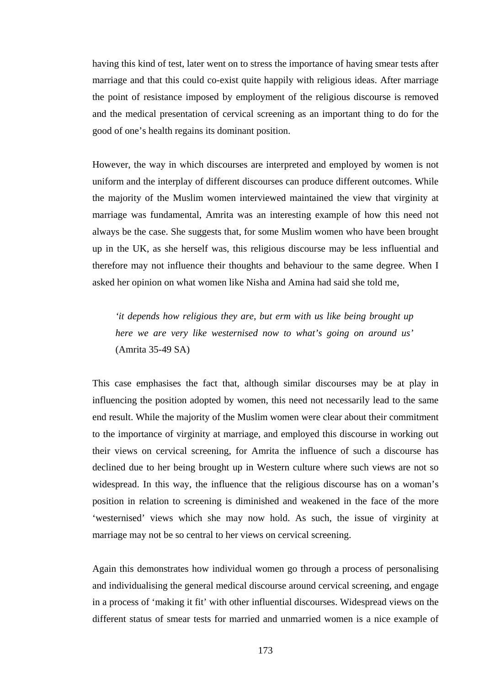having this kind of test, later went on to stress the importance of having smear tests after marriage and that this could co-exist quite happily with religious ideas. After marriage the point of resistance imposed by employment of the religious discourse is removed and the medical presentation of cervical screening as an important thing to do for the good of one's health regains its dominant position.

However, the way in which discourses are interpreted and employed by women is not uniform and the interplay of different discourses can produce different outcomes. While the majority of the Muslim women interviewed maintained the view that virginity at marriage was fundamental, Amrita was an interesting example of how this need not always be the case. She suggests that, for some Muslim women who have been brought up in the UK, as she herself was, this religious discourse may be less influential and therefore may not influence their thoughts and behaviour to the same degree. When I asked her opinion on what women like Nisha and Amina had said she told me,

*'it depends how religious they are, but erm with us like being brought up here we are very like westernised now to what's going on around us'*  (Amrita 35-49 SA)

This case emphasises the fact that, although similar discourses may be at play in influencing the position adopted by women, this need not necessarily lead to the same end result. While the majority of the Muslim women were clear about their commitment to the importance of virginity at marriage, and employed this discourse in working out their views on cervical screening, for Amrita the influence of such a discourse has declined due to her being brought up in Western culture where such views are not so widespread. In this way, the influence that the religious discourse has on a woman's position in relation to screening is diminished and weakened in the face of the more 'westernised' views which she may now hold. As such, the issue of virginity at marriage may not be so central to her views on cervical screening.

Again this demonstrates how individual women go through a process of personalising and individualising the general medical discourse around cervical screening, and engage in a process of 'making it fit' with other influential discourses. Widespread views on the different status of smear tests for married and unmarried women is a nice example of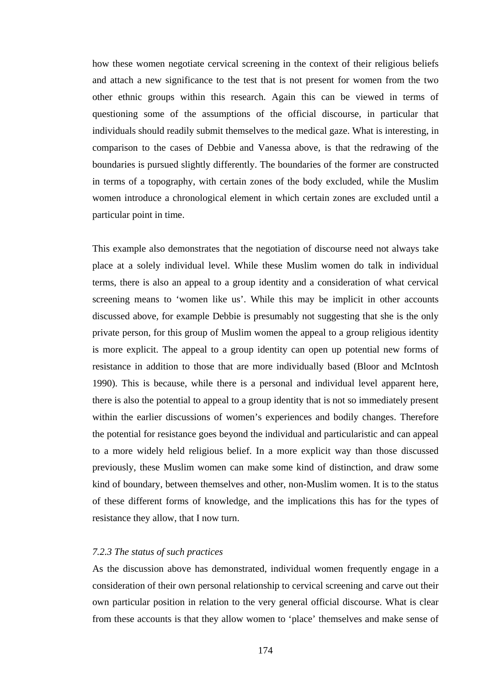how these women negotiate cervical screening in the context of their religious beliefs and attach a new significance to the test that is not present for women from the two other ethnic groups within this research. Again this can be viewed in terms of questioning some of the assumptions of the official discourse, in particular that individuals should readily submit themselves to the medical gaze. What is interesting, in comparison to the cases of Debbie and Vanessa above, is that the redrawing of the boundaries is pursued slightly differently. The boundaries of the former are constructed in terms of a topography, with certain zones of the body excluded, while the Muslim women introduce a chronological element in which certain zones are excluded until a particular point in time.

This example also demonstrates that the negotiation of discourse need not always take place at a solely individual level. While these Muslim women do talk in individual terms, there is also an appeal to a group identity and a consideration of what cervical screening means to 'women like us'. While this may be implicit in other accounts discussed above, for example Debbie is presumably not suggesting that she is the only private person, for this group of Muslim women the appeal to a group religious identity is more explicit. The appeal to a group identity can open up potential new forms of resistance in addition to those that are more individually based (Bloor and McIntosh 1990). This is because, while there is a personal and individual level apparent here, there is also the potential to appeal to a group identity that is not so immediately present within the earlier discussions of women's experiences and bodily changes. Therefore the potential for resistance goes beyond the individual and particularistic and can appeal to a more widely held religious belief. In a more explicit way than those discussed previously, these Muslim women can make some kind of distinction, and draw some kind of boundary, between themselves and other, non-Muslim women. It is to the status of these different forms of knowledge, and the implications this has for the types of resistance they allow, that I now turn.

### *7.2.3 The status of such practices*

As the discussion above has demonstrated, individual women frequently engage in a consideration of their own personal relationship to cervical screening and carve out their own particular position in relation to the very general official discourse. What is clear from these accounts is that they allow women to 'place' themselves and make sense of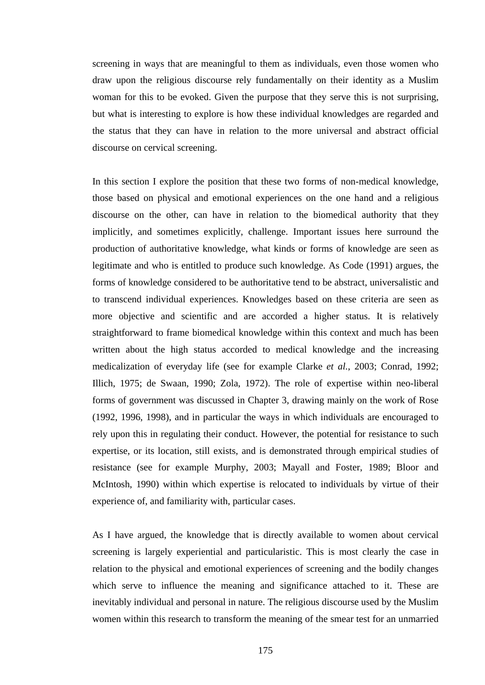screening in ways that are meaningful to them as individuals, even those women who draw upon the religious discourse rely fundamentally on their identity as a Muslim woman for this to be evoked. Given the purpose that they serve this is not surprising, but what is interesting to explore is how these individual knowledges are regarded and the status that they can have in relation to the more universal and abstract official discourse on cervical screening.

In this section I explore the position that these two forms of non-medical knowledge, those based on physical and emotional experiences on the one hand and a religious discourse on the other, can have in relation to the biomedical authority that they implicitly, and sometimes explicitly, challenge. Important issues here surround the production of authoritative knowledge, what kinds or forms of knowledge are seen as legitimate and who is entitled to produce such knowledge. As Code (1991) argues, the forms of knowledge considered to be authoritative tend to be abstract, universalistic and to transcend individual experiences. Knowledges based on these criteria are seen as more objective and scientific and are accorded a higher status. It is relatively straightforward to frame biomedical knowledge within this context and much has been written about the high status accorded to medical knowledge and the increasing medicalization of everyday life (see for example Clarke *et al.*, 2003; Conrad, 1992; Illich, 1975; de Swaan, 1990; Zola, 1972). The role of expertise within neo-liberal forms of government was discussed in Chapter 3, drawing mainly on the work of Rose (1992, 1996, 1998), and in particular the ways in which individuals are encouraged to rely upon this in regulating their conduct. However, the potential for resistance to such expertise, or its location, still exists, and is demonstrated through empirical studies of resistance (see for example Murphy, 2003; Mayall and Foster, 1989; Bloor and McIntosh, 1990) within which expertise is relocated to individuals by virtue of their experience of, and familiarity with, particular cases.

As I have argued, the knowledge that is directly available to women about cervical screening is largely experiential and particularistic. This is most clearly the case in relation to the physical and emotional experiences of screening and the bodily changes which serve to influence the meaning and significance attached to it. These are inevitably individual and personal in nature. The religious discourse used by the Muslim women within this research to transform the meaning of the smear test for an unmarried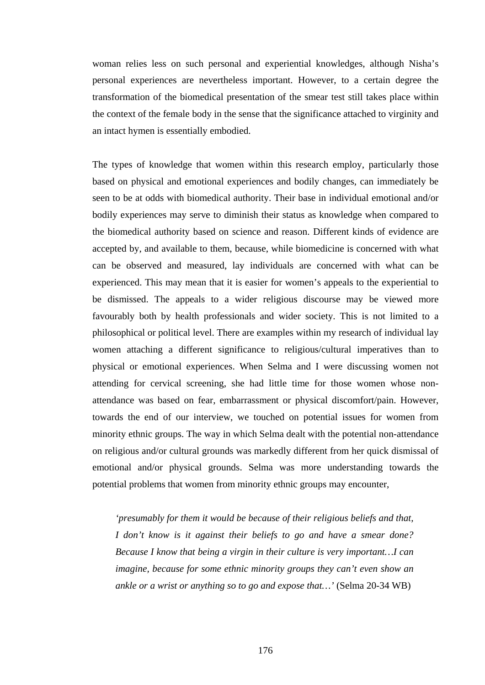woman relies less on such personal and experiential knowledges, although Nisha's personal experiences are nevertheless important. However, to a certain degree the transformation of the biomedical presentation of the smear test still takes place within the context of the female body in the sense that the significance attached to virginity and an intact hymen is essentially embodied.

The types of knowledge that women within this research employ, particularly those based on physical and emotional experiences and bodily changes, can immediately be seen to be at odds with biomedical authority. Their base in individual emotional and/or bodily experiences may serve to diminish their status as knowledge when compared to the biomedical authority based on science and reason. Different kinds of evidence are accepted by, and available to them, because, while biomedicine is concerned with what can be observed and measured, lay individuals are concerned with what can be experienced. This may mean that it is easier for women's appeals to the experiential to be dismissed. The appeals to a wider religious discourse may be viewed more favourably both by health professionals and wider society. This is not limited to a philosophical or political level. There are examples within my research of individual lay women attaching a different significance to religious/cultural imperatives than to physical or emotional experiences. When Selma and I were discussing women not attending for cervical screening, she had little time for those women whose nonattendance was based on fear, embarrassment or physical discomfort/pain. However, towards the end of our interview, we touched on potential issues for women from minority ethnic groups. The way in which Selma dealt with the potential non-attendance on religious and/or cultural grounds was markedly different from her quick dismissal of emotional and/or physical grounds. Selma was more understanding towards the potential problems that women from minority ethnic groups may encounter,

*'presumably for them it would be because of their religious beliefs and that, I don't know is it against their beliefs to go and have a smear done? Because I know that being a virgin in their culture is very important…I can imagine, because for some ethnic minority groups they can't even show an ankle or a wrist or anything so to go and expose that…'* (Selma 20-34 WB)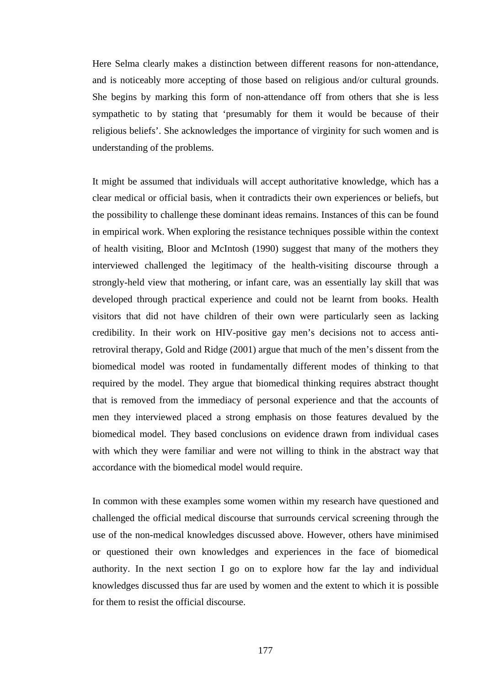Here Selma clearly makes a distinction between different reasons for non-attendance, and is noticeably more accepting of those based on religious and/or cultural grounds. She begins by marking this form of non-attendance off from others that she is less sympathetic to by stating that 'presumably for them it would be because of their religious beliefs'. She acknowledges the importance of virginity for such women and is understanding of the problems.

It might be assumed that individuals will accept authoritative knowledge, which has a clear medical or official basis, when it contradicts their own experiences or beliefs, but the possibility to challenge these dominant ideas remains. Instances of this can be found in empirical work. When exploring the resistance techniques possible within the context of health visiting, Bloor and McIntosh (1990) suggest that many of the mothers they interviewed challenged the legitimacy of the health-visiting discourse through a strongly-held view that mothering, or infant care, was an essentially lay skill that was developed through practical experience and could not be learnt from books. Health visitors that did not have children of their own were particularly seen as lacking credibility. In their work on HIV-positive gay men's decisions not to access antiretroviral therapy, Gold and Ridge (2001) argue that much of the men's dissent from the biomedical model was rooted in fundamentally different modes of thinking to that required by the model. They argue that biomedical thinking requires abstract thought that is removed from the immediacy of personal experience and that the accounts of men they interviewed placed a strong emphasis on those features devalued by the biomedical model. They based conclusions on evidence drawn from individual cases with which they were familiar and were not willing to think in the abstract way that accordance with the biomedical model would require.

In common with these examples some women within my research have questioned and challenged the official medical discourse that surrounds cervical screening through the use of the non-medical knowledges discussed above. However, others have minimised or questioned their own knowledges and experiences in the face of biomedical authority. In the next section I go on to explore how far the lay and individual knowledges discussed thus far are used by women and the extent to which it is possible for them to resist the official discourse.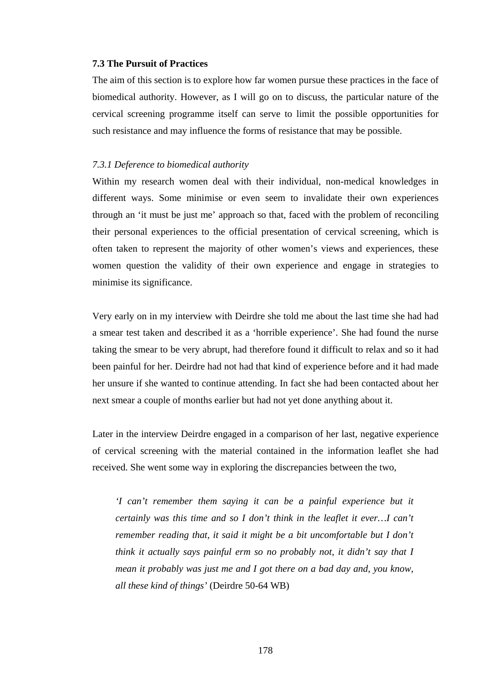### **7.3 The Pursuit of Practices**

The aim of this section is to explore how far women pursue these practices in the face of biomedical authority. However, as I will go on to discuss, the particular nature of the cervical screening programme itself can serve to limit the possible opportunities for such resistance and may influence the forms of resistance that may be possible.

#### *7.3.1 Deference to biomedical authority*

Within my research women deal with their individual, non-medical knowledges in different ways. Some minimise or even seem to invalidate their own experiences through an 'it must be just me' approach so that, faced with the problem of reconciling their personal experiences to the official presentation of cervical screening, which is often taken to represent the majority of other women's views and experiences, these women question the validity of their own experience and engage in strategies to minimise its significance.

Very early on in my interview with Deirdre she told me about the last time she had had a smear test taken and described it as a 'horrible experience'. She had found the nurse taking the smear to be very abrupt, had therefore found it difficult to relax and so it had been painful for her. Deirdre had not had that kind of experience before and it had made her unsure if she wanted to continue attending. In fact she had been contacted about her next smear a couple of months earlier but had not yet done anything about it.

Later in the interview Deirdre engaged in a comparison of her last, negative experience of cervical screening with the material contained in the information leaflet she had received. She went some way in exploring the discrepancies between the two,

*'I can't remember them saying it can be a painful experience but it certainly was this time and so I don't think in the leaflet it ever…I can't remember reading that, it said it might be a bit uncomfortable but I don't think it actually says painful erm so no probably not, it didn't say that I mean it probably was just me and I got there on a bad day and, you know, all these kind of things'* (Deirdre 50-64 WB)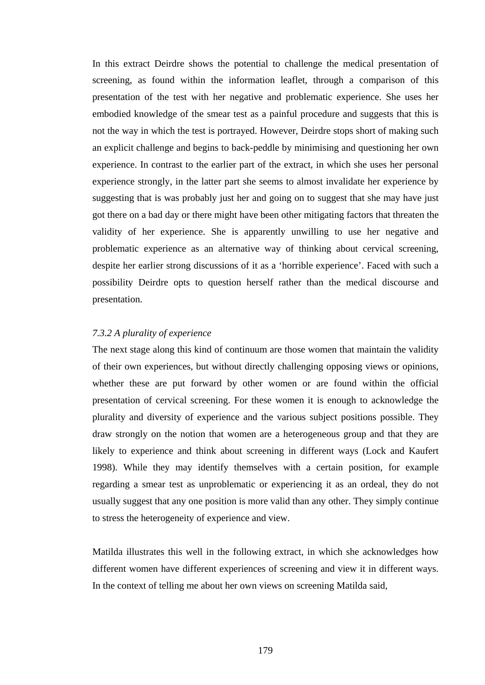In this extract Deirdre shows the potential to challenge the medical presentation of screening, as found within the information leaflet, through a comparison of this presentation of the test with her negative and problematic experience. She uses her embodied knowledge of the smear test as a painful procedure and suggests that this is not the way in which the test is portrayed. However, Deirdre stops short of making such an explicit challenge and begins to back-peddle by minimising and questioning her own experience. In contrast to the earlier part of the extract, in which she uses her personal experience strongly, in the latter part she seems to almost invalidate her experience by suggesting that is was probably just her and going on to suggest that she may have just got there on a bad day or there might have been other mitigating factors that threaten the validity of her experience. She is apparently unwilling to use her negative and problematic experience as an alternative way of thinking about cervical screening, despite her earlier strong discussions of it as a 'horrible experience'. Faced with such a possibility Deirdre opts to question herself rather than the medical discourse and presentation.

# *7.3.2 A plurality of experience*

The next stage along this kind of continuum are those women that maintain the validity of their own experiences, but without directly challenging opposing views or opinions, whether these are put forward by other women or are found within the official presentation of cervical screening. For these women it is enough to acknowledge the plurality and diversity of experience and the various subject positions possible. They draw strongly on the notion that women are a heterogeneous group and that they are likely to experience and think about screening in different ways (Lock and Kaufert 1998). While they may identify themselves with a certain position, for example regarding a smear test as unproblematic or experiencing it as an ordeal, they do not usually suggest that any one position is more valid than any other. They simply continue to stress the heterogeneity of experience and view.

Matilda illustrates this well in the following extract, in which she acknowledges how different women have different experiences of screening and view it in different ways. In the context of telling me about her own views on screening Matilda said,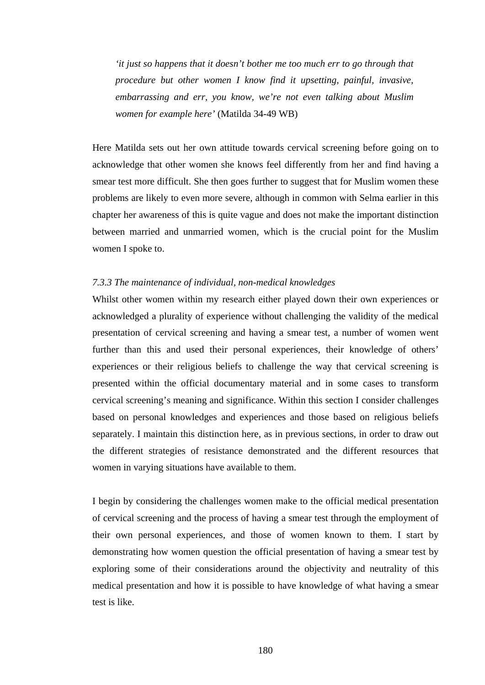*'it just so happens that it doesn't bother me too much err to go through that procedure but other women I know find it upsetting, painful, invasive, embarrassing and err, you know, we're not even talking about Muslim women for example here'* (Matilda 34-49 WB)

Here Matilda sets out her own attitude towards cervical screening before going on to acknowledge that other women she knows feel differently from her and find having a smear test more difficult. She then goes further to suggest that for Muslim women these problems are likely to even more severe, although in common with Selma earlier in this chapter her awareness of this is quite vague and does not make the important distinction between married and unmarried women, which is the crucial point for the Muslim women I spoke to.

#### *7.3.3 The maintenance of individual, non-medical knowledges*

Whilst other women within my research either played down their own experiences or acknowledged a plurality of experience without challenging the validity of the medical presentation of cervical screening and having a smear test, a number of women went further than this and used their personal experiences, their knowledge of others' experiences or their religious beliefs to challenge the way that cervical screening is presented within the official documentary material and in some cases to transform cervical screening's meaning and significance. Within this section I consider challenges based on personal knowledges and experiences and those based on religious beliefs separately. I maintain this distinction here, as in previous sections, in order to draw out the different strategies of resistance demonstrated and the different resources that women in varying situations have available to them.

I begin by considering the challenges women make to the official medical presentation of cervical screening and the process of having a smear test through the employment of their own personal experiences, and those of women known to them. I start by demonstrating how women question the official presentation of having a smear test by exploring some of their considerations around the objectivity and neutrality of this medical presentation and how it is possible to have knowledge of what having a smear test is like.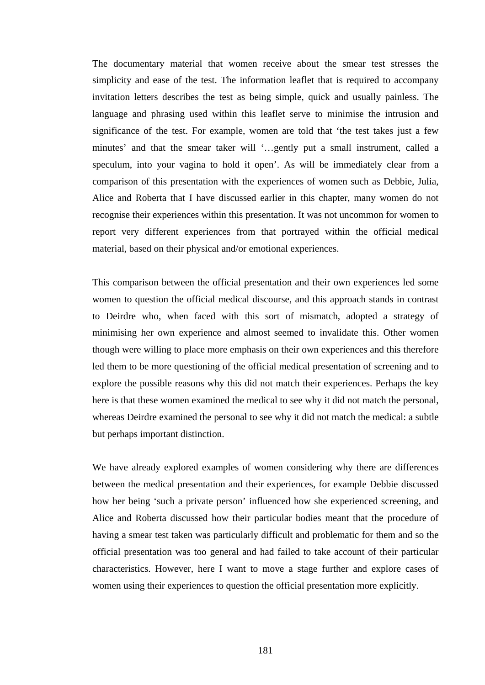The documentary material that women receive about the smear test stresses the simplicity and ease of the test. The information leaflet that is required to accompany invitation letters describes the test as being simple, quick and usually painless. The language and phrasing used within this leaflet serve to minimise the intrusion and significance of the test. For example, women are told that 'the test takes just a few minutes' and that the smear taker will '…gently put a small instrument, called a speculum, into your vagina to hold it open'. As will be immediately clear from a comparison of this presentation with the experiences of women such as Debbie, Julia, Alice and Roberta that I have discussed earlier in this chapter, many women do not recognise their experiences within this presentation. It was not uncommon for women to report very different experiences from that portrayed within the official medical material, based on their physical and/or emotional experiences.

This comparison between the official presentation and their own experiences led some women to question the official medical discourse, and this approach stands in contrast to Deirdre who, when faced with this sort of mismatch, adopted a strategy of minimising her own experience and almost seemed to invalidate this. Other women though were willing to place more emphasis on their own experiences and this therefore led them to be more questioning of the official medical presentation of screening and to explore the possible reasons why this did not match their experiences. Perhaps the key here is that these women examined the medical to see why it did not match the personal, whereas Deirdre examined the personal to see why it did not match the medical: a subtle but perhaps important distinction.

We have already explored examples of women considering why there are differences between the medical presentation and their experiences, for example Debbie discussed how her being 'such a private person' influenced how she experienced screening, and Alice and Roberta discussed how their particular bodies meant that the procedure of having a smear test taken was particularly difficult and problematic for them and so the official presentation was too general and had failed to take account of their particular characteristics. However, here I want to move a stage further and explore cases of women using their experiences to question the official presentation more explicitly.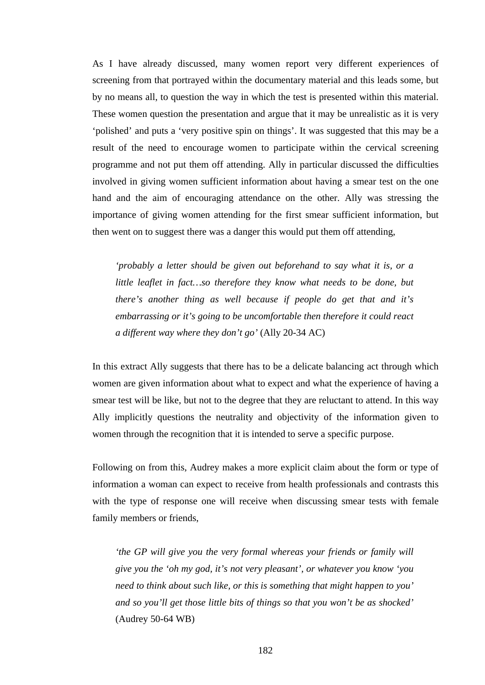As I have already discussed, many women report very different experiences of screening from that portrayed within the documentary material and this leads some, but by no means all, to question the way in which the test is presented within this material. These women question the presentation and argue that it may be unrealistic as it is very 'polished' and puts a 'very positive spin on things'. It was suggested that this may be a result of the need to encourage women to participate within the cervical screening programme and not put them off attending. Ally in particular discussed the difficulties involved in giving women sufficient information about having a smear test on the one hand and the aim of encouraging attendance on the other. Ally was stressing the importance of giving women attending for the first smear sufficient information, but then went on to suggest there was a danger this would put them off attending,

*'probably a letter should be given out beforehand to say what it is, or a little leaflet in fact…so therefore they know what needs to be done, but there's another thing as well because if people do get that and it's embarrassing or it's going to be uncomfortable then therefore it could react a different way where they don't go'* (Ally 20-34 AC)

In this extract Ally suggests that there has to be a delicate balancing act through which women are given information about what to expect and what the experience of having a smear test will be like, but not to the degree that they are reluctant to attend. In this way Ally implicitly questions the neutrality and objectivity of the information given to women through the recognition that it is intended to serve a specific purpose.

Following on from this, Audrey makes a more explicit claim about the form or type of information a woman can expect to receive from health professionals and contrasts this with the type of response one will receive when discussing smear tests with female family members or friends,

*'the GP will give you the very formal whereas your friends or family will give you the 'oh my god, it's not very pleasant', or whatever you know 'you need to think about such like, or this is something that might happen to you' and so you'll get those little bits of things so that you won't be as shocked'*  (Audrey 50-64 WB)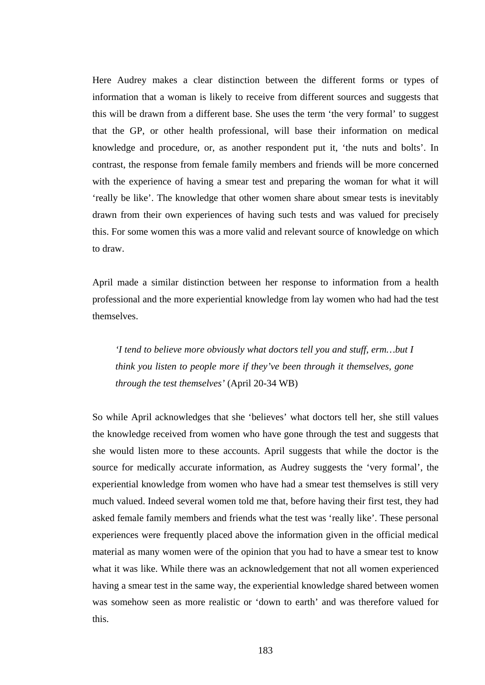Here Audrey makes a clear distinction between the different forms or types of information that a woman is likely to receive from different sources and suggests that this will be drawn from a different base. She uses the term 'the very formal' to suggest that the GP, or other health professional, will base their information on medical knowledge and procedure, or, as another respondent put it, 'the nuts and bolts'. In contrast, the response from female family members and friends will be more concerned with the experience of having a smear test and preparing the woman for what it will 'really be like'. The knowledge that other women share about smear tests is inevitably drawn from their own experiences of having such tests and was valued for precisely this. For some women this was a more valid and relevant source of knowledge on which to draw.

April made a similar distinction between her response to information from a health professional and the more experiential knowledge from lay women who had had the test themselves.

*'I tend to believe more obviously what doctors tell you and stuff, erm…but I think you listen to people more if they've been through it themselves, gone through the test themselves'* (April 20-34 WB)

So while April acknowledges that she 'believes' what doctors tell her, she still values the knowledge received from women who have gone through the test and suggests that she would listen more to these accounts. April suggests that while the doctor is the source for medically accurate information, as Audrey suggests the 'very formal', the experiential knowledge from women who have had a smear test themselves is still very much valued. Indeed several women told me that, before having their first test, they had asked female family members and friends what the test was 'really like'. These personal experiences were frequently placed above the information given in the official medical material as many women were of the opinion that you had to have a smear test to know what it was like. While there was an acknowledgement that not all women experienced having a smear test in the same way, the experiential knowledge shared between women was somehow seen as more realistic or 'down to earth' and was therefore valued for this.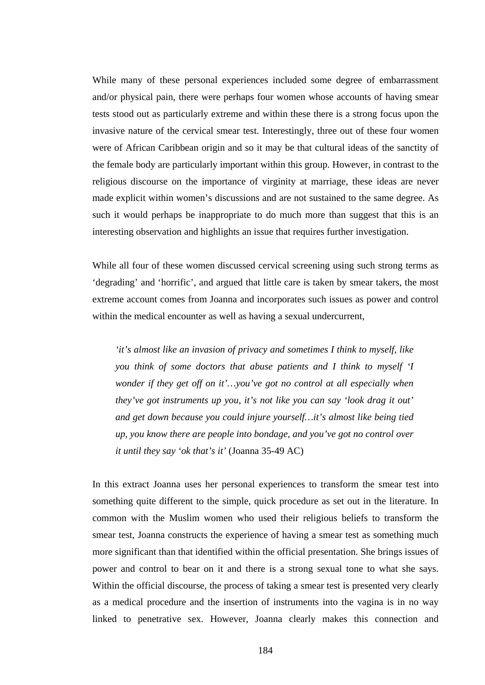While many of these personal experiences included some degree of embarrassment and/or physical pain, there were perhaps four women whose accounts of having smear tests stood out as particularly extreme and within these there is a strong focus upon the invasive nature of the cervical smear test. Interestingly, three out of these four women were of African Caribbean origin and so it may be that cultural ideas of the sanctity of the female body are particularly important within this group. However, in contrast to the religious discourse on the importance of virginity at marriage, these ideas are never made explicit within women's discussions and are not sustained to the same degree. As such it would perhaps be inappropriate to do much more than suggest that this is an interesting observation and highlights an issue that requires further investigation.

While all four of these women discussed cervical screening using such strong terms as 'degrading' and 'horrific', and argued that little care is taken by smear takers, the most extreme account comes from Joanna and incorporates such issues as power and control within the medical encounter as well as having a sexual undercurrent,

*'it's almost like an invasion of privacy and sometimes I think to myself, like you think of some doctors that abuse patients and I think to myself 'I wonder if they get off on it'…you've got no control at all especially when they've got instruments up you, it's not like you can say 'look drag it out' and get down because you could injure yourself…it's almost like being tied up, you know there are people into bondage, and you've got no control over it until they say 'ok that's it'* (Joanna 35-49 AC)

In this extract Joanna uses her personal experiences to transform the smear test into something quite different to the simple, quick procedure as set out in the literature. In common with the Muslim women who used their religious beliefs to transform the smear test, Joanna constructs the experience of having a smear test as something much more significant than that identified within the official presentation. She brings issues of power and control to bear on it and there is a strong sexual tone to what she says. Within the official discourse, the process of taking a smear test is presented very clearly as a medical procedure and the insertion of instruments into the vagina is in no way linked to penetrative sex. However, Joanna clearly makes this connection and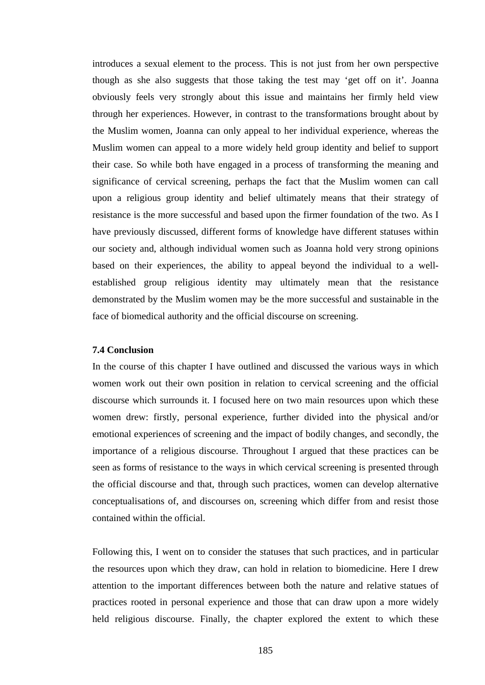introduces a sexual element to the process. This is not just from her own perspective though as she also suggests that those taking the test may 'get off on it'. Joanna obviously feels very strongly about this issue and maintains her firmly held view through her experiences. However, in contrast to the transformations brought about by the Muslim women, Joanna can only appeal to her individual experience, whereas the Muslim women can appeal to a more widely held group identity and belief to support their case. So while both have engaged in a process of transforming the meaning and significance of cervical screening, perhaps the fact that the Muslim women can call upon a religious group identity and belief ultimately means that their strategy of resistance is the more successful and based upon the firmer foundation of the two. As I have previously discussed, different forms of knowledge have different statuses within our society and, although individual women such as Joanna hold very strong opinions based on their experiences, the ability to appeal beyond the individual to a wellestablished group religious identity may ultimately mean that the resistance demonstrated by the Muslim women may be the more successful and sustainable in the face of biomedical authority and the official discourse on screening.

#### **7.4 Conclusion**

In the course of this chapter I have outlined and discussed the various ways in which women work out their own position in relation to cervical screening and the official discourse which surrounds it. I focused here on two main resources upon which these women drew: firstly, personal experience, further divided into the physical and/or emotional experiences of screening and the impact of bodily changes, and secondly, the importance of a religious discourse. Throughout I argued that these practices can be seen as forms of resistance to the ways in which cervical screening is presented through the official discourse and that, through such practices, women can develop alternative conceptualisations of, and discourses on, screening which differ from and resist those contained within the official.

Following this, I went on to consider the statuses that such practices, and in particular the resources upon which they draw, can hold in relation to biomedicine. Here I drew attention to the important differences between both the nature and relative statues of practices rooted in personal experience and those that can draw upon a more widely held religious discourse. Finally, the chapter explored the extent to which these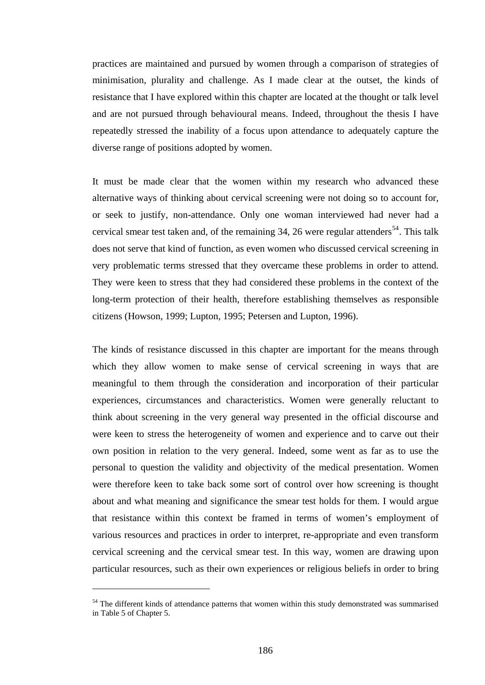practices are maintained and pursued by women through a comparison of strategies of minimisation, plurality and challenge. As I made clear at the outset, the kinds of resistance that I have explored within this chapter are located at the thought or talk level and are not pursued through behavioural means. Indeed, throughout the thesis I have repeatedly stressed the inability of a focus upon attendance to adequately capture the diverse range of positions adopted by women.

It must be made clear that the women within my research who advanced these alternative ways of thinking about cervical screening were not doing so to account for, or seek to justify, non-attendance. Only one woman interviewed had never had a cervical smear test taken and, of the remaining 34, 26 were regular attenders<sup>[54](#page-186-0)</sup>. This talk does not serve that kind of function, as even women who discussed cervical screening in very problematic terms stressed that they overcame these problems in order to attend. They were keen to stress that they had considered these problems in the context of the long-term protection of their health, therefore establishing themselves as responsible citizens (Howson, 1999; Lupton, 1995; Petersen and Lupton, 1996).

The kinds of resistance discussed in this chapter are important for the means through which they allow women to make sense of cervical screening in ways that are meaningful to them through the consideration and incorporation of their particular experiences, circumstances and characteristics. Women were generally reluctant to think about screening in the very general way presented in the official discourse and were keen to stress the heterogeneity of women and experience and to carve out their own position in relation to the very general. Indeed, some went as far as to use the personal to question the validity and objectivity of the medical presentation. Women were therefore keen to take back some sort of control over how screening is thought about and what meaning and significance the smear test holds for them. I would argue that resistance within this context be framed in terms of women's employment of various resources and practices in order to interpret, re-appropriate and even transform cervical screening and the cervical smear test. In this way, women are drawing upon particular resources, such as their own experiences or religious beliefs in order to bring

 $\overline{a}$ 

<span id="page-186-0"></span><sup>&</sup>lt;sup>54</sup> The different kinds of attendance patterns that women within this study demonstrated was summarised in Table 5 of Chapter 5.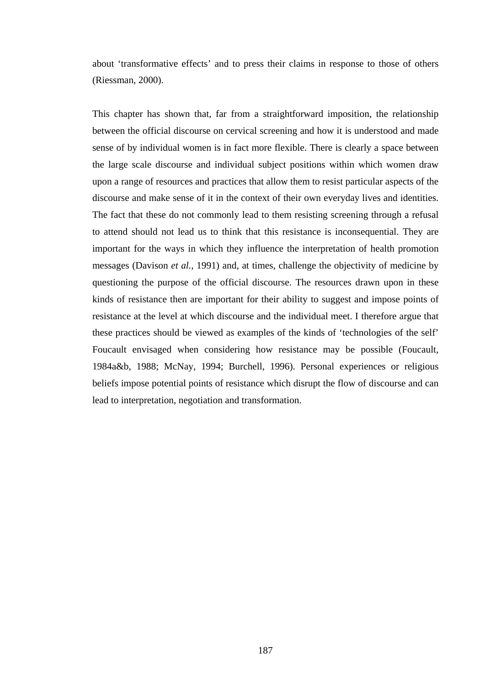about 'transformative effects' and to press their claims in response to those of others (Riessman, 2000).

This chapter has shown that, far from a straightforward imposition, the relationship between the official discourse on cervical screening and how it is understood and made sense of by individual women is in fact more flexible. There is clearly a space between the large scale discourse and individual subject positions within which women draw upon a range of resources and practices that allow them to resist particular aspects of the discourse and make sense of it in the context of their own everyday lives and identities. The fact that these do not commonly lead to them resisting screening through a refusal to attend should not lead us to think that this resistance is inconsequential. They are important for the ways in which they influence the interpretation of health promotion messages (Davison *et al.*, 1991) and, at times, challenge the objectivity of medicine by questioning the purpose of the official discourse. The resources drawn upon in these kinds of resistance then are important for their ability to suggest and impose points of resistance at the level at which discourse and the individual meet. I therefore argue that these practices should be viewed as examples of the kinds of 'technologies of the self' Foucault envisaged when considering how resistance may be possible (Foucault, 1984a&b, 1988; McNay, 1994; Burchell, 1996). Personal experiences or religious beliefs impose potential points of resistance which disrupt the flow of discourse and can lead to interpretation, negotiation and transformation.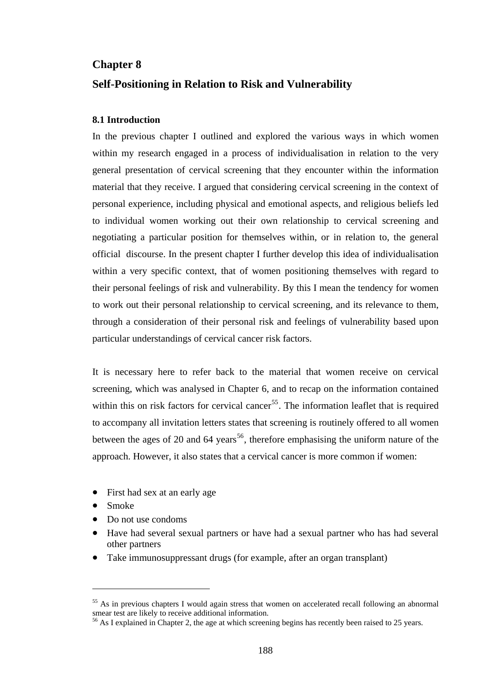# **Chapter 8 Self-Positioning in Relation to Risk and Vulnerability**

### **8.1 Introduction**

In the previous chapter I outlined and explored the various ways in which women within my research engaged in a process of individualisation in relation to the very general presentation of cervical screening that they encounter within the information material that they receive. I argued that considering cervical screening in the context of personal experience, including physical and emotional aspects, and religious beliefs led to individual women working out their own relationship to cervical screening and negotiating a particular position for themselves within, or in relation to, the general official discourse. In the present chapter I further develop this idea of individualisation within a very specific context, that of women positioning themselves with regard to their personal feelings of risk and vulnerability. By this I mean the tendency for women to work out their personal relationship to cervical screening, and its relevance to them, through a consideration of their personal risk and feelings of vulnerability based upon particular understandings of cervical cancer risk factors.

It is necessary here to refer back to the material that women receive on cervical screening, which was analysed in Chapter 6, and to recap on the information contained within this on risk factors for cervical cancer<sup>[55](#page-188-0)</sup>. The information leaflet that is required to accompany all invitation letters states that screening is routinely offered to all women between the ages of 20 and 64 years<sup>[56](#page-188-1)</sup>, therefore emphasising the uniform nature of the approach. However, it also states that a cervical cancer is more common if women:

- First had sex at an early age
- Smoke

 $\overline{a}$ 

- Do not use condoms
- Have had several sexual partners or have had a sexual partner who has had several other partners
- Take immunosuppressant drugs (for example, after an organ transplant)

<span id="page-188-0"></span><sup>&</sup>lt;sup>55</sup> As in previous chapters I would again stress that women on accelerated recall following an abnormal smear test are likely to receive additional information.

<span id="page-188-1"></span> $56$  As I explained in Chapter 2, the age at which screening begins has recently been raised to 25 years.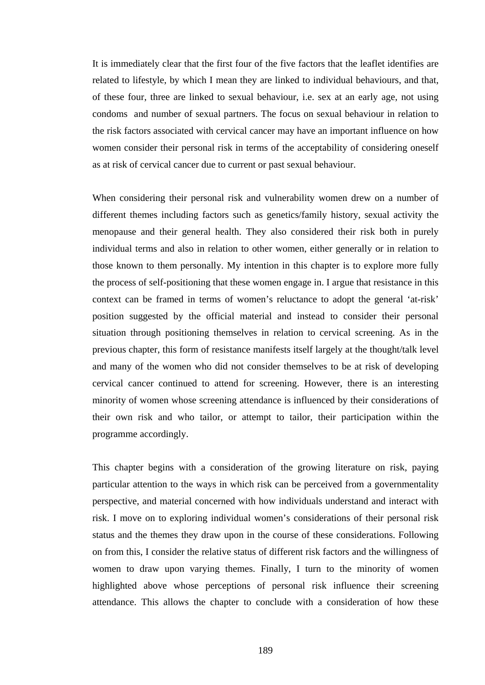It is immediately clear that the first four of the five factors that the leaflet identifies are related to lifestyle, by which I mean they are linked to individual behaviours, and that, of these four, three are linked to sexual behaviour, i.e. sex at an early age, not using condoms and number of sexual partners. The focus on sexual behaviour in relation to the risk factors associated with cervical cancer may have an important influence on how women consider their personal risk in terms of the acceptability of considering oneself as at risk of cervical cancer due to current or past sexual behaviour.

When considering their personal risk and vulnerability women drew on a number of different themes including factors such as genetics/family history, sexual activity the menopause and their general health. They also considered their risk both in purely individual terms and also in relation to other women, either generally or in relation to those known to them personally. My intention in this chapter is to explore more fully the process of self-positioning that these women engage in. I argue that resistance in this context can be framed in terms of women's reluctance to adopt the general 'at-risk' position suggested by the official material and instead to consider their personal situation through positioning themselves in relation to cervical screening. As in the previous chapter, this form of resistance manifests itself largely at the thought/talk level and many of the women who did not consider themselves to be at risk of developing cervical cancer continued to attend for screening. However, there is an interesting minority of women whose screening attendance is influenced by their considerations of their own risk and who tailor, or attempt to tailor, their participation within the programme accordingly.

This chapter begins with a consideration of the growing literature on risk, paying particular attention to the ways in which risk can be perceived from a governmentality perspective, and material concerned with how individuals understand and interact with risk. I move on to exploring individual women's considerations of their personal risk status and the themes they draw upon in the course of these considerations. Following on from this, I consider the relative status of different risk factors and the willingness of women to draw upon varying themes. Finally, I turn to the minority of women highlighted above whose perceptions of personal risk influence their screening attendance. This allows the chapter to conclude with a consideration of how these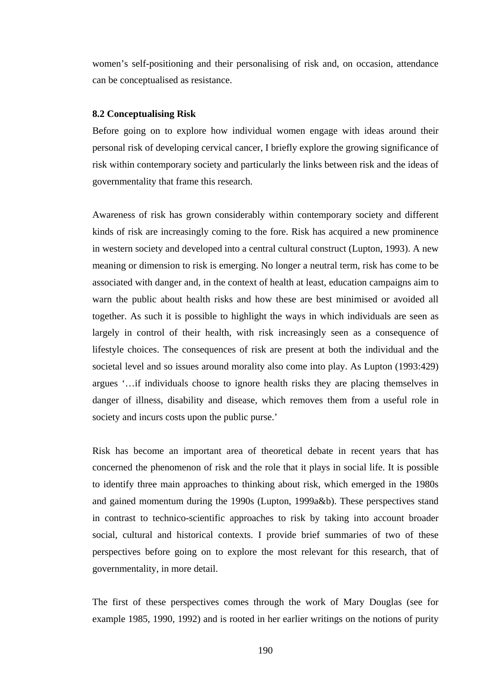women's self-positioning and their personalising of risk and, on occasion, attendance can be conceptualised as resistance.

#### **8.2 Conceptualising Risk**

Before going on to explore how individual women engage with ideas around their personal risk of developing cervical cancer, I briefly explore the growing significance of risk within contemporary society and particularly the links between risk and the ideas of governmentality that frame this research.

Awareness of risk has grown considerably within contemporary society and different kinds of risk are increasingly coming to the fore. Risk has acquired a new prominence in western society and developed into a central cultural construct (Lupton, 1993). A new meaning or dimension to risk is emerging. No longer a neutral term, risk has come to be associated with danger and, in the context of health at least, education campaigns aim to warn the public about health risks and how these are best minimised or avoided all together. As such it is possible to highlight the ways in which individuals are seen as largely in control of their health, with risk increasingly seen as a consequence of lifestyle choices. The consequences of risk are present at both the individual and the societal level and so issues around morality also come into play. As Lupton (1993:429) argues '…if individuals choose to ignore health risks they are placing themselves in danger of illness, disability and disease, which removes them from a useful role in society and incurs costs upon the public purse.'

Risk has become an important area of theoretical debate in recent years that has concerned the phenomenon of risk and the role that it plays in social life. It is possible to identify three main approaches to thinking about risk, which emerged in the 1980s and gained momentum during the 1990s (Lupton, 1999a&b). These perspectives stand in contrast to technico-scientific approaches to risk by taking into account broader social, cultural and historical contexts. I provide brief summaries of two of these perspectives before going on to explore the most relevant for this research, that of governmentality, in more detail.

The first of these perspectives comes through the work of Mary Douglas (see for example 1985, 1990, 1992) and is rooted in her earlier writings on the notions of purity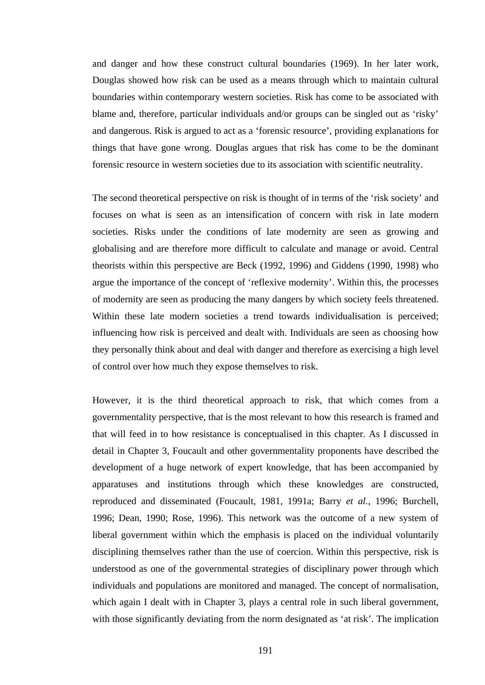and danger and how these construct cultural boundaries (1969). In her later work, Douglas showed how risk can be used as a means through which to maintain cultural boundaries within contemporary western societies. Risk has come to be associated with blame and, therefore, particular individuals and/or groups can be singled out as 'risky' and dangerous. Risk is argued to act as a 'forensic resource', providing explanations for things that have gone wrong. Douglas argues that risk has come to be the dominant forensic resource in western societies due to its association with scientific neutrality.

The second theoretical perspective on risk is thought of in terms of the 'risk society' and focuses on what is seen as an intensification of concern with risk in late modern societies. Risks under the conditions of late modernity are seen as growing and globalising and are therefore more difficult to calculate and manage or avoid. Central theorists within this perspective are Beck (1992, 1996) and Giddens (1990, 1998) who argue the importance of the concept of 'reflexive modernity'. Within this, the processes of modernity are seen as producing the many dangers by which society feels threatened. Within these late modern societies a trend towards individualisation is perceived; influencing how risk is perceived and dealt with. Individuals are seen as choosing how they personally think about and deal with danger and therefore as exercising a high level of control over how much they expose themselves to risk.

However, it is the third theoretical approach to risk, that which comes from a governmentality perspective, that is the most relevant to how this research is framed and that will feed in to how resistance is conceptualised in this chapter. As I discussed in detail in Chapter 3, Foucault and other governmentality proponents have described the development of a huge network of expert knowledge, that has been accompanied by apparatuses and institutions through which these knowledges are constructed, reproduced and disseminated (Foucault, 1981, 1991a; Barry *et al.*, 1996; Burchell, 1996; Dean, 1990; Rose, 1996). This network was the outcome of a new system of liberal government within which the emphasis is placed on the individual voluntarily disciplining themselves rather than the use of coercion. Within this perspective, risk is understood as one of the governmental strategies of disciplinary power through which individuals and populations are monitored and managed. The concept of normalisation, which again I dealt with in Chapter 3, plays a central role in such liberal government, with those significantly deviating from the norm designated as 'at risk'. The implication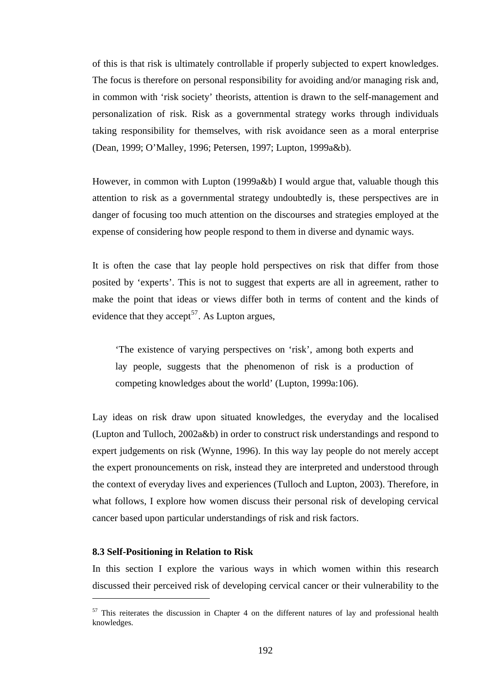of this is that risk is ultimately controllable if properly subjected to expert knowledges. The focus is therefore on personal responsibility for avoiding and/or managing risk and, in common with 'risk society' theorists, attention is drawn to the self-management and personalization of risk. Risk as a governmental strategy works through individuals taking responsibility for themselves, with risk avoidance seen as a moral enterprise (Dean, 1999; O'Malley, 1996; Petersen, 1997; Lupton, 1999a&b).

However, in common with Lupton (1999a&b) I would argue that, valuable though this attention to risk as a governmental strategy undoubtedly is, these perspectives are in danger of focusing too much attention on the discourses and strategies employed at the expense of considering how people respond to them in diverse and dynamic ways.

It is often the case that lay people hold perspectives on risk that differ from those posited by 'experts'. This is not to suggest that experts are all in agreement, rather to make the point that ideas or views differ both in terms of content and the kinds of evidence that they accept<sup>[57](#page-192-0)</sup>. As Lupton argues,

'The existence of varying perspectives on 'risk', among both experts and lay people, suggests that the phenomenon of risk is a production of competing knowledges about the world' (Lupton, 1999a:106).

Lay ideas on risk draw upon situated knowledges, the everyday and the localised (Lupton and Tulloch, 2002a&b) in order to construct risk understandings and respond to expert judgements on risk (Wynne, 1996). In this way lay people do not merely accept the expert pronouncements on risk, instead they are interpreted and understood through the context of everyday lives and experiences (Tulloch and Lupton, 2003). Therefore, in what follows, I explore how women discuss their personal risk of developing cervical cancer based upon particular understandings of risk and risk factors.

#### **8.3 Self-Positioning in Relation to Risk**

 $\overline{a}$ 

In this section I explore the various ways in which women within this research discussed their perceived risk of developing cervical cancer or their vulnerability to the

<span id="page-192-0"></span> $57$  This reiterates the discussion in Chapter 4 on the different natures of lay and professional health knowledges.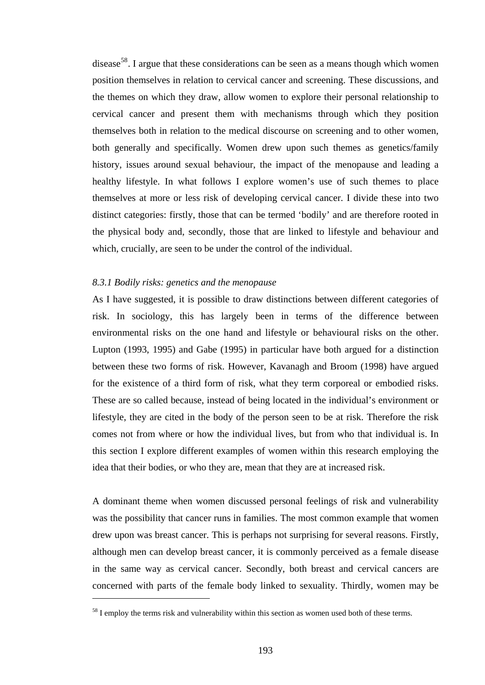disease<sup>[58](#page-193-0)</sup>. I argue that these considerations can be seen as a means though which women position themselves in relation to cervical cancer and screening. These discussions, and the themes on which they draw, allow women to explore their personal relationship to cervical cancer and present them with mechanisms through which they position themselves both in relation to the medical discourse on screening and to other women, both generally and specifically. Women drew upon such themes as genetics/family history, issues around sexual behaviour, the impact of the menopause and leading a healthy lifestyle. In what follows I explore women's use of such themes to place themselves at more or less risk of developing cervical cancer. I divide these into two distinct categories: firstly, those that can be termed 'bodily' and are therefore rooted in the physical body and, secondly, those that are linked to lifestyle and behaviour and which, crucially, are seen to be under the control of the individual.

#### *8.3.1 Bodily risks: genetics and the menopause*

 $\overline{a}$ 

As I have suggested, it is possible to draw distinctions between different categories of risk. In sociology, this has largely been in terms of the difference between environmental risks on the one hand and lifestyle or behavioural risks on the other. Lupton (1993, 1995) and Gabe (1995) in particular have both argued for a distinction between these two forms of risk. However, Kavanagh and Broom (1998) have argued for the existence of a third form of risk, what they term corporeal or embodied risks. These are so called because, instead of being located in the individual's environment or lifestyle, they are cited in the body of the person seen to be at risk. Therefore the risk comes not from where or how the individual lives, but from who that individual is. In this section I explore different examples of women within this research employing the idea that their bodies, or who they are, mean that they are at increased risk.

A dominant theme when women discussed personal feelings of risk and vulnerability was the possibility that cancer runs in families. The most common example that women drew upon was breast cancer. This is perhaps not surprising for several reasons. Firstly, although men can develop breast cancer, it is commonly perceived as a female disease in the same way as cervical cancer. Secondly, both breast and cervical cancers are concerned with parts of the female body linked to sexuality. Thirdly, women may be

<span id="page-193-0"></span><sup>&</sup>lt;sup>58</sup> I employ the terms risk and vulnerability within this section as women used both of these terms.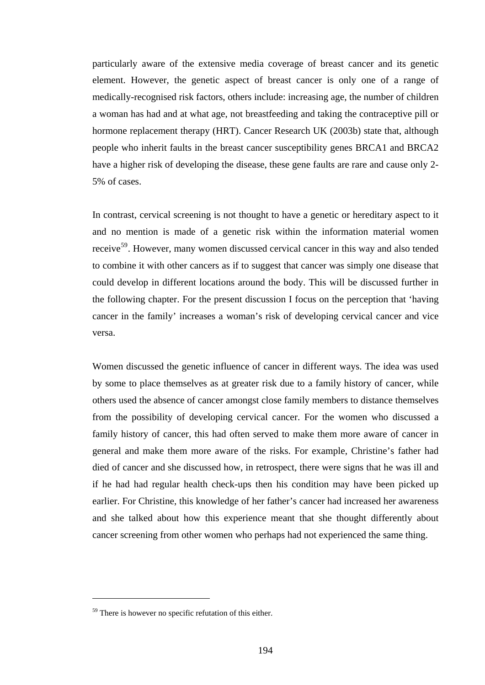particularly aware of the extensive media coverage of breast cancer and its genetic element. However, the genetic aspect of breast cancer is only one of a range of medically-recognised risk factors, others include: increasing age, the number of children a woman has had and at what age, not breastfeeding and taking the contraceptive pill or hormone replacement therapy (HRT). Cancer Research UK (2003b) state that, although people who inherit faults in the breast cancer susceptibility genes BRCA1 and BRCA2 have a higher risk of developing the disease, these gene faults are rare and cause only 2- 5% of cases.

In contrast, cervical screening is not thought to have a genetic or hereditary aspect to it and no mention is made of a genetic risk within the information material women receive<sup>[59](#page-194-0)</sup>. However, many women discussed cervical cancer in this way and also tended to combine it with other cancers as if to suggest that cancer was simply one disease that could develop in different locations around the body. This will be discussed further in the following chapter. For the present discussion I focus on the perception that 'having cancer in the family' increases a woman's risk of developing cervical cancer and vice versa.

Women discussed the genetic influence of cancer in different ways. The idea was used by some to place themselves as at greater risk due to a family history of cancer, while others used the absence of cancer amongst close family members to distance themselves from the possibility of developing cervical cancer. For the women who discussed a family history of cancer, this had often served to make them more aware of cancer in general and make them more aware of the risks. For example, Christine's father had died of cancer and she discussed how, in retrospect, there were signs that he was ill and if he had had regular health check-ups then his condition may have been picked up earlier. For Christine, this knowledge of her father's cancer had increased her awareness and she talked about how this experience meant that she thought differently about cancer screening from other women who perhaps had not experienced the same thing.

 $\overline{a}$ 

<span id="page-194-0"></span><sup>59</sup> There is however no specific refutation of this either.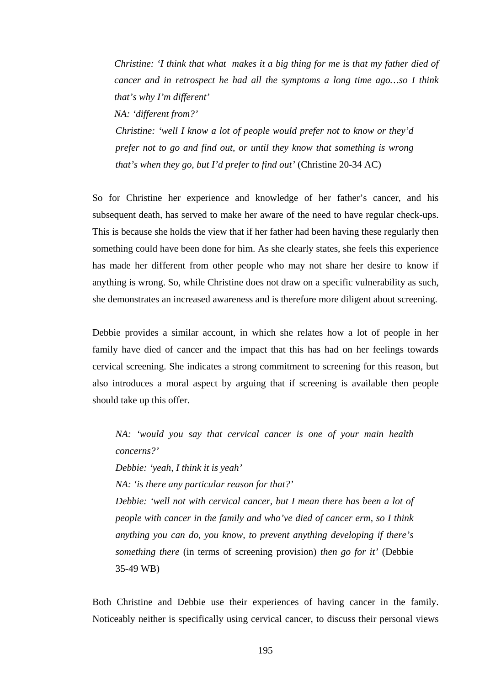*Christine: 'I think that what makes it a big thing for me is that my father died of cancer and in retrospect he had all the symptoms a long time ago…so I think that's why I'm different'* 

*NA: 'different from?'* 

*Christine: 'well I know a lot of people would prefer not to know or they'd prefer not to go and find out, or until they know that something is wrong that's when they go, but I'd prefer to find out'* (Christine 20-34 AC)

So for Christine her experience and knowledge of her father's cancer, and his subsequent death, has served to make her aware of the need to have regular check-ups. This is because she holds the view that if her father had been having these regularly then something could have been done for him. As she clearly states, she feels this experience has made her different from other people who may not share her desire to know if anything is wrong. So, while Christine does not draw on a specific vulnerability as such, she demonstrates an increased awareness and is therefore more diligent about screening.

Debbie provides a similar account, in which she relates how a lot of people in her family have died of cancer and the impact that this has had on her feelings towards cervical screening. She indicates a strong commitment to screening for this reason, but also introduces a moral aspect by arguing that if screening is available then people should take up this offer.

*NA: 'would you say that cervical cancer is one of your main health concerns?' Debbie: 'yeah, I think it is yeah' NA: 'is there any particular reason for that?' Debbie: 'well not with cervical cancer, but I mean there has been a lot of people with cancer in the family and who've died of cancer erm, so I think anything you can do, you know, to prevent anything developing if there's something there* (in terms of screening provision) *then go for it'* (Debbie 35-49 WB)

Both Christine and Debbie use their experiences of having cancer in the family. Noticeably neither is specifically using cervical cancer, to discuss their personal views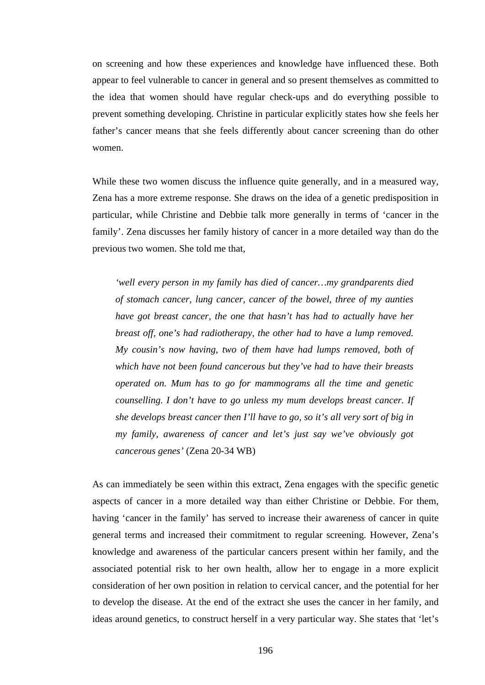on screening and how these experiences and knowledge have influenced these. Both appear to feel vulnerable to cancer in general and so present themselves as committed to the idea that women should have regular check-ups and do everything possible to prevent something developing. Christine in particular explicitly states how she feels her father's cancer means that she feels differently about cancer screening than do other women.

While these two women discuss the influence quite generally, and in a measured way, Zena has a more extreme response. She draws on the idea of a genetic predisposition in particular, while Christine and Debbie talk more generally in terms of 'cancer in the family'. Zena discusses her family history of cancer in a more detailed way than do the previous two women. She told me that,

*'well every person in my family has died of cancer…my grandparents died of stomach cancer, lung cancer, cancer of the bowel, three of my aunties have got breast cancer, the one that hasn't has had to actually have her breast off, one's had radiotherapy, the other had to have a lump removed. My cousin's now having, two of them have had lumps removed, both of which have not been found cancerous but they've had to have their breasts operated on. Mum has to go for mammograms all the time and genetic counselling. I don't have to go unless my mum develops breast cancer. If she develops breast cancer then I'll have to go, so it's all very sort of big in my family, awareness of cancer and let's just say we've obviously got cancerous genes'* (Zena 20-34 WB)

As can immediately be seen within this extract, Zena engages with the specific genetic aspects of cancer in a more detailed way than either Christine or Debbie. For them, having 'cancer in the family' has served to increase their awareness of cancer in quite general terms and increased their commitment to regular screening. However, Zena's knowledge and awareness of the particular cancers present within her family, and the associated potential risk to her own health, allow her to engage in a more explicit consideration of her own position in relation to cervical cancer, and the potential for her to develop the disease. At the end of the extract she uses the cancer in her family, and ideas around genetics, to construct herself in a very particular way. She states that 'let's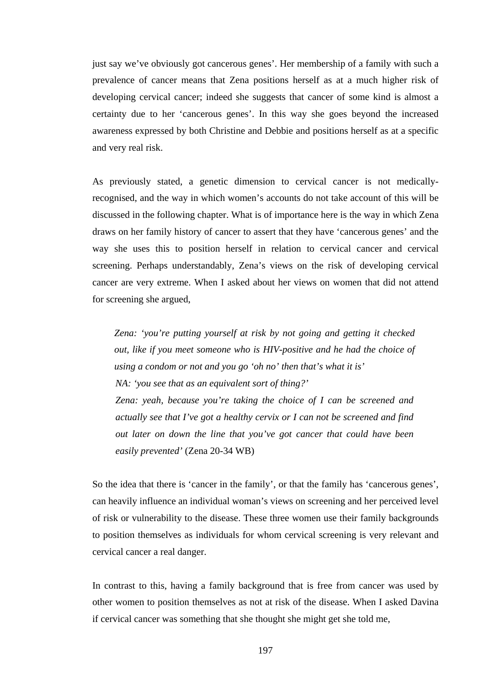just say we've obviously got cancerous genes'. Her membership of a family with such a prevalence of cancer means that Zena positions herself as at a much higher risk of developing cervical cancer; indeed she suggests that cancer of some kind is almost a certainty due to her 'cancerous genes'. In this way she goes beyond the increased awareness expressed by both Christine and Debbie and positions herself as at a specific and very real risk.

As previously stated, a genetic dimension to cervical cancer is not medicallyrecognised, and the way in which women's accounts do not take account of this will be discussed in the following chapter. What is of importance here is the way in which Zena draws on her family history of cancer to assert that they have 'cancerous genes' and the way she uses this to position herself in relation to cervical cancer and cervical screening. Perhaps understandably, Zena's views on the risk of developing cervical cancer are very extreme. When I asked about her views on women that did not attend for screening she argued,

*Zena: 'you're putting yourself at risk by not going and getting it checked out, like if you meet someone who is HIV-positive and he had the choice of using a condom or not and you go 'oh no' then that's what it is' NA: 'you see that as an equivalent sort of thing?' Zena: yeah, because you're taking the choice of I can be screened and actually see that I've got a healthy cervix or I can not be screened and find out later on down the line that you've got cancer that could have been easily prevented'* (Zena 20-34 WB)

So the idea that there is 'cancer in the family', or that the family has 'cancerous genes', can heavily influence an individual woman's views on screening and her perceived level of risk or vulnerability to the disease. These three women use their family backgrounds to position themselves as individuals for whom cervical screening is very relevant and cervical cancer a real danger.

In contrast to this, having a family background that is free from cancer was used by other women to position themselves as not at risk of the disease. When I asked Davina if cervical cancer was something that she thought she might get she told me,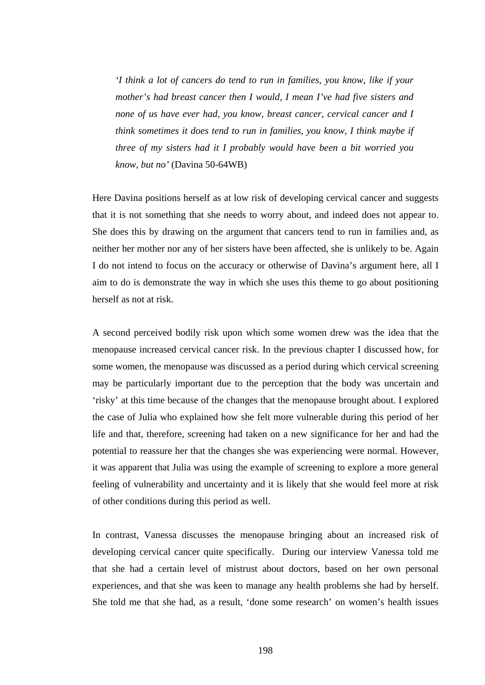*'I think a lot of cancers do tend to run in families, you know, like if your mother's had breast cancer then I would, I mean I've had five sisters and none of us have ever had, you know, breast cancer, cervical cancer and I think sometimes it does tend to run in families, you know, I think maybe if three of my sisters had it I probably would have been a bit worried you know, but no'* (Davina 50-64WB)

Here Davina positions herself as at low risk of developing cervical cancer and suggests that it is not something that she needs to worry about, and indeed does not appear to. She does this by drawing on the argument that cancers tend to run in families and, as neither her mother nor any of her sisters have been affected, she is unlikely to be. Again I do not intend to focus on the accuracy or otherwise of Davina's argument here, all I aim to do is demonstrate the way in which she uses this theme to go about positioning herself as not at risk.

A second perceived bodily risk upon which some women drew was the idea that the menopause increased cervical cancer risk. In the previous chapter I discussed how, for some women, the menopause was discussed as a period during which cervical screening may be particularly important due to the perception that the body was uncertain and 'risky' at this time because of the changes that the menopause brought about. I explored the case of Julia who explained how she felt more vulnerable during this period of her life and that, therefore, screening had taken on a new significance for her and had the potential to reassure her that the changes she was experiencing were normal. However, it was apparent that Julia was using the example of screening to explore a more general feeling of vulnerability and uncertainty and it is likely that she would feel more at risk of other conditions during this period as well.

In contrast, Vanessa discusses the menopause bringing about an increased risk of developing cervical cancer quite specifically. During our interview Vanessa told me that she had a certain level of mistrust about doctors, based on her own personal experiences, and that she was keen to manage any health problems she had by herself. She told me that she had, as a result, 'done some research' on women's health issues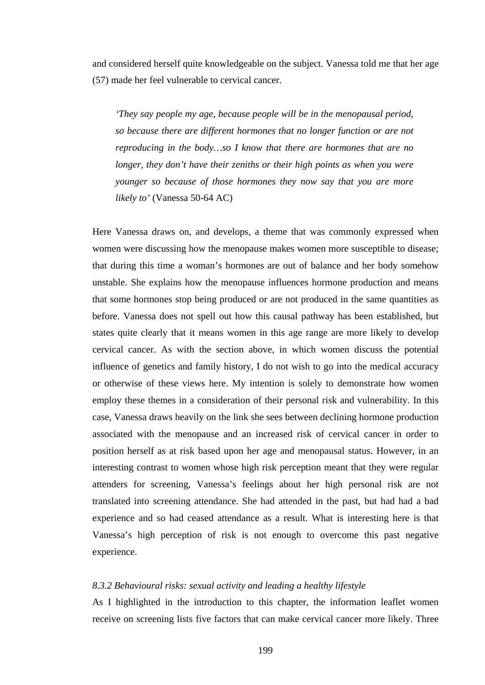and considered herself quite knowledgeable on the subject. Vanessa told me that her age (57) made her feel vulnerable to cervical cancer.

*'They say people my age, because people will be in the menopausal period, so because there are different hormones that no longer function or are not reproducing in the body…so I know that there are hormones that are no longer, they don't have their zeniths or their high points as when you were younger so because of those hormones they now say that you are more likely to'* (Vanessa 50-64 AC)

Here Vanessa draws on, and develops, a theme that was commonly expressed when women were discussing how the menopause makes women more susceptible to disease; that during this time a woman's hormones are out of balance and her body somehow unstable. She explains how the menopause influences hormone production and means that some hormones stop being produced or are not produced in the same quantities as before. Vanessa does not spell out how this causal pathway has been established, but states quite clearly that it means women in this age range are more likely to develop cervical cancer. As with the section above, in which women discuss the potential influence of genetics and family history, I do not wish to go into the medical accuracy or otherwise of these views here. My intention is solely to demonstrate how women employ these themes in a consideration of their personal risk and vulnerability. In this case, Vanessa draws heavily on the link she sees between declining hormone production associated with the menopause and an increased risk of cervical cancer in order to position herself as at risk based upon her age and menopausal status. However, in an interesting contrast to women whose high risk perception meant that they were regular attenders for screening, Vanessa's feelings about her high personal risk are not translated into screening attendance. She had attended in the past, but had had a bad experience and so had ceased attendance as a result. What is interesting here is that Vanessa's high perception of risk is not enough to overcome this past negative experience.

#### *8.3.2 Behavioural risks: sexual activity and leading a healthy lifestyle*

As I highlighted in the introduction to this chapter, the information leaflet women receive on screening lists five factors that can make cervical cancer more likely. Three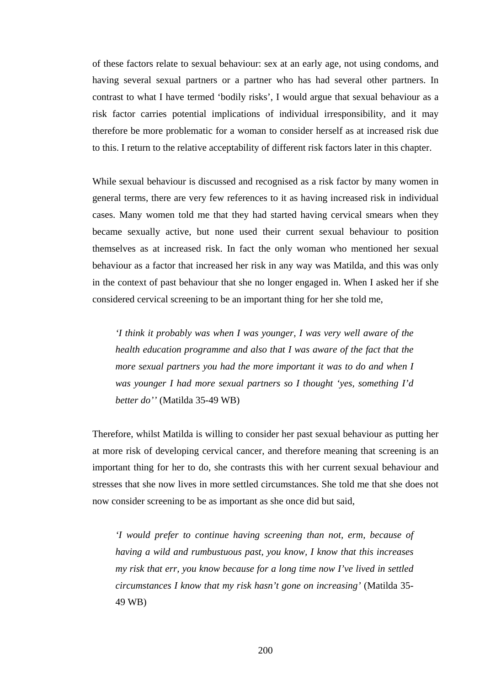of these factors relate to sexual behaviour: sex at an early age, not using condoms, and having several sexual partners or a partner who has had several other partners. In contrast to what I have termed 'bodily risks', I would argue that sexual behaviour as a risk factor carries potential implications of individual irresponsibility, and it may therefore be more problematic for a woman to consider herself as at increased risk due to this. I return to the relative acceptability of different risk factors later in this chapter.

While sexual behaviour is discussed and recognised as a risk factor by many women in general terms, there are very few references to it as having increased risk in individual cases. Many women told me that they had started having cervical smears when they became sexually active, but none used their current sexual behaviour to position themselves as at increased risk. In fact the only woman who mentioned her sexual behaviour as a factor that increased her risk in any way was Matilda, and this was only in the context of past behaviour that she no longer engaged in. When I asked her if she considered cervical screening to be an important thing for her she told me,

*'I think it probably was when I was younger, I was very well aware of the health education programme and also that I was aware of the fact that the more sexual partners you had the more important it was to do and when I was younger I had more sexual partners so I thought 'yes, something I'd better do''* (Matilda 35-49 WB)

Therefore, whilst Matilda is willing to consider her past sexual behaviour as putting her at more risk of developing cervical cancer, and therefore meaning that screening is an important thing for her to do, she contrasts this with her current sexual behaviour and stresses that she now lives in more settled circumstances. She told me that she does not now consider screening to be as important as she once did but said,

*'I would prefer to continue having screening than not, erm, because of having a wild and rumbustuous past, you know, I know that this increases my risk that err, you know because for a long time now I've lived in settled circumstances I know that my risk hasn't gone on increasing'* (Matilda 35- 49 WB)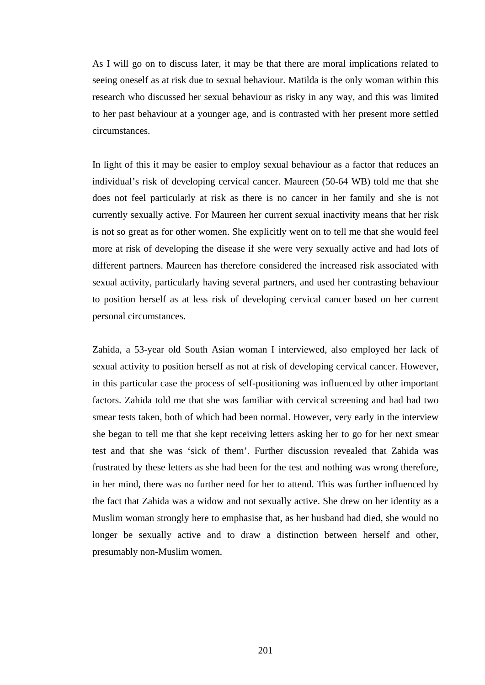As I will go on to discuss later, it may be that there are moral implications related to seeing oneself as at risk due to sexual behaviour. Matilda is the only woman within this research who discussed her sexual behaviour as risky in any way, and this was limited to her past behaviour at a younger age, and is contrasted with her present more settled circumstances.

In light of this it may be easier to employ sexual behaviour as a factor that reduces an individual's risk of developing cervical cancer. Maureen (50-64 WB) told me that she does not feel particularly at risk as there is no cancer in her family and she is not currently sexually active. For Maureen her current sexual inactivity means that her risk is not so great as for other women. She explicitly went on to tell me that she would feel more at risk of developing the disease if she were very sexually active and had lots of different partners. Maureen has therefore considered the increased risk associated with sexual activity, particularly having several partners, and used her contrasting behaviour to position herself as at less risk of developing cervical cancer based on her current personal circumstances.

Zahida, a 53-year old South Asian woman I interviewed, also employed her lack of sexual activity to position herself as not at risk of developing cervical cancer. However, in this particular case the process of self-positioning was influenced by other important factors. Zahida told me that she was familiar with cervical screening and had had two smear tests taken, both of which had been normal. However, very early in the interview she began to tell me that she kept receiving letters asking her to go for her next smear test and that she was 'sick of them'. Further discussion revealed that Zahida was frustrated by these letters as she had been for the test and nothing was wrong therefore, in her mind, there was no further need for her to attend. This was further influenced by the fact that Zahida was a widow and not sexually active. She drew on her identity as a Muslim woman strongly here to emphasise that, as her husband had died, she would no longer be sexually active and to draw a distinction between herself and other, presumably non-Muslim women.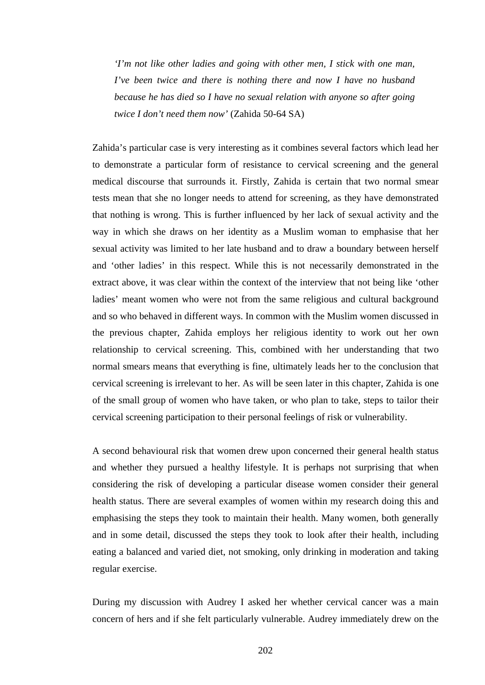*'I'm not like other ladies and going with other men, I stick with one man, I've been twice and there is nothing there and now I have no husband because he has died so I have no sexual relation with anyone so after going twice I don't need them now'* (Zahida 50-64 SA)

Zahida's particular case is very interesting as it combines several factors which lead her to demonstrate a particular form of resistance to cervical screening and the general medical discourse that surrounds it. Firstly, Zahida is certain that two normal smear tests mean that she no longer needs to attend for screening, as they have demonstrated that nothing is wrong. This is further influenced by her lack of sexual activity and the way in which she draws on her identity as a Muslim woman to emphasise that her sexual activity was limited to her late husband and to draw a boundary between herself and 'other ladies' in this respect. While this is not necessarily demonstrated in the extract above, it was clear within the context of the interview that not being like 'other ladies' meant women who were not from the same religious and cultural background and so who behaved in different ways. In common with the Muslim women discussed in the previous chapter, Zahida employs her religious identity to work out her own relationship to cervical screening. This, combined with her understanding that two normal smears means that everything is fine, ultimately leads her to the conclusion that cervical screening is irrelevant to her. As will be seen later in this chapter, Zahida is one of the small group of women who have taken, or who plan to take, steps to tailor their cervical screening participation to their personal feelings of risk or vulnerability.

A second behavioural risk that women drew upon concerned their general health status and whether they pursued a healthy lifestyle. It is perhaps not surprising that when considering the risk of developing a particular disease women consider their general health status. There are several examples of women within my research doing this and emphasising the steps they took to maintain their health. Many women, both generally and in some detail, discussed the steps they took to look after their health, including eating a balanced and varied diet, not smoking, only drinking in moderation and taking regular exercise.

During my discussion with Audrey I asked her whether cervical cancer was a main concern of hers and if she felt particularly vulnerable. Audrey immediately drew on the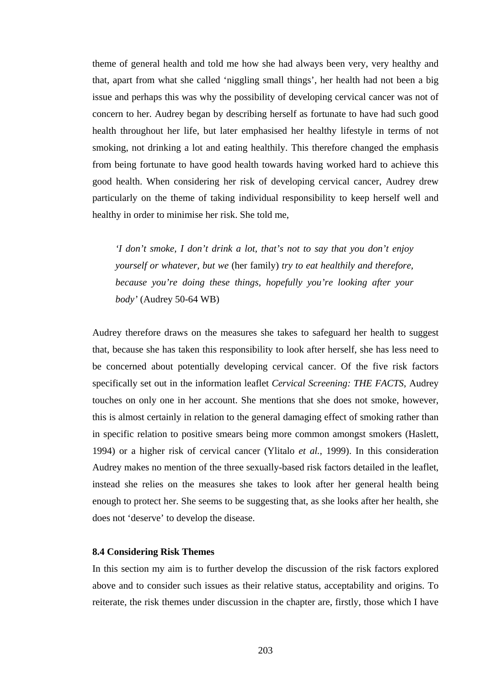theme of general health and told me how she had always been very, very healthy and that, apart from what she called 'niggling small things', her health had not been a big issue and perhaps this was why the possibility of developing cervical cancer was not of concern to her. Audrey began by describing herself as fortunate to have had such good health throughout her life, but later emphasised her healthy lifestyle in terms of not smoking, not drinking a lot and eating healthily. This therefore changed the emphasis from being fortunate to have good health towards having worked hard to achieve this good health. When considering her risk of developing cervical cancer, Audrey drew particularly on the theme of taking individual responsibility to keep herself well and healthy in order to minimise her risk. She told me,

*'I don't smoke, I don't drink a lot, that's not to say that you don't enjoy yourself or whatever, but we* (her family) *try to eat healthily and therefore, because you're doing these things, hopefully you're looking after your body'* (Audrey 50-64 WB)

Audrey therefore draws on the measures she takes to safeguard her health to suggest that, because she has taken this responsibility to look after herself, she has less need to be concerned about potentially developing cervical cancer. Of the five risk factors specifically set out in the information leaflet *Cervical Screening: THE FACTS*, Audrey touches on only one in her account. She mentions that she does not smoke, however, this is almost certainly in relation to the general damaging effect of smoking rather than in specific relation to positive smears being more common amongst smokers (Haslett, 1994) or a higher risk of cervical cancer (Ylitalo *et al.*, 1999). In this consideration Audrey makes no mention of the three sexually-based risk factors detailed in the leaflet, instead she relies on the measures she takes to look after her general health being enough to protect her. She seems to be suggesting that, as she looks after her health, she does not 'deserve' to develop the disease.

#### **8.4 Considering Risk Themes**

In this section my aim is to further develop the discussion of the risk factors explored above and to consider such issues as their relative status, acceptability and origins. To reiterate, the risk themes under discussion in the chapter are, firstly, those which I have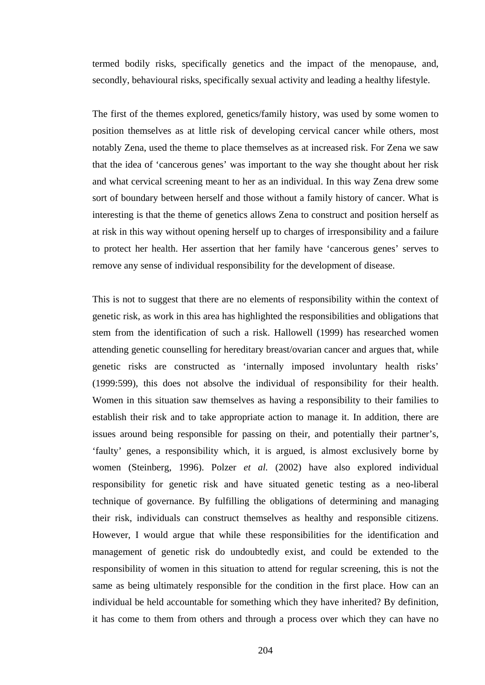termed bodily risks, specifically genetics and the impact of the menopause, and, secondly, behavioural risks, specifically sexual activity and leading a healthy lifestyle.

The first of the themes explored, genetics/family history, was used by some women to position themselves as at little risk of developing cervical cancer while others, most notably Zena, used the theme to place themselves as at increased risk. For Zena we saw that the idea of 'cancerous genes' was important to the way she thought about her risk and what cervical screening meant to her as an individual. In this way Zena drew some sort of boundary between herself and those without a family history of cancer. What is interesting is that the theme of genetics allows Zena to construct and position herself as at risk in this way without opening herself up to charges of irresponsibility and a failure to protect her health. Her assertion that her family have 'cancerous genes' serves to remove any sense of individual responsibility for the development of disease.

This is not to suggest that there are no elements of responsibility within the context of genetic risk, as work in this area has highlighted the responsibilities and obligations that stem from the identification of such a risk. Hallowell (1999) has researched women attending genetic counselling for hereditary breast/ovarian cancer and argues that, while genetic risks are constructed as 'internally imposed involuntary health risks' (1999:599), this does not absolve the individual of responsibility for their health. Women in this situation saw themselves as having a responsibility to their families to establish their risk and to take appropriate action to manage it. In addition, there are issues around being responsible for passing on their, and potentially their partner's, 'faulty' genes, a responsibility which, it is argued, is almost exclusively borne by women (Steinberg, 1996). Polzer *et al.* (2002) have also explored individual responsibility for genetic risk and have situated genetic testing as a neo-liberal technique of governance. By fulfilling the obligations of determining and managing their risk, individuals can construct themselves as healthy and responsible citizens. However, I would argue that while these responsibilities for the identification and management of genetic risk do undoubtedly exist, and could be extended to the responsibility of women in this situation to attend for regular screening, this is not the same as being ultimately responsible for the condition in the first place. How can an individual be held accountable for something which they have inherited? By definition, it has come to them from others and through a process over which they can have no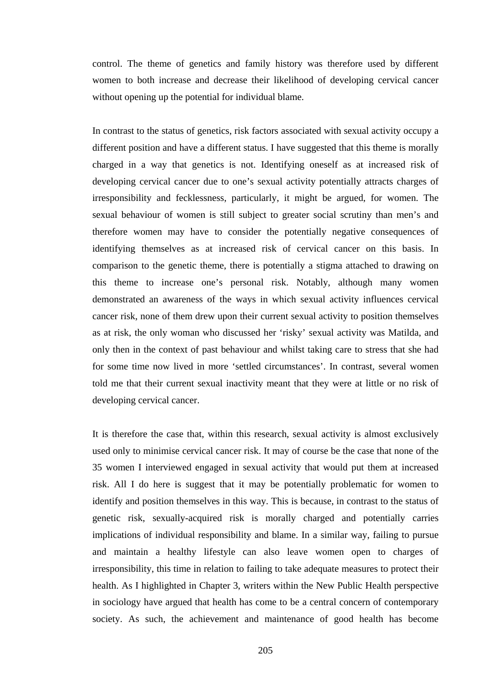control. The theme of genetics and family history was therefore used by different women to both increase and decrease their likelihood of developing cervical cancer without opening up the potential for individual blame.

In contrast to the status of genetics, risk factors associated with sexual activity occupy a different position and have a different status. I have suggested that this theme is morally charged in a way that genetics is not. Identifying oneself as at increased risk of developing cervical cancer due to one's sexual activity potentially attracts charges of irresponsibility and fecklessness, particularly, it might be argued, for women. The sexual behaviour of women is still subject to greater social scrutiny than men's and therefore women may have to consider the potentially negative consequences of identifying themselves as at increased risk of cervical cancer on this basis. In comparison to the genetic theme, there is potentially a stigma attached to drawing on this theme to increase one's personal risk. Notably, although many women demonstrated an awareness of the ways in which sexual activity influences cervical cancer risk, none of them drew upon their current sexual activity to position themselves as at risk, the only woman who discussed her 'risky' sexual activity was Matilda, and only then in the context of past behaviour and whilst taking care to stress that she had for some time now lived in more 'settled circumstances'. In contrast, several women told me that their current sexual inactivity meant that they were at little or no risk of developing cervical cancer.

It is therefore the case that, within this research, sexual activity is almost exclusively used only to minimise cervical cancer risk. It may of course be the case that none of the 35 women I interviewed engaged in sexual activity that would put them at increased risk. All I do here is suggest that it may be potentially problematic for women to identify and position themselves in this way. This is because, in contrast to the status of genetic risk, sexually-acquired risk is morally charged and potentially carries implications of individual responsibility and blame. In a similar way, failing to pursue and maintain a healthy lifestyle can also leave women open to charges of irresponsibility, this time in relation to failing to take adequate measures to protect their health. As I highlighted in Chapter 3, writers within the New Public Health perspective in sociology have argued that health has come to be a central concern of contemporary society. As such, the achievement and maintenance of good health has become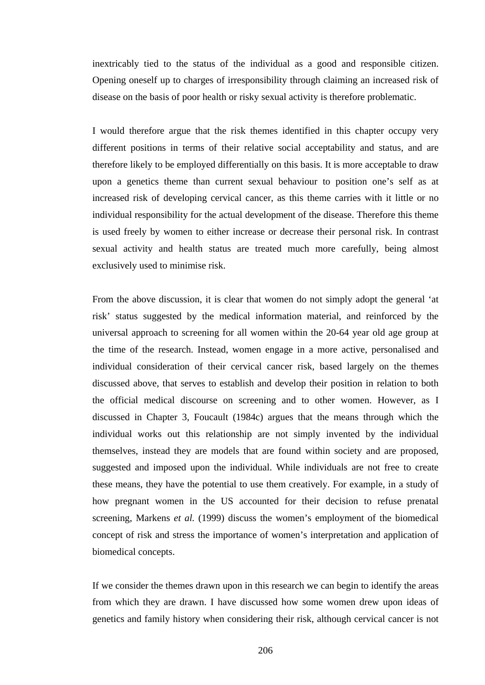inextricably tied to the status of the individual as a good and responsible citizen. Opening oneself up to charges of irresponsibility through claiming an increased risk of disease on the basis of poor health or risky sexual activity is therefore problematic.

I would therefore argue that the risk themes identified in this chapter occupy very different positions in terms of their relative social acceptability and status, and are therefore likely to be employed differentially on this basis. It is more acceptable to draw upon a genetics theme than current sexual behaviour to position one's self as at increased risk of developing cervical cancer, as this theme carries with it little or no individual responsibility for the actual development of the disease. Therefore this theme is used freely by women to either increase or decrease their personal risk. In contrast sexual activity and health status are treated much more carefully, being almost exclusively used to minimise risk.

From the above discussion, it is clear that women do not simply adopt the general 'at risk' status suggested by the medical information material, and reinforced by the universal approach to screening for all women within the 20-64 year old age group at the time of the research. Instead, women engage in a more active, personalised and individual consideration of their cervical cancer risk, based largely on the themes discussed above, that serves to establish and develop their position in relation to both the official medical discourse on screening and to other women. However, as I discussed in Chapter 3, Foucault (1984c) argues that the means through which the individual works out this relationship are not simply invented by the individual themselves, instead they are models that are found within society and are proposed, suggested and imposed upon the individual. While individuals are not free to create these means, they have the potential to use them creatively. For example, in a study of how pregnant women in the US accounted for their decision to refuse prenatal screening, Markens *et al.* (1999) discuss the women's employment of the biomedical concept of risk and stress the importance of women's interpretation and application of biomedical concepts.

If we consider the themes drawn upon in this research we can begin to identify the areas from which they are drawn. I have discussed how some women drew upon ideas of genetics and family history when considering their risk, although cervical cancer is not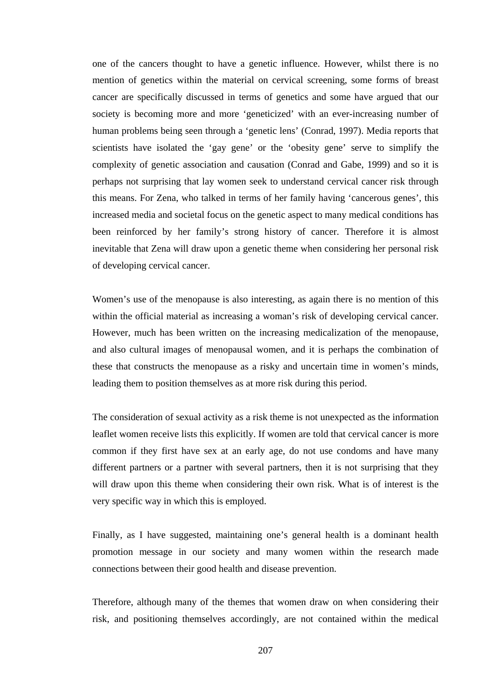one of the cancers thought to have a genetic influence. However, whilst there is no mention of genetics within the material on cervical screening, some forms of breast cancer are specifically discussed in terms of genetics and some have argued that our society is becoming more and more 'geneticized' with an ever-increasing number of human problems being seen through a 'genetic lens' (Conrad, 1997). Media reports that scientists have isolated the 'gay gene' or the 'obesity gene' serve to simplify the complexity of genetic association and causation (Conrad and Gabe, 1999) and so it is perhaps not surprising that lay women seek to understand cervical cancer risk through this means. For Zena, who talked in terms of her family having 'cancerous genes', this increased media and societal focus on the genetic aspect to many medical conditions has been reinforced by her family's strong history of cancer. Therefore it is almost inevitable that Zena will draw upon a genetic theme when considering her personal risk of developing cervical cancer.

Women's use of the menopause is also interesting, as again there is no mention of this within the official material as increasing a woman's risk of developing cervical cancer. However, much has been written on the increasing medicalization of the menopause, and also cultural images of menopausal women, and it is perhaps the combination of these that constructs the menopause as a risky and uncertain time in women's minds, leading them to position themselves as at more risk during this period.

The consideration of sexual activity as a risk theme is not unexpected as the information leaflet women receive lists this explicitly. If women are told that cervical cancer is more common if they first have sex at an early age, do not use condoms and have many different partners or a partner with several partners, then it is not surprising that they will draw upon this theme when considering their own risk. What is of interest is the very specific way in which this is employed.

Finally, as I have suggested, maintaining one's general health is a dominant health promotion message in our society and many women within the research made connections between their good health and disease prevention.

Therefore, although many of the themes that women draw on when considering their risk, and positioning themselves accordingly, are not contained within the medical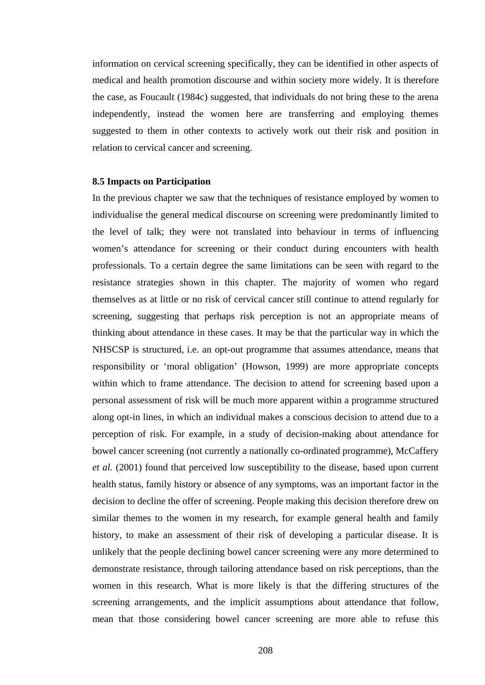information on cervical screening specifically, they can be identified in other aspects of medical and health promotion discourse and within society more widely. It is therefore the case, as Foucault (1984c) suggested, that individuals do not bring these to the arena independently, instead the women here are transferring and employing themes suggested to them in other contexts to actively work out their risk and position in relation to cervical cancer and screening.

#### **8.5 Impacts on Participation**

In the previous chapter we saw that the techniques of resistance employed by women to individualise the general medical discourse on screening were predominantly limited to the level of talk; they were not translated into behaviour in terms of influencing women's attendance for screening or their conduct during encounters with health professionals. To a certain degree the same limitations can be seen with regard to the resistance strategies shown in this chapter. The majority of women who regard themselves as at little or no risk of cervical cancer still continue to attend regularly for screening, suggesting that perhaps risk perception is not an appropriate means of thinking about attendance in these cases. It may be that the particular way in which the NHSCSP is structured, i.e. an opt-out programme that assumes attendance, means that responsibility or 'moral obligation' (Howson, 1999) are more appropriate concepts within which to frame attendance. The decision to attend for screening based upon a personal assessment of risk will be much more apparent within a programme structured along opt-in lines, in which an individual makes a conscious decision to attend due to a perception of risk. For example, in a study of decision-making about attendance for bowel cancer screening (not currently a nationally co-ordinated programme), McCaffery *et al.* (2001) found that perceived low susceptibility to the disease, based upon current health status, family history or absence of any symptoms, was an important factor in the decision to decline the offer of screening. People making this decision therefore drew on similar themes to the women in my research, for example general health and family history, to make an assessment of their risk of developing a particular disease. It is unlikely that the people declining bowel cancer screening were any more determined to demonstrate resistance, through tailoring attendance based on risk perceptions, than the women in this research. What is more likely is that the differing structures of the screening arrangements, and the implicit assumptions about attendance that follow, mean that those considering bowel cancer screening are more able to refuse this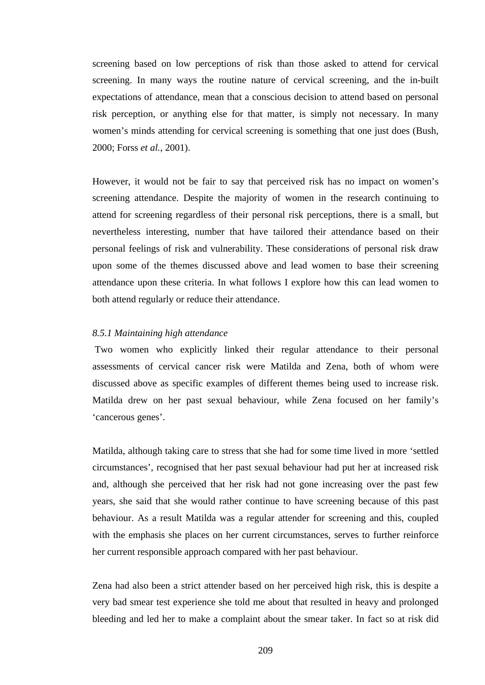screening based on low perceptions of risk than those asked to attend for cervical screening. In many ways the routine nature of cervical screening, and the in-built expectations of attendance, mean that a conscious decision to attend based on personal risk perception, or anything else for that matter, is simply not necessary. In many women's minds attending for cervical screening is something that one just does (Bush, 2000; Forss *et al.*, 2001).

However, it would not be fair to say that perceived risk has no impact on women's screening attendance. Despite the majority of women in the research continuing to attend for screening regardless of their personal risk perceptions, there is a small, but nevertheless interesting, number that have tailored their attendance based on their personal feelings of risk and vulnerability. These considerations of personal risk draw upon some of the themes discussed above and lead women to base their screening attendance upon these criteria. In what follows I explore how this can lead women to both attend regularly or reduce their attendance.

#### *8.5.1 Maintaining high attendance*

 Two women who explicitly linked their regular attendance to their personal assessments of cervical cancer risk were Matilda and Zena, both of whom were discussed above as specific examples of different themes being used to increase risk. Matilda drew on her past sexual behaviour, while Zena focused on her family's 'cancerous genes'.

Matilda, although taking care to stress that she had for some time lived in more 'settled circumstances', recognised that her past sexual behaviour had put her at increased risk and, although she perceived that her risk had not gone increasing over the past few years, she said that she would rather continue to have screening because of this past behaviour. As a result Matilda was a regular attender for screening and this, coupled with the emphasis she places on her current circumstances, serves to further reinforce her current responsible approach compared with her past behaviour.

Zena had also been a strict attender based on her perceived high risk, this is despite a very bad smear test experience she told me about that resulted in heavy and prolonged bleeding and led her to make a complaint about the smear taker. In fact so at risk did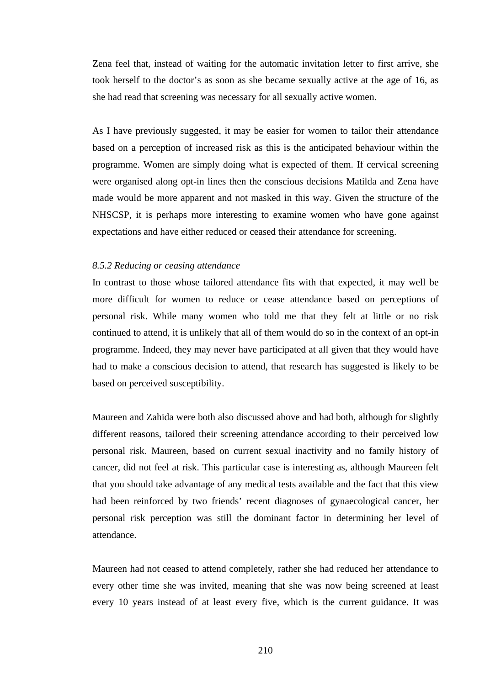Zena feel that, instead of waiting for the automatic invitation letter to first arrive, she took herself to the doctor's as soon as she became sexually active at the age of 16, as she had read that screening was necessary for all sexually active women.

As I have previously suggested, it may be easier for women to tailor their attendance based on a perception of increased risk as this is the anticipated behaviour within the programme. Women are simply doing what is expected of them. If cervical screening were organised along opt-in lines then the conscious decisions Matilda and Zena have made would be more apparent and not masked in this way. Given the structure of the NHSCSP, it is perhaps more interesting to examine women who have gone against expectations and have either reduced or ceased their attendance for screening.

#### *8.5.2 Reducing or ceasing attendance*

In contrast to those whose tailored attendance fits with that expected, it may well be more difficult for women to reduce or cease attendance based on perceptions of personal risk. While many women who told me that they felt at little or no risk continued to attend, it is unlikely that all of them would do so in the context of an opt-in programme. Indeed, they may never have participated at all given that they would have had to make a conscious decision to attend, that research has suggested is likely to be based on perceived susceptibility.

Maureen and Zahida were both also discussed above and had both, although for slightly different reasons, tailored their screening attendance according to their perceived low personal risk. Maureen, based on current sexual inactivity and no family history of cancer, did not feel at risk. This particular case is interesting as, although Maureen felt that you should take advantage of any medical tests available and the fact that this view had been reinforced by two friends' recent diagnoses of gynaecological cancer, her personal risk perception was still the dominant factor in determining her level of attendance.

Maureen had not ceased to attend completely, rather she had reduced her attendance to every other time she was invited, meaning that she was now being screened at least every 10 years instead of at least every five, which is the current guidance. It was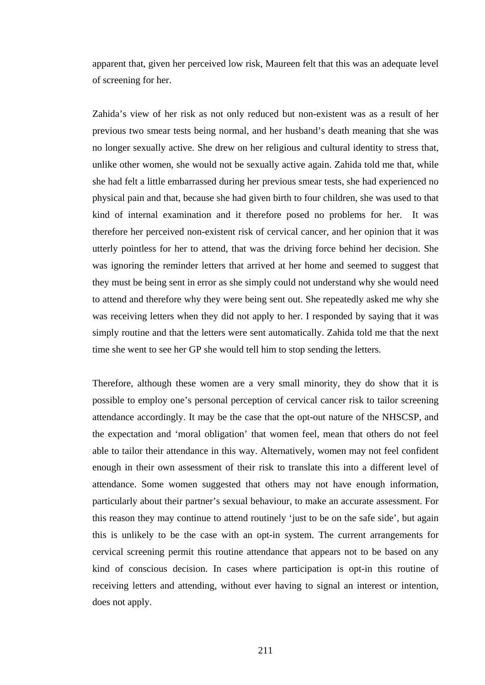apparent that, given her perceived low risk, Maureen felt that this was an adequate level of screening for her.

Zahida's view of her risk as not only reduced but non-existent was as a result of her previous two smear tests being normal, and her husband's death meaning that she was no longer sexually active. She drew on her religious and cultural identity to stress that, unlike other women, she would not be sexually active again. Zahida told me that, while she had felt a little embarrassed during her previous smear tests, she had experienced no physical pain and that, because she had given birth to four children, she was used to that kind of internal examination and it therefore posed no problems for her. It was therefore her perceived non-existent risk of cervical cancer, and her opinion that it was utterly pointless for her to attend, that was the driving force behind her decision. She was ignoring the reminder letters that arrived at her home and seemed to suggest that they must be being sent in error as she simply could not understand why she would need to attend and therefore why they were being sent out. She repeatedly asked me why she was receiving letters when they did not apply to her. I responded by saying that it was simply routine and that the letters were sent automatically. Zahida told me that the next time she went to see her GP she would tell him to stop sending the letters.

Therefore, although these women are a very small minority, they do show that it is possible to employ one's personal perception of cervical cancer risk to tailor screening attendance accordingly. It may be the case that the opt-out nature of the NHSCSP, and the expectation and 'moral obligation' that women feel, mean that others do not feel able to tailor their attendance in this way. Alternatively, women may not feel confident enough in their own assessment of their risk to translate this into a different level of attendance. Some women suggested that others may not have enough information, particularly about their partner's sexual behaviour, to make an accurate assessment. For this reason they may continue to attend routinely 'just to be on the safe side', but again this is unlikely to be the case with an opt-in system. The current arrangements for cervical screening permit this routine attendance that appears not to be based on any kind of conscious decision. In cases where participation is opt-in this routine of receiving letters and attending, without ever having to signal an interest or intention, does not apply.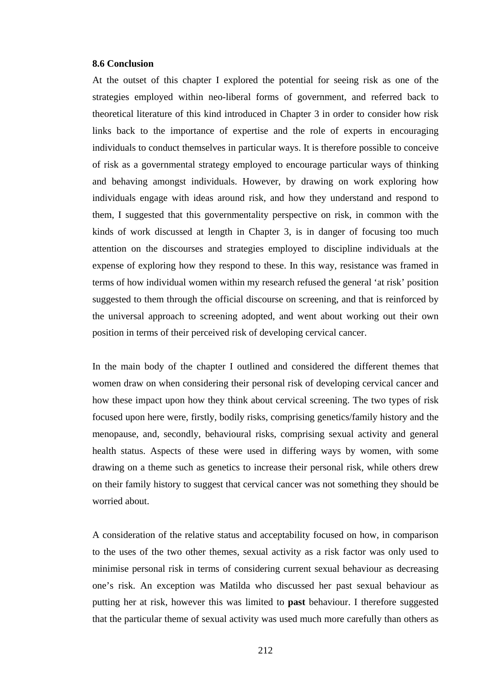#### **8.6 Conclusion**

At the outset of this chapter I explored the potential for seeing risk as one of the strategies employed within neo-liberal forms of government, and referred back to theoretical literature of this kind introduced in Chapter 3 in order to consider how risk links back to the importance of expertise and the role of experts in encouraging individuals to conduct themselves in particular ways. It is therefore possible to conceive of risk as a governmental strategy employed to encourage particular ways of thinking and behaving amongst individuals. However, by drawing on work exploring how individuals engage with ideas around risk, and how they understand and respond to them, I suggested that this governmentality perspective on risk, in common with the kinds of work discussed at length in Chapter 3, is in danger of focusing too much attention on the discourses and strategies employed to discipline individuals at the expense of exploring how they respond to these. In this way, resistance was framed in terms of how individual women within my research refused the general 'at risk' position suggested to them through the official discourse on screening, and that is reinforced by the universal approach to screening adopted, and went about working out their own position in terms of their perceived risk of developing cervical cancer.

In the main body of the chapter I outlined and considered the different themes that women draw on when considering their personal risk of developing cervical cancer and how these impact upon how they think about cervical screening. The two types of risk focused upon here were, firstly, bodily risks, comprising genetics/family history and the menopause, and, secondly, behavioural risks, comprising sexual activity and general health status. Aspects of these were used in differing ways by women, with some drawing on a theme such as genetics to increase their personal risk, while others drew on their family history to suggest that cervical cancer was not something they should be worried about.

A consideration of the relative status and acceptability focused on how, in comparison to the uses of the two other themes, sexual activity as a risk factor was only used to minimise personal risk in terms of considering current sexual behaviour as decreasing one's risk. An exception was Matilda who discussed her past sexual behaviour as putting her at risk, however this was limited to **past** behaviour. I therefore suggested that the particular theme of sexual activity was used much more carefully than others as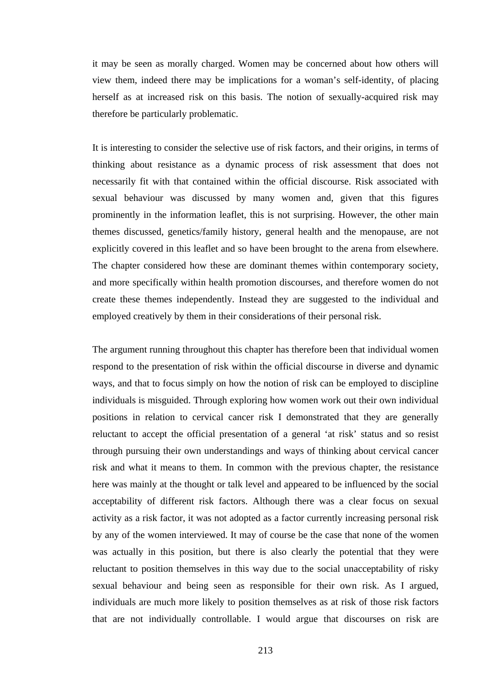it may be seen as morally charged. Women may be concerned about how others will view them, indeed there may be implications for a woman's self-identity, of placing herself as at increased risk on this basis. The notion of sexually-acquired risk may therefore be particularly problematic.

It is interesting to consider the selective use of risk factors, and their origins, in terms of thinking about resistance as a dynamic process of risk assessment that does not necessarily fit with that contained within the official discourse. Risk associated with sexual behaviour was discussed by many women and, given that this figures prominently in the information leaflet, this is not surprising. However, the other main themes discussed, genetics/family history, general health and the menopause, are not explicitly covered in this leaflet and so have been brought to the arena from elsewhere. The chapter considered how these are dominant themes within contemporary society, and more specifically within health promotion discourses, and therefore women do not create these themes independently. Instead they are suggested to the individual and employed creatively by them in their considerations of their personal risk.

The argument running throughout this chapter has therefore been that individual women respond to the presentation of risk within the official discourse in diverse and dynamic ways, and that to focus simply on how the notion of risk can be employed to discipline individuals is misguided. Through exploring how women work out their own individual positions in relation to cervical cancer risk I demonstrated that they are generally reluctant to accept the official presentation of a general 'at risk' status and so resist through pursuing their own understandings and ways of thinking about cervical cancer risk and what it means to them. In common with the previous chapter, the resistance here was mainly at the thought or talk level and appeared to be influenced by the social acceptability of different risk factors. Although there was a clear focus on sexual activity as a risk factor, it was not adopted as a factor currently increasing personal risk by any of the women interviewed. It may of course be the case that none of the women was actually in this position, but there is also clearly the potential that they were reluctant to position themselves in this way due to the social unacceptability of risky sexual behaviour and being seen as responsible for their own risk. As I argued, individuals are much more likely to position themselves as at risk of those risk factors that are not individually controllable. I would argue that discourses on risk are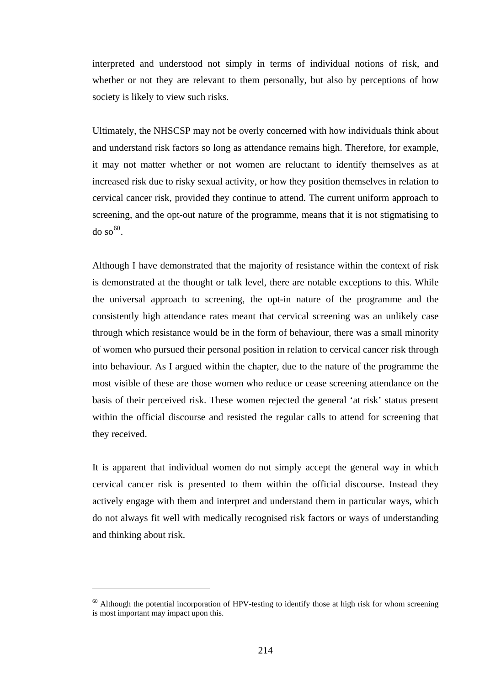interpreted and understood not simply in terms of individual notions of risk, and whether or not they are relevant to them personally, but also by perceptions of how society is likely to view such risks.

Ultimately, the NHSCSP may not be overly concerned with how individuals think about and understand risk factors so long as attendance remains high. Therefore, for example, it may not matter whether or not women are reluctant to identify themselves as at increased risk due to risky sexual activity, or how they position themselves in relation to cervical cancer risk, provided they continue to attend. The current uniform approach to screening, and the opt-out nature of the programme, means that it is not stigmatising to  $d$ o so $^{60}$  $^{60}$  $^{60}$ .

Although I have demonstrated that the majority of resistance within the context of risk is demonstrated at the thought or talk level, there are notable exceptions to this. While the universal approach to screening, the opt-in nature of the programme and the consistently high attendance rates meant that cervical screening was an unlikely case through which resistance would be in the form of behaviour, there was a small minority of women who pursued their personal position in relation to cervical cancer risk through into behaviour. As I argued within the chapter, due to the nature of the programme the most visible of these are those women who reduce or cease screening attendance on the basis of their perceived risk. These women rejected the general 'at risk' status present within the official discourse and resisted the regular calls to attend for screening that they received.

It is apparent that individual women do not simply accept the general way in which cervical cancer risk is presented to them within the official discourse. Instead they actively engage with them and interpret and understand them in particular ways, which do not always fit well with medically recognised risk factors or ways of understanding and thinking about risk.

 $\overline{a}$ 

<span id="page-214-0"></span> $60$  Although the potential incorporation of HPV-testing to identify those at high risk for whom screening is most important may impact upon this.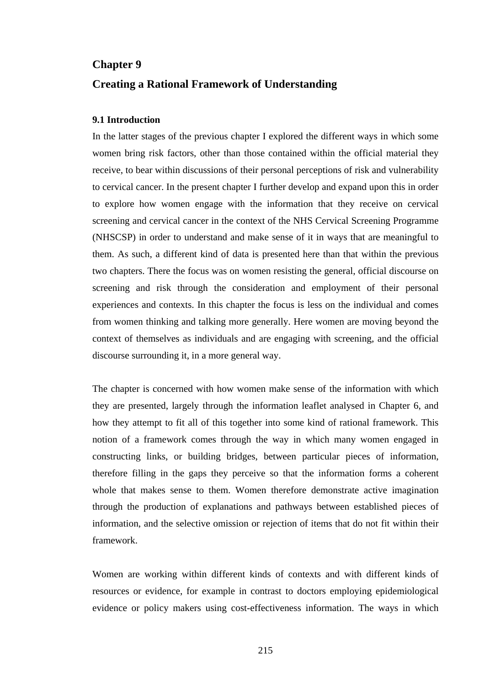## **Chapter 9 Creating a Rational Framework of Understanding**

### **9.1 Introduction**

In the latter stages of the previous chapter I explored the different ways in which some women bring risk factors, other than those contained within the official material they receive, to bear within discussions of their personal perceptions of risk and vulnerability to cervical cancer. In the present chapter I further develop and expand upon this in order to explore how women engage with the information that they receive on cervical screening and cervical cancer in the context of the NHS Cervical Screening Programme (NHSCSP) in order to understand and make sense of it in ways that are meaningful to them. As such, a different kind of data is presented here than that within the previous two chapters. There the focus was on women resisting the general, official discourse on screening and risk through the consideration and employment of their personal experiences and contexts. In this chapter the focus is less on the individual and comes from women thinking and talking more generally. Here women are moving beyond the context of themselves as individuals and are engaging with screening, and the official discourse surrounding it, in a more general way.

The chapter is concerned with how women make sense of the information with which they are presented, largely through the information leaflet analysed in Chapter 6, and how they attempt to fit all of this together into some kind of rational framework. This notion of a framework comes through the way in which many women engaged in constructing links, or building bridges, between particular pieces of information, therefore filling in the gaps they perceive so that the information forms a coherent whole that makes sense to them. Women therefore demonstrate active imagination through the production of explanations and pathways between established pieces of information, and the selective omission or rejection of items that do not fit within their framework.

Women are working within different kinds of contexts and with different kinds of resources or evidence, for example in contrast to doctors employing epidemiological evidence or policy makers using cost-effectiveness information. The ways in which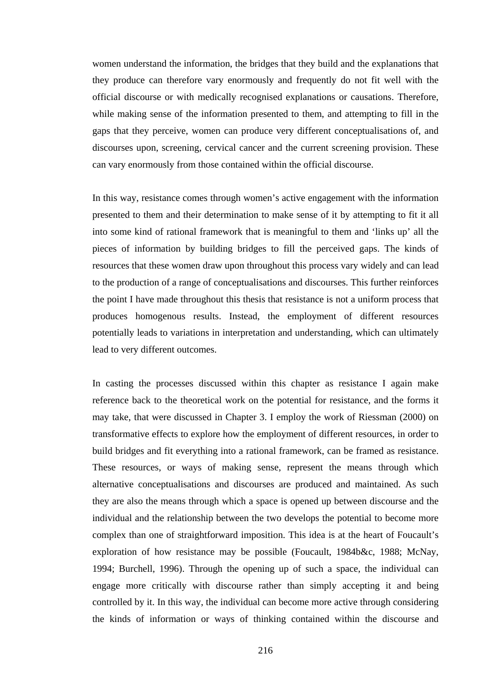women understand the information, the bridges that they build and the explanations that they produce can therefore vary enormously and frequently do not fit well with the official discourse or with medically recognised explanations or causations. Therefore, while making sense of the information presented to them, and attempting to fill in the gaps that they perceive, women can produce very different conceptualisations of, and discourses upon, screening, cervical cancer and the current screening provision. These can vary enormously from those contained within the official discourse.

In this way, resistance comes through women's active engagement with the information presented to them and their determination to make sense of it by attempting to fit it all into some kind of rational framework that is meaningful to them and 'links up' all the pieces of information by building bridges to fill the perceived gaps. The kinds of resources that these women draw upon throughout this process vary widely and can lead to the production of a range of conceptualisations and discourses. This further reinforces the point I have made throughout this thesis that resistance is not a uniform process that produces homogenous results. Instead, the employment of different resources potentially leads to variations in interpretation and understanding, which can ultimately lead to very different outcomes.

In casting the processes discussed within this chapter as resistance I again make reference back to the theoretical work on the potential for resistance, and the forms it may take, that were discussed in Chapter 3. I employ the work of Riessman (2000) on transformative effects to explore how the employment of different resources, in order to build bridges and fit everything into a rational framework, can be framed as resistance. These resources, or ways of making sense, represent the means through which alternative conceptualisations and discourses are produced and maintained. As such they are also the means through which a space is opened up between discourse and the individual and the relationship between the two develops the potential to become more complex than one of straightforward imposition. This idea is at the heart of Foucault's exploration of how resistance may be possible (Foucault, 1984b&c, 1988; McNay, 1994; Burchell, 1996). Through the opening up of such a space, the individual can engage more critically with discourse rather than simply accepting it and being controlled by it. In this way, the individual can become more active through considering the kinds of information or ways of thinking contained within the discourse and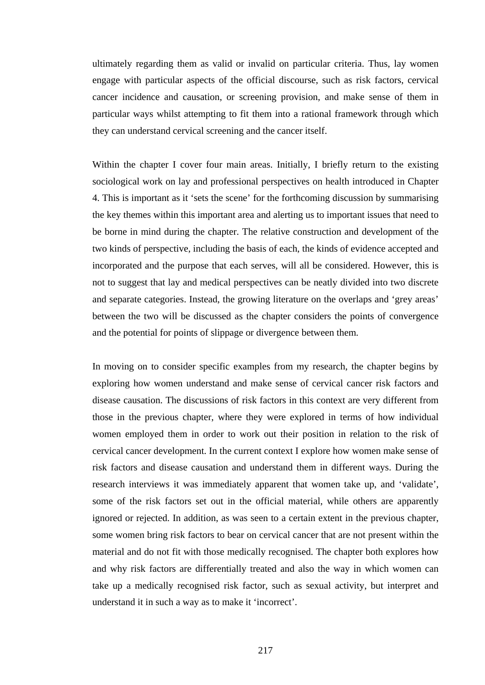ultimately regarding them as valid or invalid on particular criteria. Thus, lay women engage with particular aspects of the official discourse, such as risk factors, cervical cancer incidence and causation, or screening provision, and make sense of them in particular ways whilst attempting to fit them into a rational framework through which they can understand cervical screening and the cancer itself.

Within the chapter I cover four main areas. Initially, I briefly return to the existing sociological work on lay and professional perspectives on health introduced in Chapter 4. This is important as it 'sets the scene' for the forthcoming discussion by summarising the key themes within this important area and alerting us to important issues that need to be borne in mind during the chapter. The relative construction and development of the two kinds of perspective, including the basis of each, the kinds of evidence accepted and incorporated and the purpose that each serves, will all be considered. However, this is not to suggest that lay and medical perspectives can be neatly divided into two discrete and separate categories. Instead, the growing literature on the overlaps and 'grey areas' between the two will be discussed as the chapter considers the points of convergence and the potential for points of slippage or divergence between them.

In moving on to consider specific examples from my research, the chapter begins by exploring how women understand and make sense of cervical cancer risk factors and disease causation. The discussions of risk factors in this context are very different from those in the previous chapter, where they were explored in terms of how individual women employed them in order to work out their position in relation to the risk of cervical cancer development. In the current context I explore how women make sense of risk factors and disease causation and understand them in different ways. During the research interviews it was immediately apparent that women take up, and 'validate', some of the risk factors set out in the official material, while others are apparently ignored or rejected. In addition, as was seen to a certain extent in the previous chapter, some women bring risk factors to bear on cervical cancer that are not present within the material and do not fit with those medically recognised. The chapter both explores how and why risk factors are differentially treated and also the way in which women can take up a medically recognised risk factor, such as sexual activity, but interpret and understand it in such a way as to make it 'incorrect'.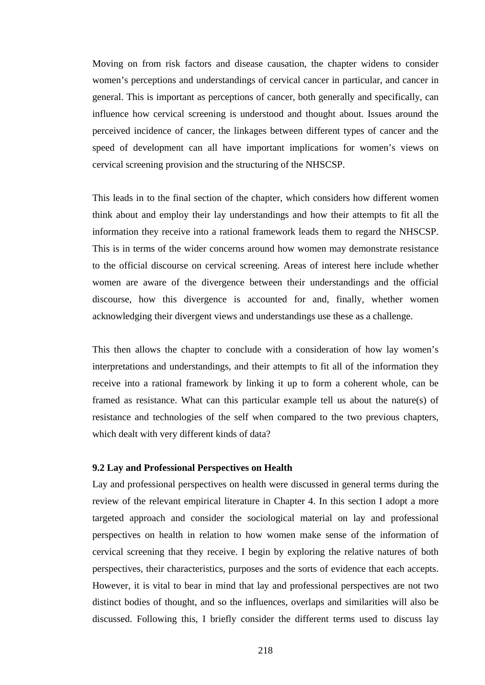Moving on from risk factors and disease causation, the chapter widens to consider women's perceptions and understandings of cervical cancer in particular, and cancer in general. This is important as perceptions of cancer, both generally and specifically, can influence how cervical screening is understood and thought about. Issues around the perceived incidence of cancer, the linkages between different types of cancer and the speed of development can all have important implications for women's views on cervical screening provision and the structuring of the NHSCSP.

This leads in to the final section of the chapter, which considers how different women think about and employ their lay understandings and how their attempts to fit all the information they receive into a rational framework leads them to regard the NHSCSP. This is in terms of the wider concerns around how women may demonstrate resistance to the official discourse on cervical screening. Areas of interest here include whether women are aware of the divergence between their understandings and the official discourse, how this divergence is accounted for and, finally, whether women acknowledging their divergent views and understandings use these as a challenge.

This then allows the chapter to conclude with a consideration of how lay women's interpretations and understandings, and their attempts to fit all of the information they receive into a rational framework by linking it up to form a coherent whole, can be framed as resistance. What can this particular example tell us about the nature(s) of resistance and technologies of the self when compared to the two previous chapters, which dealt with very different kinds of data?

#### **9.2 Lay and Professional Perspectives on Health**

Lay and professional perspectives on health were discussed in general terms during the review of the relevant empirical literature in Chapter 4. In this section I adopt a more targeted approach and consider the sociological material on lay and professional perspectives on health in relation to how women make sense of the information of cervical screening that they receive. I begin by exploring the relative natures of both perspectives, their characteristics, purposes and the sorts of evidence that each accepts. However, it is vital to bear in mind that lay and professional perspectives are not two distinct bodies of thought, and so the influences, overlaps and similarities will also be discussed. Following this, I briefly consider the different terms used to discuss lay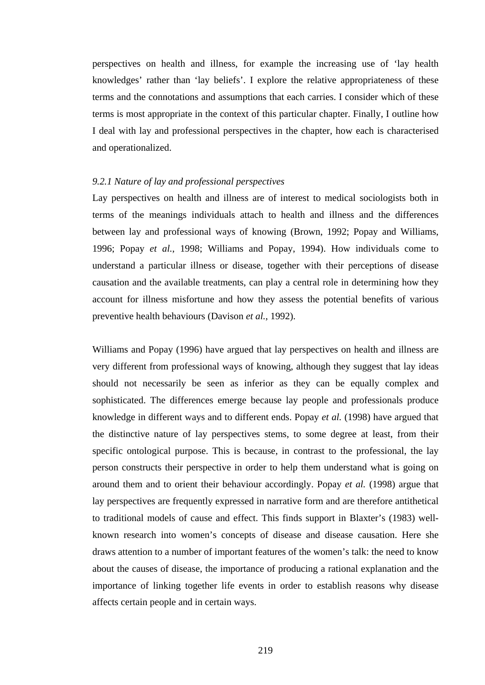perspectives on health and illness, for example the increasing use of 'lay health knowledges' rather than 'lay beliefs'. I explore the relative appropriateness of these terms and the connotations and assumptions that each carries. I consider which of these terms is most appropriate in the context of this particular chapter. Finally, I outline how I deal with lay and professional perspectives in the chapter, how each is characterised and operationalized.

#### *9.2.1 Nature of lay and professional perspectives*

Lay perspectives on health and illness are of interest to medical sociologists both in terms of the meanings individuals attach to health and illness and the differences between lay and professional ways of knowing (Brown, 1992; Popay and Williams, 1996; Popay *et al.*, 1998; Williams and Popay, 1994). How individuals come to understand a particular illness or disease, together with their perceptions of disease causation and the available treatments, can play a central role in determining how they account for illness misfortune and how they assess the potential benefits of various preventive health behaviours (Davison *et al.*, 1992).

Williams and Popay (1996) have argued that lay perspectives on health and illness are very different from professional ways of knowing, although they suggest that lay ideas should not necessarily be seen as inferior as they can be equally complex and sophisticated. The differences emerge because lay people and professionals produce knowledge in different ways and to different ends. Popay *et al.* (1998) have argued that the distinctive nature of lay perspectives stems, to some degree at least, from their specific ontological purpose. This is because, in contrast to the professional, the lay person constructs their perspective in order to help them understand what is going on around them and to orient their behaviour accordingly. Popay *et al.* (1998) argue that lay perspectives are frequently expressed in narrative form and are therefore antithetical to traditional models of cause and effect. This finds support in Blaxter's (1983) wellknown research into women's concepts of disease and disease causation. Here she draws attention to a number of important features of the women's talk: the need to know about the causes of disease, the importance of producing a rational explanation and the importance of linking together life events in order to establish reasons why disease affects certain people and in certain ways.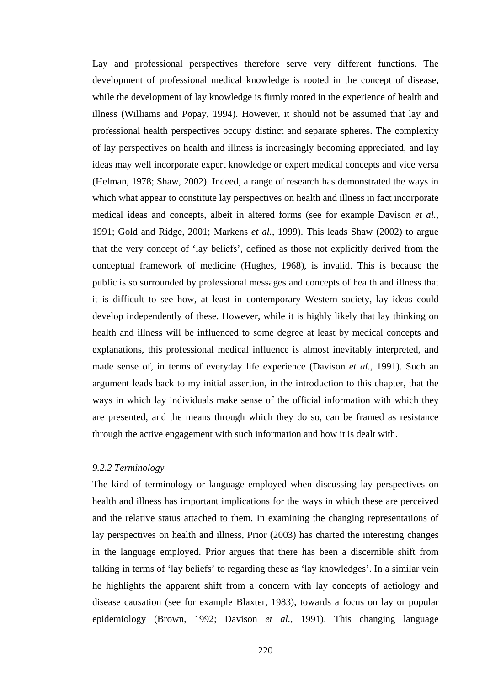Lay and professional perspectives therefore serve very different functions. The development of professional medical knowledge is rooted in the concept of disease, while the development of lay knowledge is firmly rooted in the experience of health and illness (Williams and Popay, 1994). However, it should not be assumed that lay and professional health perspectives occupy distinct and separate spheres. The complexity of lay perspectives on health and illness is increasingly becoming appreciated, and lay ideas may well incorporate expert knowledge or expert medical concepts and vice versa (Helman, 1978; Shaw, 2002). Indeed, a range of research has demonstrated the ways in which what appear to constitute lay perspectives on health and illness in fact incorporate medical ideas and concepts, albeit in altered forms (see for example Davison *et al.*, 1991; Gold and Ridge, 2001; Markens *et al.*, 1999). This leads Shaw (2002) to argue that the very concept of 'lay beliefs', defined as those not explicitly derived from the conceptual framework of medicine (Hughes, 1968), is invalid. This is because the public is so surrounded by professional messages and concepts of health and illness that it is difficult to see how, at least in contemporary Western society, lay ideas could develop independently of these. However, while it is highly likely that lay thinking on health and illness will be influenced to some degree at least by medical concepts and explanations, this professional medical influence is almost inevitably interpreted, and made sense of, in terms of everyday life experience (Davison *et al.*, 1991). Such an argument leads back to my initial assertion, in the introduction to this chapter, that the ways in which lay individuals make sense of the official information with which they are presented, and the means through which they do so, can be framed as resistance through the active engagement with such information and how it is dealt with.

# *9.2.2 Terminology*

The kind of terminology or language employed when discussing lay perspectives on health and illness has important implications for the ways in which these are perceived and the relative status attached to them. In examining the changing representations of lay perspectives on health and illness, Prior (2003) has charted the interesting changes in the language employed. Prior argues that there has been a discernible shift from talking in terms of 'lay beliefs' to regarding these as 'lay knowledges'. In a similar vein he highlights the apparent shift from a concern with lay concepts of aetiology and disease causation (see for example Blaxter, 1983), towards a focus on lay or popular epidemiology (Brown, 1992; Davison *et al.*, 1991). This changing language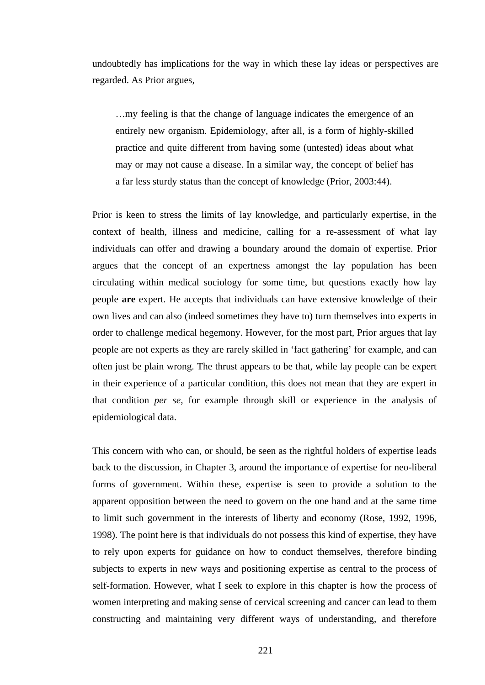undoubtedly has implications for the way in which these lay ideas or perspectives are regarded. As Prior argues,

…my feeling is that the change of language indicates the emergence of an entirely new organism. Epidemiology, after all, is a form of highly-skilled practice and quite different from having some (untested) ideas about what may or may not cause a disease. In a similar way, the concept of belief has a far less sturdy status than the concept of knowledge (Prior, 2003:44).

Prior is keen to stress the limits of lay knowledge, and particularly expertise, in the context of health, illness and medicine, calling for a re-assessment of what lay individuals can offer and drawing a boundary around the domain of expertise. Prior argues that the concept of an expertness amongst the lay population has been circulating within medical sociology for some time, but questions exactly how lay people **are** expert. He accepts that individuals can have extensive knowledge of their own lives and can also (indeed sometimes they have to) turn themselves into experts in order to challenge medical hegemony. However, for the most part, Prior argues that lay people are not experts as they are rarely skilled in 'fact gathering' for example, and can often just be plain wrong. The thrust appears to be that, while lay people can be expert in their experience of a particular condition, this does not mean that they are expert in that condition *per se*, for example through skill or experience in the analysis of epidemiological data.

This concern with who can, or should, be seen as the rightful holders of expertise leads back to the discussion, in Chapter 3, around the importance of expertise for neo-liberal forms of government. Within these, expertise is seen to provide a solution to the apparent opposition between the need to govern on the one hand and at the same time to limit such government in the interests of liberty and economy (Rose, 1992, 1996, 1998). The point here is that individuals do not possess this kind of expertise, they have to rely upon experts for guidance on how to conduct themselves, therefore binding subjects to experts in new ways and positioning expertise as central to the process of self-formation. However, what I seek to explore in this chapter is how the process of women interpreting and making sense of cervical screening and cancer can lead to them constructing and maintaining very different ways of understanding, and therefore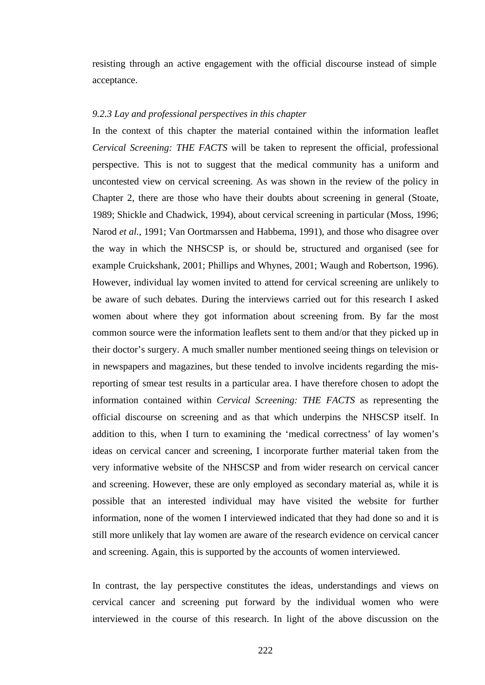resisting through an active engagement with the official discourse instead of simple acceptance.

#### *9.2.3 Lay and professional perspectives in this chapter*

In the context of this chapter the material contained within the information leaflet *Cervical Screening: THE FACTS* will be taken to represent the official, professional perspective. This is not to suggest that the medical community has a uniform and uncontested view on cervical screening. As was shown in the review of the policy in Chapter 2, there are those who have their doubts about screening in general (Stoate, 1989; Shickle and Chadwick, 1994), about cervical screening in particular (Moss, 1996; Narod *et al.*, 1991; Van Oortmarssen and Habbema, 1991), and those who disagree over the way in which the NHSCSP is, or should be, structured and organised (see for example Cruickshank, 2001; Phillips and Whynes, 2001; Waugh and Robertson, 1996). However, individual lay women invited to attend for cervical screening are unlikely to be aware of such debates. During the interviews carried out for this research I asked women about where they got information about screening from. By far the most common source were the information leaflets sent to them and/or that they picked up in their doctor's surgery. A much smaller number mentioned seeing things on television or in newspapers and magazines, but these tended to involve incidents regarding the misreporting of smear test results in a particular area. I have therefore chosen to adopt the information contained within *Cervical Screening: THE FACTS* as representing the official discourse on screening and as that which underpins the NHSCSP itself. In addition to this, when I turn to examining the 'medical correctness' of lay women's ideas on cervical cancer and screening, I incorporate further material taken from the very informative website of the NHSCSP and from wider research on cervical cancer and screening. However, these are only employed as secondary material as, while it is possible that an interested individual may have visited the website for further information, none of the women I interviewed indicated that they had done so and it is still more unlikely that lay women are aware of the research evidence on cervical cancer and screening. Again, this is supported by the accounts of women interviewed.

In contrast, the lay perspective constitutes the ideas, understandings and views on cervical cancer and screening put forward by the individual women who were interviewed in the course of this research. In light of the above discussion on the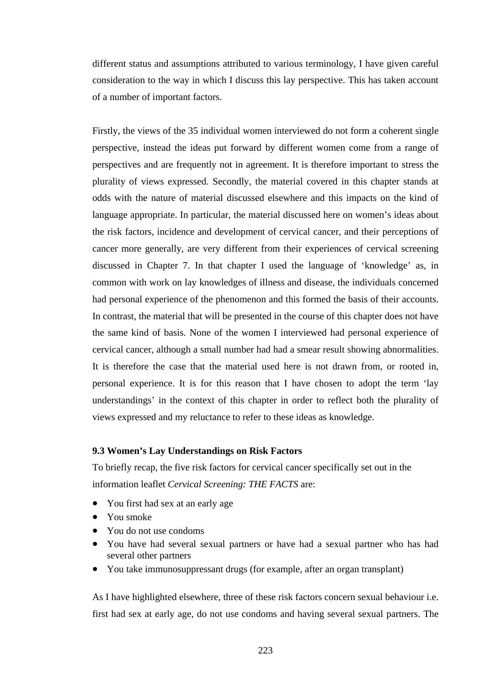different status and assumptions attributed to various terminology, I have given careful consideration to the way in which I discuss this lay perspective. This has taken account of a number of important factors.

Firstly, the views of the 35 individual women interviewed do not form a coherent single perspective, instead the ideas put forward by different women come from a range of perspectives and are frequently not in agreement. It is therefore important to stress the plurality of views expressed. Secondly, the material covered in this chapter stands at odds with the nature of material discussed elsewhere and this impacts on the kind of language appropriate. In particular, the material discussed here on women's ideas about the risk factors, incidence and development of cervical cancer, and their perceptions of cancer more generally, are very different from their experiences of cervical screening discussed in Chapter 7. In that chapter I used the language of 'knowledge' as, in common with work on lay knowledges of illness and disease, the individuals concerned had personal experience of the phenomenon and this formed the basis of their accounts. In contrast, the material that will be presented in the course of this chapter does not have the same kind of basis. None of the women I interviewed had personal experience of cervical cancer, although a small number had had a smear result showing abnormalities. It is therefore the case that the material used here is not drawn from, or rooted in, personal experience. It is for this reason that I have chosen to adopt the term 'lay understandings' in the context of this chapter in order to reflect both the plurality of views expressed and my reluctance to refer to these ideas as knowledge.

### **9.3 Women's Lay Understandings on Risk Factors**

To briefly recap, the five risk factors for cervical cancer specifically set out in the information leaflet *Cervical Screening: THE FACTS* are:

- You first had sex at an early age
- You smoke
- You do not use condoms
- You have had several sexual partners or have had a sexual partner who has had several other partners
- You take immunosuppressant drugs (for example, after an organ transplant)

As I have highlighted elsewhere, three of these risk factors concern sexual behaviour i.e. first had sex at early age, do not use condoms and having several sexual partners. The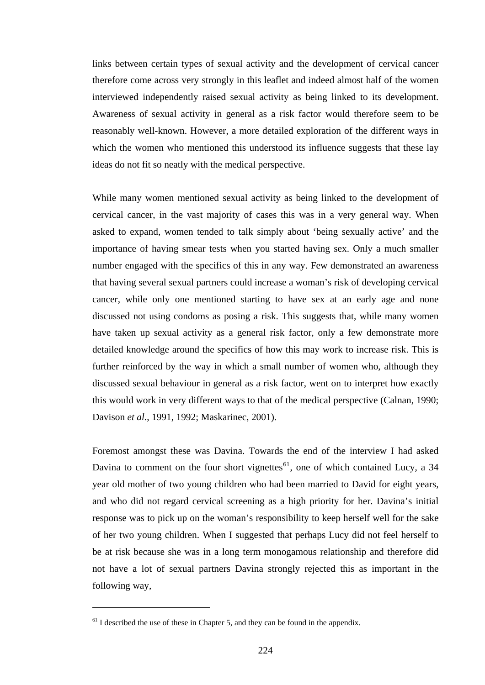links between certain types of sexual activity and the development of cervical cancer therefore come across very strongly in this leaflet and indeed almost half of the women interviewed independently raised sexual activity as being linked to its development. Awareness of sexual activity in general as a risk factor would therefore seem to be reasonably well-known. However, a more detailed exploration of the different ways in which the women who mentioned this understood its influence suggests that these lay ideas do not fit so neatly with the medical perspective.

While many women mentioned sexual activity as being linked to the development of cervical cancer, in the vast majority of cases this was in a very general way. When asked to expand, women tended to talk simply about 'being sexually active' and the importance of having smear tests when you started having sex. Only a much smaller number engaged with the specifics of this in any way. Few demonstrated an awareness that having several sexual partners could increase a woman's risk of developing cervical cancer, while only one mentioned starting to have sex at an early age and none discussed not using condoms as posing a risk. This suggests that, while many women have taken up sexual activity as a general risk factor, only a few demonstrate more detailed knowledge around the specifics of how this may work to increase risk. This is further reinforced by the way in which a small number of women who, although they discussed sexual behaviour in general as a risk factor, went on to interpret how exactly this would work in very different ways to that of the medical perspective (Calnan, 1990; Davison *et al.*, 1991, 1992; Maskarinec, 2001).

Foremost amongst these was Davina. Towards the end of the interview I had asked Davina to comment on the four short vignettes<sup>[61](#page-224-0)</sup>, one of which contained Lucy, a 34 year old mother of two young children who had been married to David for eight years, and who did not regard cervical screening as a high priority for her. Davina's initial response was to pick up on the woman's responsibility to keep herself well for the sake of her two young children. When I suggested that perhaps Lucy did not feel herself to be at risk because she was in a long term monogamous relationship and therefore did not have a lot of sexual partners Davina strongly rejected this as important in the following way,

 $\overline{a}$ 

<span id="page-224-0"></span> $<sup>61</sup>$  I described the use of these in Chapter 5, and they can be found in the appendix.</sup>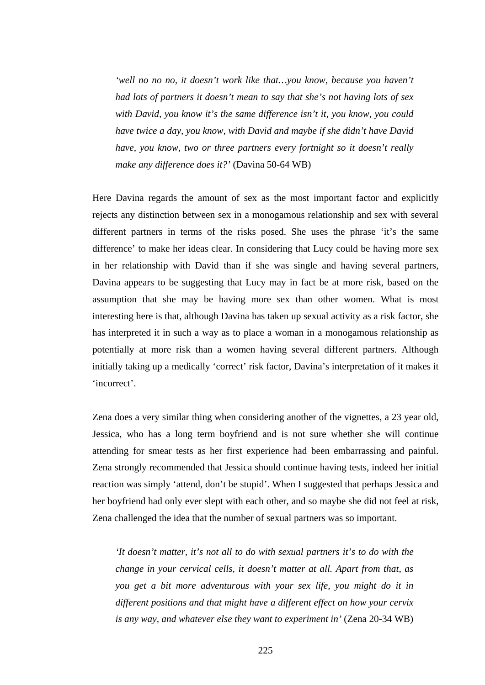*'well no no no, it doesn't work like that…you know, because you haven't had lots of partners it doesn't mean to say that she's not having lots of sex with David, you know it's the same difference isn't it, you know, you could have twice a day, you know, with David and maybe if she didn't have David have, you know, two or three partners every fortnight so it doesn't really make any difference does it?'* (Davina 50-64 WB)

Here Davina regards the amount of sex as the most important factor and explicitly rejects any distinction between sex in a monogamous relationship and sex with several different partners in terms of the risks posed. She uses the phrase 'it's the same difference' to make her ideas clear. In considering that Lucy could be having more sex in her relationship with David than if she was single and having several partners, Davina appears to be suggesting that Lucy may in fact be at more risk, based on the assumption that she may be having more sex than other women. What is most interesting here is that, although Davina has taken up sexual activity as a risk factor, she has interpreted it in such a way as to place a woman in a monogamous relationship as potentially at more risk than a women having several different partners. Although initially taking up a medically 'correct' risk factor, Davina's interpretation of it makes it 'incorrect'.

Zena does a very similar thing when considering another of the vignettes, a 23 year old, Jessica, who has a long term boyfriend and is not sure whether she will continue attending for smear tests as her first experience had been embarrassing and painful. Zena strongly recommended that Jessica should continue having tests, indeed her initial reaction was simply 'attend, don't be stupid'. When I suggested that perhaps Jessica and her boyfriend had only ever slept with each other, and so maybe she did not feel at risk, Zena challenged the idea that the number of sexual partners was so important.

*'It doesn't matter, it's not all to do with sexual partners it's to do with the change in your cervical cells, it doesn't matter at all. Apart from that, as you get a bit more adventurous with your sex life, you might do it in different positions and that might have a different effect on how your cervix is any way, and whatever else they want to experiment in'* (Zena 20-34 WB)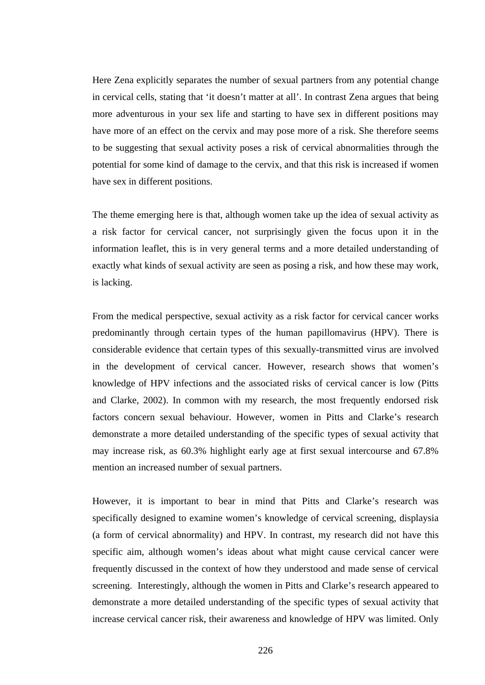Here Zena explicitly separates the number of sexual partners from any potential change in cervical cells, stating that 'it doesn't matter at all'. In contrast Zena argues that being more adventurous in your sex life and starting to have sex in different positions may have more of an effect on the cervix and may pose more of a risk. She therefore seems to be suggesting that sexual activity poses a risk of cervical abnormalities through the potential for some kind of damage to the cervix, and that this risk is increased if women have sex in different positions.

The theme emerging here is that, although women take up the idea of sexual activity as a risk factor for cervical cancer, not surprisingly given the focus upon it in the information leaflet, this is in very general terms and a more detailed understanding of exactly what kinds of sexual activity are seen as posing a risk, and how these may work, is lacking.

From the medical perspective, sexual activity as a risk factor for cervical cancer works predominantly through certain types of the human papillomavirus (HPV). There is considerable evidence that certain types of this sexually-transmitted virus are involved in the development of cervical cancer. However, research shows that women's knowledge of HPV infections and the associated risks of cervical cancer is low (Pitts and Clarke, 2002). In common with my research, the most frequently endorsed risk factors concern sexual behaviour. However, women in Pitts and Clarke's research demonstrate a more detailed understanding of the specific types of sexual activity that may increase risk, as 60.3% highlight early age at first sexual intercourse and 67.8% mention an increased number of sexual partners.

However, it is important to bear in mind that Pitts and Clarke's research was specifically designed to examine women's knowledge of cervical screening, displaysia (a form of cervical abnormality) and HPV. In contrast, my research did not have this specific aim, although women's ideas about what might cause cervical cancer were frequently discussed in the context of how they understood and made sense of cervical screening. Interestingly, although the women in Pitts and Clarke's research appeared to demonstrate a more detailed understanding of the specific types of sexual activity that increase cervical cancer risk, their awareness and knowledge of HPV was limited. Only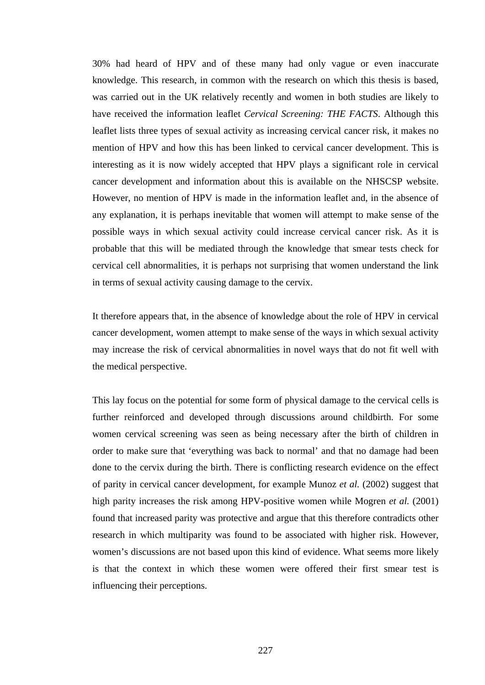30% had heard of HPV and of these many had only vague or even inaccurate knowledge. This research, in common with the research on which this thesis is based, was carried out in the UK relatively recently and women in both studies are likely to have received the information leaflet *Cervical Screening: THE FACTS*. Although this leaflet lists three types of sexual activity as increasing cervical cancer risk, it makes no mention of HPV and how this has been linked to cervical cancer development. This is interesting as it is now widely accepted that HPV plays a significant role in cervical cancer development and information about this is available on the NHSCSP website. However, no mention of HPV is made in the information leaflet and, in the absence of any explanation, it is perhaps inevitable that women will attempt to make sense of the possible ways in which sexual activity could increase cervical cancer risk. As it is probable that this will be mediated through the knowledge that smear tests check for cervical cell abnormalities, it is perhaps not surprising that women understand the link in terms of sexual activity causing damage to the cervix.

It therefore appears that, in the absence of knowledge about the role of HPV in cervical cancer development, women attempt to make sense of the ways in which sexual activity may increase the risk of cervical abnormalities in novel ways that do not fit well with the medical perspective.

This lay focus on the potential for some form of physical damage to the cervical cells is further reinforced and developed through discussions around childbirth. For some women cervical screening was seen as being necessary after the birth of children in order to make sure that 'everything was back to normal' and that no damage had been done to the cervix during the birth. There is conflicting research evidence on the effect of parity in cervical cancer development, for example Munoz *et al.* (2002) suggest that high parity increases the risk among HPV-positive women while Mogren *et al.* (2001) found that increased parity was protective and argue that this therefore contradicts other research in which multiparity was found to be associated with higher risk. However, women's discussions are not based upon this kind of evidence. What seems more likely is that the context in which these women were offered their first smear test is influencing their perceptions.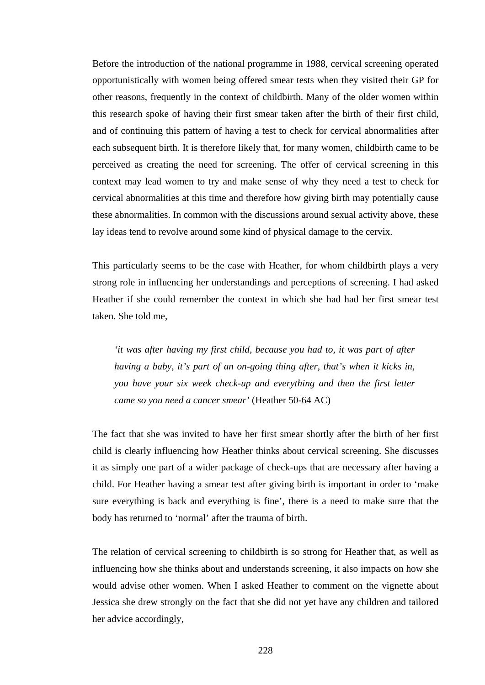Before the introduction of the national programme in 1988, cervical screening operated opportunistically with women being offered smear tests when they visited their GP for other reasons, frequently in the context of childbirth. Many of the older women within this research spoke of having their first smear taken after the birth of their first child, and of continuing this pattern of having a test to check for cervical abnormalities after each subsequent birth. It is therefore likely that, for many women, childbirth came to be perceived as creating the need for screening. The offer of cervical screening in this context may lead women to try and make sense of why they need a test to check for cervical abnormalities at this time and therefore how giving birth may potentially cause these abnormalities. In common with the discussions around sexual activity above, these lay ideas tend to revolve around some kind of physical damage to the cervix.

This particularly seems to be the case with Heather, for whom childbirth plays a very strong role in influencing her understandings and perceptions of screening. I had asked Heather if she could remember the context in which she had had her first smear test taken. She told me,

*'it was after having my first child, because you had to, it was part of after having a baby, it's part of an on-going thing after, that's when it kicks in, you have your six week check-up and everything and then the first letter came so you need a cancer smear'* (Heather 50-64 AC)

The fact that she was invited to have her first smear shortly after the birth of her first child is clearly influencing how Heather thinks about cervical screening. She discusses it as simply one part of a wider package of check-ups that are necessary after having a child. For Heather having a smear test after giving birth is important in order to 'make sure everything is back and everything is fine', there is a need to make sure that the body has returned to 'normal' after the trauma of birth.

The relation of cervical screening to childbirth is so strong for Heather that, as well as influencing how she thinks about and understands screening, it also impacts on how she would advise other women. When I asked Heather to comment on the vignette about Jessica she drew strongly on the fact that she did not yet have any children and tailored her advice accordingly,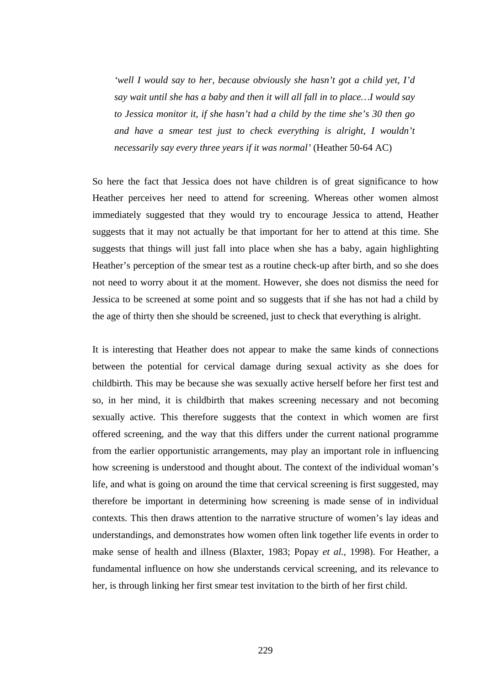*'well I would say to her, because obviously she hasn't got a child yet, I'd say wait until she has a baby and then it will all fall in to place…I would say to Jessica monitor it, if she hasn't had a child by the time she's 30 then go and have a smear test just to check everything is alright, I wouldn't necessarily say every three years if it was normal'* (Heather 50-64 AC)

So here the fact that Jessica does not have children is of great significance to how Heather perceives her need to attend for screening. Whereas other women almost immediately suggested that they would try to encourage Jessica to attend, Heather suggests that it may not actually be that important for her to attend at this time. She suggests that things will just fall into place when she has a baby, again highlighting Heather's perception of the smear test as a routine check-up after birth, and so she does not need to worry about it at the moment. However, she does not dismiss the need for Jessica to be screened at some point and so suggests that if she has not had a child by the age of thirty then she should be screened, just to check that everything is alright.

It is interesting that Heather does not appear to make the same kinds of connections between the potential for cervical damage during sexual activity as she does for childbirth. This may be because she was sexually active herself before her first test and so, in her mind, it is childbirth that makes screening necessary and not becoming sexually active. This therefore suggests that the context in which women are first offered screening, and the way that this differs under the current national programme from the earlier opportunistic arrangements, may play an important role in influencing how screening is understood and thought about. The context of the individual woman's life, and what is going on around the time that cervical screening is first suggested, may therefore be important in determining how screening is made sense of in individual contexts. This then draws attention to the narrative structure of women's lay ideas and understandings, and demonstrates how women often link together life events in order to make sense of health and illness (Blaxter, 1983; Popay *et al.*, 1998). For Heather, a fundamental influence on how she understands cervical screening, and its relevance to her, is through linking her first smear test invitation to the birth of her first child.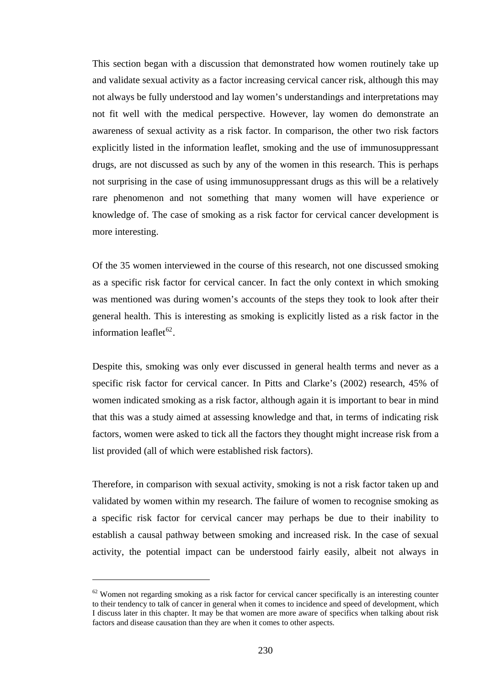This section began with a discussion that demonstrated how women routinely take up and validate sexual activity as a factor increasing cervical cancer risk, although this may not always be fully understood and lay women's understandings and interpretations may not fit well with the medical perspective. However, lay women do demonstrate an awareness of sexual activity as a risk factor. In comparison, the other two risk factors explicitly listed in the information leaflet, smoking and the use of immunosuppressant drugs, are not discussed as such by any of the women in this research. This is perhaps not surprising in the case of using immunosuppressant drugs as this will be a relatively rare phenomenon and not something that many women will have experience or knowledge of. The case of smoking as a risk factor for cervical cancer development is more interesting.

Of the 35 women interviewed in the course of this research, not one discussed smoking as a specific risk factor for cervical cancer. In fact the only context in which smoking was mentioned was during women's accounts of the steps they took to look after their general health. This is interesting as smoking is explicitly listed as a risk factor in the information leaflet $^{62}$  $^{62}$  $^{62}$ .

Despite this, smoking was only ever discussed in general health terms and never as a specific risk factor for cervical cancer. In Pitts and Clarke's (2002) research, 45% of women indicated smoking as a risk factor, although again it is important to bear in mind that this was a study aimed at assessing knowledge and that, in terms of indicating risk factors, women were asked to tick all the factors they thought might increase risk from a list provided (all of which were established risk factors).

Therefore, in comparison with sexual activity, smoking is not a risk factor taken up and validated by women within my research. The failure of women to recognise smoking as a specific risk factor for cervical cancer may perhaps be due to their inability to establish a causal pathway between smoking and increased risk. In the case of sexual activity, the potential impact can be understood fairly easily, albeit not always in

 $\overline{a}$ 

<span id="page-230-0"></span> $62$  Women not regarding smoking as a risk factor for cervical cancer specifically is an interesting counter to their tendency to talk of cancer in general when it comes to incidence and speed of development, which I discuss later in this chapter. It may be that women are more aware of specifics when talking about risk factors and disease causation than they are when it comes to other aspects.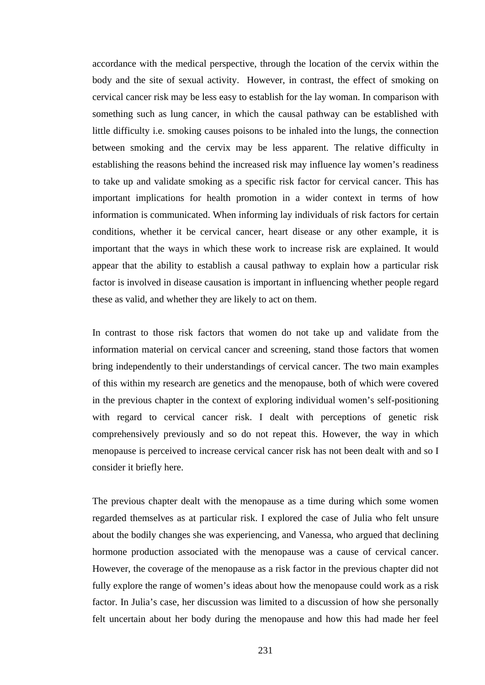accordance with the medical perspective, through the location of the cervix within the body and the site of sexual activity. However, in contrast, the effect of smoking on cervical cancer risk may be less easy to establish for the lay woman. In comparison with something such as lung cancer, in which the causal pathway can be established with little difficulty i.e. smoking causes poisons to be inhaled into the lungs, the connection between smoking and the cervix may be less apparent. The relative difficulty in establishing the reasons behind the increased risk may influence lay women's readiness to take up and validate smoking as a specific risk factor for cervical cancer. This has important implications for health promotion in a wider context in terms of how information is communicated. When informing lay individuals of risk factors for certain conditions, whether it be cervical cancer, heart disease or any other example, it is important that the ways in which these work to increase risk are explained. It would appear that the ability to establish a causal pathway to explain how a particular risk factor is involved in disease causation is important in influencing whether people regard these as valid, and whether they are likely to act on them.

In contrast to those risk factors that women do not take up and validate from the information material on cervical cancer and screening, stand those factors that women bring independently to their understandings of cervical cancer. The two main examples of this within my research are genetics and the menopause, both of which were covered in the previous chapter in the context of exploring individual women's self-positioning with regard to cervical cancer risk. I dealt with perceptions of genetic risk comprehensively previously and so do not repeat this. However, the way in which menopause is perceived to increase cervical cancer risk has not been dealt with and so I consider it briefly here.

The previous chapter dealt with the menopause as a time during which some women regarded themselves as at particular risk. I explored the case of Julia who felt unsure about the bodily changes she was experiencing, and Vanessa, who argued that declining hormone production associated with the menopause was a cause of cervical cancer. However, the coverage of the menopause as a risk factor in the previous chapter did not fully explore the range of women's ideas about how the menopause could work as a risk factor. In Julia's case, her discussion was limited to a discussion of how she personally felt uncertain about her body during the menopause and how this had made her feel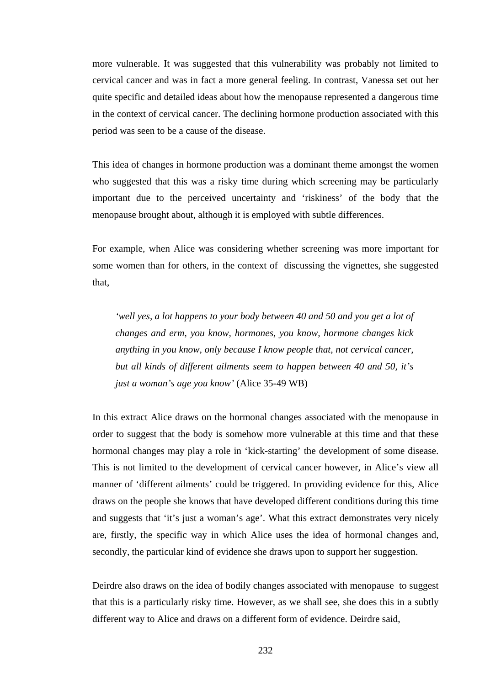more vulnerable. It was suggested that this vulnerability was probably not limited to cervical cancer and was in fact a more general feeling. In contrast, Vanessa set out her quite specific and detailed ideas about how the menopause represented a dangerous time in the context of cervical cancer. The declining hormone production associated with this period was seen to be a cause of the disease.

This idea of changes in hormone production was a dominant theme amongst the women who suggested that this was a risky time during which screening may be particularly important due to the perceived uncertainty and 'riskiness' of the body that the menopause brought about, although it is employed with subtle differences.

For example, when Alice was considering whether screening was more important for some women than for others, in the context of discussing the vignettes, she suggested that,

*'well yes, a lot happens to your body between 40 and 50 and you get a lot of changes and erm, you know, hormones, you know, hormone changes kick anything in you know, only because I know people that, not cervical cancer, but all kinds of different ailments seem to happen between 40 and 50, it's just a woman's age you know'* (Alice 35-49 WB)

In this extract Alice draws on the hormonal changes associated with the menopause in order to suggest that the body is somehow more vulnerable at this time and that these hormonal changes may play a role in 'kick-starting' the development of some disease. This is not limited to the development of cervical cancer however, in Alice's view all manner of 'different ailments' could be triggered. In providing evidence for this, Alice draws on the people she knows that have developed different conditions during this time and suggests that 'it's just a woman's age'. What this extract demonstrates very nicely are, firstly, the specific way in which Alice uses the idea of hormonal changes and, secondly, the particular kind of evidence she draws upon to support her suggestion.

Deirdre also draws on the idea of bodily changes associated with menopause to suggest that this is a particularly risky time. However, as we shall see, she does this in a subtly different way to Alice and draws on a different form of evidence. Deirdre said,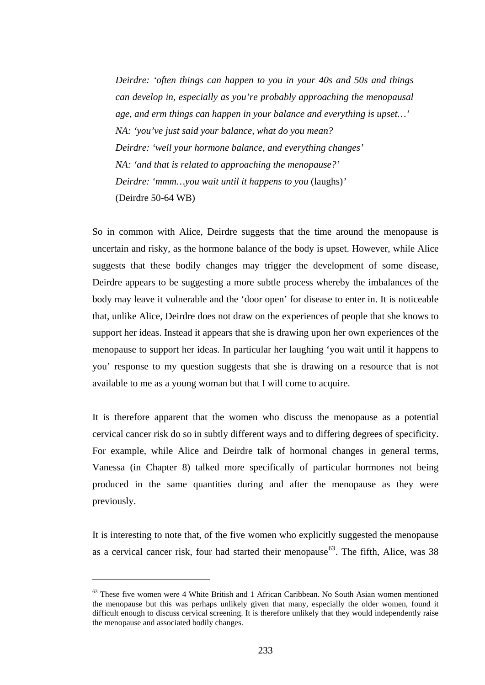*Deirdre: 'often things can happen to you in your 40s and 50s and things can develop in, especially as you're probably approaching the menopausal age, and erm things can happen in your balance and everything is upset…' NA: 'you've just said your balance, what do you mean? Deirdre: 'well your hormone balance, and everything changes' NA: 'and that is related to approaching the menopause?' Deirdre: 'mmm…you wait until it happens to you* (laughs)*'*  (Deirdre 50-64 WB)

So in common with Alice, Deirdre suggests that the time around the menopause is uncertain and risky, as the hormone balance of the body is upset. However, while Alice suggests that these bodily changes may trigger the development of some disease, Deirdre appears to be suggesting a more subtle process whereby the imbalances of the body may leave it vulnerable and the 'door open' for disease to enter in. It is noticeable that, unlike Alice, Deirdre does not draw on the experiences of people that she knows to support her ideas. Instead it appears that she is drawing upon her own experiences of the menopause to support her ideas. In particular her laughing 'you wait until it happens to you' response to my question suggests that she is drawing on a resource that is not available to me as a young woman but that I will come to acquire.

It is therefore apparent that the women who discuss the menopause as a potential cervical cancer risk do so in subtly different ways and to differing degrees of specificity. For example, while Alice and Deirdre talk of hormonal changes in general terms, Vanessa (in Chapter 8) talked more specifically of particular hormones not being produced in the same quantities during and after the menopause as they were previously.

It is interesting to note that, of the five women who explicitly suggested the menopause as a cervical cancer risk, four had started their menopause<sup>[63](#page-233-0)</sup>. The fifth, Alice, was 38

 $\overline{a}$ 

<span id="page-233-0"></span><sup>&</sup>lt;sup>63</sup> These five women were 4 White British and 1 African Caribbean. No South Asian women mentioned the menopause but this was perhaps unlikely given that many, especially the older women, found it difficult enough to discuss cervical screening. It is therefore unlikely that they would independently raise the menopause and associated bodily changes.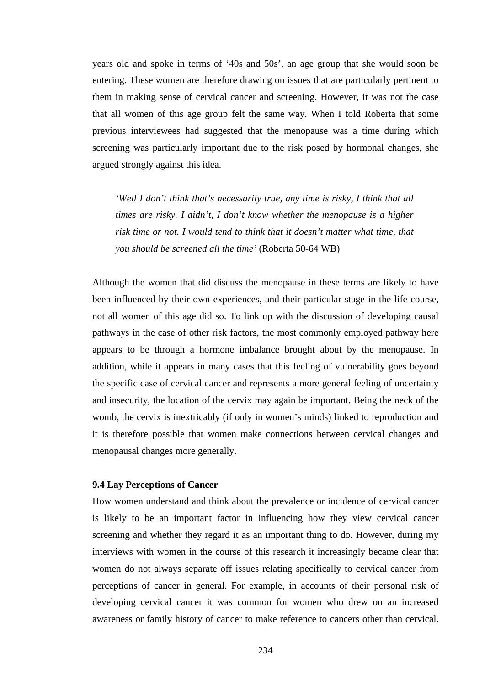years old and spoke in terms of '40s and 50s', an age group that she would soon be entering. These women are therefore drawing on issues that are particularly pertinent to them in making sense of cervical cancer and screening. However, it was not the case that all women of this age group felt the same way. When I told Roberta that some previous interviewees had suggested that the menopause was a time during which screening was particularly important due to the risk posed by hormonal changes, she argued strongly against this idea.

*'Well I don't think that's necessarily true, any time is risky, I think that all times are risky. I didn't, I don't know whether the menopause is a higher risk time or not. I would tend to think that it doesn't matter what time, that you should be screened all the time'* (Roberta 50-64 WB)

Although the women that did discuss the menopause in these terms are likely to have been influenced by their own experiences, and their particular stage in the life course, not all women of this age did so. To link up with the discussion of developing causal pathways in the case of other risk factors, the most commonly employed pathway here appears to be through a hormone imbalance brought about by the menopause. In addition, while it appears in many cases that this feeling of vulnerability goes beyond the specific case of cervical cancer and represents a more general feeling of uncertainty and insecurity, the location of the cervix may again be important. Being the neck of the womb, the cervix is inextricably (if only in women's minds) linked to reproduction and it is therefore possible that women make connections between cervical changes and menopausal changes more generally.

#### **9.4 Lay Perceptions of Cancer**

How women understand and think about the prevalence or incidence of cervical cancer is likely to be an important factor in influencing how they view cervical cancer screening and whether they regard it as an important thing to do. However, during my interviews with women in the course of this research it increasingly became clear that women do not always separate off issues relating specifically to cervical cancer from perceptions of cancer in general. For example, in accounts of their personal risk of developing cervical cancer it was common for women who drew on an increased awareness or family history of cancer to make reference to cancers other than cervical.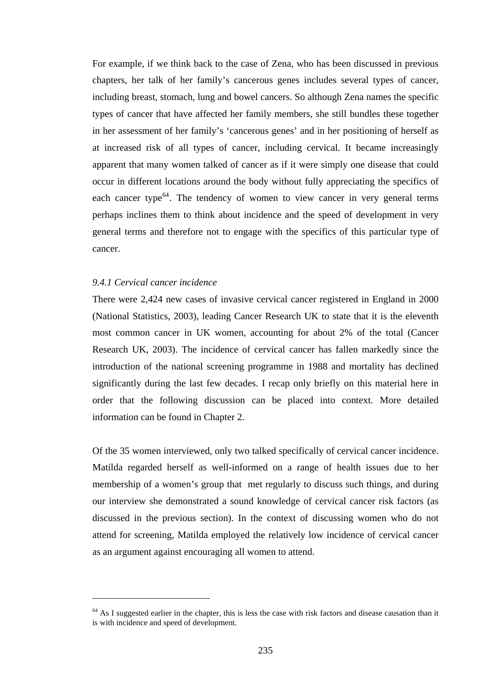For example, if we think back to the case of Zena, who has been discussed in previous chapters, her talk of her family's cancerous genes includes several types of cancer, including breast, stomach, lung and bowel cancers. So although Zena names the specific types of cancer that have affected her family members, she still bundles these together in her assessment of her family's 'cancerous genes' and in her positioning of herself as at increased risk of all types of cancer, including cervical. It became increasingly apparent that many women talked of cancer as if it were simply one disease that could occur in different locations around the body without fully appreciating the specifics of each cancer type<sup>[64](#page-235-0)</sup>. The tendency of women to view cancer in very general terms perhaps inclines them to think about incidence and the speed of development in very general terms and therefore not to engage with the specifics of this particular type of cancer.

# *9.4.1 Cervical cancer incidence*

 $\overline{a}$ 

There were 2,424 new cases of invasive cervical cancer registered in England in 2000 (National Statistics, 2003), leading Cancer Research UK to state that it is the eleventh most common cancer in UK women, accounting for about 2% of the total (Cancer Research UK, 2003). The incidence of cervical cancer has fallen markedly since the introduction of the national screening programme in 1988 and mortality has declined significantly during the last few decades. I recap only briefly on this material here in order that the following discussion can be placed into context. More detailed information can be found in Chapter 2.

Of the 35 women interviewed, only two talked specifically of cervical cancer incidence. Matilda regarded herself as well-informed on a range of health issues due to her membership of a women's group that met regularly to discuss such things, and during our interview she demonstrated a sound knowledge of cervical cancer risk factors (as discussed in the previous section). In the context of discussing women who do not attend for screening, Matilda employed the relatively low incidence of cervical cancer as an argument against encouraging all women to attend.

<span id="page-235-0"></span> $64$  As I suggested earlier in the chapter, this is less the case with risk factors and disease causation than it is with incidence and speed of development.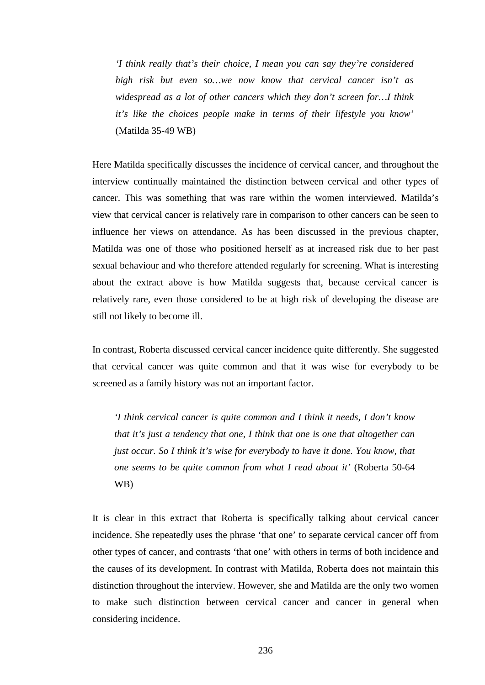*'I think really that's their choice, I mean you can say they're considered high risk but even so…we now know that cervical cancer isn't as widespread as a lot of other cancers which they don't screen for…I think it's like the choices people make in terms of their lifestyle you know'* (Matilda 35-49 WB)

Here Matilda specifically discusses the incidence of cervical cancer, and throughout the interview continually maintained the distinction between cervical and other types of cancer. This was something that was rare within the women interviewed. Matilda's view that cervical cancer is relatively rare in comparison to other cancers can be seen to influence her views on attendance. As has been discussed in the previous chapter, Matilda was one of those who positioned herself as at increased risk due to her past sexual behaviour and who therefore attended regularly for screening. What is interesting about the extract above is how Matilda suggests that, because cervical cancer is relatively rare, even those considered to be at high risk of developing the disease are still not likely to become ill.

In contrast, Roberta discussed cervical cancer incidence quite differently. She suggested that cervical cancer was quite common and that it was wise for everybody to be screened as a family history was not an important factor.

*'I think cervical cancer is quite common and I think it needs, I don't know that it's just a tendency that one, I think that one is one that altogether can just occur. So I think it's wise for everybody to have it done. You know, that one seems to be quite common from what I read about it'* (Roberta 50-64 WB)

It is clear in this extract that Roberta is specifically talking about cervical cancer incidence. She repeatedly uses the phrase 'that one' to separate cervical cancer off from other types of cancer, and contrasts 'that one' with others in terms of both incidence and the causes of its development. In contrast with Matilda, Roberta does not maintain this distinction throughout the interview. However, she and Matilda are the only two women to make such distinction between cervical cancer and cancer in general when considering incidence.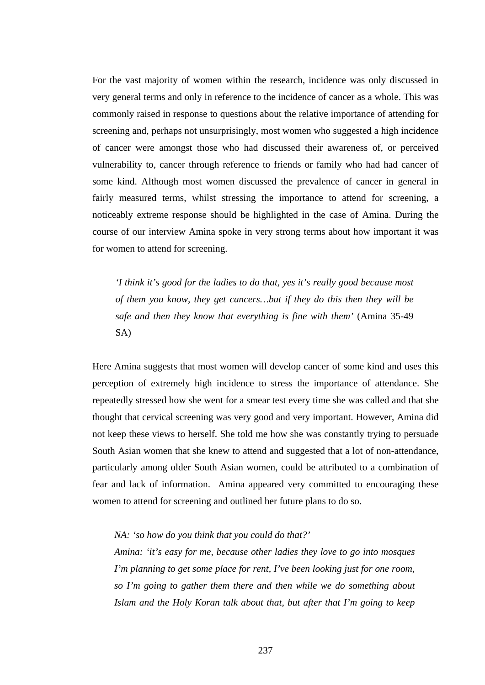For the vast majority of women within the research, incidence was only discussed in very general terms and only in reference to the incidence of cancer as a whole. This was commonly raised in response to questions about the relative importance of attending for screening and, perhaps not unsurprisingly, most women who suggested a high incidence of cancer were amongst those who had discussed their awareness of, or perceived vulnerability to, cancer through reference to friends or family who had had cancer of some kind. Although most women discussed the prevalence of cancer in general in fairly measured terms, whilst stressing the importance to attend for screening, a noticeably extreme response should be highlighted in the case of Amina. During the course of our interview Amina spoke in very strong terms about how important it was for women to attend for screening.

*'I think it's good for the ladies to do that, yes it's really good because most of them you know, they get cancers…but if they do this then they will be safe and then they know that everything is fine with them'* (Amina 35-49 SA)

Here Amina suggests that most women will develop cancer of some kind and uses this perception of extremely high incidence to stress the importance of attendance. She repeatedly stressed how she went for a smear test every time she was called and that she thought that cervical screening was very good and very important. However, Amina did not keep these views to herself. She told me how she was constantly trying to persuade South Asian women that she knew to attend and suggested that a lot of non-attendance, particularly among older South Asian women, could be attributed to a combination of fear and lack of information. Amina appeared very committed to encouraging these women to attend for screening and outlined her future plans to do so.

*NA: 'so how do you think that you could do that?'* 

*Amina: 'it's easy for me, because other ladies they love to go into mosques I'm planning to get some place for rent, I've been looking just for one room, so I'm going to gather them there and then while we do something about Islam and the Holy Koran talk about that, but after that I'm going to keep*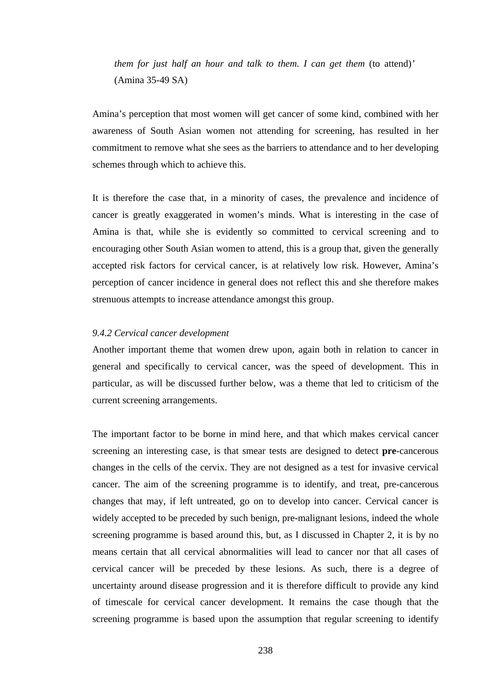*them for just half an hour and talk to them. I can get them* (to attend)*'* (Amina 35-49 SA)

Amina's perception that most women will get cancer of some kind, combined with her awareness of South Asian women not attending for screening, has resulted in her commitment to remove what she sees as the barriers to attendance and to her developing schemes through which to achieve this.

It is therefore the case that, in a minority of cases, the prevalence and incidence of cancer is greatly exaggerated in women's minds. What is interesting in the case of Amina is that, while she is evidently so committed to cervical screening and to encouraging other South Asian women to attend, this is a group that, given the generally accepted risk factors for cervical cancer, is at relatively low risk. However, Amina's perception of cancer incidence in general does not reflect this and she therefore makes strenuous attempts to increase attendance amongst this group.

### *9.4.2 Cervical cancer development*

Another important theme that women drew upon, again both in relation to cancer in general and specifically to cervical cancer, was the speed of development. This in particular, as will be discussed further below, was a theme that led to criticism of the current screening arrangements.

The important factor to be borne in mind here, and that which makes cervical cancer screening an interesting case, is that smear tests are designed to detect **pre**-cancerous changes in the cells of the cervix. They are not designed as a test for invasive cervical cancer. The aim of the screening programme is to identify, and treat, pre-cancerous changes that may, if left untreated, go on to develop into cancer. Cervical cancer is widely accepted to be preceded by such benign, pre-malignant lesions, indeed the whole screening programme is based around this, but, as I discussed in Chapter 2, it is by no means certain that all cervical abnormalities will lead to cancer nor that all cases of cervical cancer will be preceded by these lesions. As such, there is a degree of uncertainty around disease progression and it is therefore difficult to provide any kind of timescale for cervical cancer development. It remains the case though that the screening programme is based upon the assumption that regular screening to identify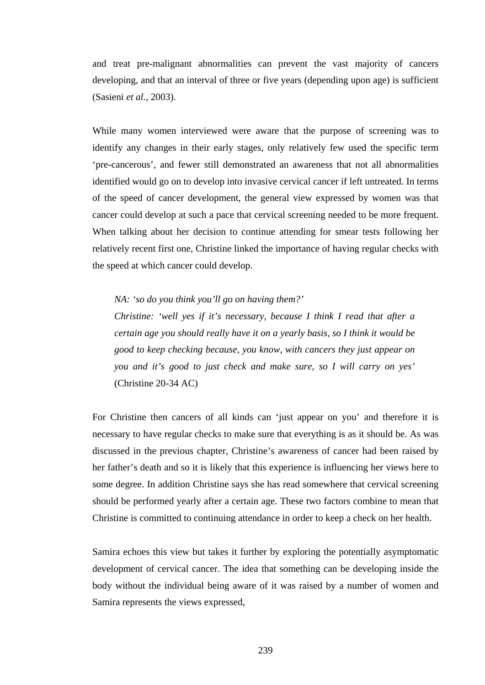and treat pre-malignant abnormalities can prevent the vast majority of cancers developing, and that an interval of three or five years (depending upon age) is sufficient (Sasieni *et al.*, 2003).

While many women interviewed were aware that the purpose of screening was to identify any changes in their early stages, only relatively few used the specific term 'pre-cancerous', and fewer still demonstrated an awareness that not all abnormalities identified would go on to develop into invasive cervical cancer if left untreated. In terms of the speed of cancer development, the general view expressed by women was that cancer could develop at such a pace that cervical screening needed to be more frequent. When talking about her decision to continue attending for smear tests following her relatively recent first one, Christine linked the importance of having regular checks with the speed at which cancer could develop.

*NA: 'so do you think you'll go on having them?'* 

*Christine: 'well yes if it's necessary, because I think I read that after a certain age you should really have it on a yearly basis, so I think it would be good to keep checking because, you know, with cancers they just appear on you and it's good to just check and make sure, so I will carry on yes'*  (Christine 20-34 AC)

For Christine then cancers of all kinds can 'just appear on you' and therefore it is necessary to have regular checks to make sure that everything is as it should be. As was discussed in the previous chapter, Christine's awareness of cancer had been raised by her father's death and so it is likely that this experience is influencing her views here to some degree. In addition Christine says she has read somewhere that cervical screening should be performed yearly after a certain age. These two factors combine to mean that Christine is committed to continuing attendance in order to keep a check on her health.

Samira echoes this view but takes it further by exploring the potentially asymptomatic development of cervical cancer. The idea that something can be developing inside the body without the individual being aware of it was raised by a number of women and Samira represents the views expressed,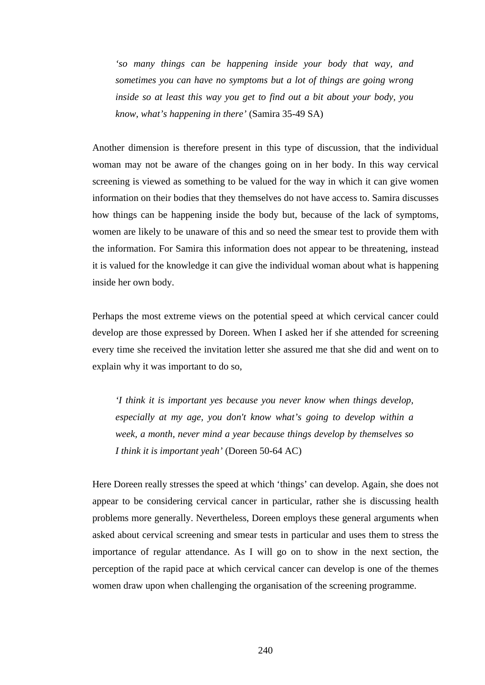*'so many things can be happening inside your body that way, and sometimes you can have no symptoms but a lot of things are going wrong inside so at least this way you get to find out a bit about your body, you know, what's happening in there'* (Samira 35-49 SA)

Another dimension is therefore present in this type of discussion, that the individual woman may not be aware of the changes going on in her body. In this way cervical screening is viewed as something to be valued for the way in which it can give women information on their bodies that they themselves do not have access to. Samira discusses how things can be happening inside the body but, because of the lack of symptoms, women are likely to be unaware of this and so need the smear test to provide them with the information. For Samira this information does not appear to be threatening, instead it is valued for the knowledge it can give the individual woman about what is happening inside her own body.

Perhaps the most extreme views on the potential speed at which cervical cancer could develop are those expressed by Doreen. When I asked her if she attended for screening every time she received the invitation letter she assured me that she did and went on to explain why it was important to do so,

*'I think it is important yes because you never know when things develop, especially at my age, you don't know what's going to develop within a week, a month, never mind a year because things develop by themselves so I think it is important yeah'* (Doreen 50-64 AC)

Here Doreen really stresses the speed at which 'things' can develop. Again, she does not appear to be considering cervical cancer in particular, rather she is discussing health problems more generally. Nevertheless, Doreen employs these general arguments when asked about cervical screening and smear tests in particular and uses them to stress the importance of regular attendance. As I will go on to show in the next section, the perception of the rapid pace at which cervical cancer can develop is one of the themes women draw upon when challenging the organisation of the screening programme.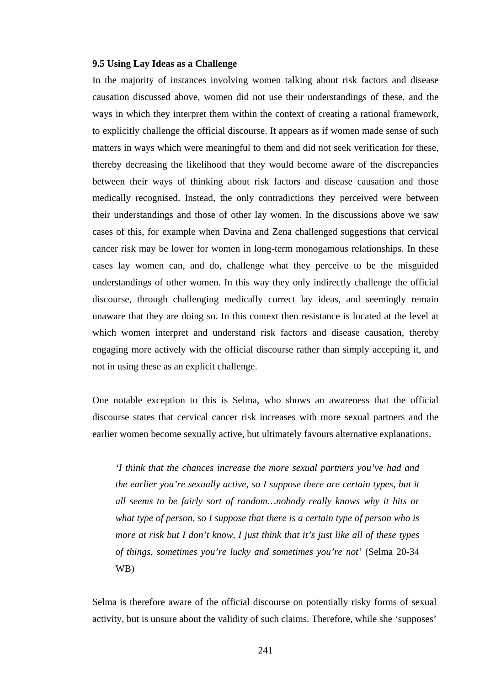#### **9.5 Using Lay Ideas as a Challenge**

In the majority of instances involving women talking about risk factors and disease causation discussed above, women did not use their understandings of these, and the ways in which they interpret them within the context of creating a rational framework, to explicitly challenge the official discourse. It appears as if women made sense of such matters in ways which were meaningful to them and did not seek verification for these, thereby decreasing the likelihood that they would become aware of the discrepancies between their ways of thinking about risk factors and disease causation and those medically recognised. Instead, the only contradictions they perceived were between their understandings and those of other lay women. In the discussions above we saw cases of this, for example when Davina and Zena challenged suggestions that cervical cancer risk may be lower for women in long-term monogamous relationships. In these cases lay women can, and do, challenge what they perceive to be the misguided understandings of other women. In this way they only indirectly challenge the official discourse, through challenging medically correct lay ideas, and seemingly remain unaware that they are doing so. In this context then resistance is located at the level at which women interpret and understand risk factors and disease causation, thereby engaging more actively with the official discourse rather than simply accepting it, and not in using these as an explicit challenge.

One notable exception to this is Selma, who shows an awareness that the official discourse states that cervical cancer risk increases with more sexual partners and the earlier women become sexually active, but ultimately favours alternative explanations.

*'I think that the chances increase the more sexual partners you've had and the earlier you're sexually active, so I suppose there are certain types, but it all seems to be fairly sort of random…nobody really knows why it hits or what type of person, so I suppose that there is a certain type of person who is more at risk but I don't know, I just think that it's just like all of these types of things, sometimes you're lucky and sometimes you're not'* (Selma 20-34 WB)

Selma is therefore aware of the official discourse on potentially risky forms of sexual activity, but is unsure about the validity of such claims. Therefore, while she 'supposes'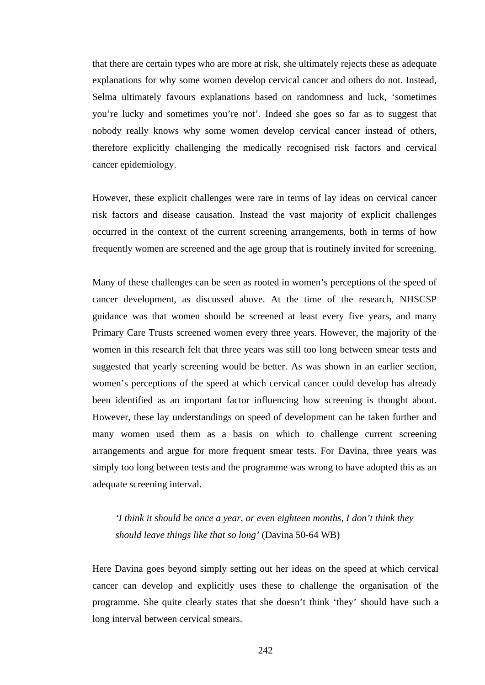that there are certain types who are more at risk, she ultimately rejects these as adequate explanations for why some women develop cervical cancer and others do not. Instead, Selma ultimately favours explanations based on randomness and luck, 'sometimes you're lucky and sometimes you're not'. Indeed she goes so far as to suggest that nobody really knows why some women develop cervical cancer instead of others, therefore explicitly challenging the medically recognised risk factors and cervical cancer epidemiology.

However, these explicit challenges were rare in terms of lay ideas on cervical cancer risk factors and disease causation. Instead the vast majority of explicit challenges occurred in the context of the current screening arrangements, both in terms of how frequently women are screened and the age group that is routinely invited for screening.

Many of these challenges can be seen as rooted in women's perceptions of the speed of cancer development, as discussed above. At the time of the research, NHSCSP guidance was that women should be screened at least every five years, and many Primary Care Trusts screened women every three years. However, the majority of the women in this research felt that three years was still too long between smear tests and suggested that yearly screening would be better. As was shown in an earlier section, women's perceptions of the speed at which cervical cancer could develop has already been identified as an important factor influencing how screening is thought about. However, these lay understandings on speed of development can be taken further and many women used them as a basis on which to challenge current screening arrangements and argue for more frequent smear tests. For Davina, three years was simply too long between tests and the programme was wrong to have adopted this as an adequate screening interval.

*'I think it should be once a year, or even eighteen months, I don't think they should leave things like that so long'* (Davina 50-64 WB)

Here Davina goes beyond simply setting out her ideas on the speed at which cervical cancer can develop and explicitly uses these to challenge the organisation of the programme. She quite clearly states that she doesn't think 'they' should have such a long interval between cervical smears.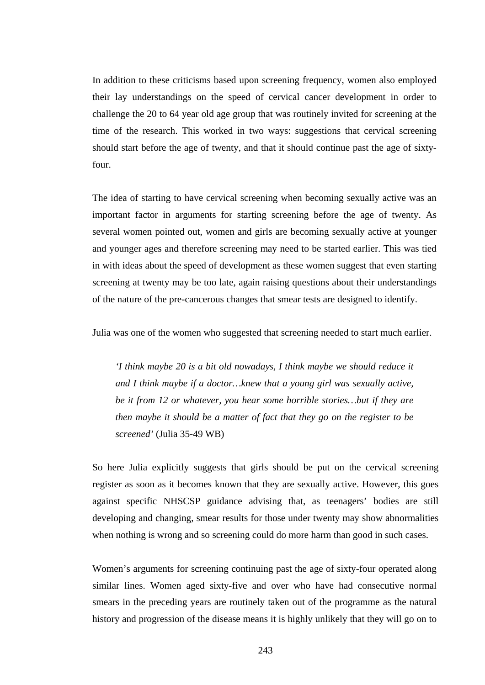In addition to these criticisms based upon screening frequency, women also employed their lay understandings on the speed of cervical cancer development in order to challenge the 20 to 64 year old age group that was routinely invited for screening at the time of the research. This worked in two ways: suggestions that cervical screening should start before the age of twenty, and that it should continue past the age of sixtyfour.

The idea of starting to have cervical screening when becoming sexually active was an important factor in arguments for starting screening before the age of twenty. As several women pointed out, women and girls are becoming sexually active at younger and younger ages and therefore screening may need to be started earlier. This was tied in with ideas about the speed of development as these women suggest that even starting screening at twenty may be too late, again raising questions about their understandings of the nature of the pre-cancerous changes that smear tests are designed to identify.

Julia was one of the women who suggested that screening needed to start much earlier.

*'I think maybe 20 is a bit old nowadays, I think maybe we should reduce it and I think maybe if a doctor…knew that a young girl was sexually active, be it from 12 or whatever, you hear some horrible stories…but if they are then maybe it should be a matter of fact that they go on the register to be screened'* (Julia 35-49 WB)

So here Julia explicitly suggests that girls should be put on the cervical screening register as soon as it becomes known that they are sexually active. However, this goes against specific NHSCSP guidance advising that, as teenagers' bodies are still developing and changing, smear results for those under twenty may show abnormalities when nothing is wrong and so screening could do more harm than good in such cases.

Women's arguments for screening continuing past the age of sixty-four operated along similar lines. Women aged sixty-five and over who have had consecutive normal smears in the preceding years are routinely taken out of the programme as the natural history and progression of the disease means it is highly unlikely that they will go on to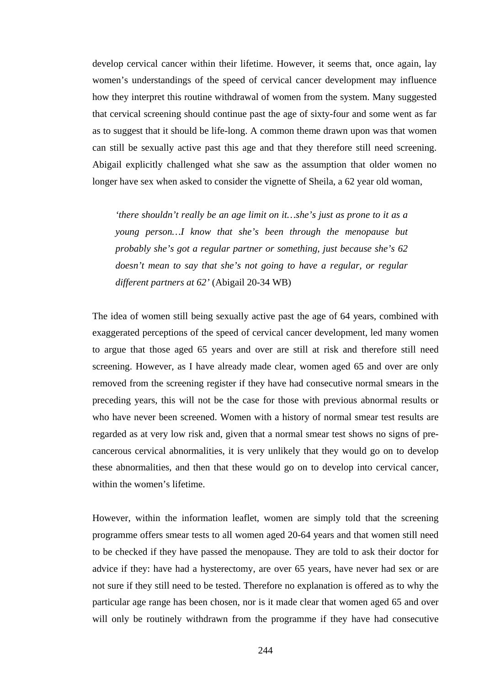develop cervical cancer within their lifetime. However, it seems that, once again, lay women's understandings of the speed of cervical cancer development may influence how they interpret this routine withdrawal of women from the system. Many suggested that cervical screening should continue past the age of sixty-four and some went as far as to suggest that it should be life-long. A common theme drawn upon was that women can still be sexually active past this age and that they therefore still need screening. Abigail explicitly challenged what she saw as the assumption that older women no longer have sex when asked to consider the vignette of Sheila, a 62 year old woman,

*'there shouldn't really be an age limit on it…she's just as prone to it as a young person…I know that she's been through the menopause but probably she's got a regular partner or something, just because she's 62 doesn't mean to say that she's not going to have a regular, or regular different partners at 62'* (Abigail 20-34 WB)

The idea of women still being sexually active past the age of 64 years, combined with exaggerated perceptions of the speed of cervical cancer development, led many women to argue that those aged 65 years and over are still at risk and therefore still need screening. However, as I have already made clear, women aged 65 and over are only removed from the screening register if they have had consecutive normal smears in the preceding years, this will not be the case for those with previous abnormal results or who have never been screened. Women with a history of normal smear test results are regarded as at very low risk and, given that a normal smear test shows no signs of precancerous cervical abnormalities, it is very unlikely that they would go on to develop these abnormalities, and then that these would go on to develop into cervical cancer, within the women's lifetime.

However, within the information leaflet, women are simply told that the screening programme offers smear tests to all women aged 20-64 years and that women still need to be checked if they have passed the menopause. They are told to ask their doctor for advice if they: have had a hysterectomy, are over 65 years, have never had sex or are not sure if they still need to be tested. Therefore no explanation is offered as to why the particular age range has been chosen, nor is it made clear that women aged 65 and over will only be routinely withdrawn from the programme if they have had consecutive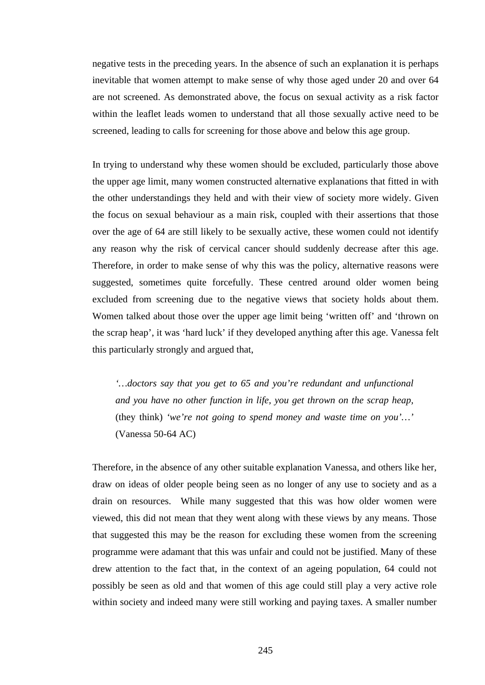negative tests in the preceding years. In the absence of such an explanation it is perhaps inevitable that women attempt to make sense of why those aged under 20 and over 64 are not screened. As demonstrated above, the focus on sexual activity as a risk factor within the leaflet leads women to understand that all those sexually active need to be screened, leading to calls for screening for those above and below this age group.

In trying to understand why these women should be excluded, particularly those above the upper age limit, many women constructed alternative explanations that fitted in with the other understandings they held and with their view of society more widely. Given the focus on sexual behaviour as a main risk, coupled with their assertions that those over the age of 64 are still likely to be sexually active, these women could not identify any reason why the risk of cervical cancer should suddenly decrease after this age. Therefore, in order to make sense of why this was the policy, alternative reasons were suggested, sometimes quite forcefully. These centred around older women being excluded from screening due to the negative views that society holds about them. Women talked about those over the upper age limit being 'written off' and 'thrown on the scrap heap', it was 'hard luck' if they developed anything after this age. Vanessa felt this particularly strongly and argued that,

*'…doctors say that you get to 65 and you're redundant and unfunctional and you have no other function in life, you get thrown on the scrap heap,*  (they think) *'we're not going to spend money and waste time on you'…'* (Vanessa 50-64 AC)

Therefore, in the absence of any other suitable explanation Vanessa, and others like her, draw on ideas of older people being seen as no longer of any use to society and as a drain on resources. While many suggested that this was how older women were viewed, this did not mean that they went along with these views by any means. Those that suggested this may be the reason for excluding these women from the screening programme were adamant that this was unfair and could not be justified. Many of these drew attention to the fact that, in the context of an ageing population, 64 could not possibly be seen as old and that women of this age could still play a very active role within society and indeed many were still working and paying taxes. A smaller number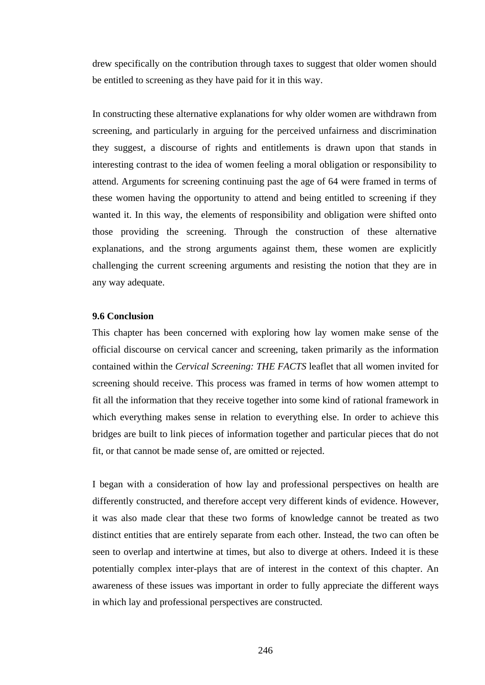drew specifically on the contribution through taxes to suggest that older women should be entitled to screening as they have paid for it in this way.

In constructing these alternative explanations for why older women are withdrawn from screening, and particularly in arguing for the perceived unfairness and discrimination they suggest, a discourse of rights and entitlements is drawn upon that stands in interesting contrast to the idea of women feeling a moral obligation or responsibility to attend. Arguments for screening continuing past the age of 64 were framed in terms of these women having the opportunity to attend and being entitled to screening if they wanted it. In this way, the elements of responsibility and obligation were shifted onto those providing the screening. Through the construction of these alternative explanations, and the strong arguments against them, these women are explicitly challenging the current screening arguments and resisting the notion that they are in any way adequate.

# **9.6 Conclusion**

This chapter has been concerned with exploring how lay women make sense of the official discourse on cervical cancer and screening, taken primarily as the information contained within the *Cervical Screening: THE FACTS* leaflet that all women invited for screening should receive. This process was framed in terms of how women attempt to fit all the information that they receive together into some kind of rational framework in which everything makes sense in relation to everything else. In order to achieve this bridges are built to link pieces of information together and particular pieces that do not fit, or that cannot be made sense of, are omitted or rejected.

I began with a consideration of how lay and professional perspectives on health are differently constructed, and therefore accept very different kinds of evidence. However, it was also made clear that these two forms of knowledge cannot be treated as two distinct entities that are entirely separate from each other. Instead, the two can often be seen to overlap and intertwine at times, but also to diverge at others. Indeed it is these potentially complex inter-plays that are of interest in the context of this chapter. An awareness of these issues was important in order to fully appreciate the different ways in which lay and professional perspectives are constructed.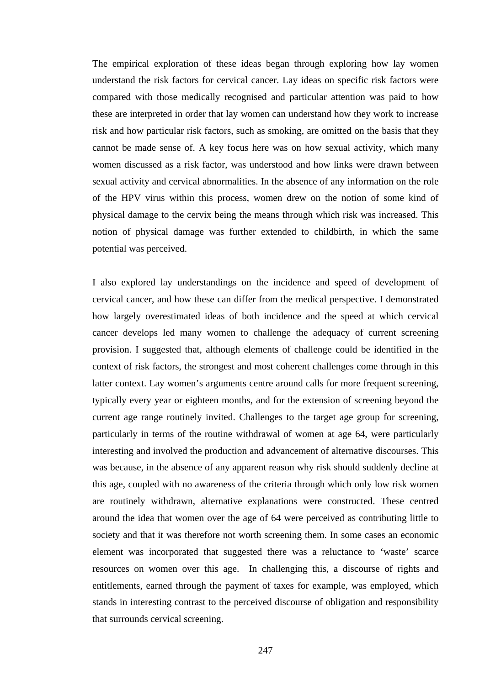The empirical exploration of these ideas began through exploring how lay women understand the risk factors for cervical cancer. Lay ideas on specific risk factors were compared with those medically recognised and particular attention was paid to how these are interpreted in order that lay women can understand how they work to increase risk and how particular risk factors, such as smoking, are omitted on the basis that they cannot be made sense of. A key focus here was on how sexual activity, which many women discussed as a risk factor, was understood and how links were drawn between sexual activity and cervical abnormalities. In the absence of any information on the role of the HPV virus within this process, women drew on the notion of some kind of physical damage to the cervix being the means through which risk was increased. This notion of physical damage was further extended to childbirth, in which the same potential was perceived.

I also explored lay understandings on the incidence and speed of development of cervical cancer, and how these can differ from the medical perspective. I demonstrated how largely overestimated ideas of both incidence and the speed at which cervical cancer develops led many women to challenge the adequacy of current screening provision. I suggested that, although elements of challenge could be identified in the context of risk factors, the strongest and most coherent challenges come through in this latter context. Lay women's arguments centre around calls for more frequent screening, typically every year or eighteen months, and for the extension of screening beyond the current age range routinely invited. Challenges to the target age group for screening, particularly in terms of the routine withdrawal of women at age 64, were particularly interesting and involved the production and advancement of alternative discourses. This was because, in the absence of any apparent reason why risk should suddenly decline at this age, coupled with no awareness of the criteria through which only low risk women are routinely withdrawn, alternative explanations were constructed. These centred around the idea that women over the age of 64 were perceived as contributing little to society and that it was therefore not worth screening them. In some cases an economic element was incorporated that suggested there was a reluctance to 'waste' scarce resources on women over this age. In challenging this, a discourse of rights and entitlements, earned through the payment of taxes for example, was employed, which stands in interesting contrast to the perceived discourse of obligation and responsibility that surrounds cervical screening.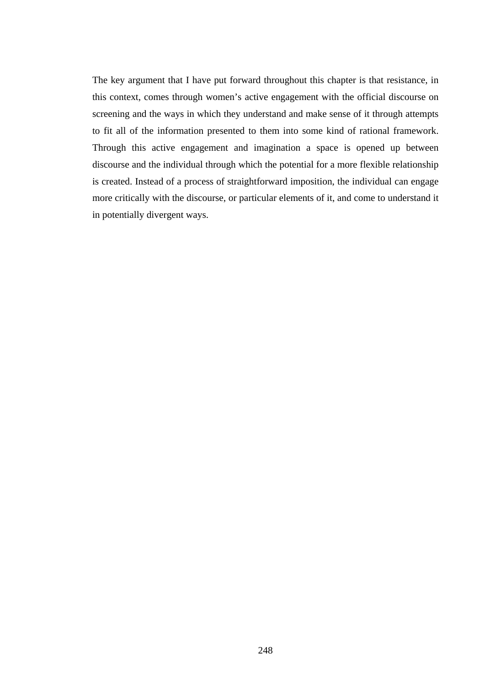The key argument that I have put forward throughout this chapter is that resistance, in this context, comes through women's active engagement with the official discourse on screening and the ways in which they understand and make sense of it through attempts to fit all of the information presented to them into some kind of rational framework. Through this active engagement and imagination a space is opened up between discourse and the individual through which the potential for a more flexible relationship is created. Instead of a process of straightforward imposition, the individual can engage more critically with the discourse, or particular elements of it, and come to understand it in potentially divergent ways.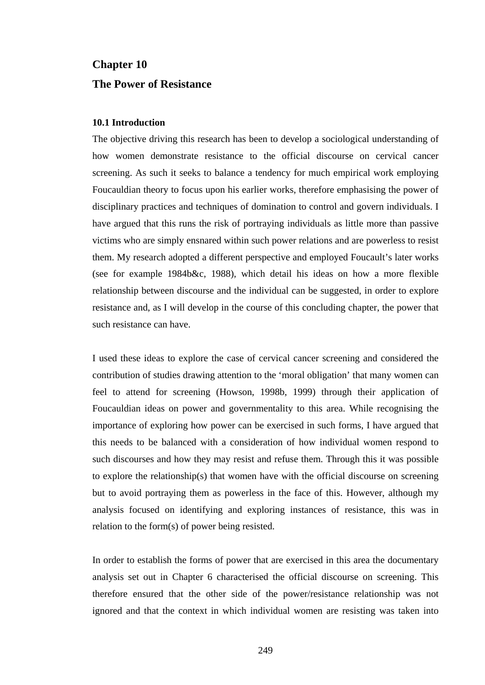# **Chapter 10 The Power of Resistance**

### **10.1 Introduction**

The objective driving this research has been to develop a sociological understanding of how women demonstrate resistance to the official discourse on cervical cancer screening. As such it seeks to balance a tendency for much empirical work employing Foucauldian theory to focus upon his earlier works, therefore emphasising the power of disciplinary practices and techniques of domination to control and govern individuals. I have argued that this runs the risk of portraying individuals as little more than passive victims who are simply ensnared within such power relations and are powerless to resist them. My research adopted a different perspective and employed Foucault's later works (see for example 1984b&c, 1988), which detail his ideas on how a more flexible relationship between discourse and the individual can be suggested, in order to explore resistance and, as I will develop in the course of this concluding chapter, the power that such resistance can have.

I used these ideas to explore the case of cervical cancer screening and considered the contribution of studies drawing attention to the 'moral obligation' that many women can feel to attend for screening (Howson, 1998b, 1999) through their application of Foucauldian ideas on power and governmentality to this area. While recognising the importance of exploring how power can be exercised in such forms, I have argued that this needs to be balanced with a consideration of how individual women respond to such discourses and how they may resist and refuse them. Through this it was possible to explore the relationship(s) that women have with the official discourse on screening but to avoid portraying them as powerless in the face of this. However, although my analysis focused on identifying and exploring instances of resistance, this was in relation to the form(s) of power being resisted.

In order to establish the forms of power that are exercised in this area the documentary analysis set out in Chapter 6 characterised the official discourse on screening. This therefore ensured that the other side of the power/resistance relationship was not ignored and that the context in which individual women are resisting was taken into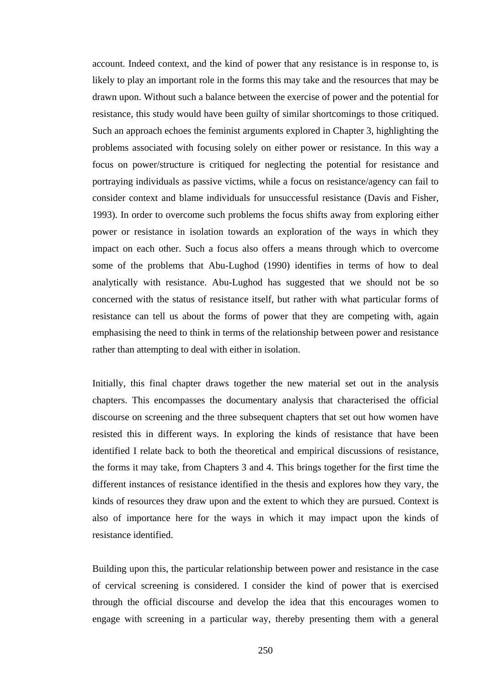account. Indeed context, and the kind of power that any resistance is in response to, is likely to play an important role in the forms this may take and the resources that may be drawn upon. Without such a balance between the exercise of power and the potential for resistance, this study would have been guilty of similar shortcomings to those critiqued. Such an approach echoes the feminist arguments explored in Chapter 3, highlighting the problems associated with focusing solely on either power or resistance. In this way a focus on power/structure is critiqued for neglecting the potential for resistance and portraying individuals as passive victims, while a focus on resistance/agency can fail to consider context and blame individuals for unsuccessful resistance (Davis and Fisher, 1993). In order to overcome such problems the focus shifts away from exploring either power or resistance in isolation towards an exploration of the ways in which they impact on each other. Such a focus also offers a means through which to overcome some of the problems that Abu-Lughod (1990) identifies in terms of how to deal analytically with resistance. Abu-Lughod has suggested that we should not be so concerned with the status of resistance itself, but rather with what particular forms of resistance can tell us about the forms of power that they are competing with, again emphasising the need to think in terms of the relationship between power and resistance rather than attempting to deal with either in isolation.

Initially, this final chapter draws together the new material set out in the analysis chapters. This encompasses the documentary analysis that characterised the official discourse on screening and the three subsequent chapters that set out how women have resisted this in different ways. In exploring the kinds of resistance that have been identified I relate back to both the theoretical and empirical discussions of resistance, the forms it may take, from Chapters 3 and 4. This brings together for the first time the different instances of resistance identified in the thesis and explores how they vary, the kinds of resources they draw upon and the extent to which they are pursued. Context is also of importance here for the ways in which it may impact upon the kinds of resistance identified.

Building upon this, the particular relationship between power and resistance in the case of cervical screening is considered. I consider the kind of power that is exercised through the official discourse and develop the idea that this encourages women to engage with screening in a particular way, thereby presenting them with a general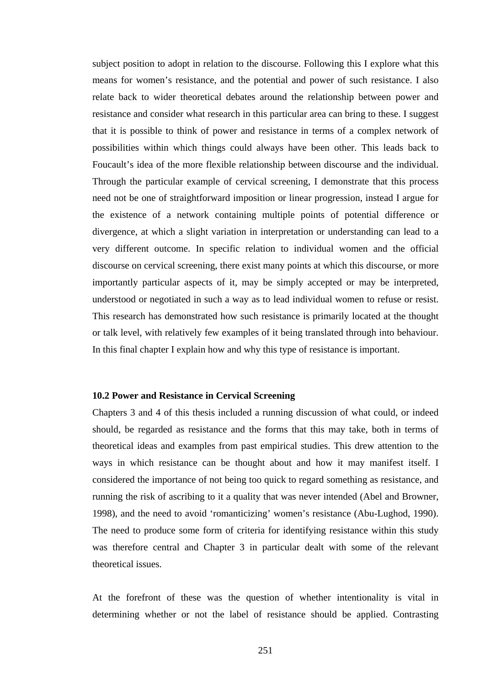subject position to adopt in relation to the discourse. Following this I explore what this means for women's resistance, and the potential and power of such resistance. I also relate back to wider theoretical debates around the relationship between power and resistance and consider what research in this particular area can bring to these. I suggest that it is possible to think of power and resistance in terms of a complex network of possibilities within which things could always have been other. This leads back to Foucault's idea of the more flexible relationship between discourse and the individual. Through the particular example of cervical screening, I demonstrate that this process need not be one of straightforward imposition or linear progression, instead I argue for the existence of a network containing multiple points of potential difference or divergence, at which a slight variation in interpretation or understanding can lead to a very different outcome. In specific relation to individual women and the official discourse on cervical screening, there exist many points at which this discourse, or more importantly particular aspects of it, may be simply accepted or may be interpreted, understood or negotiated in such a way as to lead individual women to refuse or resist. This research has demonstrated how such resistance is primarily located at the thought or talk level, with relatively few examples of it being translated through into behaviour. In this final chapter I explain how and why this type of resistance is important.

# **10.2 Power and Resistance in Cervical Screening**

Chapters 3 and 4 of this thesis included a running discussion of what could, or indeed should, be regarded as resistance and the forms that this may take, both in terms of theoretical ideas and examples from past empirical studies. This drew attention to the ways in which resistance can be thought about and how it may manifest itself. I considered the importance of not being too quick to regard something as resistance, and running the risk of ascribing to it a quality that was never intended (Abel and Browner, 1998), and the need to avoid 'romanticizing' women's resistance (Abu-Lughod, 1990). The need to produce some form of criteria for identifying resistance within this study was therefore central and Chapter 3 in particular dealt with some of the relevant theoretical issues.

At the forefront of these was the question of whether intentionality is vital in determining whether or not the label of resistance should be applied. Contrasting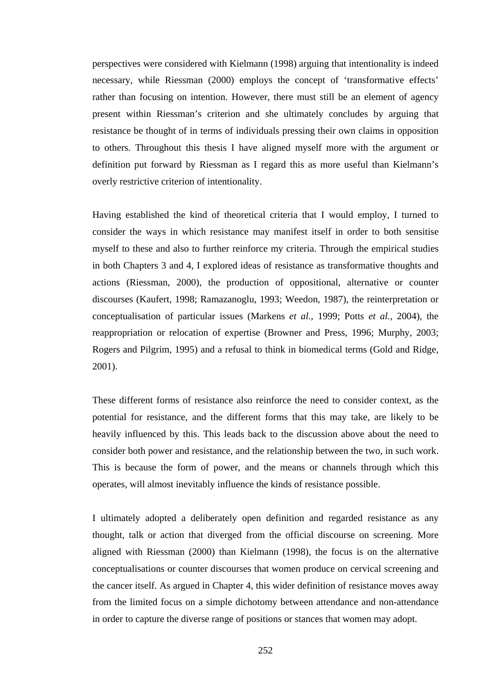perspectives were considered with Kielmann (1998) arguing that intentionality is indeed necessary, while Riessman (2000) employs the concept of 'transformative effects' rather than focusing on intention. However, there must still be an element of agency present within Riessman's criterion and she ultimately concludes by arguing that resistance be thought of in terms of individuals pressing their own claims in opposition to others. Throughout this thesis I have aligned myself more with the argument or definition put forward by Riessman as I regard this as more useful than Kielmann's overly restrictive criterion of intentionality.

Having established the kind of theoretical criteria that I would employ, I turned to consider the ways in which resistance may manifest itself in order to both sensitise myself to these and also to further reinforce my criteria. Through the empirical studies in both Chapters 3 and 4, I explored ideas of resistance as transformative thoughts and actions (Riessman, 2000), the production of oppositional, alternative or counter discourses (Kaufert, 1998; Ramazanoglu, 1993; Weedon, 1987), the reinterpretation or conceptualisation of particular issues (Markens *et al.*, 1999; Potts *et al.*, 2004), the reappropriation or relocation of expertise (Browner and Press, 1996; Murphy, 2003; Rogers and Pilgrim, 1995) and a refusal to think in biomedical terms (Gold and Ridge, 2001).

These different forms of resistance also reinforce the need to consider context, as the potential for resistance, and the different forms that this may take, are likely to be heavily influenced by this. This leads back to the discussion above about the need to consider both power and resistance, and the relationship between the two, in such work. This is because the form of power, and the means or channels through which this operates, will almost inevitably influence the kinds of resistance possible.

I ultimately adopted a deliberately open definition and regarded resistance as any thought, talk or action that diverged from the official discourse on screening. More aligned with Riessman (2000) than Kielmann (1998), the focus is on the alternative conceptualisations or counter discourses that women produce on cervical screening and the cancer itself. As argued in Chapter 4, this wider definition of resistance moves away from the limited focus on a simple dichotomy between attendance and non-attendance in order to capture the diverse range of positions or stances that women may adopt.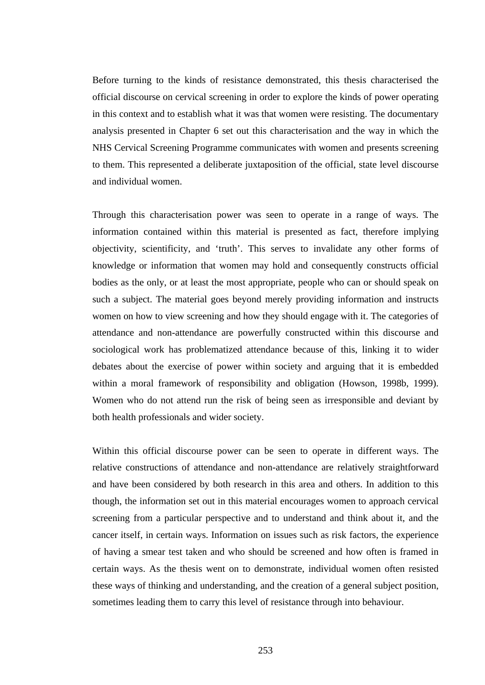Before turning to the kinds of resistance demonstrated, this thesis characterised the official discourse on cervical screening in order to explore the kinds of power operating in this context and to establish what it was that women were resisting. The documentary analysis presented in Chapter 6 set out this characterisation and the way in which the NHS Cervical Screening Programme communicates with women and presents screening to them. This represented a deliberate juxtaposition of the official, state level discourse and individual women.

Through this characterisation power was seen to operate in a range of ways. The information contained within this material is presented as fact, therefore implying objectivity, scientificity, and 'truth'. This serves to invalidate any other forms of knowledge or information that women may hold and consequently constructs official bodies as the only, or at least the most appropriate, people who can or should speak on such a subject. The material goes beyond merely providing information and instructs women on how to view screening and how they should engage with it. The categories of attendance and non-attendance are powerfully constructed within this discourse and sociological work has problematized attendance because of this, linking it to wider debates about the exercise of power within society and arguing that it is embedded within a moral framework of responsibility and obligation (Howson, 1998b, 1999). Women who do not attend run the risk of being seen as irresponsible and deviant by both health professionals and wider society.

Within this official discourse power can be seen to operate in different ways. The relative constructions of attendance and non-attendance are relatively straightforward and have been considered by both research in this area and others. In addition to this though, the information set out in this material encourages women to approach cervical screening from a particular perspective and to understand and think about it, and the cancer itself, in certain ways. Information on issues such as risk factors, the experience of having a smear test taken and who should be screened and how often is framed in certain ways. As the thesis went on to demonstrate, individual women often resisted these ways of thinking and understanding, and the creation of a general subject position, sometimes leading them to carry this level of resistance through into behaviour.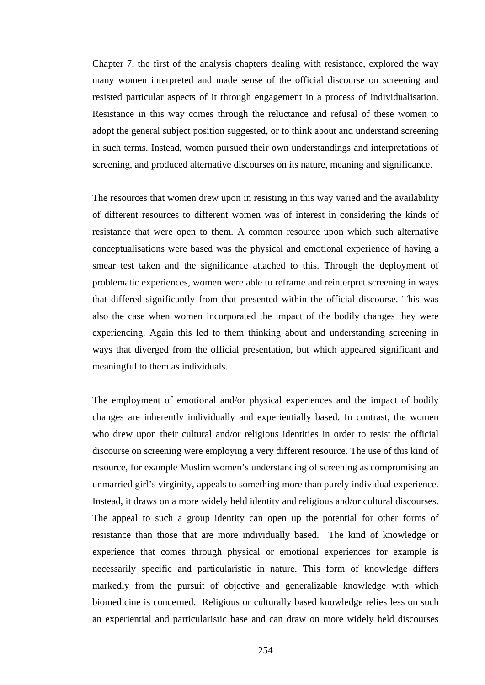Chapter 7, the first of the analysis chapters dealing with resistance, explored the way many women interpreted and made sense of the official discourse on screening and resisted particular aspects of it through engagement in a process of individualisation. Resistance in this way comes through the reluctance and refusal of these women to adopt the general subject position suggested, or to think about and understand screening in such terms. Instead, women pursued their own understandings and interpretations of screening, and produced alternative discourses on its nature, meaning and significance.

The resources that women drew upon in resisting in this way varied and the availability of different resources to different women was of interest in considering the kinds of resistance that were open to them. A common resource upon which such alternative conceptualisations were based was the physical and emotional experience of having a smear test taken and the significance attached to this. Through the deployment of problematic experiences, women were able to reframe and reinterpret screening in ways that differed significantly from that presented within the official discourse. This was also the case when women incorporated the impact of the bodily changes they were experiencing. Again this led to them thinking about and understanding screening in ways that diverged from the official presentation, but which appeared significant and meaningful to them as individuals.

The employment of emotional and/or physical experiences and the impact of bodily changes are inherently individually and experientially based. In contrast, the women who drew upon their cultural and/or religious identities in order to resist the official discourse on screening were employing a very different resource. The use of this kind of resource, for example Muslim women's understanding of screening as compromising an unmarried girl's virginity, appeals to something more than purely individual experience. Instead, it draws on a more widely held identity and religious and/or cultural discourses. The appeal to such a group identity can open up the potential for other forms of resistance than those that are more individually based. The kind of knowledge or experience that comes through physical or emotional experiences for example is necessarily specific and particularistic in nature. This form of knowledge differs markedly from the pursuit of objective and generalizable knowledge with which biomedicine is concerned. Religious or culturally based knowledge relies less on such an experiential and particularistic base and can draw on more widely held discourses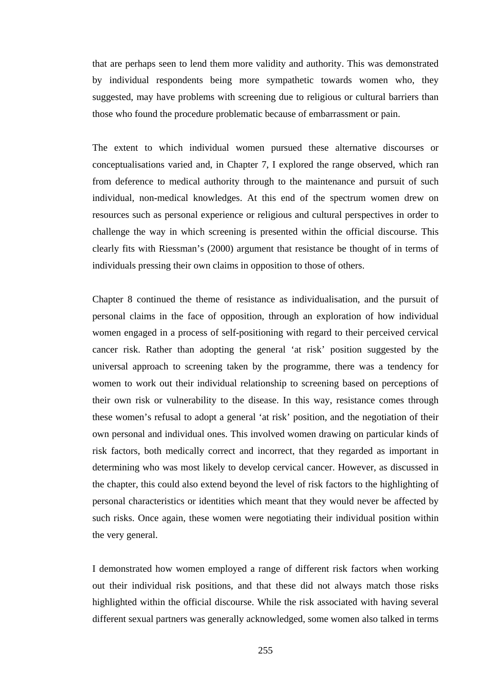that are perhaps seen to lend them more validity and authority. This was demonstrated by individual respondents being more sympathetic towards women who, they suggested, may have problems with screening due to religious or cultural barriers than those who found the procedure problematic because of embarrassment or pain.

The extent to which individual women pursued these alternative discourses or conceptualisations varied and, in Chapter 7, I explored the range observed, which ran from deference to medical authority through to the maintenance and pursuit of such individual, non-medical knowledges. At this end of the spectrum women drew on resources such as personal experience or religious and cultural perspectives in order to challenge the way in which screening is presented within the official discourse. This clearly fits with Riessman's (2000) argument that resistance be thought of in terms of individuals pressing their own claims in opposition to those of others.

Chapter 8 continued the theme of resistance as individualisation, and the pursuit of personal claims in the face of opposition, through an exploration of how individual women engaged in a process of self-positioning with regard to their perceived cervical cancer risk. Rather than adopting the general 'at risk' position suggested by the universal approach to screening taken by the programme, there was a tendency for women to work out their individual relationship to screening based on perceptions of their own risk or vulnerability to the disease. In this way, resistance comes through these women's refusal to adopt a general 'at risk' position, and the negotiation of their own personal and individual ones. This involved women drawing on particular kinds of risk factors, both medically correct and incorrect, that they regarded as important in determining who was most likely to develop cervical cancer. However, as discussed in the chapter, this could also extend beyond the level of risk factors to the highlighting of personal characteristics or identities which meant that they would never be affected by such risks. Once again, these women were negotiating their individual position within the very general.

I demonstrated how women employed a range of different risk factors when working out their individual risk positions, and that these did not always match those risks highlighted within the official discourse. While the risk associated with having several different sexual partners was generally acknowledged, some women also talked in terms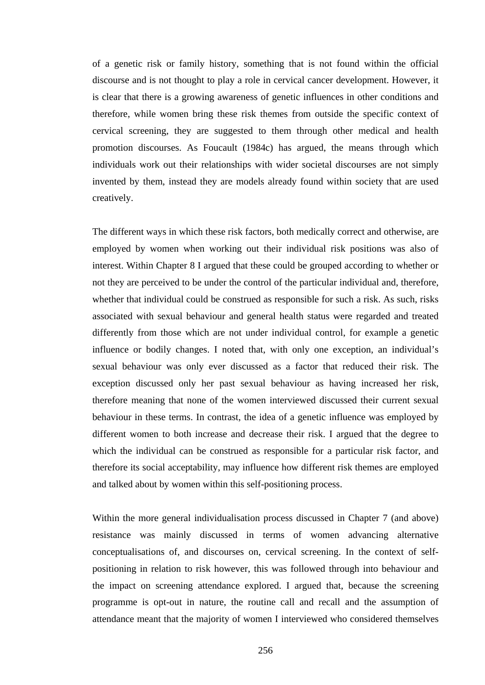of a genetic risk or family history, something that is not found within the official discourse and is not thought to play a role in cervical cancer development. However, it is clear that there is a growing awareness of genetic influences in other conditions and therefore, while women bring these risk themes from outside the specific context of cervical screening, they are suggested to them through other medical and health promotion discourses. As Foucault (1984c) has argued, the means through which individuals work out their relationships with wider societal discourses are not simply invented by them, instead they are models already found within society that are used creatively.

The different ways in which these risk factors, both medically correct and otherwise, are employed by women when working out their individual risk positions was also of interest. Within Chapter 8 I argued that these could be grouped according to whether or not they are perceived to be under the control of the particular individual and, therefore, whether that individual could be construed as responsible for such a risk. As such, risks associated with sexual behaviour and general health status were regarded and treated differently from those which are not under individual control, for example a genetic influence or bodily changes. I noted that, with only one exception, an individual's sexual behaviour was only ever discussed as a factor that reduced their risk. The exception discussed only her past sexual behaviour as having increased her risk, therefore meaning that none of the women interviewed discussed their current sexual behaviour in these terms. In contrast, the idea of a genetic influence was employed by different women to both increase and decrease their risk. I argued that the degree to which the individual can be construed as responsible for a particular risk factor, and therefore its social acceptability, may influence how different risk themes are employed and talked about by women within this self-positioning process.

Within the more general individualisation process discussed in Chapter 7 (and above) resistance was mainly discussed in terms of women advancing alternative conceptualisations of, and discourses on, cervical screening. In the context of selfpositioning in relation to risk however, this was followed through into behaviour and the impact on screening attendance explored. I argued that, because the screening programme is opt-out in nature, the routine call and recall and the assumption of attendance meant that the majority of women I interviewed who considered themselves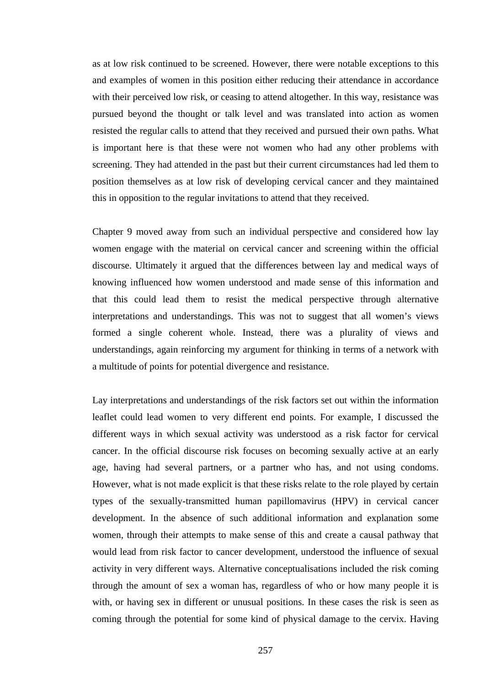as at low risk continued to be screened. However, there were notable exceptions to this and examples of women in this position either reducing their attendance in accordance with their perceived low risk, or ceasing to attend altogether. In this way, resistance was pursued beyond the thought or talk level and was translated into action as women resisted the regular calls to attend that they received and pursued their own paths. What is important here is that these were not women who had any other problems with screening. They had attended in the past but their current circumstances had led them to position themselves as at low risk of developing cervical cancer and they maintained this in opposition to the regular invitations to attend that they received.

Chapter 9 moved away from such an individual perspective and considered how lay women engage with the material on cervical cancer and screening within the official discourse. Ultimately it argued that the differences between lay and medical ways of knowing influenced how women understood and made sense of this information and that this could lead them to resist the medical perspective through alternative interpretations and understandings. This was not to suggest that all women's views formed a single coherent whole. Instead, there was a plurality of views and understandings, again reinforcing my argument for thinking in terms of a network with a multitude of points for potential divergence and resistance.

Lay interpretations and understandings of the risk factors set out within the information leaflet could lead women to very different end points. For example, I discussed the different ways in which sexual activity was understood as a risk factor for cervical cancer. In the official discourse risk focuses on becoming sexually active at an early age, having had several partners, or a partner who has, and not using condoms. However, what is not made explicit is that these risks relate to the role played by certain types of the sexually-transmitted human papillomavirus (HPV) in cervical cancer development. In the absence of such additional information and explanation some women, through their attempts to make sense of this and create a causal pathway that would lead from risk factor to cancer development, understood the influence of sexual activity in very different ways. Alternative conceptualisations included the risk coming through the amount of sex a woman has, regardless of who or how many people it is with, or having sex in different or unusual positions. In these cases the risk is seen as coming through the potential for some kind of physical damage to the cervix. Having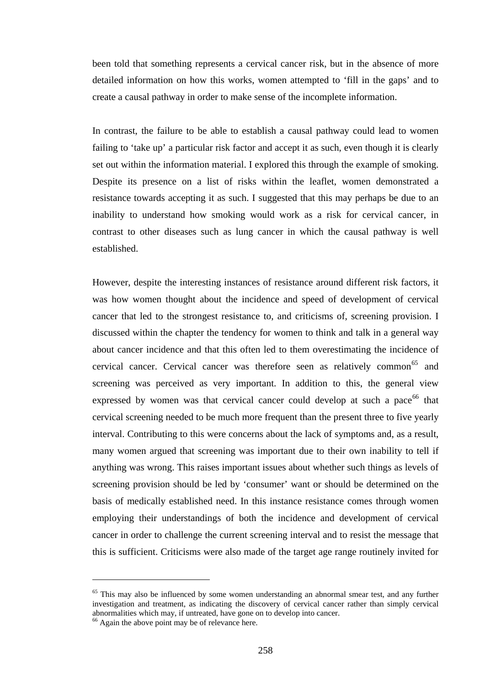been told that something represents a cervical cancer risk, but in the absence of more detailed information on how this works, women attempted to 'fill in the gaps' and to create a causal pathway in order to make sense of the incomplete information.

In contrast, the failure to be able to establish a causal pathway could lead to women failing to 'take up' a particular risk factor and accept it as such, even though it is clearly set out within the information material. I explored this through the example of smoking. Despite its presence on a list of risks within the leaflet, women demonstrated a resistance towards accepting it as such. I suggested that this may perhaps be due to an inability to understand how smoking would work as a risk for cervical cancer, in contrast to other diseases such as lung cancer in which the causal pathway is well established.

However, despite the interesting instances of resistance around different risk factors, it was how women thought about the incidence and speed of development of cervical cancer that led to the strongest resistance to, and criticisms of, screening provision. I discussed within the chapter the tendency for women to think and talk in a general way about cancer incidence and that this often led to them overestimating the incidence of cervical cancer. Cervical cancer was therefore seen as relatively common<sup>[65](#page-258-0)</sup> and screening was perceived as very important. In addition to this, the general view expressed by women was that cervical cancer could develop at such a pace<sup>[66](#page-258-1)</sup> that cervical screening needed to be much more frequent than the present three to five yearly interval. Contributing to this were concerns about the lack of symptoms and, as a result, many women argued that screening was important due to their own inability to tell if anything was wrong. This raises important issues about whether such things as levels of screening provision should be led by 'consumer' want or should be determined on the basis of medically established need. In this instance resistance comes through women employing their understandings of both the incidence and development of cervical cancer in order to challenge the current screening interval and to resist the message that this is sufficient. Criticisms were also made of the target age range routinely invited for

 $\overline{a}$ 

<span id="page-258-0"></span><sup>&</sup>lt;sup>65</sup> This may also be influenced by some women understanding an abnormal smear test, and any further investigation and treatment, as indicating the discovery of cervical cancer rather than simply cervical abnormalities which may, if untreated, have gone on to develop into cancer.

<span id="page-258-1"></span><sup>66</sup> Again the above point may be of relevance here.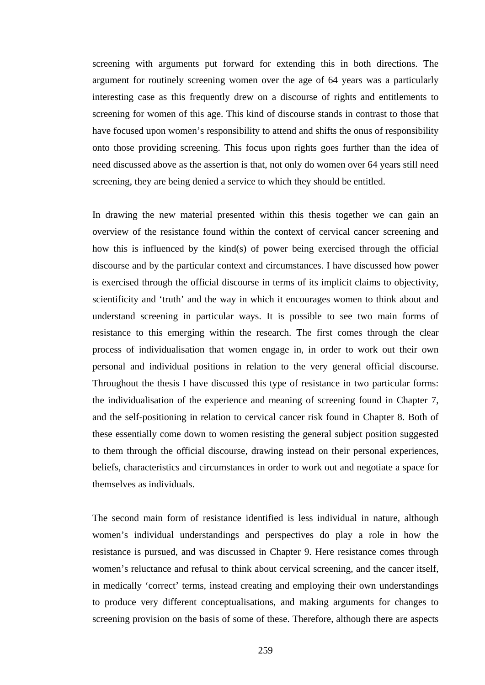screening with arguments put forward for extending this in both directions. The argument for routinely screening women over the age of 64 years was a particularly interesting case as this frequently drew on a discourse of rights and entitlements to screening for women of this age. This kind of discourse stands in contrast to those that have focused upon women's responsibility to attend and shifts the onus of responsibility onto those providing screening. This focus upon rights goes further than the idea of need discussed above as the assertion is that, not only do women over 64 years still need screening, they are being denied a service to which they should be entitled.

In drawing the new material presented within this thesis together we can gain an overview of the resistance found within the context of cervical cancer screening and how this is influenced by the kind(s) of power being exercised through the official discourse and by the particular context and circumstances. I have discussed how power is exercised through the official discourse in terms of its implicit claims to objectivity, scientificity and 'truth' and the way in which it encourages women to think about and understand screening in particular ways. It is possible to see two main forms of resistance to this emerging within the research. The first comes through the clear process of individualisation that women engage in, in order to work out their own personal and individual positions in relation to the very general official discourse. Throughout the thesis I have discussed this type of resistance in two particular forms: the individualisation of the experience and meaning of screening found in Chapter 7, and the self-positioning in relation to cervical cancer risk found in Chapter 8. Both of these essentially come down to women resisting the general subject position suggested to them through the official discourse, drawing instead on their personal experiences, beliefs, characteristics and circumstances in order to work out and negotiate a space for themselves as individuals.

The second main form of resistance identified is less individual in nature, although women's individual understandings and perspectives do play a role in how the resistance is pursued, and was discussed in Chapter 9. Here resistance comes through women's reluctance and refusal to think about cervical screening, and the cancer itself, in medically 'correct' terms, instead creating and employing their own understandings to produce very different conceptualisations, and making arguments for changes to screening provision on the basis of some of these. Therefore, although there are aspects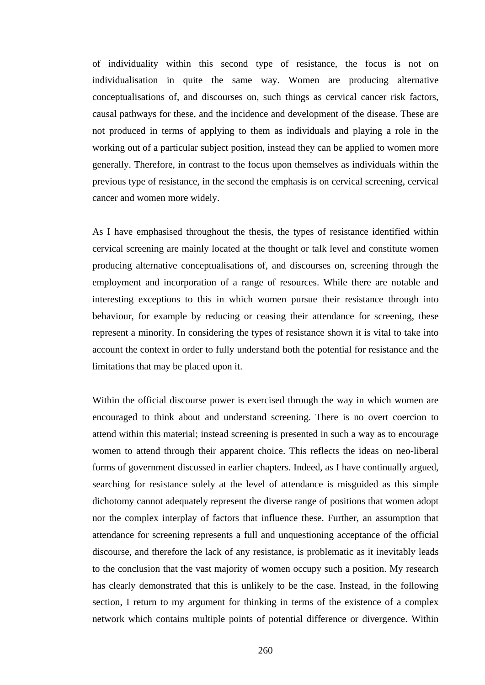of individuality within this second type of resistance, the focus is not on individualisation in quite the same way. Women are producing alternative conceptualisations of, and discourses on, such things as cervical cancer risk factors, causal pathways for these, and the incidence and development of the disease. These are not produced in terms of applying to them as individuals and playing a role in the working out of a particular subject position, instead they can be applied to women more generally. Therefore, in contrast to the focus upon themselves as individuals within the previous type of resistance, in the second the emphasis is on cervical screening, cervical cancer and women more widely.

As I have emphasised throughout the thesis, the types of resistance identified within cervical screening are mainly located at the thought or talk level and constitute women producing alternative conceptualisations of, and discourses on, screening through the employment and incorporation of a range of resources. While there are notable and interesting exceptions to this in which women pursue their resistance through into behaviour, for example by reducing or ceasing their attendance for screening, these represent a minority. In considering the types of resistance shown it is vital to take into account the context in order to fully understand both the potential for resistance and the limitations that may be placed upon it.

Within the official discourse power is exercised through the way in which women are encouraged to think about and understand screening. There is no overt coercion to attend within this material; instead screening is presented in such a way as to encourage women to attend through their apparent choice. This reflects the ideas on neo-liberal forms of government discussed in earlier chapters. Indeed, as I have continually argued, searching for resistance solely at the level of attendance is misguided as this simple dichotomy cannot adequately represent the diverse range of positions that women adopt nor the complex interplay of factors that influence these. Further, an assumption that attendance for screening represents a full and unquestioning acceptance of the official discourse, and therefore the lack of any resistance, is problematic as it inevitably leads to the conclusion that the vast majority of women occupy such a position. My research has clearly demonstrated that this is unlikely to be the case. Instead, in the following section, I return to my argument for thinking in terms of the existence of a complex network which contains multiple points of potential difference or divergence. Within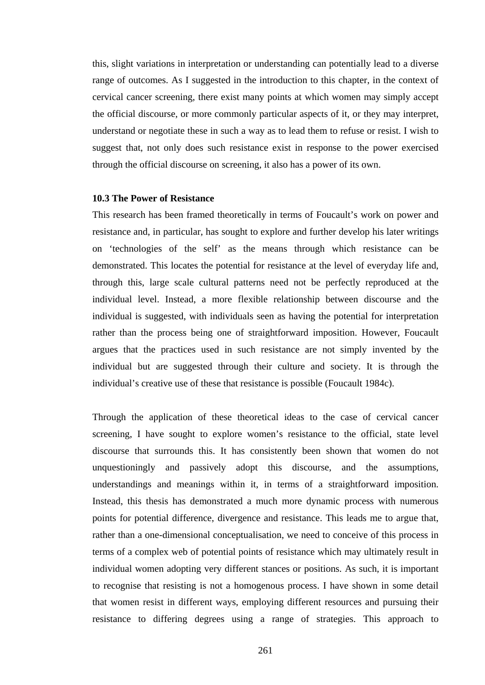this, slight variations in interpretation or understanding can potentially lead to a diverse range of outcomes. As I suggested in the introduction to this chapter, in the context of cervical cancer screening, there exist many points at which women may simply accept the official discourse, or more commonly particular aspects of it, or they may interpret, understand or negotiate these in such a way as to lead them to refuse or resist. I wish to suggest that, not only does such resistance exist in response to the power exercised through the official discourse on screening, it also has a power of its own.

## **10.3 The Power of Resistance**

This research has been framed theoretically in terms of Foucault's work on power and resistance and, in particular, has sought to explore and further develop his later writings on 'technologies of the self' as the means through which resistance can be demonstrated. This locates the potential for resistance at the level of everyday life and, through this, large scale cultural patterns need not be perfectly reproduced at the individual level. Instead, a more flexible relationship between discourse and the individual is suggested, with individuals seen as having the potential for interpretation rather than the process being one of straightforward imposition. However, Foucault argues that the practices used in such resistance are not simply invented by the individual but are suggested through their culture and society. It is through the individual's creative use of these that resistance is possible (Foucault 1984c).

Through the application of these theoretical ideas to the case of cervical cancer screening, I have sought to explore women's resistance to the official, state level discourse that surrounds this. It has consistently been shown that women do not unquestioningly and passively adopt this discourse, and the assumptions, understandings and meanings within it, in terms of a straightforward imposition. Instead, this thesis has demonstrated a much more dynamic process with numerous points for potential difference, divergence and resistance. This leads me to argue that, rather than a one-dimensional conceptualisation, we need to conceive of this process in terms of a complex web of potential points of resistance which may ultimately result in individual women adopting very different stances or positions. As such, it is important to recognise that resisting is not a homogenous process. I have shown in some detail that women resist in different ways, employing different resources and pursuing their resistance to differing degrees using a range of strategies. This approach to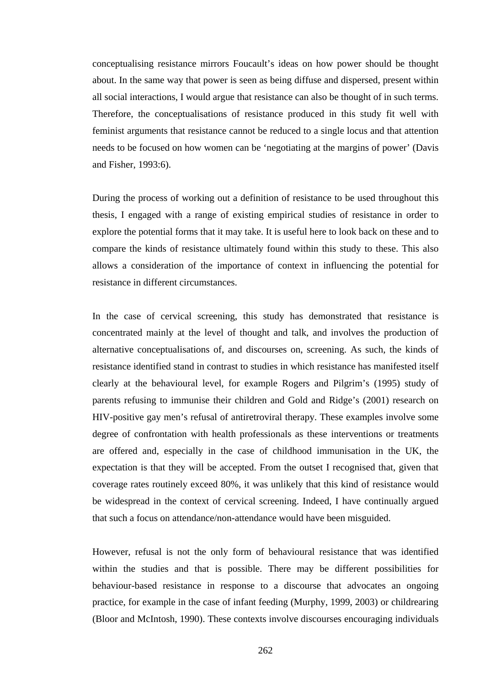conceptualising resistance mirrors Foucault's ideas on how power should be thought about. In the same way that power is seen as being diffuse and dispersed, present within all social interactions, I would argue that resistance can also be thought of in such terms. Therefore, the conceptualisations of resistance produced in this study fit well with feminist arguments that resistance cannot be reduced to a single locus and that attention needs to be focused on how women can be 'negotiating at the margins of power' (Davis and Fisher, 1993:6).

During the process of working out a definition of resistance to be used throughout this thesis, I engaged with a range of existing empirical studies of resistance in order to explore the potential forms that it may take. It is useful here to look back on these and to compare the kinds of resistance ultimately found within this study to these. This also allows a consideration of the importance of context in influencing the potential for resistance in different circumstances.

In the case of cervical screening, this study has demonstrated that resistance is concentrated mainly at the level of thought and talk, and involves the production of alternative conceptualisations of, and discourses on, screening. As such, the kinds of resistance identified stand in contrast to studies in which resistance has manifested itself clearly at the behavioural level, for example Rogers and Pilgrim's (1995) study of parents refusing to immunise their children and Gold and Ridge's (2001) research on HIV-positive gay men's refusal of antiretroviral therapy. These examples involve some degree of confrontation with health professionals as these interventions or treatments are offered and, especially in the case of childhood immunisation in the UK, the expectation is that they will be accepted. From the outset I recognised that, given that coverage rates routinely exceed 80%, it was unlikely that this kind of resistance would be widespread in the context of cervical screening. Indeed, I have continually argued that such a focus on attendance/non-attendance would have been misguided.

However, refusal is not the only form of behavioural resistance that was identified within the studies and that is possible. There may be different possibilities for behaviour-based resistance in response to a discourse that advocates an ongoing practice, for example in the case of infant feeding (Murphy, 1999, 2003) or childrearing (Bloor and McIntosh, 1990). These contexts involve discourses encouraging individuals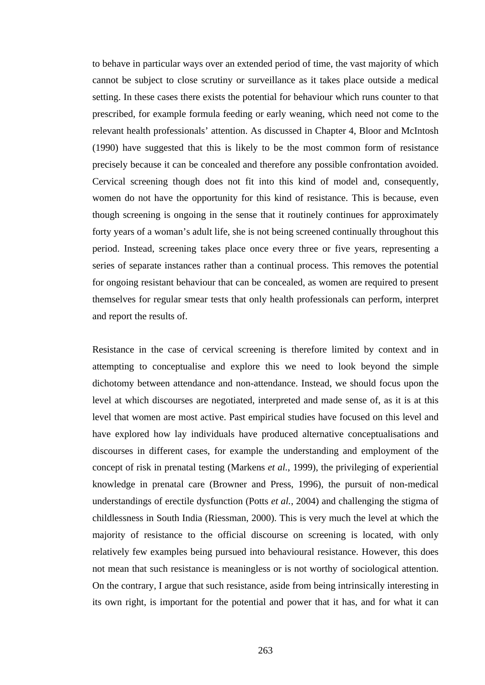to behave in particular ways over an extended period of time, the vast majority of which cannot be subject to close scrutiny or surveillance as it takes place outside a medical setting. In these cases there exists the potential for behaviour which runs counter to that prescribed, for example formula feeding or early weaning, which need not come to the relevant health professionals' attention. As discussed in Chapter 4, Bloor and McIntosh (1990) have suggested that this is likely to be the most common form of resistance precisely because it can be concealed and therefore any possible confrontation avoided. Cervical screening though does not fit into this kind of model and, consequently, women do not have the opportunity for this kind of resistance. This is because, even though screening is ongoing in the sense that it routinely continues for approximately forty years of a woman's adult life, she is not being screened continually throughout this period. Instead, screening takes place once every three or five years, representing a series of separate instances rather than a continual process. This removes the potential for ongoing resistant behaviour that can be concealed, as women are required to present themselves for regular smear tests that only health professionals can perform, interpret and report the results of.

Resistance in the case of cervical screening is therefore limited by context and in attempting to conceptualise and explore this we need to look beyond the simple dichotomy between attendance and non-attendance. Instead, we should focus upon the level at which discourses are negotiated, interpreted and made sense of, as it is at this level that women are most active. Past empirical studies have focused on this level and have explored how lay individuals have produced alternative conceptualisations and discourses in different cases, for example the understanding and employment of the concept of risk in prenatal testing (Markens *et al.*, 1999), the privileging of experiential knowledge in prenatal care (Browner and Press, 1996), the pursuit of non-medical understandings of erectile dysfunction (Potts *et al.*, 2004) and challenging the stigma of childlessness in South India (Riessman, 2000). This is very much the level at which the majority of resistance to the official discourse on screening is located, with only relatively few examples being pursued into behavioural resistance. However, this does not mean that such resistance is meaningless or is not worthy of sociological attention. On the contrary, I argue that such resistance, aside from being intrinsically interesting in its own right, is important for the potential and power that it has, and for what it can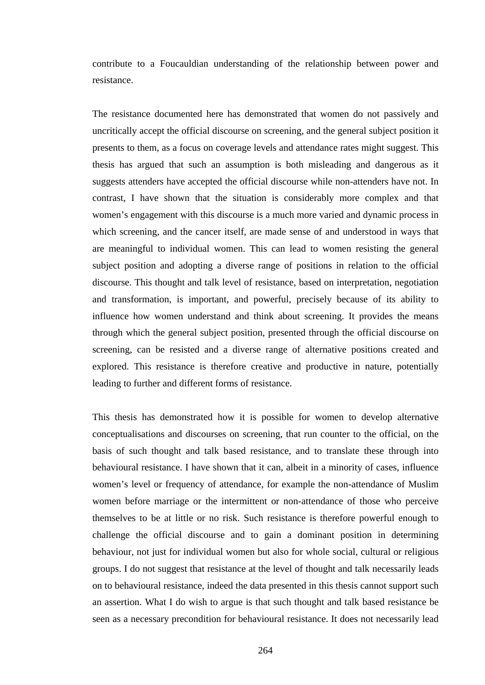contribute to a Foucauldian understanding of the relationship between power and resistance.

The resistance documented here has demonstrated that women do not passively and uncritically accept the official discourse on screening, and the general subject position it presents to them, as a focus on coverage levels and attendance rates might suggest. This thesis has argued that such an assumption is both misleading and dangerous as it suggests attenders have accepted the official discourse while non-attenders have not. In contrast, I have shown that the situation is considerably more complex and that women's engagement with this discourse is a much more varied and dynamic process in which screening, and the cancer itself, are made sense of and understood in ways that are meaningful to individual women. This can lead to women resisting the general subject position and adopting a diverse range of positions in relation to the official discourse. This thought and talk level of resistance, based on interpretation, negotiation and transformation, is important, and powerful, precisely because of its ability to influence how women understand and think about screening. It provides the means through which the general subject position, presented through the official discourse on screening, can be resisted and a diverse range of alternative positions created and explored. This resistance is therefore creative and productive in nature, potentially leading to further and different forms of resistance.

This thesis has demonstrated how it is possible for women to develop alternative conceptualisations and discourses on screening, that run counter to the official, on the basis of such thought and talk based resistance, and to translate these through into behavioural resistance. I have shown that it can, albeit in a minority of cases, influence women's level or frequency of attendance, for example the non-attendance of Muslim women before marriage or the intermittent or non-attendance of those who perceive themselves to be at little or no risk. Such resistance is therefore powerful enough to challenge the official discourse and to gain a dominant position in determining behaviour, not just for individual women but also for whole social, cultural or religious groups. I do not suggest that resistance at the level of thought and talk necessarily leads on to behavioural resistance, indeed the data presented in this thesis cannot support such an assertion. What I do wish to argue is that such thought and talk based resistance be seen as a necessary precondition for behavioural resistance. It does not necessarily lead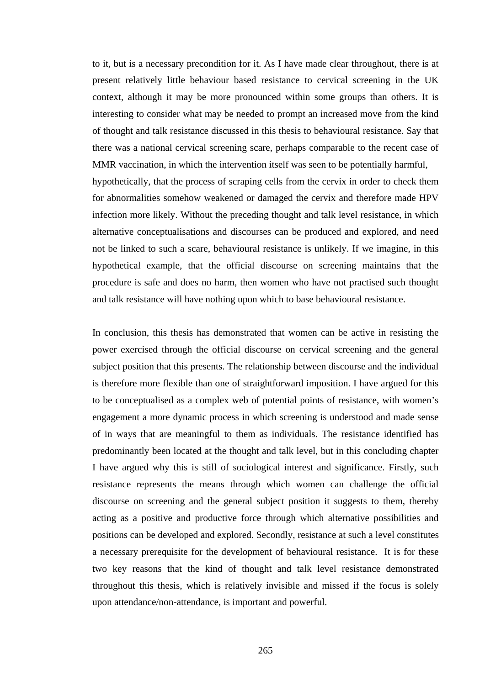to it, but is a necessary precondition for it. As I have made clear throughout, there is at present relatively little behaviour based resistance to cervical screening in the UK context, although it may be more pronounced within some groups than others. It is interesting to consider what may be needed to prompt an increased move from the kind of thought and talk resistance discussed in this thesis to behavioural resistance. Say that there was a national cervical screening scare, perhaps comparable to the recent case of MMR vaccination, in which the intervention itself was seen to be potentially harmful, hypothetically, that the process of scraping cells from the cervix in order to check them for abnormalities somehow weakened or damaged the cervix and therefore made HPV infection more likely. Without the preceding thought and talk level resistance, in which alternative conceptualisations and discourses can be produced and explored, and need not be linked to such a scare, behavioural resistance is unlikely. If we imagine, in this hypothetical example, that the official discourse on screening maintains that the procedure is safe and does no harm, then women who have not practised such thought and talk resistance will have nothing upon which to base behavioural resistance.

In conclusion, this thesis has demonstrated that women can be active in resisting the power exercised through the official discourse on cervical screening and the general subject position that this presents. The relationship between discourse and the individual is therefore more flexible than one of straightforward imposition. I have argued for this to be conceptualised as a complex web of potential points of resistance, with women's engagement a more dynamic process in which screening is understood and made sense of in ways that are meaningful to them as individuals. The resistance identified has predominantly been located at the thought and talk level, but in this concluding chapter I have argued why this is still of sociological interest and significance. Firstly, such resistance represents the means through which women can challenge the official discourse on screening and the general subject position it suggests to them, thereby acting as a positive and productive force through which alternative possibilities and positions can be developed and explored. Secondly, resistance at such a level constitutes a necessary prerequisite for the development of behavioural resistance. It is for these two key reasons that the kind of thought and talk level resistance demonstrated throughout this thesis, which is relatively invisible and missed if the focus is solely upon attendance/non-attendance, is important and powerful.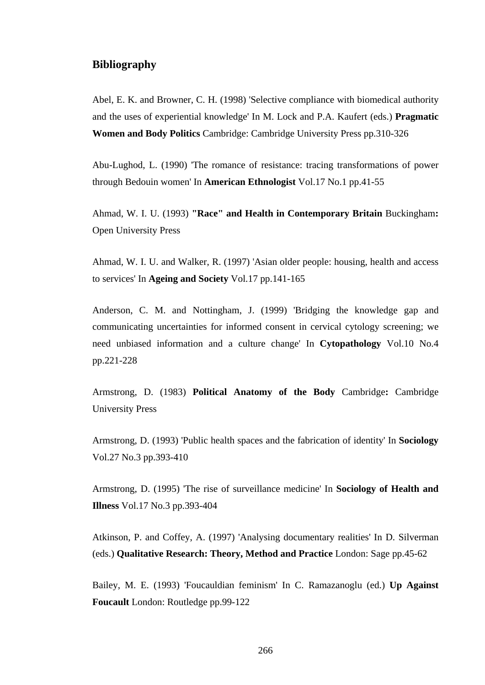## **Bibliography**

Abel, E. K. and Browner, C. H. (1998) 'Selective compliance with biomedical authority and the uses of experiential knowledge' In M. Lock and P.A. Kaufert (eds.) **Pragmatic Women and Body Politics** Cambridge: Cambridge University Press pp.310-326

Abu-Lughod, L. (1990) 'The romance of resistance: tracing transformations of power through Bedouin women' In **American Ethnologist** Vol.17 No.1 pp.41-55

Ahmad, W. I. U. (1993) **"Race" and Health in Contemporary Britain** Buckingham**:**  Open University Press

Ahmad, W. I. U. and Walker, R. (1997) 'Asian older people: housing, health and access to services' In **Ageing and Society** Vol.17 pp.141-165

Anderson, C. M. and Nottingham, J. (1999) 'Bridging the knowledge gap and communicating uncertainties for informed consent in cervical cytology screening; we need unbiased information and a culture change' In **Cytopathology** Vol.10 No.4 pp.221-228

Armstrong, D. (1983) **Political Anatomy of the Body** Cambridge**:** Cambridge University Press

Armstrong, D. (1993) 'Public health spaces and the fabrication of identity' In **Sociology**  Vol.27 No.3 pp.393-410

Armstrong, D. (1995) 'The rise of surveillance medicine' In **Sociology of Health and Illness** Vol.17 No.3 pp.393-404

Atkinson, P. and Coffey, A. (1997) 'Analysing documentary realities' In D. Silverman (eds.) **Qualitative Research: Theory, Method and Practice** London: Sage pp.45-62

Bailey, M. E. (1993) 'Foucauldian feminism' In C. Ramazanoglu (ed.) **Up Against Foucault** London: Routledge pp.99-122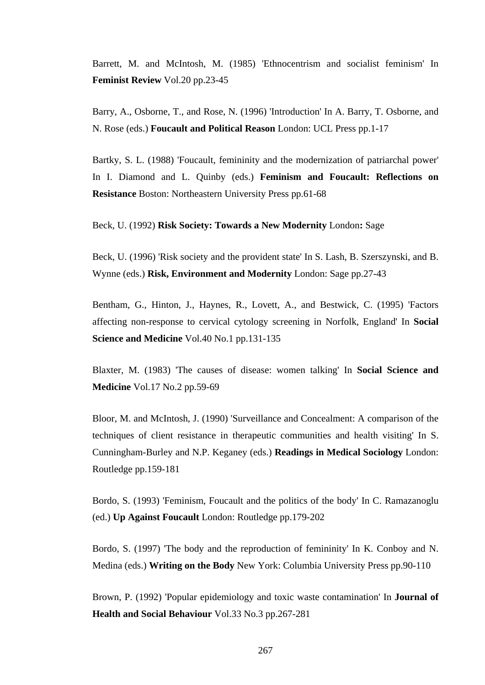Barrett, M. and McIntosh, M. (1985) 'Ethnocentrism and socialist feminism' In **Feminist Review** Vol.20 pp.23-45

Barry, A., Osborne, T., and Rose, N. (1996) 'Introduction' In A. Barry, T. Osborne, and N. Rose (eds.) **Foucault and Political Reason** London: UCL Press pp.1-17

Bartky, S. L. (1988) 'Foucault, femininity and the modernization of patriarchal power' In I. Diamond and L. Quinby (eds.) **Feminism and Foucault: Reflections on Resistance** Boston: Northeastern University Press pp.61-68

Beck, U. (1992) **Risk Society: Towards a New Modernity** London**:** Sage

Beck, U. (1996) 'Risk society and the provident state' In S. Lash, B. Szerszynski, and B. Wynne (eds.) **Risk, Environment and Modernity** London: Sage pp.27-43

Bentham, G., Hinton, J., Haynes, R., Lovett, A., and Bestwick, C. (1995) 'Factors affecting non-response to cervical cytology screening in Norfolk, England' In **Social Science and Medicine** Vol.40 No.1 pp.131-135

Blaxter, M. (1983) 'The causes of disease: women talking' In **Social Science and Medicine** Vol.17 No.2 pp.59-69

Bloor, M. and McIntosh, J. (1990) 'Surveillance and Concealment: A comparison of the techniques of client resistance in therapeutic communities and health visiting' In S. Cunningham-Burley and N.P. Keganey (eds.) **Readings in Medical Sociology** London: Routledge pp.159-181

Bordo, S. (1993) 'Feminism, Foucault and the politics of the body' In C. Ramazanoglu (ed.) **Up Against Foucault** London: Routledge pp.179-202

Bordo, S. (1997) 'The body and the reproduction of femininity' In K. Conboy and N. Medina (eds.) **Writing on the Body** New York: Columbia University Press pp.90-110

Brown, P. (1992) 'Popular epidemiology and toxic waste contamination' In **Journal of Health and Social Behaviour** Vol.33 No.3 pp.267-281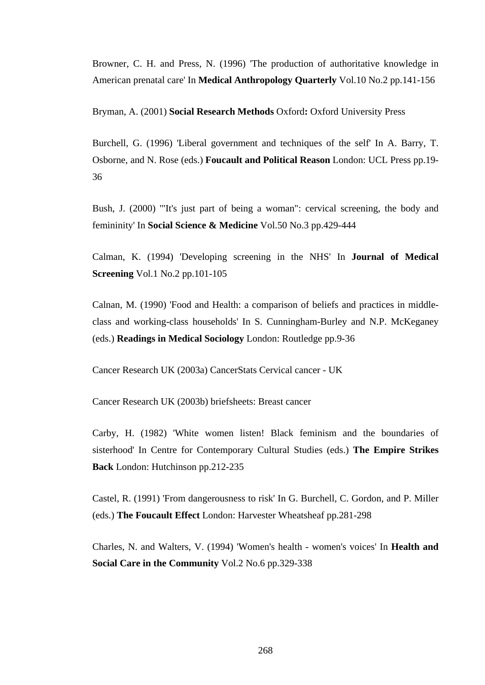Browner, C. H. and Press, N. (1996) 'The production of authoritative knowledge in American prenatal care' In **Medical Anthropology Quarterly** Vol.10 No.2 pp.141-156

Bryman, A. (2001) **Social Research Methods** Oxford**:** Oxford University Press

Burchell, G. (1996) 'Liberal government and techniques of the self' In A. Barry, T. Osborne, and N. Rose (eds.) **Foucault and Political Reason** London: UCL Press pp.19- 36

Bush, J. (2000) '"It's just part of being a woman": cervical screening, the body and femininity' In **Social Science & Medicine** Vol.50 No.3 pp.429-444

Calman, K. (1994) 'Developing screening in the NHS' In **Journal of Medical Screening** Vol.1 No.2 pp.101-105

Calnan, M. (1990) 'Food and Health: a comparison of beliefs and practices in middleclass and working-class households' In S. Cunningham-Burley and N.P. McKeganey (eds.) **Readings in Medical Sociology** London: Routledge pp.9-36

Cancer Research UK (2003a) CancerStats Cervical cancer - UK

Cancer Research UK (2003b) briefsheets: Breast cancer

Carby, H. (1982) 'White women listen! Black feminism and the boundaries of sisterhood' In Centre for Contemporary Cultural Studies (eds.) **The Empire Strikes Back** London: Hutchinson pp.212-235

Castel, R. (1991) 'From dangerousness to risk' In G. Burchell, C. Gordon, and P. Miller (eds.) **The Foucault Effect** London: Harvester Wheatsheaf pp.281-298

Charles, N. and Walters, V. (1994) 'Women's health - women's voices' In **Health and Social Care in the Community** Vol.2 No.6 pp.329-338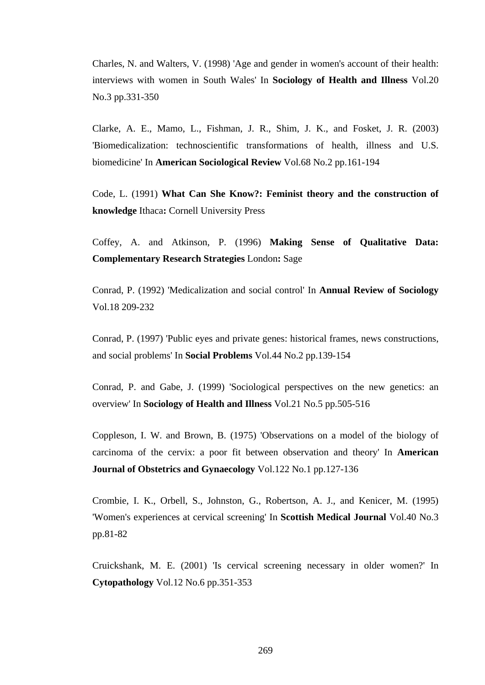Charles, N. and Walters, V. (1998) 'Age and gender in women's account of their health: interviews with women in South Wales' In **Sociology of Health and Illness** Vol.20 No.3 pp.331-350

Clarke, A. E., Mamo, L., Fishman, J. R., Shim, J. K., and Fosket, J. R. (2003) 'Biomedicalization: technoscientific transformations of health, illness and U.S. biomedicine' In **American Sociological Review** Vol.68 No.2 pp.161-194

Code, L. (1991) **What Can She Know?: Feminist theory and the construction of knowledge** Ithaca**:** Cornell University Press

Coffey, A. and Atkinson, P. (1996) **Making Sense of Qualitative Data: Complementary Research Strategies** London**:** Sage

Conrad, P. (1992) 'Medicalization and social control' In **Annual Review of Sociology**  Vol.18 209-232

Conrad, P. (1997) 'Public eyes and private genes: historical frames, news constructions, and social problems' In **Social Problems** Vol.44 No.2 pp.139-154

Conrad, P. and Gabe, J. (1999) 'Sociological perspectives on the new genetics: an overview' In **Sociology of Health and Illness** Vol.21 No.5 pp.505-516

Coppleson, I. W. and Brown, B. (1975) 'Observations on a model of the biology of carcinoma of the cervix: a poor fit between observation and theory' In **American Journal of Obstetrics and Gynaecology** Vol.122 No.1 pp.127-136

Crombie, I. K., Orbell, S., Johnston, G., Robertson, A. J., and Kenicer, M. (1995) 'Women's experiences at cervical screening' In **Scottish Medical Journal** Vol.40 No.3 pp.81-82

Cruickshank, M. E. (2001) 'Is cervical screening necessary in older women?' In **Cytopathology** Vol.12 No.6 pp.351-353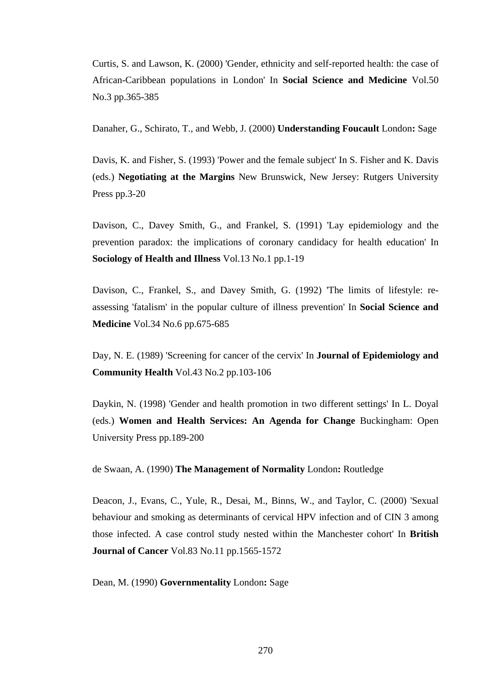Curtis, S. and Lawson, K. (2000) 'Gender, ethnicity and self-reported health: the case of African-Caribbean populations in London' In **Social Science and Medicine** Vol.50 No.3 pp.365-385

Danaher, G., Schirato, T., and Webb, J. (2000) **Understanding Foucault** London**:** Sage

Davis, K. and Fisher, S. (1993) 'Power and the female subject' In S. Fisher and K. Davis (eds.) **Negotiating at the Margins** New Brunswick, New Jersey: Rutgers University Press pp.3-20

Davison, C., Davey Smith, G., and Frankel, S. (1991) 'Lay epidemiology and the prevention paradox: the implications of coronary candidacy for health education' In **Sociology of Health and Illness** Vol.13 No.1 pp.1-19

Davison, C., Frankel, S., and Davey Smith, G. (1992) 'The limits of lifestyle: reassessing 'fatalism' in the popular culture of illness prevention' In **Social Science and Medicine** Vol.34 No.6 pp.675-685

Day, N. E. (1989) 'Screening for cancer of the cervix' In **Journal of Epidemiology and Community Health** Vol.43 No.2 pp.103-106

Daykin, N. (1998) 'Gender and health promotion in two different settings' In L. Doyal (eds.) **Women and Health Services: An Agenda for Change** Buckingham: Open University Press pp.189-200

de Swaan, A. (1990) **The Management of Normality** London**:** Routledge

Deacon, J., Evans, C., Yule, R., Desai, M., Binns, W., and Taylor, C. (2000) 'Sexual behaviour and smoking as determinants of cervical HPV infection and of CIN 3 among those infected. A case control study nested within the Manchester cohort' In **British Journal of Cancer** Vol.83 No.11 pp.1565-1572

Dean, M. (1990) **Governmentality** London**:** Sage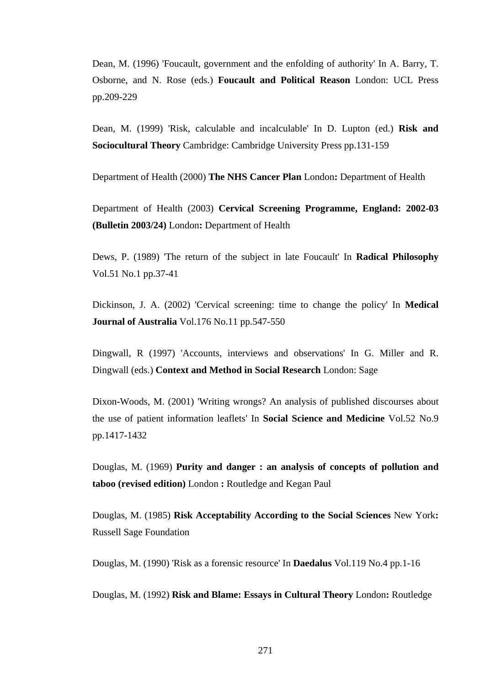Dean, M. (1996) 'Foucault, government and the enfolding of authority' In A. Barry, T. Osborne, and N. Rose (eds.) **Foucault and Political Reason** London: UCL Press pp.209-229

Dean, M. (1999) 'Risk, calculable and incalculable' In D. Lupton (ed.) **Risk and Sociocultural Theory** Cambridge: Cambridge University Press pp.131-159

Department of Health (2000) **The NHS Cancer Plan** London**:** Department of Health

Department of Health (2003) **Cervical Screening Programme, England: 2002-03 (Bulletin 2003/24)** London**:** Department of Health

Dews, P. (1989) 'The return of the subject in late Foucault' In **Radical Philosophy**  Vol.51 No.1 pp.37-41

Dickinson, J. A. (2002) 'Cervical screening: time to change the policy' In **Medical Journal of Australia** Vol.176 No.11 pp.547-550

Dingwall, R (1997) 'Accounts, interviews and observations' In G. Miller and R. Dingwall (eds.) **Context and Method in Social Research** London: Sage

Dixon-Woods, M. (2001) 'Writing wrongs? An analysis of published discourses about the use of patient information leaflets' In **Social Science and Medicine** Vol.52 No.9 pp.1417-1432

Douglas, M. (1969) **Purity and danger : an analysis of concepts of pollution and taboo (revised edition)** London **:** Routledge and Kegan Paul

Douglas, M. (1985) **Risk Acceptability According to the Social Sciences** New York**:**  Russell Sage Foundation

Douglas, M. (1990) 'Risk as a forensic resource' In **Daedalus** Vol.119 No.4 pp.1-16

Douglas, M. (1992) **Risk and Blame: Essays in Cultural Theory** London**:** Routledge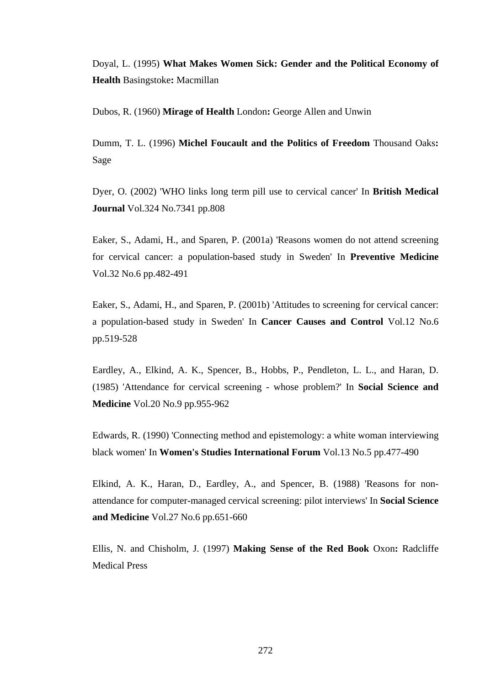Doyal, L. (1995) **What Makes Women Sick: Gender and the Political Economy of Health** Basingstoke**:** Macmillan

Dubos, R. (1960) **Mirage of Health** London**:** George Allen and Unwin

Dumm, T. L. (1996) **Michel Foucault and the Politics of Freedom** Thousand Oaks**:**  Sage

Dyer, O. (2002) 'WHO links long term pill use to cervical cancer' In **British Medical Journal** Vol.324 No.7341 pp.808

Eaker, S., Adami, H., and Sparen, P. (2001a) 'Reasons women do not attend screening for cervical cancer: a population-based study in Sweden' In **Preventive Medicine**  Vol.32 No.6 pp.482-491

Eaker, S., Adami, H., and Sparen, P. (2001b) 'Attitudes to screening for cervical cancer: a population-based study in Sweden' In **Cancer Causes and Control** Vol.12 No.6 pp.519-528

Eardley, A., Elkind, A. K., Spencer, B., Hobbs, P., Pendleton, L. L., and Haran, D. (1985) 'Attendance for cervical screening - whose problem?' In **Social Science and Medicine** Vol.20 No.9 pp.955-962

Edwards, R. (1990) 'Connecting method and epistemology: a white woman interviewing black women' In **Women's Studies International Forum** Vol.13 No.5 pp.477-490

Elkind, A. K., Haran, D., Eardley, A., and Spencer, B. (1988) 'Reasons for nonattendance for computer-managed cervical screening: pilot interviews' In **Social Science and Medicine** Vol.27 No.6 pp.651-660

Ellis, N. and Chisholm, J. (1997) **Making Sense of the Red Book** Oxon**:** Radcliffe Medical Press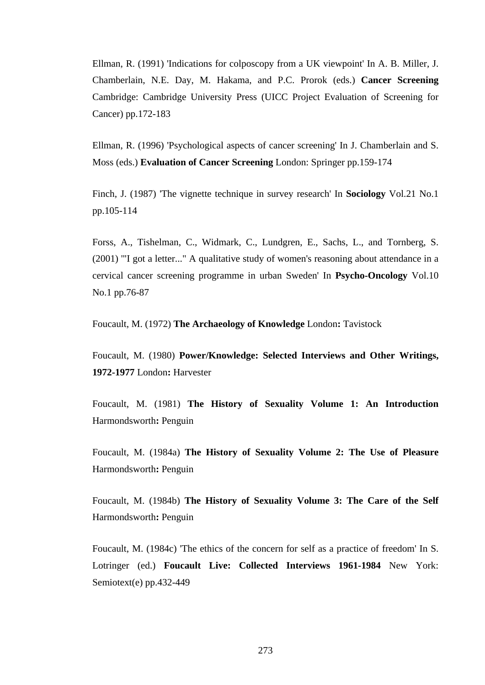Ellman, R. (1991) 'Indications for colposcopy from a UK viewpoint' In A. B. Miller, J. Chamberlain, N.E. Day, M. Hakama, and P.C. Prorok (eds.) **Cancer Screening**  Cambridge: Cambridge University Press (UICC Project Evaluation of Screening for Cancer) pp.172-183

Ellman, R. (1996) 'Psychological aspects of cancer screening' In J. Chamberlain and S. Moss (eds.) **Evaluation of Cancer Screening** London: Springer pp.159-174

Finch, J. (1987) 'The vignette technique in survey research' In **Sociology** Vol.21 No.1 pp.105-114

Forss, A., Tishelman, C., Widmark, C., Lundgren, E., Sachs, L., and Tornberg, S. (2001) '"I got a letter..." A qualitative study of women's reasoning about attendance in a cervical cancer screening programme in urban Sweden' In **Psycho-Oncology** Vol.10 No.1 pp.76-87

Foucault, M. (1972) **The Archaeology of Knowledge** London**:** Tavistock

Foucault, M. (1980) **Power/Knowledge: Selected Interviews and Other Writings, 1972-1977** London**:** Harvester

Foucault, M. (1981) **The History of Sexuality Volume 1: An Introduction**  Harmondsworth**:** Penguin

Foucault, M. (1984a) **The History of Sexuality Volume 2: The Use of Pleasure**  Harmondsworth**:** Penguin

Foucault, M. (1984b) **The History of Sexuality Volume 3: The Care of the Self**  Harmondsworth**:** Penguin

Foucault, M. (1984c) 'The ethics of the concern for self as a practice of freedom' In S. Lotringer (ed.) **Foucault Live: Collected Interviews 1961-1984** New York: Semiotext(e) pp.432-449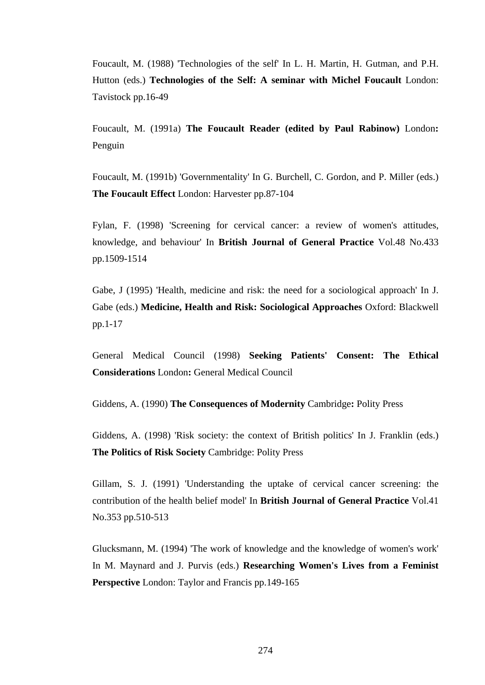Foucault, M. (1988) 'Technologies of the self' In L. H. Martin, H. Gutman, and P.H. Hutton (eds.) **Technologies of the Self: A seminar with Michel Foucault** London: Tavistock pp.16-49

Foucault, M. (1991a) **The Foucault Reader (edited by Paul Rabinow)** London**:**  Penguin

Foucault, M. (1991b) 'Governmentality' In G. Burchell, C. Gordon, and P. Miller (eds.) **The Foucault Effect** London: Harvester pp.87-104

Fylan, F. (1998) 'Screening for cervical cancer: a review of women's attitudes, knowledge, and behaviour' In **British Journal of General Practice** Vol.48 No.433 pp.1509-1514

Gabe, J (1995) 'Health, medicine and risk: the need for a sociological approach' In J. Gabe (eds.) **Medicine, Health and Risk: Sociological Approaches** Oxford: Blackwell pp.1-17

General Medical Council (1998) **Seeking Patients' Consent: The Ethical Considerations** London**:** General Medical Council

Giddens, A. (1990) **The Consequences of Modernity** Cambridge**:** Polity Press

Giddens, A. (1998) 'Risk society: the context of British politics' In J. Franklin (eds.) **The Politics of Risk Society** Cambridge: Polity Press

Gillam, S. J. (1991) 'Understanding the uptake of cervical cancer screening: the contribution of the health belief model' In **British Journal of General Practice** Vol.41 No.353 pp.510-513

Glucksmann, M. (1994) 'The work of knowledge and the knowledge of women's work' In M. Maynard and J. Purvis (eds.) **Researching Women's Lives from a Feminist Perspective** London: Taylor and Francis pp.149-165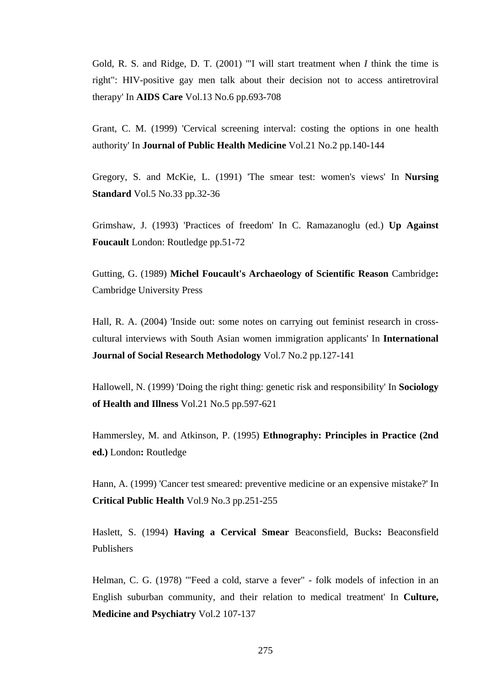Gold, R. S. and Ridge, D. T. (2001) '"I will start treatment when *I* think the time is right": HIV-positive gay men talk about their decision not to access antiretroviral therapy' In **AIDS Care** Vol.13 No.6 pp.693-708

Grant, C. M. (1999) 'Cervical screening interval: costing the options in one health authority' In **Journal of Public Health Medicine** Vol.21 No.2 pp.140-144

Gregory, S. and McKie, L. (1991) 'The smear test: women's views' In **Nursing Standard** Vol.5 No.33 pp.32-36

Grimshaw, J. (1993) 'Practices of freedom' In C. Ramazanoglu (ed.) **Up Against Foucault** London: Routledge pp.51-72

Gutting, G. (1989) **Michel Foucault's Archaeology of Scientific Reason** Cambridge**:**  Cambridge University Press

Hall, R. A. (2004) 'Inside out: some notes on carrying out feminist research in crosscultural interviews with South Asian women immigration applicants' In **International Journal of Social Research Methodology** Vol.7 No.2 pp.127-141

Hallowell, N. (1999) 'Doing the right thing: genetic risk and responsibility' In **Sociology of Health and Illness** Vol.21 No.5 pp.597-621

Hammersley, M. and Atkinson, P. (1995) **Ethnography: Principles in Practice (2nd ed.)** London**:** Routledge

Hann, A. (1999) 'Cancer test smeared: preventive medicine or an expensive mistake?' In **Critical Public Health** Vol.9 No.3 pp.251-255

Haslett, S. (1994) **Having a Cervical Smear** Beaconsfield, Bucks**:** Beaconsfield Publishers

Helman, C. G. (1978) '"Feed a cold, starve a fever" - folk models of infection in an English suburban community, and their relation to medical treatment' In **Culture, Medicine and Psychiatry** Vol.2 107-137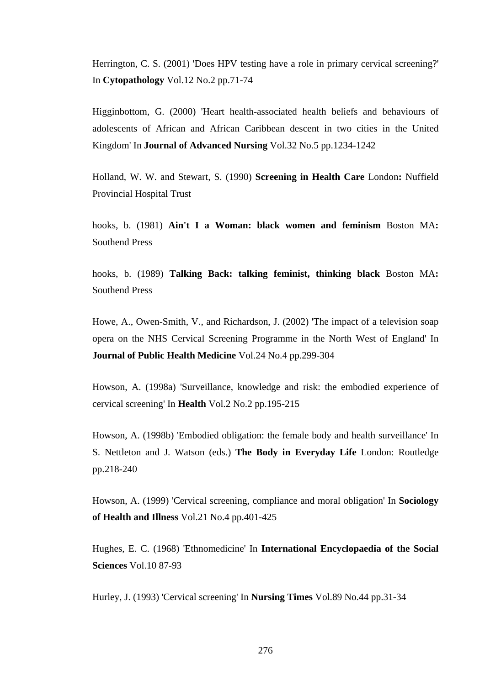Herrington, C. S. (2001) 'Does HPV testing have a role in primary cervical screening?' In **Cytopathology** Vol.12 No.2 pp.71-74

Higginbottom, G. (2000) 'Heart health-associated health beliefs and behaviours of adolescents of African and African Caribbean descent in two cities in the United Kingdom' In **Journal of Advanced Nursing** Vol.32 No.5 pp.1234-1242

Holland, W. W. and Stewart, S. (1990) **Screening in Health Care** London**:** Nuffield Provincial Hospital Trust

hooks, b. (1981) **Ain't I a Woman: black women and feminism** Boston MA**:**  Southend Press

hooks, b. (1989) **Talking Back: talking feminist, thinking black** Boston MA**:**  Southend Press

Howe, A., Owen-Smith, V., and Richardson, J. (2002) 'The impact of a television soap opera on the NHS Cervical Screening Programme in the North West of England' In **Journal of Public Health Medicine** Vol.24 No.4 pp.299-304

Howson, A. (1998a) 'Surveillance, knowledge and risk: the embodied experience of cervical screening' In **Health** Vol.2 No.2 pp.195-215

Howson, A. (1998b) 'Embodied obligation: the female body and health surveillance' In S. Nettleton and J. Watson (eds.) **The Body in Everyday Life** London: Routledge pp.218-240

Howson, A. (1999) 'Cervical screening, compliance and moral obligation' In **Sociology of Health and Illness** Vol.21 No.4 pp.401-425

Hughes, E. C. (1968) 'Ethnomedicine' In **International Encyclopaedia of the Social Sciences** Vol.10 87-93

Hurley, J. (1993) 'Cervical screening' In **Nursing Times** Vol.89 No.44 pp.31-34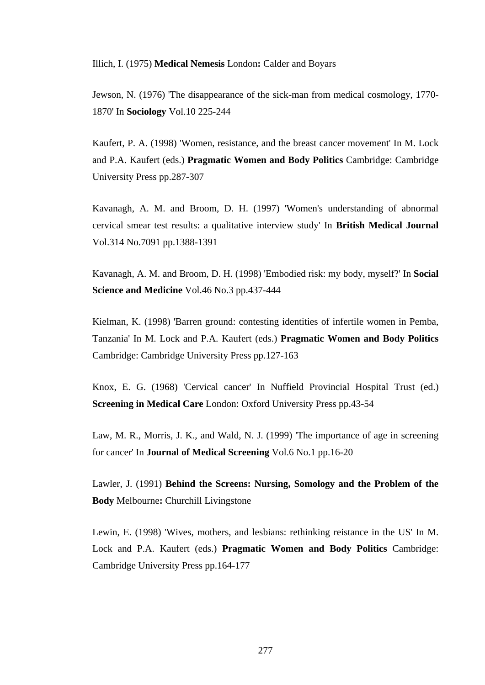Illich, I. (1975) **Medical Nemesis** London**:** Calder and Boyars

Jewson, N. (1976) 'The disappearance of the sick-man from medical cosmology, 1770- 1870' In **Sociology** Vol.10 225-244

Kaufert, P. A. (1998) 'Women, resistance, and the breast cancer movement' In M. Lock and P.A. Kaufert (eds.) **Pragmatic Women and Body Politics** Cambridge: Cambridge University Press pp.287-307

Kavanagh, A. M. and Broom, D. H. (1997) 'Women's understanding of abnormal cervical smear test results: a qualitative interview study' In **British Medical Journal**  Vol.314 No.7091 pp.1388-1391

Kavanagh, A. M. and Broom, D. H. (1998) 'Embodied risk: my body, myself?' In **Social Science and Medicine** Vol.46 No.3 pp.437-444

Kielman, K. (1998) 'Barren ground: contesting identities of infertile women in Pemba, Tanzania' In M. Lock and P.A. Kaufert (eds.) **Pragmatic Women and Body Politics**  Cambridge: Cambridge University Press pp.127-163

Knox, E. G. (1968) 'Cervical cancer' In Nuffield Provincial Hospital Trust (ed.) **Screening in Medical Care** London: Oxford University Press pp.43-54

Law, M. R., Morris, J. K., and Wald, N. J. (1999) 'The importance of age in screening for cancer' In **Journal of Medical Screening** Vol.6 No.1 pp.16-20

Lawler, J. (1991) **Behind the Screens: Nursing, Somology and the Problem of the Body** Melbourne**:** Churchill Livingstone

Lewin, E. (1998) 'Wives, mothers, and lesbians: rethinking reistance in the US' In M. Lock and P.A. Kaufert (eds.) **Pragmatic Women and Body Politics** Cambridge: Cambridge University Press pp.164-177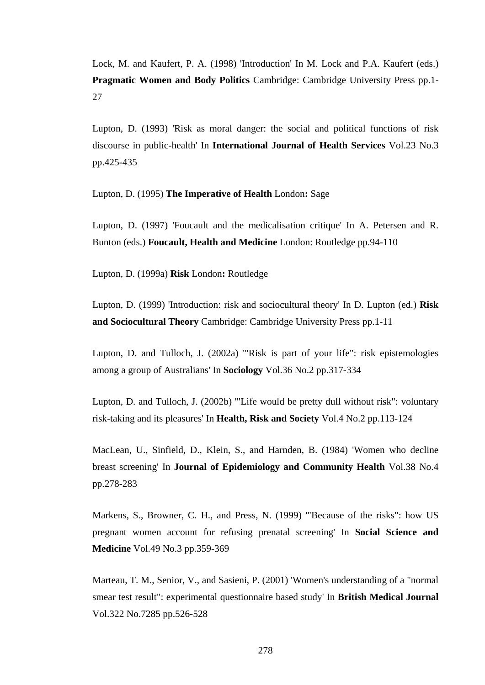Lock, M. and Kaufert, P. A. (1998) 'Introduction' In M. Lock and P.A. Kaufert (eds.) **Pragmatic Women and Body Politics** Cambridge: Cambridge University Press pp.1- 27

Lupton, D. (1993) 'Risk as moral danger: the social and political functions of risk discourse in public-health' In **International Journal of Health Services** Vol.23 No.3 pp.425-435

Lupton, D. (1995) **The Imperative of Health** London**:** Sage

Lupton, D. (1997) 'Foucault and the medicalisation critique' In A. Petersen and R. Bunton (eds.) **Foucault, Health and Medicine** London: Routledge pp.94-110

Lupton, D. (1999a) **Risk** London**:** Routledge

Lupton, D. (1999) 'Introduction: risk and sociocultural theory' In D. Lupton (ed.) **Risk and Sociocultural Theory** Cambridge: Cambridge University Press pp.1-11

Lupton, D. and Tulloch, J. (2002a) '"Risk is part of your life": risk epistemologies among a group of Australians' In **Sociology** Vol.36 No.2 pp.317-334

Lupton, D. and Tulloch, J. (2002b) '"Life would be pretty dull without risk": voluntary risk-taking and its pleasures' In **Health, Risk and Society** Vol.4 No.2 pp.113-124

MacLean, U., Sinfield, D., Klein, S., and Harnden, B. (1984) 'Women who decline breast screening' In **Journal of Epidemiology and Community Health** Vol.38 No.4 pp.278-283

Markens, S., Browner, C. H., and Press, N. (1999) '"Because of the risks": how US pregnant women account for refusing prenatal screening' In **Social Science and Medicine** Vol.49 No.3 pp.359-369

Marteau, T. M., Senior, V., and Sasieni, P. (2001) 'Women's understanding of a "normal smear test result": experimental questionnaire based study' In **British Medical Journal**  Vol.322 No.7285 pp.526-528

278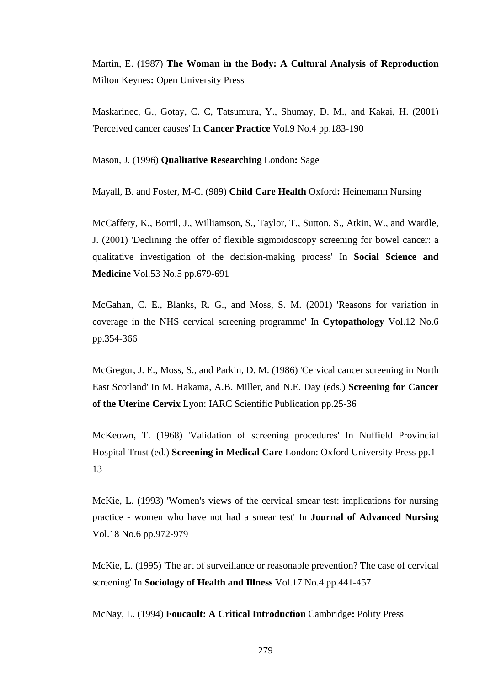Martin, E. (1987) **The Woman in the Body: A Cultural Analysis of Reproduction**  Milton Keynes**:** Open University Press

Maskarinec, G., Gotay, C. C, Tatsumura, Y., Shumay, D. M., and Kakai, H. (2001) 'Perceived cancer causes' In **Cancer Practice** Vol.9 No.4 pp.183-190

Mason, J. (1996) **Qualitative Researching** London**:** Sage

Mayall, B. and Foster, M-C. (989) **Child Care Health** Oxford**:** Heinemann Nursing

McCaffery, K., Borril, J., Williamson, S., Taylor, T., Sutton, S., Atkin, W., and Wardle, J. (2001) 'Declining the offer of flexible sigmoidoscopy screening for bowel cancer: a qualitative investigation of the decision-making process' In **Social Science and Medicine** Vol.53 No.5 pp.679-691

McGahan, C. E., Blanks, R. G., and Moss, S. M. (2001) 'Reasons for variation in coverage in the NHS cervical screening programme' In **Cytopathology** Vol.12 No.6 pp.354-366

McGregor, J. E., Moss, S., and Parkin, D. M. (1986) 'Cervical cancer screening in North East Scotland' In M. Hakama, A.B. Miller, and N.E. Day (eds.) **Screening for Cancer of the Uterine Cervix** Lyon: IARC Scientific Publication pp.25-36

McKeown, T. (1968) 'Validation of screening procedures' In Nuffield Provincial Hospital Trust (ed.) **Screening in Medical Care** London: Oxford University Press pp.1- 13

McKie, L. (1993) 'Women's views of the cervical smear test: implications for nursing practice - women who have not had a smear test' In **Journal of Advanced Nursing**  Vol.18 No.6 pp.972-979

McKie, L. (1995) 'The art of surveillance or reasonable prevention? The case of cervical screening' In **Sociology of Health and Illness** Vol.17 No.4 pp.441-457

McNay, L. (1994) **Foucault: A Critical Introduction** Cambridge**:** Polity Press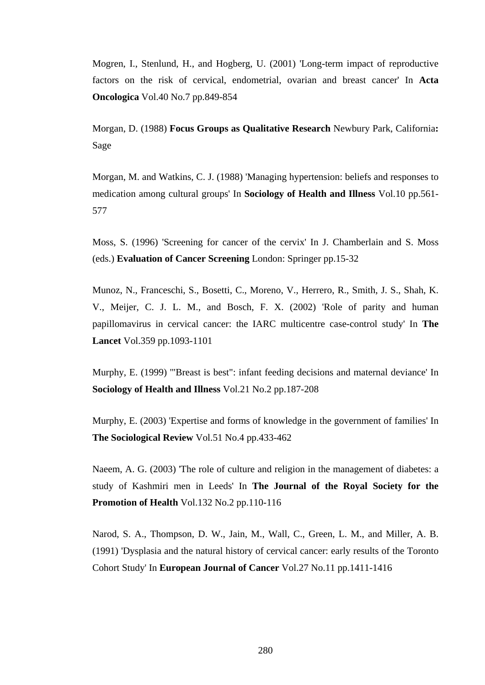Mogren, I., Stenlund, H., and Hogberg, U. (2001) 'Long-term impact of reproductive factors on the risk of cervical, endometrial, ovarian and breast cancer' In **Acta Oncologica** Vol.40 No.7 pp.849-854

Morgan, D. (1988) **Focus Groups as Qualitative Research** Newbury Park, California**:**  Sage

Morgan, M. and Watkins, C. J. (1988) 'Managing hypertension: beliefs and responses to medication among cultural groups' In **Sociology of Health and Illness** Vol.10 pp.561- 577

Moss, S. (1996) 'Screening for cancer of the cervix' In J. Chamberlain and S. Moss (eds.) **Evaluation of Cancer Screening** London: Springer pp.15-32

Munoz, N., Franceschi, S., Bosetti, C., Moreno, V., Herrero, R., Smith, J. S., Shah, K. V., Meijer, C. J. L. M., and Bosch, F. X. (2002) 'Role of parity and human papillomavirus in cervical cancer: the IARC multicentre case-control study' In **The Lancet** Vol.359 pp.1093-1101

Murphy, E. (1999) '"Breast is best": infant feeding decisions and maternal deviance' In **Sociology of Health and Illness** Vol.21 No.2 pp.187-208

Murphy, E. (2003) 'Expertise and forms of knowledge in the government of families' In **The Sociological Review** Vol.51 No.4 pp.433-462

Naeem, A. G. (2003) 'The role of culture and religion in the management of diabetes: a study of Kashmiri men in Leeds' In **The Journal of the Royal Society for the Promotion of Health** Vol.132 No.2 pp.110-116

Narod, S. A., Thompson, D. W., Jain, M., Wall, C., Green, L. M., and Miller, A. B. (1991) 'Dysplasia and the natural history of cervical cancer: early results of the Toronto Cohort Study' In **European Journal of Cancer** Vol.27 No.11 pp.1411-1416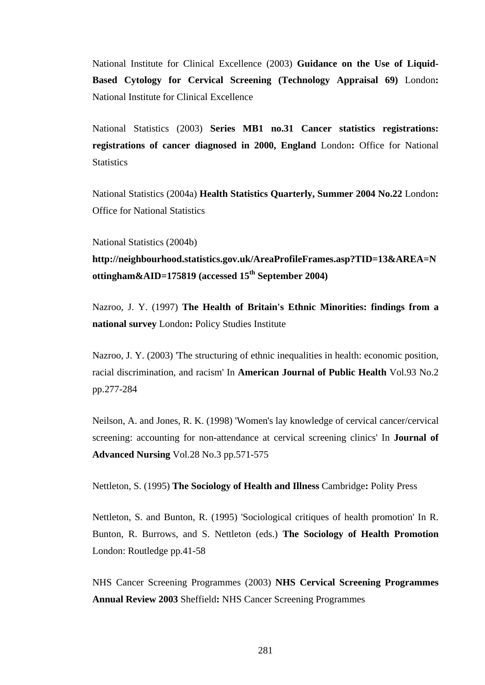National Institute for Clinical Excellence (2003) **Guidance on the Use of Liquid-Based Cytology for Cervical Screening (Technology Appraisal 69)** London**:**  National Institute for Clinical Excellence

National Statistics (2003) **Series MB1 no.31 Cancer statistics registrations: registrations of cancer diagnosed in 2000, England** London**:** Office for National **Statistics** 

National Statistics (2004a) **Health Statistics Quarterly, Summer 2004 No.22** London**:**  Office for National Statistics

National Statistics (2004b)

**http://neighbourhood.statistics.gov.uk/AreaProfileFrames.asp?TID=13&AREA=N ottingham&AID=175819 (accessed 15th September 2004)** 

Nazroo, J. Y. (1997) **The Health of Britain's Ethnic Minorities: findings from a national survey** London**:** Policy Studies Institute

Nazroo, J. Y. (2003) 'The structuring of ethnic inequalities in health: economic position, racial discrimination, and racism' In **American Journal of Public Health** Vol.93 No.2 pp.277-284

Neilson, A. and Jones, R. K. (1998) 'Women's lay knowledge of cervical cancer/cervical screening: accounting for non-attendance at cervical screening clinics' In **Journal of Advanced Nursing** Vol.28 No.3 pp.571-575

Nettleton, S. (1995) **The Sociology of Health and Illness** Cambridge**:** Polity Press

Nettleton, S. and Bunton, R. (1995) 'Sociological critiques of health promotion' In R. Bunton, R. Burrows, and S. Nettleton (eds.) **The Sociology of Health Promotion**  London: Routledge pp.41-58

NHS Cancer Screening Programmes (2003) **NHS Cervical Screening Programmes Annual Review 2003** Sheffield**:** NHS Cancer Screening Programmes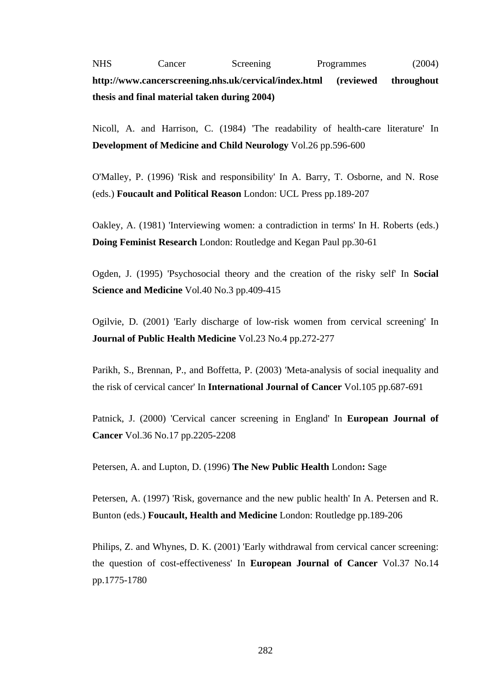## NHS Cancer Screening Programmes (2004) **http://www.cancerscreening.nhs.uk/cervical/index.html (reviewed throughout thesis and final material taken during 2004)**

Nicoll, A. and Harrison, C. (1984) 'The readability of health-care literature' In **Development of Medicine and Child Neurology** Vol.26 pp.596-600

O'Malley, P. (1996) 'Risk and responsibility' In A. Barry, T. Osborne, and N. Rose (eds.) **Foucault and Political Reason** London: UCL Press pp.189-207

Oakley, A. (1981) 'Interviewing women: a contradiction in terms' In H. Roberts (eds.) **Doing Feminist Research** London: Routledge and Kegan Paul pp.30-61

Ogden, J. (1995) 'Psychosocial theory and the creation of the risky self' In **Social Science and Medicine** Vol.40 No.3 pp.409-415

Ogilvie, D. (2001) 'Early discharge of low-risk women from cervical screening' In **Journal of Public Health Medicine** Vol.23 No.4 pp.272-277

Parikh, S., Brennan, P., and Boffetta, P. (2003) 'Meta-analysis of social inequality and the risk of cervical cancer' In **International Journal of Cancer** Vol.105 pp.687-691

Patnick, J. (2000) 'Cervical cancer screening in England' In **European Journal of Cancer** Vol.36 No.17 pp.2205-2208

Petersen, A. and Lupton, D. (1996) **The New Public Health** London**:** Sage

Petersen, A. (1997) 'Risk, governance and the new public health' In A. Petersen and R. Bunton (eds.) **Foucault, Health and Medicine** London: Routledge pp.189-206

Philips, Z. and Whynes, D. K. (2001) 'Early withdrawal from cervical cancer screening: the question of cost-effectiveness' In **European Journal of Cancer** Vol.37 No.14 pp.1775-1780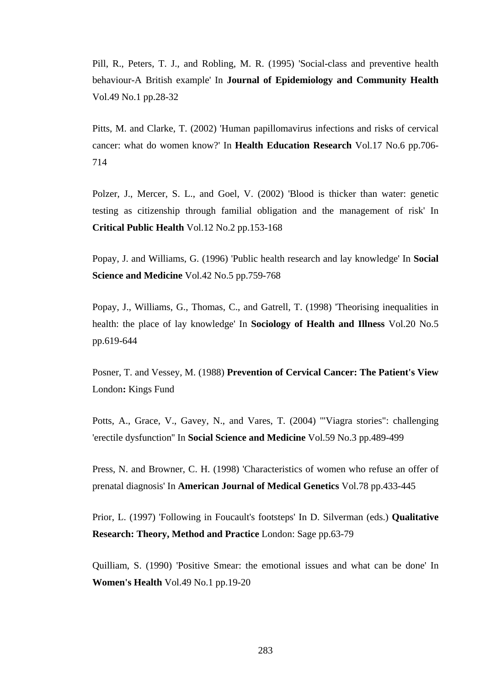Pill, R., Peters, T. J., and Robling, M. R. (1995) 'Social-class and preventive health behaviour-A British example' In **Journal of Epidemiology and Community Health**  Vol.49 No.1 pp.28-32

Pitts, M. and Clarke, T. (2002) 'Human papillomavirus infections and risks of cervical cancer: what do women know?' In **Health Education Research** Vol.17 No.6 pp.706- 714

Polzer, J., Mercer, S. L., and Goel, V. (2002) 'Blood is thicker than water: genetic testing as citizenship through familial obligation and the management of risk' In **Critical Public Health** Vol.12 No.2 pp.153-168

Popay, J. and Williams, G. (1996) 'Public health research and lay knowledge' In **Social Science and Medicine** Vol.42 No.5 pp.759-768

Popay, J., Williams, G., Thomas, C., and Gatrell, T. (1998) 'Theorising inequalities in health: the place of lay knowledge' In **Sociology of Health and Illness** Vol.20 No.5 pp.619-644

Posner, T. and Vessey, M. (1988) **Prevention of Cervical Cancer: The Patient's View**  London**:** Kings Fund

Potts, A., Grace, V., Gavey, N., and Vares, T. (2004) '"Viagra stories": challenging 'erectile dysfunction'' In **Social Science and Medicine** Vol.59 No.3 pp.489-499

Press, N. and Browner, C. H. (1998) 'Characteristics of women who refuse an offer of prenatal diagnosis' In **American Journal of Medical Genetics** Vol.78 pp.433-445

Prior, L. (1997) 'Following in Foucault's footsteps' In D. Silverman (eds.) **Qualitative Research: Theory, Method and Practice** London: Sage pp.63-79

Quilliam, S. (1990) 'Positive Smear: the emotional issues and what can be done' In **Women's Health** Vol.49 No.1 pp.19-20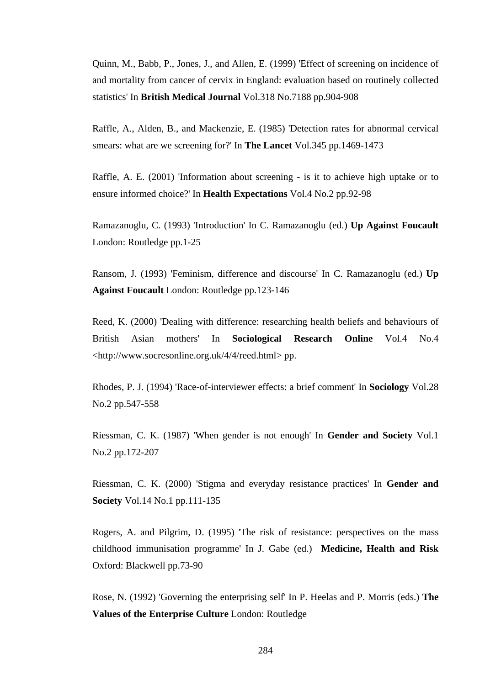Quinn, M., Babb, P., Jones, J., and Allen, E. (1999) 'Effect of screening on incidence of and mortality from cancer of cervix in England: evaluation based on routinely collected statistics' In **British Medical Journal** Vol.318 No.7188 pp.904-908

Raffle, A., Alden, B., and Mackenzie, E. (1985) 'Detection rates for abnormal cervical smears: what are we screening for?' In **The Lancet** Vol.345 pp.1469-1473

Raffle, A. E. (2001) 'Information about screening - is it to achieve high uptake or to ensure informed choice?' In **Health Expectations** Vol.4 No.2 pp.92-98

Ramazanoglu, C. (1993) 'Introduction' In C. Ramazanoglu (ed.) **Up Against Foucault**  London: Routledge pp.1-25

Ransom, J. (1993) 'Feminism, difference and discourse' In C. Ramazanoglu (ed.) **Up Against Foucault** London: Routledge pp.123-146

Reed, K. (2000) 'Dealing with difference: researching health beliefs and behaviours of British Asian mothers' In **Sociological Research Online** Vol.4 No.4 <http://www.socresonline.org.uk/4/4/reed.html> pp.

Rhodes, P. J. (1994) 'Race-of-interviewer effects: a brief comment' In **Sociology** Vol.28 No.2 pp.547-558

Riessman, C. K. (1987) 'When gender is not enough' In **Gender and Society** Vol.1 No.2 pp.172-207

Riessman, C. K. (2000) 'Stigma and everyday resistance practices' In **Gender and Society** Vol.14 No.1 pp.111-135

Rogers, A. and Pilgrim, D. (1995) 'The risk of resistance: perspectives on the mass childhood immunisation programme' In J. Gabe (ed.) **Medicine, Health and Risk**  Oxford: Blackwell pp.73-90

Rose, N. (1992) 'Governing the enterprising self' In P. Heelas and P. Morris (eds.) **The Values of the Enterprise Culture** London: Routledge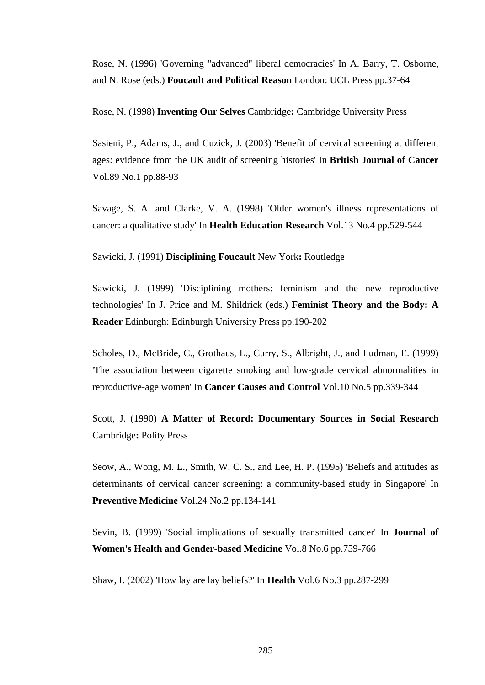Rose, N. (1996) 'Governing "advanced" liberal democracies' In A. Barry, T. Osborne, and N. Rose (eds.) **Foucault and Political Reason** London: UCL Press pp.37-64

Rose, N. (1998) **Inventing Our Selves** Cambridge**:** Cambridge University Press

Sasieni, P., Adams, J., and Cuzick, J. (2003) 'Benefit of cervical screening at different ages: evidence from the UK audit of screening histories' In **British Journal of Cancer**  Vol.89 No.1 pp.88-93

Savage, S. A. and Clarke, V. A. (1998) 'Older women's illness representations of cancer: a qualitative study' In **Health Education Research** Vol.13 No.4 pp.529-544

Sawicki, J. (1991) **Disciplining Foucault** New York**:** Routledge

Sawicki, J. (1999) 'Disciplining mothers: feminism and the new reproductive technologies' In J. Price and M. Shildrick (eds.) **Feminist Theory and the Body: A Reader** Edinburgh: Edinburgh University Press pp.190-202

Scholes, D., McBride, C., Grothaus, L., Curry, S., Albright, J., and Ludman, E. (1999) 'The association between cigarette smoking and low-grade cervical abnormalities in reproductive-age women' In **Cancer Causes and Control** Vol.10 No.5 pp.339-344

Scott, J. (1990) **A Matter of Record: Documentary Sources in Social Research**  Cambridge**:** Polity Press

Seow, A., Wong, M. L., Smith, W. C. S., and Lee, H. P. (1995) 'Beliefs and attitudes as determinants of cervical cancer screening: a community-based study in Singapore' In **Preventive Medicine** Vol.24 No.2 pp.134-141

Sevin, B. (1999) 'Social implications of sexually transmitted cancer' In **Journal of Women's Health and Gender-based Medicine** Vol.8 No.6 pp.759-766

Shaw, I. (2002) 'How lay are lay beliefs?' In **Health** Vol.6 No.3 pp.287-299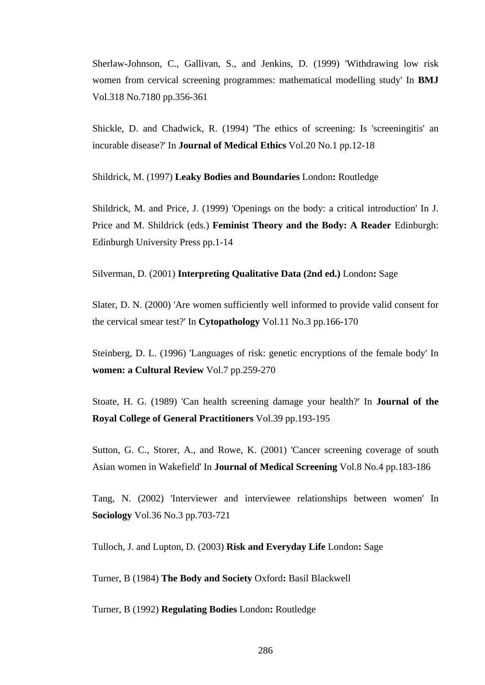Sherlaw-Johnson, C., Gallivan, S., and Jenkins, D. (1999) 'Withdrawing low risk women from cervical screening programmes: mathematical modelling study' In **BMJ**  Vol.318 No.7180 pp.356-361

Shickle, D. and Chadwick, R. (1994) 'The ethics of screening: Is 'screeningitis' an incurable disease?' In **Journal of Medical Ethics** Vol.20 No.1 pp.12-18

Shildrick, M. (1997) **Leaky Bodies and Boundaries** London**:** Routledge

Shildrick, M. and Price, J. (1999) 'Openings on the body: a critical introduction' In J. Price and M. Shildrick (eds.) **Feminist Theory and the Body: A Reader** Edinburgh: Edinburgh University Press pp.1-14

Silverman, D. (2001) **Interpreting Qualitative Data (2nd ed.)** London**:** Sage

Slater, D. N. (2000) 'Are women sufficiently well informed to provide valid consent for the cervical smear test?' In **Cytopathology** Vol.11 No.3 pp.166-170

Steinberg, D. L. (1996) 'Languages of risk: genetic encryptions of the female body' In **women: a Cultural Review** Vol.7 pp.259-270

Stoate, H. G. (1989) 'Can health screening damage your health?' In **Journal of the Royal College of General Practitioners** Vol.39 pp.193-195

Sutton, G. C., Storer, A., and Rowe, K. (2001) 'Cancer screening coverage of south Asian women in Wakefield' In **Journal of Medical Screening** Vol.8 No.4 pp.183-186

Tang, N. (2002) 'Interviewer and interviewee relationships between women' In **Sociology** Vol.36 No.3 pp.703-721

Tulloch, J. and Lupton, D. (2003) **Risk and Everyday Life** London**:** Sage

Turner, B (1984) **The Body and Society** Oxford**:** Basil Blackwell

Turner, B (1992) **Regulating Bodies** London**:** Routledge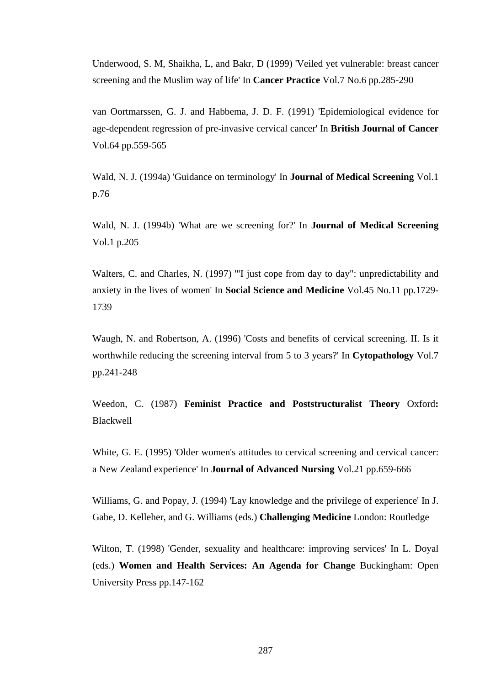Underwood, S. M, Shaikha, L, and Bakr, D (1999) 'Veiled yet vulnerable: breast cancer screening and the Muslim way of life' In **Cancer Practice** Vol.7 No.6 pp.285-290

van Oortmarssen, G. J. and Habbema, J. D. F. (1991) 'Epidemiological evidence for age-dependent regression of pre-invasive cervical cancer' In **British Journal of Cancer**  Vol.64 pp.559-565

Wald, N. J. (1994a) 'Guidance on terminology' In **Journal of Medical Screening** Vol.1 p.76

Wald, N. J. (1994b) 'What are we screening for?' In **Journal of Medical Screening**  Vol.1 p.205

Walters, C. and Charles, N. (1997) '"I just cope from day to day": unpredictability and anxiety in the lives of women' In **Social Science and Medicine** Vol.45 No.11 pp.1729- 1739

Waugh, N. and Robertson, A. (1996) 'Costs and benefits of cervical screening. II. Is it worthwhile reducing the screening interval from 5 to 3 years?' In **Cytopathology** Vol.7 pp.241-248

Weedon, C. (1987) **Feminist Practice and Poststructuralist Theory** Oxford**:**  Blackwell

White, G. E. (1995) 'Older women's attitudes to cervical screening and cervical cancer: a New Zealand experience' In **Journal of Advanced Nursing** Vol.21 pp.659-666

Williams, G. and Popay, J. (1994) 'Lay knowledge and the privilege of experience' In J. Gabe, D. Kelleher, and G. Williams (eds.) **Challenging Medicine** London: Routledge

Wilton, T. (1998) 'Gender, sexuality and healthcare: improving services' In L. Doyal (eds.) **Women and Health Services: An Agenda for Change** Buckingham: Open University Press pp.147-162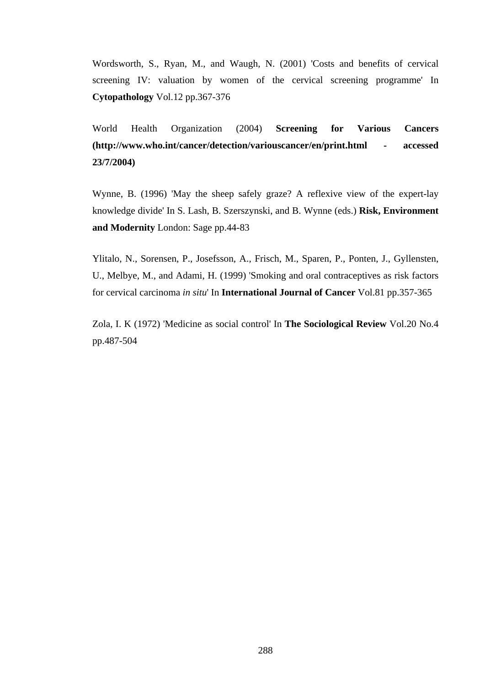Wordsworth, S., Ryan, M., and Waugh, N. (2001) 'Costs and benefits of cervical screening IV: valuation by women of the cervical screening programme' In **Cytopathology** Vol.12 pp.367-376

World Health Organization (2004) **Screening for Various Cancers (http://www.who.int/cancer/detection/variouscancer/en/print.html - accessed 23/7/2004)** 

Wynne, B. (1996) 'May the sheep safely graze? A reflexive view of the expert-lay knowledge divide' In S. Lash, B. Szerszynski, and B. Wynne (eds.) **Risk, Environment and Modernity** London: Sage pp.44-83

Ylitalo, N., Sorensen, P., Josefsson, A., Frisch, M., Sparen, P., Ponten, J., Gyllensten, U., Melbye, M., and Adami, H. (1999) 'Smoking and oral contraceptives as risk factors for cervical carcinoma *in situ*' In **International Journal of Cancer** Vol.81 pp.357-365

Zola, I. K (1972) 'Medicine as social control' In **The Sociological Review** Vol.20 No.4 pp.487-504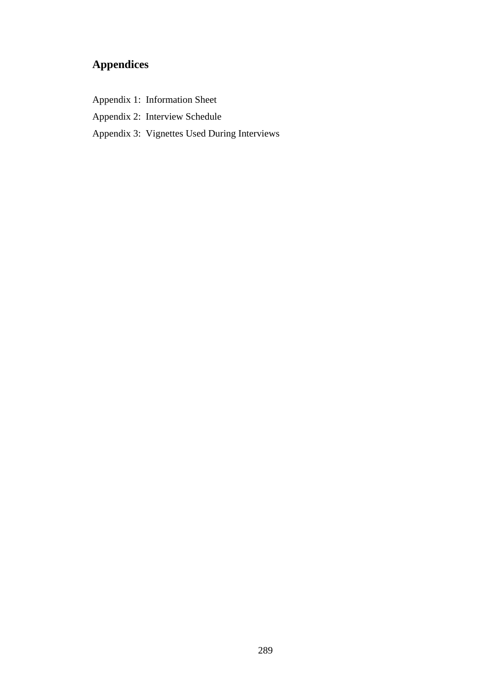# **Appendices**

Appendix 1: Information Sheet

Appendix 2: Interview Schedule

Appendix 3: Vignettes Used During Interviews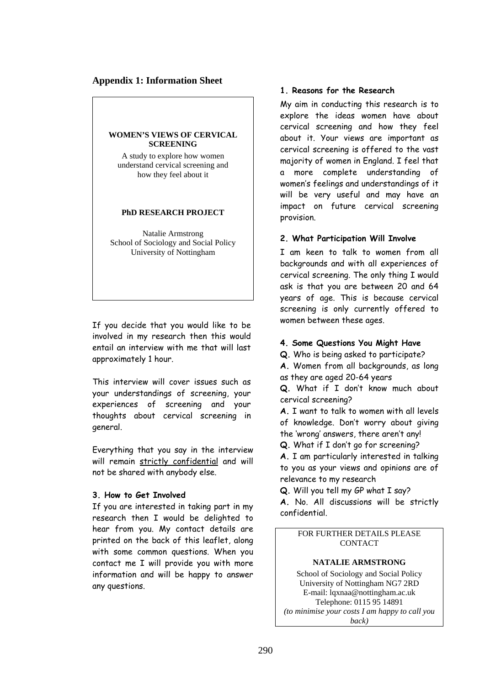## **Appendix 1: Information Sheet**

## **WOMEN'S VIEWS OF CERVICAL SCREENING**

A study to explore how women understand cervical screening and how they feel about it

#### **PhD RESEARCH PROJECT**

Natalie Armstrong School of Sociology and Social Policy University of Nottingham

If you decide that you would like to be involved in my research then this would entail an interview with me that will last approximately 1 hour.

This interview will cover issues such as your understandings of screening, your experiences of screening and your thoughts about cervical screening in general.

Everything that you say in the interview will remain strictly confidential and will not be shared with anybody else.

#### **3. How to Get Involved**

If you are interested in taking part in my research then I would be delighted to hear from you. My contact details are printed on the back of this leaflet, along with some common questions. When you contact me I will provide you with more information and will be happy to answer any questions.

#### **1. Reasons for the Research**

My aim in conducting this research is to explore the ideas women have about cervical screening and how they feel about it. Your views are important as cervical screening is offered to the vast majority of women in England. I feel that a more complete understanding of women's feelings and understandings of it will be very useful and may have an impact on future cervical screening provision.

#### **2. What Participation Will Involve**

I am keen to talk to women from all backgrounds and with all experiences of cervical screening. The only thing I would ask is that you are between 20 and 64 years of age. This is because cervical screening is only currently offered to women between these ages.

#### **4. Some Questions You Might Have**

**Q.** Who is being asked to participate?

**A.** Women from all backgrounds, as long as they are aged 20-64 years

**Q.** What if I don't know much about cervical screening?

**A.** I want to talk to women with all levels of knowledge. Don't worry about giving the 'wrong' answers, there aren't any!

**Q.** What if I don't go for screening?

**A.** I am particularly interested in talking to you as your views and opinions are of relevance to my research

**Q.** Will you tell my GP what I say?

**A.** No. All discussions will be strictly confidential.

## FOR FURTHER DETAILS PLEASE CONTACT

#### **NATALIE ARMSTRONG**

School of Sociology and Social Policy University of Nottingham NG7 2RD E-mail: lqxnaa@nottingham.ac.uk Telephone: 0115 95 14891 *(to minimise your costs I am happy to call you back)*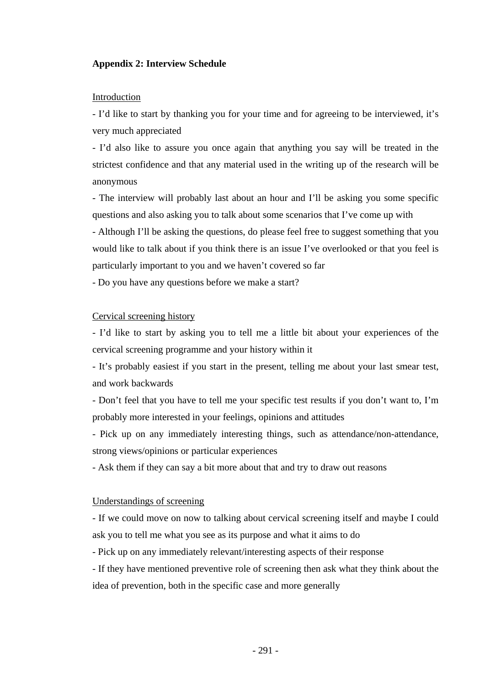# **Appendix 2: Interview Schedule**

#### Introduction

- I'd like to start by thanking you for your time and for agreeing to be interviewed, it's very much appreciated

- I'd also like to assure you once again that anything you say will be treated in the strictest confidence and that any material used in the writing up of the research will be anonymous

- The interview will probably last about an hour and I'll be asking you some specific questions and also asking you to talk about some scenarios that I've come up with

- Although I'll be asking the questions, do please feel free to suggest something that you would like to talk about if you think there is an issue I've overlooked or that you feel is particularly important to you and we haven't covered so far

- Do you have any questions before we make a start?

### Cervical screening history

- I'd like to start by asking you to tell me a little bit about your experiences of the cervical screening programme and your history within it

- It's probably easiest if you start in the present, telling me about your last smear test, and work backwards

- Don't feel that you have to tell me your specific test results if you don't want to, I'm probably more interested in your feelings, opinions and attitudes

- Pick up on any immediately interesting things, such as attendance/non-attendance, strong views/opinions or particular experiences

- Ask them if they can say a bit more about that and try to draw out reasons

#### Understandings of screening

- If we could move on now to talking about cervical screening itself and maybe I could ask you to tell me what you see as its purpose and what it aims to do

- Pick up on any immediately relevant/interesting aspects of their response

- If they have mentioned preventive role of screening then ask what they think about the idea of prevention, both in the specific case and more generally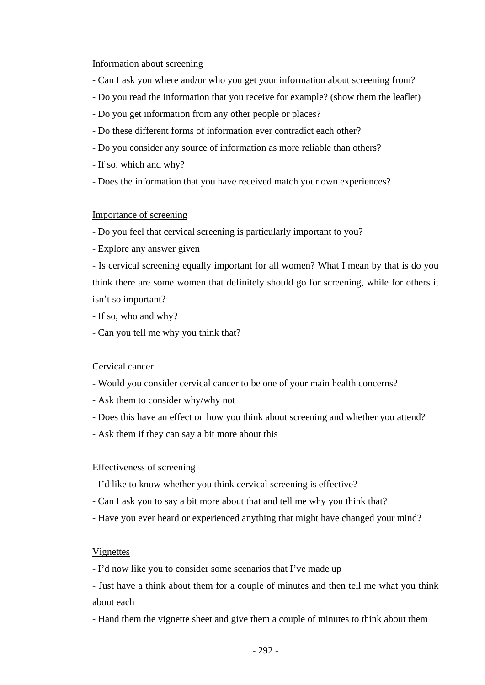# Information about screening

- Can I ask you where and/or who you get your information about screening from?
- Do you read the information that you receive for example? (show them the leaflet)
- Do you get information from any other people or places?
- Do these different forms of information ever contradict each other?
- Do you consider any source of information as more reliable than others?
- If so, which and why?
- Does the information that you have received match your own experiences?

# Importance of screening

- Do you feel that cervical screening is particularly important to you?
- Explore any answer given

- Is cervical screening equally important for all women? What I mean by that is do you think there are some women that definitely should go for screening, while for others it isn't so important?

- If so, who and why?
- Can you tell me why you think that?

# Cervical cancer

- Would you consider cervical cancer to be one of your main health concerns?
- Ask them to consider why/why not
- Does this have an effect on how you think about screening and whether you attend?
- Ask them if they can say a bit more about this

# Effectiveness of screening

- I'd like to know whether you think cervical screening is effective?
- Can I ask you to say a bit more about that and tell me why you think that?
- Have you ever heard or experienced anything that might have changed your mind?

# Vignettes

- I'd now like you to consider some scenarios that I've made up

- Just have a think about them for a couple of minutes and then tell me what you think about each

- Hand them the vignette sheet and give them a couple of minutes to think about them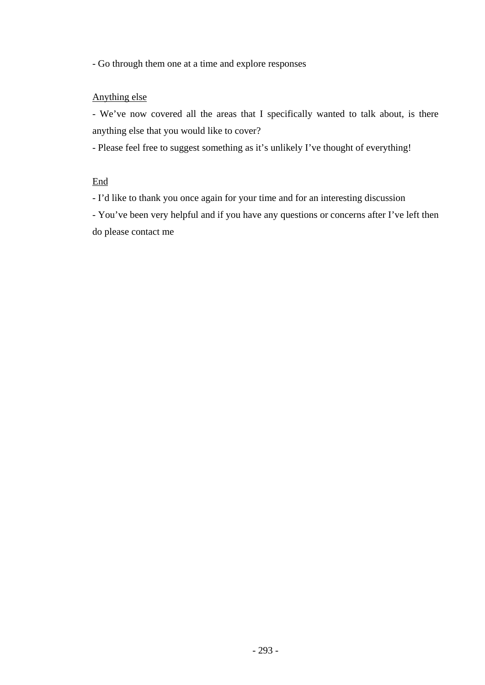- Go through them one at a time and explore responses

# Anything else

- We've now covered all the areas that I specifically wanted to talk about, is there anything else that you would like to cover?

- Please feel free to suggest something as it's unlikely I've thought of everything!

# End

- I'd like to thank you once again for your time and for an interesting discussion

- You've been very helpful and if you have any questions or concerns after I've left then do please contact me